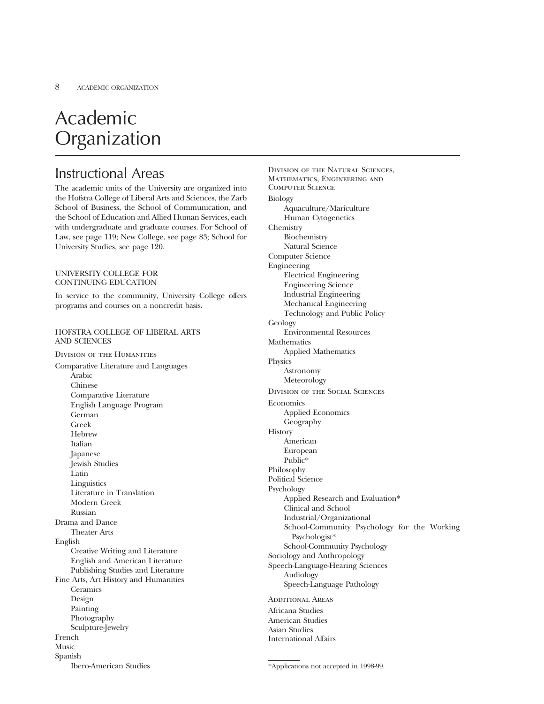# Academic **Organization**

# Instructional Areas

The academic units of the University are organized into the Hofstra College of Liberal Arts and Sciences, the Zarb School of Business, the School of Communication, and the School of Education and Allied Human Services, each with undergraduate and graduate courses. For School of Law, see page 119; New College, see page 83; School for University Studies, see page 120.

### UNIVERSITY COLLEGE FOR CONTINUING EDUCATION

In service to the community, University College offers programs and courses on a noncredit basis.

# HOFSTRA COLLEGE OF LIBERAL ARTS AND SCIENCES

Division of the Humanities Comparative Literature and Languages Arabic Chinese Comparative Literature English Language Program German Greek Hebrew Italian Japanese Jewish Studies Latin Linguistics Literature in Translation Modern Greek Russian Drama and Dance Theater Arts English Creative Writing and Literature English and American Literature Publishing Studies and Literature Fine Arts, Art History and Humanities **Ceramics** Design Painting Photography Sculpture-Jewelry French Music Spanish Ibero-American Studies

Division of the Natural Sciences, Mathematics, Engineering and Computer Science Biology Aquaculture/Mariculture Human Cytogenetics Chemistry Biochemistry Natural Science Computer Science Engineering Electrical Engineering Engineering Science Industrial Engineering Mechanical Engineering Technology and Public Policy Geology Environmental Resources **Mathematics** Applied Mathematics Physics Astronomy Meteorology Division of the Social Sciences **Economics** Applied Economics Geography **History** American European Public\* Philosophy Political Science Psychology Applied Research and Evaluation\* Clinical and School Industrial/Organizational School-Community Psychology for the Working Psychologist\* School-Community Psychology Sociology and Anthropology Speech-Language-Hearing Sciences Audiology Speech-Language Pathology Additional Areas Africana Studies American Studies Asian Studies

\*Applications not accepted in 1998-99.

International Affairs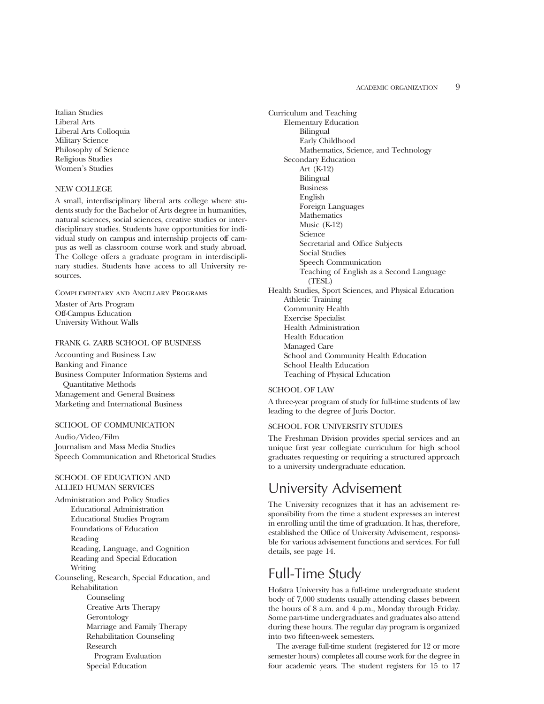Italian Studies Liberal Arts Liberal Arts Colloquia Military Science Philosophy of Science Religious Studies Women's Studies

### NEW COLLEGE

A small, interdisciplinary liberal arts college where students study for the Bachelor of Arts degree in humanities, natural sciences, social sciences, creative studies or interdisciplinary studies. Students have opportunities for individual study on campus and internship projects off campus as well as classroom course work and study abroad. The College offers a graduate program in interdisciplinary studies. Students have access to all University resources.

Complementary and Ancillary Programs

Master of Arts Program Off-Campus Education University Without Walls

## FRANK G. ZARB SCHOOL OF BUSINESS

Accounting and Business Law Banking and Finance Business Computer Information Systems and Quantitative Methods Management and General Business Marketing and International Business

# SCHOOL OF COMMUNICATION

Audio/Video/Film Journalism and Mass Media Studies Speech Communication and Rhetorical Studies

## SCHOOL OF EDUCATION AND ALLIED HUMAN SERVICES

Administration and Policy Studies Educational Administration Educational Studies Program Foundations of Education Reading Reading, Language, and Cognition Reading and Special Education Writing Counseling, Research, Special Education, and Rehabilitation Counseling Creative Arts Therapy Gerontology Marriage and Family Therapy Rehabilitation Counseling Research Program Evaluation Special Education

Curriculum and Teaching Elementary Education Bilingual Early Childhood Mathematics, Science, and Technology Secondary Education Art (K-12) Bilingual Business English Foreign Languages **Mathematics** Music (K-12) Science Secretarial and Office Subjects Social Studies Speech Communication Teaching of English as a Second Language (TESL) Health Studies, Sport Sciences, and Physical Education

Athletic Training Community Health Exercise Specialist Health Administration Health Education Managed Care School and Community Health Education School Health Education Teaching of Physical Education

# SCHOOL OF LAW

A three-year program of study for full-time students of law leading to the degree of Juris Doctor.

#### SCHOOL FOR UNIVERSITY STUDIES

The Freshman Division provides special services and an unique first year collegiate curriculum for high school graduates requesting or requiring a structured approach to a university undergraduate education.

# University Advisement

The University recognizes that it has an advisement responsibility from the time a student expresses an interest in enrolling until the time of graduation. It has, therefore, established the Office of University Advisement, responsible for various advisement functions and services. For full details, see page 14.

# Full-Time Study

Hofstra University has a full-time undergraduate student body of 7,000 students usually attending classes between the hours of 8 a.m. and 4 p.m., Monday through Friday. Some part-time undergraduates and graduates also attend during these hours. The regular day program is organized into two fifteen-week semesters.

The average full-time student (registered for 12 or more semester hours) completes all course work for the degree in four academic years. The student registers for 15 to 17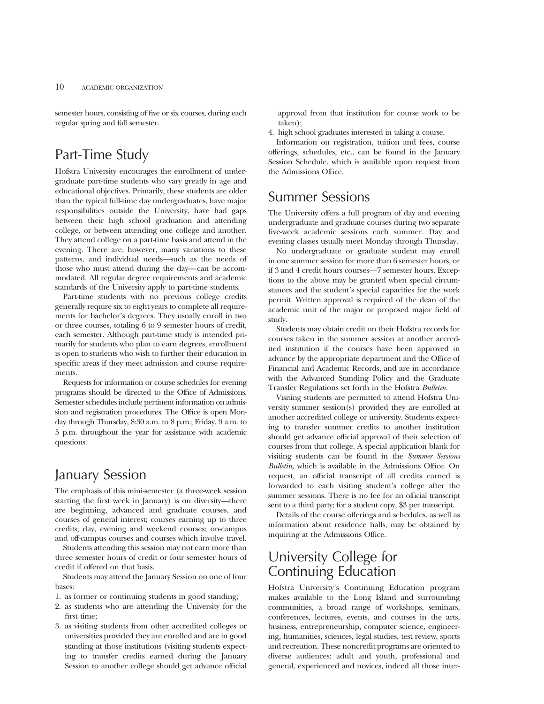semester hours, consisting of five or six courses, during each regular spring and fall semester.

# Part-Time Study

Hofstra University encourages the enrollment of undergraduate part-time students who vary greatly in age and educational objectives. Primarily, these students are older than the typical full-time day undergraduates, have major responsibilities outside the University, have had gaps between their high school graduation and attending college, or between attending one college and another. They attend college on a part-time basis and attend in the evening. There are, however, many variations to these patterns, and individual needs—such as the needs of those who must attend during the day—can be accommodated. All regular degree requirements and academic standards of the University apply to part-time students.

Part-time students with no previous college credits generally require six to eight years to complete all requirements for bachelor's degrees. They usually enroll in two or three courses, totaling 6 to 9 semester hours of credit, each semester. Although part-time study is intended primarily for students who plan to earn degrees, enrollment is open to students who wish to further their education in specific areas if they meet admission and course requirements.

Requests for information or course schedules for evening programs should be directed to the Office of Admissions. Semester schedules include pertinent information on admission and registration procedures. The Office is open Monday through Thursday, 8:30 a.m. to 8 p.m.; Friday, 9 a.m. to 5 p.m. throughout the year for assistance with academic questions.

# January Session

The emphasis of this mini-semester (a three-week session starting the first week in January) is on diversity—there are beginning, advanced and graduate courses, and courses of general interest; courses earning up to three credits; day, evening and weekend courses; on-campus and off-campus courses and courses which involve travel.

Students attending this session may not earn more than three semester hours of credit or four semester hours of credit if offered on that basis.

Students may attend the January Session on one of four bases:

- 1. as former or continuing students in good standing;
- 2. as students who are attending the University for the first time;
- 3. as visiting students from other accredited colleges or universities provided they are enrolled and are in good standing at those institutions (visiting students expecting to transfer credits earned during the January Session to another college should get advance official

approval from that institution for course work to be taken);

4. high school graduates interested in taking a course.

Information on registration, tuition and fees, course offerings, schedules, etc., can be found in the January Session Schedule, which is available upon request from the Admissions Office.

# Summer Sessions

The University offers a full program of day and evening undergraduate and graduate courses during two separate five-week academic sessions each summer. Day and evening classes usually meet Monday through Thursday.

No undergraduate or graduate student may enroll in one summer session for more than 6 semester hours, or if 3 and 4 credit hours courses—7 semester hours. Exceptions to the above may be granted when special circumstances and the student's special capacities for the work permit. Written approval is required of the dean of the academic unit of the major or proposed major field of study.

Students may obtain credit on their Hofstra records for courses taken in the summer session at another accredited institution if the courses have been approved in advance by the appropriate department and the Office of Financial and Academic Records, and are in accordance with the Advanced Standing Policy and the Graduate Transfer Regulations set forth in the Hofstra *Bulletin.*

Visiting students are permitted to attend Hofstra University summer session(s) provided they are enrolled at another accredited college or university. Students expecting to transfer summer credits to another institution should get advance official approval of their selection of courses from that college. A special application blank for visiting students can be found in the *Summer Sessions Bulletin,* which is available in the Admissions Office. On request, an official transcript of all credits earned is forwarded to each visiting student's college after the summer sessions. There is no fee for an official transcript sent to a third party; for a student copy, \$3 per transcript.

Details of the course offerings and schedules, as well as information about residence halls, may be obtained by inquiring at the Admissions Office.

# University College for Continuing Education

Hofstra University's Continuing Education program makes available to the Long Island and surrounding communities, a broad range of workshops, seminars, conferences, lectures, events, and courses in the arts, business, entrepreneurship, computer science, engineering, humanities, sciences, legal studies, test review, sports and recreation. These noncredit programs are oriented to diverse audiences: adult and youth, professional and general, experienced and novices, indeed all those inter-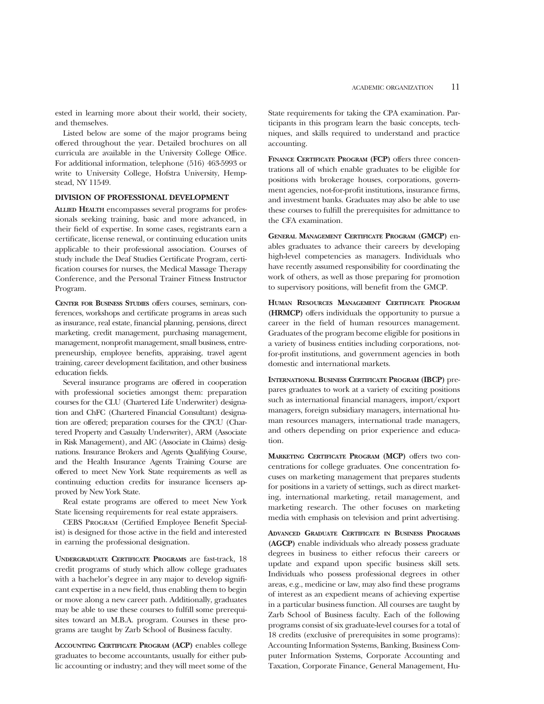ested in learning more about their world, their society, and themselves.

Listed below are some of the major programs being offered throughout the year. Detailed brochures on all curricula are available in the University College Office. For additional information, telephone (516) 463-5993 or write to University College, Hofstra University, Hempstead, NY 11549.

## **DIVISION OF PROFESSIONAL DEVELOPMENT**

**ALLIED HEALTH** encompasses several programs for professionals seeking training, basic and more advanced, in their field of expertise. In some cases, registrants earn a certificate, license renewal, or continuing education units applicable to their professional association. Courses of study include the Deaf Studies Certificate Program, certification courses for nurses, the Medical Massage Therapy Conference, and the Personal Trainer Fitness Instructor Program.

**CENTER FOR BUSINESS STUDIES** offers courses, seminars, conferences, workshops and certificate programs in areas such as insurance, real estate, financial planning, pensions, direct marketing, credit management, purchasing management, management, nonprofit management, small business, entrepreneurship, employee benefits, appraising, travel agent training, career development facilitation, and other business education fields.

Several insurance programs are offered in cooperation with professional societies amongst them: preparation courses for the CLU (Chartered Life Underwriter) designation and ChFC (Chartered Financial Consultant) designation are offered; preparation courses for the CPCU (Chartered Property and Casualty Underwriter), ARM (Associate in Risk Management), and AIC (Associate in Claims) designations. Insurance Brokers and Agents Qualifying Course, and the Health Insurance Agents Training Course are offered to meet New York State requirements as well as continuing eduction credits for insurance licensers approved by New York State.

Real estate programs are offered to meet New York State licensing requirements for real estate appraisers.

CEBS Program (Certified Employee Benefit Specialist) is designed for those active in the field and interested in earning the professional designation.

**UNDERGRADUATE CERTIFICATE PROGRAMS** are fast-track, 18 credit programs of study which allow college graduates with a bachelor's degree in any major to develop significant expertise in a new field, thus enabling them to begin or move along a new career path. Additionally, graduates may be able to use these courses to fulfill some prerequisites toward an M.B.A. program. Courses in these programs are taught by Zarb School of Business faculty.

**ACCOUNTING CERTIFICATE PROGRAM (ACP)** enables college graduates to become accountants, usually for either public accounting or industry; and they will meet some of the State requirements for taking the CPA examination. Participants in this program learn the basic concepts, techniques, and skills required to understand and practice accounting.

**FINANCE CERTIFICATE PROGRAM (FCP)** offers three concentrations all of which enable graduates to be eligible for positions with brokerage houses, corporations, government agencies, not-for-profit institutions, insurance firms, and investment banks. Graduates may also be able to use these courses to fulfill the prerequisites for admittance to the CFA examination.

**GENERAL MANAGEMENT CERTIFICATE PROGRAM (GMCP)** enables graduates to advance their careers by developing high-level competencies as managers. Individuals who have recently assumed responsibility for coordinating the work of others, as well as those preparing for promotion to supervisory positions, will benefit from the GMCP.

**HUMAN RESOURCES MANAGEMENT CERTIFICATE PROGRAM (HRMCP)** offers individuals the opportunity to pursue a career in the field of human resources management. Graduates of the program become eligible for positions in a variety of business entities including corporations, notfor-profit institutions, and government agencies in both domestic and international markets.

**INTERNATIONAL BUSINESS CERTIFICATE PROGRAM (IBCP)** prepares graduates to work at a variety of exciting positions such as international financial managers, import/export managers, foreign subsidiary managers, international human resources managers, international trade managers, and others depending on prior experience and education.

**MARKETING CERTIFICATE PROGRAM (MCP)** offers two concentrations for college graduates. One concentration focuses on marketing management that prepares students for positions in a variety of settings, such as direct marketing, international marketing, retail management, and marketing research. The other focuses on marketing media with emphasis on television and print advertising.

**ADVANCED GRADUATE CERTIFICATE IN BUSINESS PROGRAMS (AGCP)** enable individuals who already possess graduate degrees in business to either refocus their careers or update and expand upon specific business skill sets. Individuals who possess professional degrees in other areas, e.g., medicine or law, may also find these programs of interest as an expedient means of achieving expertise in a particular business function. All courses are taught by Zarb School of Business faculty. Each of the following programs consist of six graduate-level courses for a total of 18 credits (exclusive of prerequisites in some programs): Accounting Information Systems, Banking, Business Computer Information Systems, Corporate Accounting and Taxation, Corporate Finance, General Management, Hu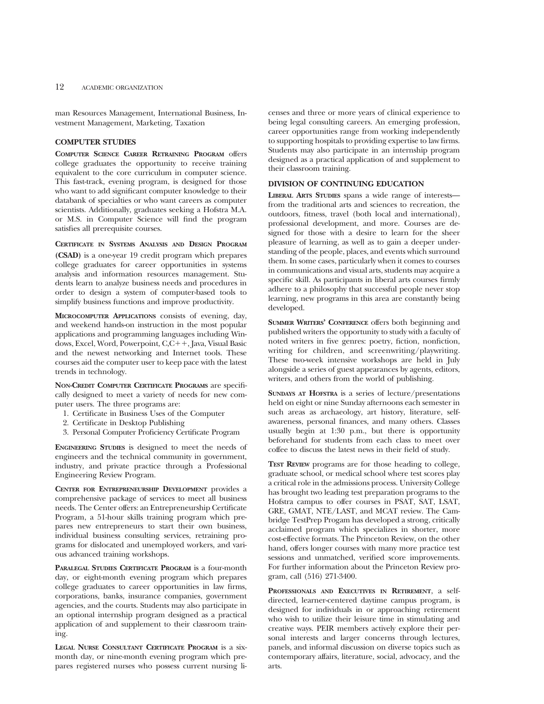man Resources Management, International Business, Investment Management, Marketing, Taxation

# **COMPUTER STUDIES**

**COMPUTER SCIENCE CAREER RETRAINING PROGRAM** offers college graduates the opportunity to receive training equivalent to the core curriculum in computer science. This fast-track, evening program, is designed for those who want to add significant computer knowledge to their databank of specialties or who want careers as computer scientists. Additionally, graduates seeking a Hofstra M.A. or M.S. in Computer Science will find the program satisfies all prerequisite courses.

## **CERTIFICATE IN SYSTEMS ANALYSIS AND DESIGN PROGRAM**

**(CSAD)** is a one-year 19 credit program which prepares college graduates for career opportunities in systems analysis and information resources management. Students learn to analyze business needs and procedures in order to design a system of computer-based tools to simplify business functions and improve productivity.

**MICROCOMPUTER APPLICATIONS** consists of evening, day, and weekend hands-on instruction in the most popular applications and programming languages including Windows, Excel, Word, Powerpoint, C,C++, Java, Visual Basic and the newest networking and Internet tools. These courses aid the computer user to keep pace with the latest trends in technology.

**NON-CREDIT COMPUTER CERTIFICATE PROGRAMS** are specifically designed to meet a variety of needs for new computer users. The three programs are:

- 1. Certificate in Business Uses of the Computer
- 2. Certificate in Desktop Publishing
- 3. Personal Computer Proficiency Certificate Program

**ENGINEERING STUDIES** is designed to meet the needs of engineers and the technical community in government, industry, and private practice through a Professional Engineering Review Program.

**CENTER FOR ENTREPRENEURSHIP DEVELOPMENT** provides a comprehensive package of services to meet all business needs. The Center offers: an Entrepreneurship Certificate Program, a 51-hour skills training program which prepares new entrepreneurs to start their own business, individual business consulting services, retraining programs for dislocated and unemployed workers, and various advanced training workshops.

**PARALEGAL STUDIES CERTIFICATE PROGRAM** is a four-month day, or eight-month evening program which prepares college graduates to career opportunities in law firms, corporations, banks, insurance companies, government agencies, and the courts. Students may also participate in an optional internship program designed as a practical application of and supplement to their classroom training.

**LEGAL NURSE CONSULTANT CERTIFICATE PROGRAM** is a sixmonth day, or nine-month evening program which prepares registered nurses who possess current nursing licenses and three or more years of clinical experience to being legal consulting careers. An emerging profession, career opportunities range from working independently to supporting hospitals to providing expertise to law firms. Students may also participate in an internship program designed as a practical application of and supplement to their classroom training.

#### **DIVISION OF CONTINUING EDUCATION**

**LIBERAL ARTS STUDIES** spans a wide range of interests from the traditional arts and sciences to recreation, the outdoors, fitness, travel (both local and international), professional development, and more. Courses are designed for those with a desire to learn for the sheer pleasure of learning, as well as to gain a deeper understanding of the people, places, and events which surround them. In some cases, particularly when it comes to courses in communications and visual arts, students may acquire a specific skill. As participants in liberal arts courses firmly adhere to a philosophy that successful people never stop learning, new programs in this area are constantly being developed.

**SUMMER WRITERS' CONFERENCE** offers both beginning and published writers the opportunity to study with a faculty of noted writers in five genres: poetry, fiction, nonfiction, writing for children, and screenwriting/playwriting. These two-week intensive workshops are held in July alongside a series of guest appearances by agents, editors, writers, and others from the world of publishing.

**SUNDAYS AT HOFSTRA** is a series of lecture/presentations held on eight or nine Sunday afternoons each semester in such areas as archaeology, art history, literature, selfawareness, personal finances, and many others. Classes usually begin at 1:30 p.m., but there is opportunity beforehand for students from each class to meet over coffee to discuss the latest news in their field of study.

**TEST REVIEW** programs are for those heading to college, graduate school, or medical school where test scores play a critical role in the admissions process. University College has brought two leading test preparation programs to the Hofstra campus to offer courses in PSAT, SAT, LSAT, GRE, GMAT, NTE/LAST, and MCAT review. The Cambridge TestPrep Progam has developed a strong, critically acclaimed program which specializes in shorter, more cost-effective formats. The Princeton Review, on the other hand, offers longer courses with many more practice test sessions and unmatched, verified score improvements. For further information about the Princeton Review program, call (516) 271-3400.

**PROFESSIONALS AND EXECUTIVES IN RETIREMENT**, a selfdirected, learner-centered daytime campus program, is designed for individuals in or approaching retirement who wish to utilize their leisure time in stimulating and creative ways. PEIR members actively explore their personal interests and larger concerns through lectures, panels, and informal discussion on diverse topics such as contemporary affairs, literature, social, advocacy, and the arts.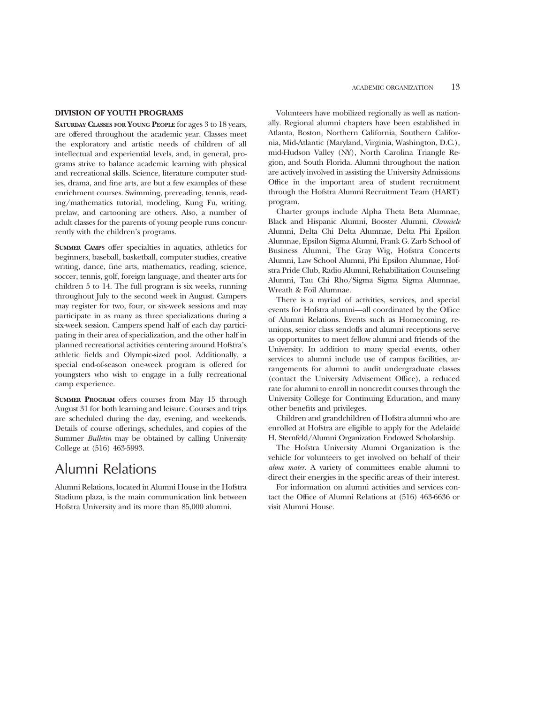## **DIVISION OF YOUTH PROGRAMS**

**SATURDAY CLASSES FOR YOUNG PEOPLE** for ages 3 to 18 years, are offered throughout the academic year. Classes meet the exploratory and artistic needs of children of all intellectual and experiential levels, and, in general, programs strive to balance academic learning with physical and recreational skills. Science, literature computer studies, drama, and fine arts, are but a few examples of these enrichment courses. Swimming, prereading, tennis, reading/mathematics tutorial, modeling, Kung Fu, writing, prelaw, and cartooning are others. Also, a number of adult classes for the parents of young people runs concurrently with the children's programs.

**SUMMER CAMPS** offer specialties in aquatics, athletics for beginners, baseball, basketball, computer studies, creative writing, dance, fine arts, mathematics, reading, science, soccer, tennis, golf, foreign language, and theater arts for children 5 to 14. The full program is six weeks, running throughout July to the second week in August. Campers may register for two, four, or six-week sessions and may participate in as many as three specializations during a six-week session. Campers spend half of each day participating in their area of specialization, and the other half in planned recreational activities centering around Hofstra's athletic fields and Olympic-sized pool. Additionally, a special end-of-season one-week program is offered for youngsters who wish to engage in a fully recreational camp experience.

**SUMMER PROGRAM** offers courses from May 15 through August 31 for both learning and leisure. Courses and trips are scheduled during the day, evening, and weekends. Details of course offerings, schedules, and copies of the Summer *Bulletin* may be obtained by calling University College at (516) 463-5993.

# Alumni Relations

Alumni Relations, located in Alumni House in the Hofstra Stadium plaza, is the main communication link between Hofstra University and its more than 85,000 alumni.

Volunteers have mobilized regionally as well as nationally. Regional alumni chapters have been established in Atlanta, Boston, Northern California, Southern California, Mid-Atlantic (Maryland, Virginia, Washington, D.C.), mid-Hudson Valley (NY), North Carolina Triangle Region, and South Florida. Alumni throughout the nation are actively involved in assisting the University Admissions Office in the important area of student recruitment through the Hofstra Alumni Recruitment Team (HART) program.

Charter groups include Alpha Theta Beta Alumnae, Black and Hispanic Alumni, Booster Alumni, *Chronicle* Alumni, Delta Chi Delta Alumnae, Delta Phi Epsilon Alumnae, Epsilon Sigma Alumni, Frank G. Zarb School of Business Alumni, The Gray Wig, Hofstra Concerts Alumni, Law School Alumni, Phi Epsilon Alumnae, Hofstra Pride Club, Radio Alumni, Rehabilitation Counseling Alumni, Tau Chi Rho/Sigma Sigma Sigma Alumnae, Wreath & Foil Alumnae.

There is a myriad of activities, services, and special events for Hofstra alumni—all coordinated by the Office of Alumni Relations. Events such as Homecoming, reunions, senior class sendoffs and alumni receptions serve as opportunites to meet fellow alumni and friends of the University. In addition to many special events, other services to alumni include use of campus facilities, arrangements for alumni to audit undergraduate classes (contact the University Advisement Office), a reduced rate for alumni to enroll in noncredit courses through the University College for Continuing Education, and many other benefits and privileges.

Children and grandchildren of Hofstra alumni who are enrolled at Hofstra are eligible to apply for the Adelaide H. Sternfeld/Alumni Organization Endowed Scholarship.

The Hofstra University Alumni Organization is the vehicle for volunteers to get involved on behalf of their *alma mater.* A variety of committees enable alumni to direct their energies in the specific areas of their interest.

For information on alumni activities and services contact the Office of Alumni Relations at (516) 463-6636 or visit Alumni House.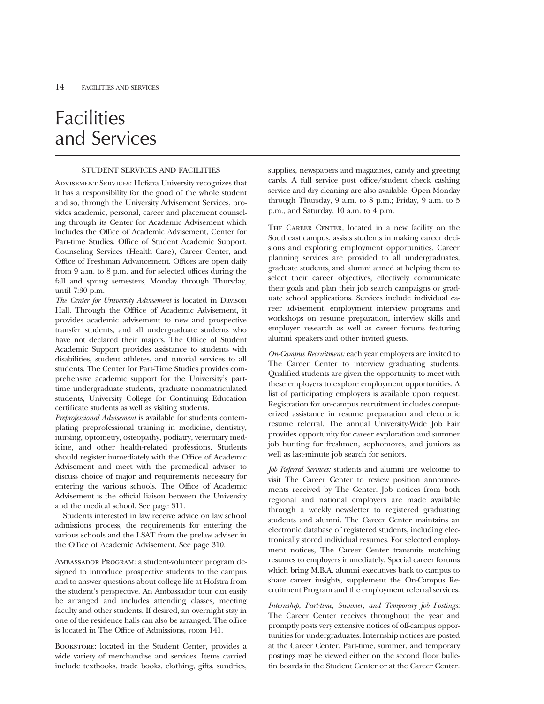# Facilities and Services

## STUDENT SERVICES AND FACILITIES

Advisement Services: Hofstra University recognizes that it has a responsibility for the good of the whole student and so, through the University Advisement Services, provides academic, personal, career and placement counseling through its Center for Academic Advisement which includes the Office of Academic Advisement, Center for Part-time Studies, Office of Student Academic Support, Counseling Services (Health Care), Career Center, and Office of Freshman Advancement. Offices are open daily from 9 a.m. to 8 p.m. and for selected offices during the fall and spring semesters, Monday through Thursday, until 7:30 p.m.

*The Center for University Advisement* is located in Davison Hall. Through the Offfice of Academic Advisement, it provides academic advisement to new and prospective transfer students, and all undergraduate students who have not declared their majors. The Office of Student Academic Support provides assistance to students with disabilities, student athletes, and tutorial services to all students. The Center for Part-Time Studies provides comprehensive academic support for the University's parttime undergraduate students, graduate nonmatriculated students, University College for Continuing Education certificate students as well as visiting students.

*Preprofessional Advisement* is available for students contemplating preprofessional training in medicine, dentistry, nursing, optometry, osteopathy, podiatry, veterinary medicine, and other health-related professions. Students should register immediately with the Office of Academic Advisement and meet with the premedical adviser to discuss choice of major and requirements necessary for entering the various schools. The Office of Academic Advisement is the official liaison between the University and the medical school. See page 311.

Students interested in law receive advice on law school admissions process, the requirements for entering the various schools and the LSAT from the prelaw adviser in the Office of Academic Advisement. See page 310.

Ambassador Program: a student-volunteer program designed to introduce prospective students to the campus and to answer questions about college life at Hofstra from the student's perspective. An Ambassador tour can easily be arranged and includes attending classes, meeting faculty and other students. If desired, an overnight stay in one of the residence halls can also be arranged. The office is located in The Office of Admissions, room 141.

BOOKSTORE: located in the Student Center, provides a wide variety of merchandise and services. Items carried include textbooks, trade books, clothing, gifts, sundries,

supplies, newspapers and magazines, candy and greeting cards. A full service post office/student check cashing service and dry cleaning are also available. Open Monday through Thursday, 9 a.m. to 8 p.m.; Friday, 9 a.m. to 5 p.m., and Saturday, 10 a.m. to 4 p.m.

THE CAREER CENTER, located in a new facility on the Southeast campus, assists students in making career decisions and exploring employment opportunities. Career planning services are provided to all undergraduates, graduate students, and alumni aimed at helping them to select their career objectives, effectively communicate their goals and plan their job search campaigns or graduate school applications. Services include individual career advisement, employment interview programs and workshops on resume preparation, interview skills and employer research as well as career forums featuring alumni speakers and other invited guests.

*On-Campus Recruitment:* each year employers are invited to The Career Center to interview graduating students. Qualified students are given the opportunity to meet with these employers to explore employment opportunities. A list of participating employers is available upon request. Registration for on-campus recruitment includes computerized assistance in resume preparation and electronic resume referral. The annual University-Wide Job Fair provides opportunity for career exploration and summer job hunting for freshmen, sophomores, and juniors as well as last-minute job search for seniors.

*Job Referral Services:* students and alumni are welcome to visit The Career Center to review position announcements received by The Center. Job notices from both regional and national employers are made available through a weekly newsletter to registered graduating students and alumni. The Career Center maintains an electronic database of registered students, including electronically stored individual resumes. For selected employment notices, The Career Center transmits matching resumes to employers immediately. Special career forums which bring M.B.A. alumni executives back to campus to share career insights, supplement the On-Campus Recruitment Program and the employment referral services.

*Internship, Part-time, Summer, and Temporary Job Postings:* The Career Center receives throughout the year and promptly posts very extensive notices of off-campus opportunities for undergraduates. Internship notices are posted at the Career Center. Part-time, summer, and temporary postings may be viewed either on the second floor bulletin boards in the Student Center or at the Career Center.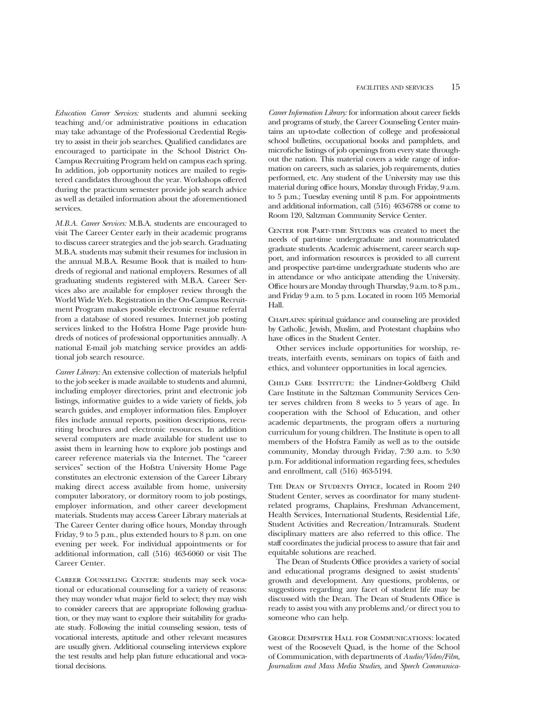*Education Career Services:* students and alumni seeking teaching and/or administrative positions in education may take advantage of the Professional Credential Registry to assist in their job searches. Qualified candidates are encouraged to participate in the School District On-Campus Recruiting Program held on campus each spring. In addition, job opportunity notices are mailed to registered candidates throughout the year. Workshops offered during the practicum semester provide job search advice as well as detailed information about the aforementioned services.

*M.B.A. Career Services:* M.B.A. students are encouraged to visit The Career Center early in their academic programs to discuss career strategies and the job search. Graduating M.B.A. students may submit their resumes for inclusion in the annual M.B.A. Resume Book that is mailed to hundreds of regional and national employers. Resumes of all graduating students registered with M.B.A. Career Services also are available for employer review through the World Wide Web. Registration in the On-Campus Recruitment Program makes possible electronic resume referral from a database of stored resumes. Internet job posting services linked to the Hofstra Home Page provide hundreds of notices of professional opportunities annually. A national E-mail job matching service provides an additional job search resource.

*Career Library:* An extensive collection of materials helpful to the job seeker is made available to students and alumni, including employer directories, print and electronic job listings, informative guides to a wide variety of fields, job search guides, and employer information files. Employer files include annual reports, position descriptions, recuriting brochures and electronic resources. In addition several computers are made available for student use to assist them in learning how to explore job postings and career reference materials via the Internet. The "career services" section of the Hofstra University Home Page constitutes an electronic extension of the Career Library making direct access available from home, university computer laboratory, or dormitory room to job postings, employer information, and other career development materials. Students may access Career Library materials at The Career Center during office hours, Monday through Friday, 9 to 5 p.m., plus extended hours to 8 p.m. on one evening per week. For individual appointments or for additional information, call (516) 463-6060 or visit The Career Center.

Career Counseling Center: students may seek vocational or educational counseling for a variety of reasons: they may wonder what major field to select; they may wish to consider careers that are appropriate following graduation, or they may want to explore their suitability for graduate study. Following the initial counseling session, tests of vocational interests, aptitude and other relevant measures are usually given. Additional counseling interviews explore the test results and help plan future educational and vocational decisions.

*Career Information Library:* for information about career fields and programs of study, the Career Counseling Center maintains an up-to-date collection of college and professional school bulletins, occupational books and pamphlets, and microfiche listings of job openings from every state throughout the nation. This material covers a wide range of information on careers, such as salaries, job requirements, duties performed, etc. Any student of the University may use this material during office hours, Monday through Friday, 9 a.m. to 5 p.m.; Tuesday evening until 8 p.m. For appointments and additional information, call (516) 463-6788 or come to Room 120, Saltzman Community Service Center.

CENTER FOR PART-TIME STUDIES was created to meet the needs of part-time undergraduate and nonmatriculated graduate students. Academic advisement, career search support, and information resources is provided to all current and prospective part-time undergraduate students who are in attendance or who anticipate attending the University. Office hours are Monday through Thursday, 9 a.m. to 8 p.m., and Friday 9 a.m. to 5 p.m. Located in room 105 Memorial Hall.

Chaplains: spiritual guidance and counseling are provided by Catholic, Jewish, Muslim, and Protestant chaplains who have offices in the Student Center.

Other services include opportunities for worship, retreats, interfaith events, seminars on topics of faith and ethics, and volunteer opportunities in local agencies.

Child Care Institute: the Lindner-Goldberg Child Care Institute in the Saltzman Community Services Center serves children from 8 weeks to 5 years of age. In cooperation with the School of Education, and other academic departments, the program offers a nurturing curriculum for young children. The Institute is open to all members of the Hofstra Family as well as to the outside community, Monday through Friday, 7:30 a.m. to 5:30 p.m. For additional information regarding fees, schedules and enrollment, call (516) 463-5194.

THE DEAN OF STUDENTS OFFICE, located in Room 240 Student Center, serves as coordinator for many studentrelated programs, Chaplains, Freshman Advancement, Health Services, International Students, Residential Life, Student Activities and Recreation/Intramurals. Student disciplinary matters are also referred to this office. The staff coordinates the judicial process to assure that fair and equitable solutions are reached.

The Dean of Students Office provides a variety of social and educational programs designed to assist students' growth and development. Any questions, problems, or suggestions regarding any facet of student life may be discussed with the Dean. The Dean of Students Office is ready to assist you with any problems and/or direct you to someone who can help.

George Dempster Hall for Communications: located west of the Roosevelt Quad, is the home of the School of Communication, with departments of *Audio/Video/Film, Journalism and Mass Media Studies,* and *Speech Communica-*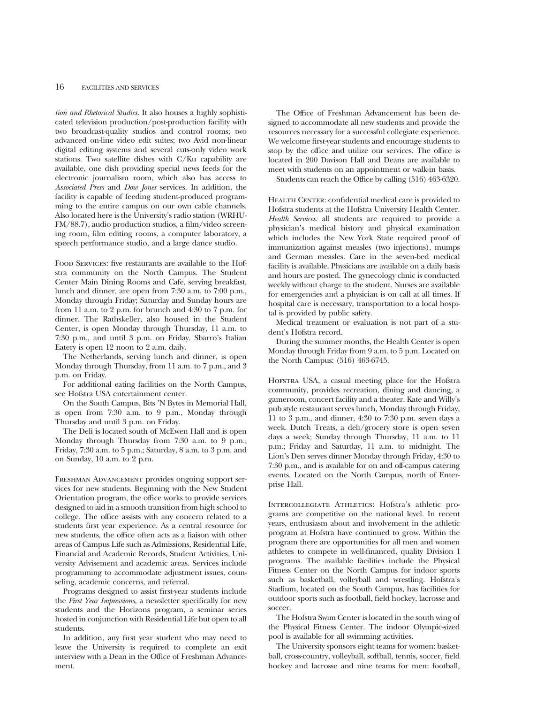*tion and Rhetorical Studies.* It also houses a highly sophisticated television production/post-production facility with two broadcast-quality studios and control rooms; two advanced on-line video edit suites; two Avid non-linear digital editing systems and several cuts-only video work stations. Two satellite dishes with C/Ku capability are available, one dish providing special news feeds for the electronic journalism room, which also has access to *Associated Press* and *Dow Jones* services. In addition, the facility is capable of feeding student-produced programming to the entire campus on our own cable channels. Also located here is the University's radio station (WRHU-FM/88.7), audio production studios, a film/video screening room, film editing rooms, a computer laboratory, a speech performance studio, and a large dance studio.

Food Services: five restaurants are available to the Hofstra community on the North Campus. The Student Center Main Dining Rooms and Cafe, serving breakfast, lunch and dinner, are open from 7:30 a.m. to 7:00 p.m., Monday through Friday; Saturday and Sunday hours are from 11 a.m. to 2 p.m. for brunch and 4:30 to 7 p.m. for dinner. The Rathskeller, also housed in the Student Center, is open Monday through Thursday, 11 a.m. to 7:30 p.m., and until 3 p.m. on Friday. Sbarro's Italian Eatery is open 12 noon to 2 a.m. daily.

The Netherlands, serving lunch and dinner, is open Monday through Thursday, from 11 a.m. to 7 p.m., and 3 p.m. on Friday.

For additional eating facilities on the North Campus, see Hofstra USA entertainment center.

On the South Campus, Bits 'N Bytes in Memorial Hall, is open from 7:30 a.m. to 9 p.m., Monday through Thursday and until 3 p.m. on Friday.

The Deli is located south of McEwen Hall and is open Monday through Thursday from 7:30 a.m. to 9 p.m.; Friday, 7:30 a.m. to 5 p.m.; Saturday, 8 a.m. to 3 p.m. and on Sunday, 10 a.m. to 2 p.m.

Freshman Advancement provides ongoing support services for new students. Beginning with the New Student Orientation program, the office works to provide services designed to aid in a smooth transition from high school to college. The office assists with any concern related to a students first year experience. As a central resource for new students, the office often acts as a liaison with other areas of Campus Life such as Admissions, Residential Life, Financial and Academic Records, Student Activities, University Advisement and academic areas. Services include programming to accommodate adjustment issues, counseling, academic concerns, and referral.

Programs designed to assist first-year students include the *First Year Impressions*, a newsletter specifically for new students and the Horizons program, a seminar series hosted in conjunction with Residential Life but open to all students.

In addition, any first year student who may need to leave the University is required to complete an exit interview with a Dean in the Office of Freshman Advancement.

The Office of Freshman Advancement has been designed to accommodate all new students and provide the resources necessary for a successful collegiate experience. We welcome first-year students and encourage students to stop by the office and utilize our services. The office is located in 200 Davison Hall and Deans are available to meet with students on an appointment or walk-in basis.

Students can reach the Office by calling (516) 463-6320.

HEALTH CENTER: confidential medical care is provided to Hofstra students at the Hofstra University Health Center. *Health Services:* all students are required to provide a physician's medical history and physical examination which includes the New York State required proof of immunization against measles (two injections), mumps and German measles. Care in the seven-bed medical facility is available. Physicians are available on a daily basis and hours are posted. The gynecology clinic is conducted weekly without charge to the student. Nurses are available for emergencies and a physician is on call at all times. If hospital care is necessary, transportation to a local hospital is provided by public safety.

Medical treatment or evaluation is not part of a student's Hofstra record.

During the summer months, the Health Center is open Monday through Friday from 9 a.m. to 5 p.m. Located on the North Campus: (516) 463-6745.

Hofstra USA, a casual meeting place for the Hofstra community, provides recreation, dining and dancing, a gameroom, concert facility and a theater. Kate and Willy's pub style restaurant serves lunch, Monday through Friday, 11 to 3 p.m., and dinner, 4:30 to 7:30 p.m. seven days a week. Dutch Treats, a deli/grocery store is open seven days a week; Sunday through Thursday, 11 a.m. to 11 p.m.; Friday and Saturday, 11 a.m. to midnight. The Lion's Den serves dinner Monday through Friday, 4:30 to 7:30 p.m., and is available for on and off-campus catering events. Located on the North Campus, north of Enterprise Hall.

Intercollegiate Athletics: Hofstra's athletic programs are competitive on the national level. In recent years, enthusiasm about and involvement in the athletic program at Hofstra have continued to grow. Within the program there are opportunities for all men and women athletes to compete in well-financed, quality Division I programs. The available facilities include the Physical Fitness Center on the North Campus for indoor sports such as basketball, volleyball and wrestling. Hofstra's Stadium, located on the South Campus, has facilities for outdoor sports such as football, field hockey, lacrosse and soccer.

The Hofstra Swim Center is located in the south wing of the Physical Fitness Center. The indoor Olympic-sized pool is available for all swimming activities.

The University sponsors eight teams for women: basketball, cross-country, volleyball, softball, tennis, soccer, field hockey and lacrosse and nine teams for men: football,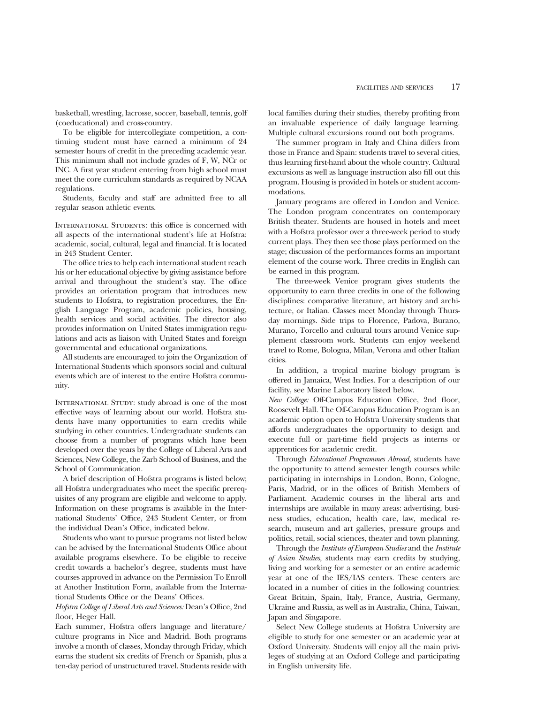basketball, wrestling, lacrosse, soccer, baseball, tennis, golf (coeducational) and cross-country.

To be eligible for intercollegiate competition, a continuing student must have earned a minimum of 24 semester hours of credit in the preceding academic year. This minimum shall not include grades of F, W, NCr or INC. A first year student entering from high school must meet the core curriculum standards as required by NCAA regulations.

Students, faculty and staff are admitted free to all regular season athletic events.

INTERNATIONAL STUDENTS: this office is concerned with all aspects of the international student's life at Hofstra: academic, social, cultural, legal and financial. It is located in 243 Student Center.

The office tries to help each international student reach his or her educational objective by giving assistance before arrival and throughout the student's stay. The office provides an orientation program that introduces new students to Hofstra, to registration procedures, the English Language Program, academic policies, housing, health services and social activities. The director also provides information on United States immigration regulations and acts as liaison with United States and foreign governmental and educational organizations.

All students are encouraged to join the Organization of International Students which sponsors social and cultural events which are of interest to the entire Hofstra community.

INTERNATIONAL STUDY: study abroad is one of the most effective ways of learning about our world. Hofstra students have many opportunities to earn credits while studying in other countries. Undergraduate students can choose from a number of programs which have been developed over the years by the College of Liberal Arts and Sciences, New College, the Zarb School of Business, and the School of Communication.

A brief description of Hofstra programs is listed below; all Hofstra undergraduates who meet the specific prerequisites of any program are eligible and welcome to apply. Information on these programs is available in the International Students' Office, 243 Student Center, or from the individual Dean's Office, indicated below.

Students who want to pursue programs not listed below can be advised by the International Students Office about available programs elsewhere. To be eligible to receive credit towards a bachelor's degree, students must have courses approved in advance on the Permission To Enroll at Another Institution Form, available from the International Students Office or the Deans' Offices.

*Hofstra College of Liberal Arts and Sciences:* Dean's Office, 2nd floor, Heger Hall.

Each summer, Hofstra offers language and literature/ culture programs in Nice and Madrid. Both programs involve a month of classes, Monday through Friday, which earns the student six credits of French or Spanish, plus a ten-day period of unstructured travel. Students reside with

local families during their studies, thereby profiting from an invaluable experience of daily language learning. Multiple cultural excursions round out both programs.

The summer program in Italy and China differs from those in France and Spain: students travel to several cities, thus learning first-hand about the whole country. Cultural excursions as well as language instruction also fill out this program. Housing is provided in hotels or student accommodations.

January programs are offered in London and Venice. The London program concentrates on contemporary British theater. Students are housed in hotels and meet with a Hofstra professor over a three-week period to study current plays. They then see those plays performed on the stage; discussion of the performances forms an important element of the course work. Three credits in English can be earned in this program.

The three-week Venice program gives students the opportunity to earn three credits in one of the following disciplines: comparative literature, art history and architecture, or Italian. Classes meet Monday through Thursday mornings. Side trips to Florence, Padova, Burano, Murano, Torcello and cultural tours around Venice supplement classroom work. Students can enjoy weekend travel to Rome, Bologna, Milan, Verona and other Italian cities.

In addition, a tropical marine biology program is offered in Jamaica, West Indies. For a description of our facility, see Marine Laboratory listed below.

*New College:* Off-Campus Education Office, 2nd floor, Roosevelt Hall. The Off-Campus Education Program is an academic option open to Hofstra University students that affords undergraduates the opportunity to design and execute full or part-time field projects as interns or apprentices for academic credit.

Through *Educational Programmes Abroad,* students have the opportunity to attend semester length courses while participating in internships in London, Bonn, Cologne, Paris, Madrid, or in the offices of British Members of Parliament. Academic courses in the liberal arts and internships are available in many areas: advertising, business studies, education, health care, law, medical research, museum and art galleries, pressure groups and politics, retail, social sciences, theater and town planning.

Through the *Institute of European Studies* and the *Institute of Asian Studies,* students may earn credits by studying, living and working for a semester or an entire academic year at one of the IES/IAS centers. These centers are located in a number of cities in the following countries: Great Britain, Spain, Italy, France, Austria, Germany, Ukraine and Russia, as well as in Australia, China, Taiwan, Japan and Singapore.

Select New College students at Hofstra University are eligible to study for one semester or an academic year at Oxford University. Students will enjoy all the main privileges of studying at an Oxford College and participating in English university life.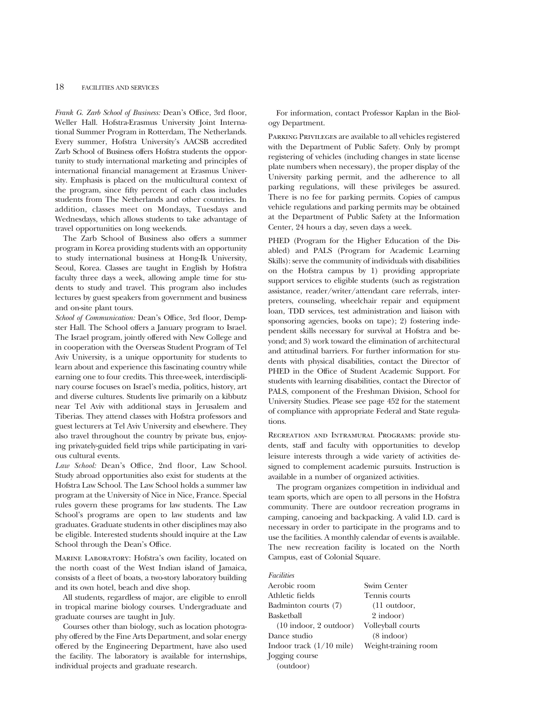*Frank G. Zarb School of Business:* Dean's Office, 3rd floor, Weller Hall. Hofstra-Erasmus University Joint International Summer Program in Rotterdam, The Netherlands. Every summer, Hofstra University's AACSB accredited Zarb School of Business offers Hofstra students the opportunity to study international marketing and principles of international financial management at Erasmus University. Emphasis is placed on the multicultural context of the program, since fifty percent of each class includes students from The Netherlands and other countries. In addition, classes meet on Mondays, Tuesdays and Wednesdays, which allows students to take advantage of travel opportunities on long weekends.

The Zarb School of Business also offers a summer program in Korea providing students with an opportunity to study international business at Hong-Ik University, Seoul, Korea. Classes are taught in English by Hofstra faculty three days a week, allowing ample time for students to study and travel. This program also includes lectures by guest speakers from government and business and on-site plant tours.

*School of Communication:* Dean's Office, 3rd floor, Dempster Hall. The School offers a January program to Israel. The Israel program, jointly offered with New College and in cooperation with the Overseas Student Program of Tel Aviv University, is a unique opportunity for students to learn about and experience this fascinating country while earning one to four credits. This three-week, interdisciplinary course focuses on Israel's media, politics, history, art and diverse cultures. Students live primarily on a kibbutz near Tel Aviv with additional stays in Jerusalem and Tiberias. They attend classes with Hofstra professors and guest lecturers at Tel Aviv University and elsewhere. They also travel throughout the country by private bus, enjoying privately-guided field trips while participating in various cultural events.

*Law School:* Dean's Office, 2nd floor, Law School. Study abroad opportunities also exist for students at the Hofstra Law School. The Law School holds a summer law program at the University of Nice in Nice, France. Special rules govern these programs for law students. The Law School's programs are open to law students and law graduates. Graduate students in other disciplines may also be eligible. Interested students should inquire at the Law School through the Dean's Office.

Marine Laboratory: Hofstra's own facility, located on the north coast of the West Indian island of Jamaica, consists of a fleet of boats, a two-story laboratory building and its own hotel, beach and dive shop.

All students, regardless of major, are eligible to enroll in tropical marine biology courses. Undergraduate and graduate courses are taught in July.

Courses other than biology, such as location photography offered by the Fine Arts Department, and solar energy offered by the Engineering Department, have also used the facility. The laboratory is available for internships, individual projects and graduate research.

For information, contact Professor Kaplan in the Biology Department.

Parking Privileges are available to all vehicles registered with the Department of Public Safety. Only by prompt registering of vehicles (including changes in state license plate numbers when necessary), the proper display of the University parking permit, and the adherence to all parking regulations, will these privileges be assured. There is no fee for parking permits. Copies of campus vehicle regulations and parking permits may be obtained at the Department of Public Safety at the Information Center, 24 hours a day, seven days a week.

PHED (Program for the Higher Education of the Disabled) and PALS (Program for Academic Learning Skills): serve the community of individuals with disabilities on the Hofstra campus by 1) providing appropriate support services to eligible students (such as registration assistance, reader/writer/attendant care referrals, interpreters, counseling, wheelchair repair and equipment loan, TDD services, test administration and liaison with sponsoring agencies, books on tape); 2) fostering independent skills necessary for survival at Hofstra and beyond; and 3) work toward the elimination of architectural and attitudinal barriers. For further information for students with physical disabilities, contact the Director of PHED in the Office of Student Academic Support. For students with learning disabilities, contact the Director of PALS, component of the Freshman Division, School for University Studies. Please see page 452 for the statement of compliance with appropriate Federal and State regulations.

Recreation and Intramural Programs: provide students, staff and faculty with opportunities to develop leisure interests through a wide variety of activities designed to complement academic pursuits. Instruction is available in a number of organized activities.

The program organizes competition in individual and team sports, which are open to all persons in the Hofstra community. There are outdoor recreation programs in camping, canoeing and backpacking. A valid I.D. card is necessary in order to participate in the programs and to use the facilities. A monthly calendar of events is available. The new recreation facility is located on the North Campus, east of Colonial Square.

# *Facilities*

Aerobic room Athletic fields Swim Center Badminton courts (7) Tennis courts Basketball (11 outdoor, 2 indoor) (10 indoor, 2 outdoor) Volleyball courts Dance studio (8 indoor) Indoor track (1/10 mile) Weight-training room Jogging course (outdoor)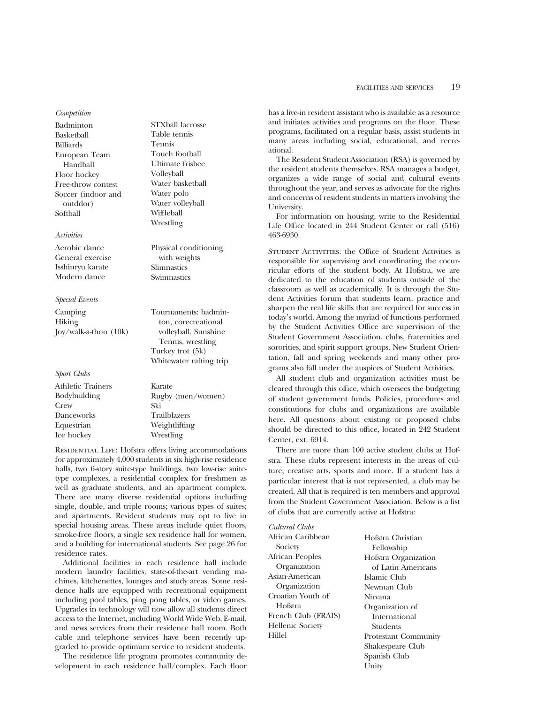*Competition*

Badminton Basketball Billiards European Team Handball Floor hockey Free-throw contest Soccer (indoor and outddor) Softball

# *Activities*

Aerobic dance General exercise Isshinryu karate Modern dance

#### *Special Events*

Camping Hiking Joy/walk-a-thon (10k)

*Sport Clubs*

| <b>Athletic Trainers</b> | Karate              |
|--------------------------|---------------------|
| Bodybuilding             | Rugby (men/women)   |
| Crew                     | Ski                 |
| Danceworks               | <b>Trailblazers</b> |
| Equestrian               | Weightlifting       |
| Ice hockey               | Wrestling           |
|                          |                     |

STXball lacrosse Table tennis Tennis Touch football Ultimate frisbee Volleyball Water basketball Water polo Water volleyball Wiffleball Wrestling

Physical conditioning with weights Slimnastics Swimnastics

Tournaments: badminton, corecreational volleyball, Sunshine Tennis, wrestling Turkey trot (5k) Whitewater rafting trip

RESIDENTIAL LIFE: Hofstra offers living accommodations for approximately 4,000 students in six high-rise residence halls, two 6-story suite-type buildings, two low-rise suitetype complexes, a residential complex for freshmen as well as graduate students, and an apartment complex. There are many diverse residential options including single, double, and triple rooms; various types of suites; and apartments. Resident students may opt to live in special housing areas. These areas include quiet floors, smoke-free floors, a single sex residence hall for women, and a building for international students. See page 26 for residence rates.

Additional facilities in each residence hall include modern laundry facilities, state-of-the-art vending machines, kitchenettes, lounges and study areas. Some residence halls are equipped with recreational equipment including pool tables, ping pong tables, or video games. Upgrades in technology will now allow all students direct access to the Internet, including World Wide Web, E-mail, and news services from their residence hall room. Both cable and telephone services have been recently upgraded to provide optimum service to resident students.

The residence life program promotes community development in each residence hall/complex. Each floor has a live-in resident assistant who is available as a resource and initiates activities and programs on the floor. These programs, facilitated on a regular basis, assist students in many areas including social, educational, and recreational.

The Resident Student Association (RSA) is governed by the resident students themselves. RSA manages a budget, organizes a wide range of social and cultural events throughout the year, and serves as advocate for the rights and concerns of resident students in matters involving the University.

For information on housing, write to the Residential Life Office located in 244 Student Center or call (516) 463-6930.

Student Activities: the Office of Student Activities is responsible for supervising and coordinating the cocurricular efforts of the student body. At Hofstra, we are dedicated to the education of students outside of the classroom as well as academically. It is through the Student Activities forum that students learn, practice and sharpen the real life skills that are required for success in today's world. Among the myriad of functions performed by the Student Activities Office are supervision of the Student Government Association, clubs, fraternities and sororities, and spirit support groups. New Student Orientation, fall and spring weekends and many other programs also fall under the auspices of Student Activities.

All student club and organization activities must be cleared through this office, which oversees the budgeting of student government funds. Policies, procedures and constitutions for clubs and organizations are available here. All questions about existing or proposed clubs should be directed to this office, located in 242 Student Center, ext. 6914.

There are more than 100 active student clubs at Hofstra. These clubs represent interests in the areas of culture, creative arts, sports and more. If a student has a particular interest that is not represented, a club may be created. All that is required is ten members and approval from the Student Government Association. Below is a list of clubs that are currently active at Hofstra:

| uuwana uwas             |             |
|-------------------------|-------------|
| African Caribbean       | Hofstra Ch  |
| Society                 | Fellowsh    |
| African Peoples         | Hofstra Or  |
| Organization            | of Latin    |
| Asian-American          | Islamic Clu |
| Organization            | Newman C    |
| Croatian Youth of       | Nirvana     |
| Hofstra                 | Organizati  |
| French Club (FRAIS)     | Internati   |
| <b>Hellenic Society</b> | Students    |
| Hillel                  | Protestant  |
|                         | Shakespear  |

*Cultural Clubs*

nristian ip rganization Americans  $1<sub>b</sub>$  $T<sub>th</sub>$ on of ional Students Community re Club Spanish Club Unity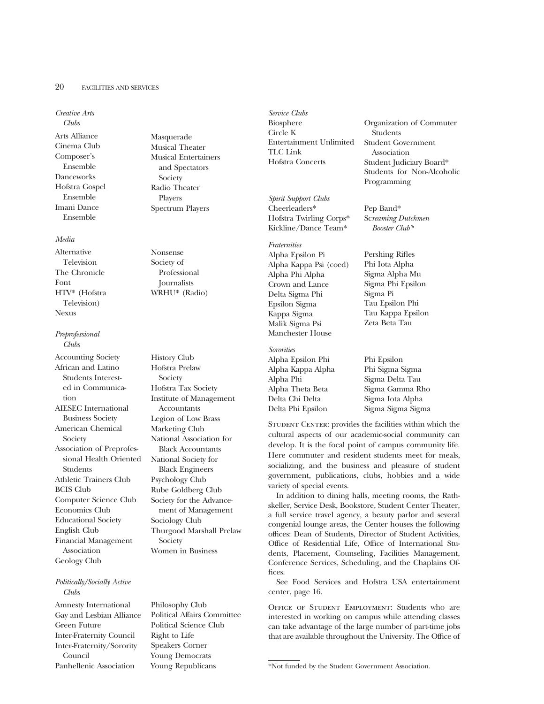#### 20 FACILITIES AND SERVICES

*Creative Arts*

*Clubs* Arts Alliance Cinema Club Composer's Ensemble Danceworks Hofstra Gospel Ensemble Imani Dance Ensemble

## *Media*

Alternative Television The Chronicle Font HTV\* (Hofstra Television) Nexus

*Preprofessional Clubs*

Accounting Society African and Latino Students Interested in Communication AIESEC International Business Society American Chemical Society Association of Preprofessional Health Oriented Students Athletic Trainers Club BCIS Club Computer Science Club Economics Club Educational Society English Club Financial Management Association Geology Club

## *Politically/Socially Active Clubs*

Amnesty International Gay and Lesbian Alliance Green Future Inter-Fraternity Council Inter-Fraternity/Sorority Council Panhellenic Association

Masquerade Musical Theater Musical Entertainers and Spectators Society Radio Theater Players Spectrum Players

Nonsense Society of Professional Journalists WRHU\* (Radio)

History Club Hofstra Prelaw Society Hofstra Tax Society Institute of Management Accountants Legion of Low Brass Marketing Club National Association for Black Accountants National Society for Black Engineers Psychology Club Rube Goldberg Club Society for the Advancement of Management Sociology Club Thurgood Marshall Prelaw Society Women in Business

Philosophy Club Political Affairs Committee Political Science Club Right to Life Speakers Corner Young Democrats Young Republicans

*Service Clubs* Biosphere Circle K Entertainment Unlimited TLC Link Hofstra Concerts

*Spirit Support Clubs* Cheerleaders\* Hofstra Twirling Corps\* Kickline/Dance Team\*

*Fraternities* Alpha Epsilon Pi Alpha Kappa Psi (coed) Alpha Phi Alpha Crown and Lance Delta Sigma Phi Epsilon Sigma Kappa Sigma Malik Sigma Psi Manchester House

*Sororities* Alpha Epsilon Phi Alpha Kappa Alpha Alpha Phi Alpha Theta Beta Delta Chi Delta Delta Phi Epsilon

Organization of Commuter Students Student Government Association Student Judiciary Board\* Students for Non-Alcoholic Programming

Pep Band\* Sc*reaming Dutchmen Booster Club\**

Pershing Rifles Phi Iota Alpha Sigma Alpha Mu Sigma Phi Epsilon Sigma Pi Tau Epsilon Phi Tau Kappa Epsilon Zeta Beta Tau

Phi Epsilon Phi Sigma Sigma Sigma Delta Tau Sigma Gamma Rho Sigma Iota Alpha Sigma Sigma Sigma

STUDENT CENTER: provides the facilities within which the cultural aspects of our academic-social community can develop. It is the focal point of campus community life. Here commuter and resident students meet for meals, socializing, and the business and pleasure of student government, publications, clubs, hobbies and a wide variety of special events.

In addition to dining halls, meeting rooms, the Rathskeller, Service Desk, Bookstore, Student Center Theater, a full service travel agency, a beauty parlor and several congenial lounge areas, the Center houses the following offices: Dean of Students, Director of Student Activities, Office of Residential Life, Office of International Students, Placement, Counseling, Facilities Management, Conference Services, Scheduling, and the Chaplains Offices.

See Food Services and Hofstra USA entertainment center, page 16.

Office of Student Employment: Students who are interested in working on campus while attending classes can take advantage of the large number of part-time jobs that are available throughout the University. The Office of

\*Not funded by the Student Government Association.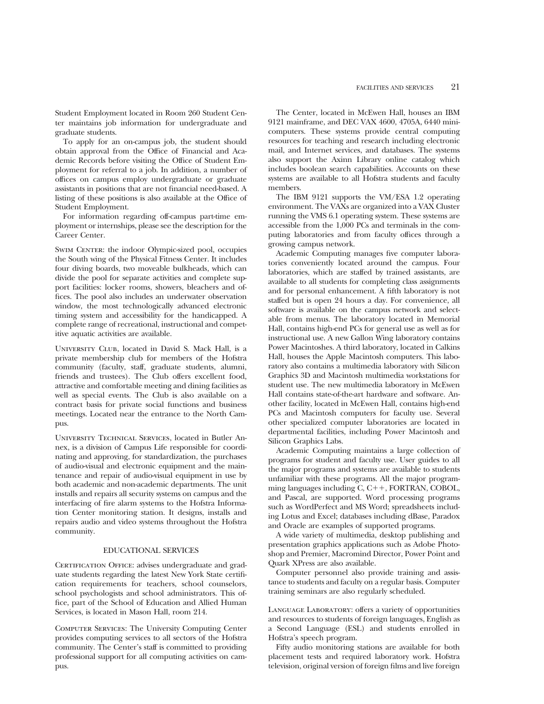Student Employment located in Room 260 Student Center maintains job information for undergraduate and graduate students.

To apply for an on-campus job, the student should obtain approval from the Office of Financial and Academic Records before visiting the Office of Student Employment for referral to a job. In addition, a number of offices on campus employ undergraduate or graduate assistants in positions that are not financial need-based. A listing of these positions is also available at the Office of Student Employment.

For information regarding off-campus part-time employment or internships, please see the description for the Career Center.

SWIM CENTER: the indoor Olympic-sized pool, occupies the South wing of the Physical Fitness Center. It includes four diving boards, two moveable bulkheads, which can divide the pool for separate activities and complete support facilities: locker rooms, showers, bleachers and offices. The pool also includes an underwater observation window, the most technologically advanced electronic timing system and accessibility for the handicapped. A complete range of recreational, instructional and competitive aquatic activities are available.

University Club, located in David S. Mack Hall, is a private membership club for members of the Hofstra community (faculty, staff, graduate students, alumni, friends and trustees). The Club offers excellent food, attractive and comfortable meeting and dining facilities as well as special events. The Club is also available on a contract basis for private social functions and business meetings. Located near the entrance to the North Campus.

University Technical Services, located in Butler Annex, is a division of Campus Life responsible for coordinating and approving, for standardization, the purchases of audio-visual and electronic equipment and the maintenance and repair of audio-visual equipment in use by both academic and non-academic departments. The unit installs and repairs all security systems on campus and the interfacing of fire alarm systems to the Hofstra Information Center monitoring station. It designs, installs and repairs audio and video systems throughout the Hofstra community.

#### EDUCATIONAL SERVICES

CERTIFICATION OFFICE: advises undergraduate and graduate students regarding the latest New York State certification requirements for teachers, school counselors, school psychologists and school administrators. This office, part of the School of Education and Allied Human Services, is located in Mason Hall, room 214.

Computer Services: The University Computing Center provides computing services to all sectors of the Hofstra community. The Center's staff is committed to providing professional support for all computing activities on campus.

The Center, located in McEwen Hall, houses an IBM 9121 mainframe, and DEC VAX 4600, 4705A, 6440 minicomputers. These systems provide central computing resources for teaching and research including electronic mail, and Internet services, and databases. The systems also support the Axinn Library online catalog which includes boolean search capabilities. Accounts on these systems are available to all Hofstra students and faculty members.

The IBM 9121 supports the VM/ESA 1.2 operating environment. The VAXs are organized into a VAX Cluster running the VMS 6.1 operating system. These systems are accessible from the 1,000 PCs and terminals in the computing laboratories and from faculty offices through a growing campus network.

Academic Computing manages five computer laboratories conveniently located around the campus. Four laboratories, which are staffed by trained assistants, are available to all students for completing class assignments and for personal enhancement. A fifth laboratory is not staffed but is open 24 hours a day. For convenience, all software is available on the campus network and selectable from menus. The laboratory located in Memorial Hall, contains high-end PCs for general use as well as for instructional use. A new Gallon Wing laboratory contains Power Macintoshes. A third laboratory, located in Calkins Hall, houses the Apple Macintosh computers. This laboratory also contains a multimedia laboratory with Silicon Graphics 3D and Macintosh multimedia workstations for student use. The new multimedia laboratory in McEwen Hall contains state-of-the-art hardware and software. Another facility, located in McEwen Hall, contains high-end PCs and Macintosh computers for faculty use. Several other specialized computer laboratories are located in departmental facilities, including Power Macintosh and Silicon Graphics Labs.

Academic Computing maintains a large collection of programs for student and faculty use. User guides to all the major programs and systems are available to students unfamiliar with these programs. All the major programming languages including  $C, C++, FORTRAN, COBOL,$ and Pascal, are supported. Word processing programs such as WordPerfect and MS Word; spreadsheets including Lotus and Excel; databases including dBase, Paradox and Oracle are examples of supported programs.

A wide variety of multimedia, desktop publishing and presentation graphics applications such as Adobe Photoshop and Premier, Macromind Director, Power Point and Quark XPress are also available.

Computer personnel also provide training and assistance to students and faculty on a regular basis. Computer training seminars are also regularly scheduled.

Language Laboratory: offers a variety of opportunities and resources to students of foreign languages, English as a Second Language (ESL) and students enrolled in Hofstra's speech program.

Fifty audio monitoring stations are available for both placement tests and required laboratory work. Hofstra television, original version of foreign films and live foreign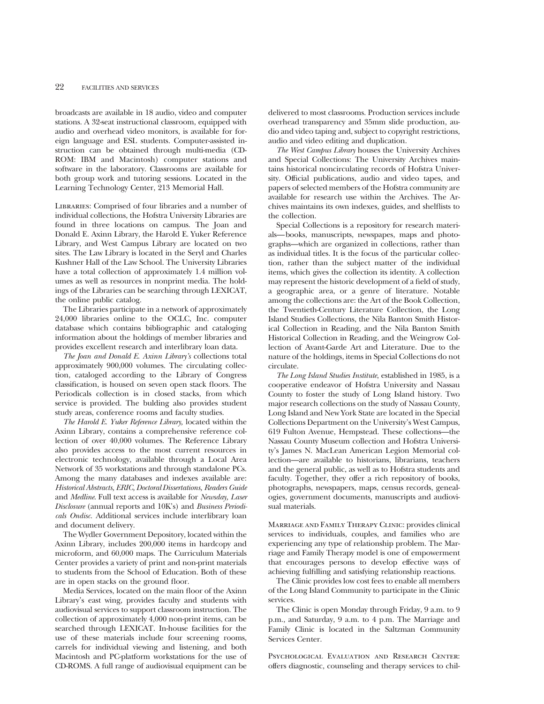broadcasts are available in 18 audio, video and computer stations. A 32-seat instructional classroom, equipped with audio and overhead video monitors, is available for foreign language and ESL students. Computer-assisted instruction can be obtained through multi-media (CD-ROM: IBM and Macintosh) computer stations and software in the laboratory. Classrooms are available for both group work and tutoring sessions. Located in the Learning Technology Center, 213 Memorial Hall.

Libraries: Comprised of four libraries and a number of individual collections, the Hofstra University Libraries are found in three locations on campus. The Joan and Donald E. Axinn Library, the Harold E. Yuker Reference Library, and West Campus Library are located on two sites. The Law Library is located in the Seryl and Charles Kushner Hall of the Law School. The University Libraries have a total collection of approximately 1.4 million volumes as well as resources in nonprint media. The holdings of the Libraries can be searching through LEXICAT, the online public catalog.

The Libraries participate in a network of approximately 24,000 libraries online to the OCLC, Inc. computer database which contains bibliographic and cataloging information about the holdings of member libraries and provides excellent research and interlibrary loan data.

*The Joan and Donald E. Axinn Library's* collections total approximately 900,000 volumes. The circulating collection, cataloged according to the Library of Congress classification, is housed on seven open stack floors. The Periodicals collection is in closed stacks, from which service is provided. The bulding also provides student study areas, conference rooms and faculty studies.

*The Harold E. Yuker Reference Library,* located within the Axinn Library, contains a comprehensive reference collection of over 40,000 volumes. The Reference Library also provides access to the most current resources in electronic technology, available through a Local Area Network of 35 workstations and through standalone PCs. Among the many databases and indexes available are: *Historical Abstracts, ERIC, Doctoral Dissertations, Readers Guide* and *Medline*. Full text access is available for *Newsday, Laser Disclosure* (annual reports and 10K's) and *Business Periodicals Ondisc.* Additional services include interlibrary loan and document delivery.

The Wydler Government Depository, located within the Axinn Library, includes 200,000 items in hardcopy and microform, and 60,000 maps. The Curriculum Materials Center provides a variety of print and non-print materials to students from the School of Education. Both of these are in open stacks on the ground floor.

Media Services, located on the main floor of the Axinn Library's east wing, provides faculty and students with audiovisual services to support classroom instruction. The collection of approximately 4,000 non-print items, can be searched through LEXICAT. In-house facilities for the use of these materials include four screening rooms, carrels for individual viewing and listening, and both Macintosh and PC-platform workstations for the use of CD-ROMS. A full range of audiovisual equipment can be delivered to most classrooms. Production services include overhead transparency and 35mm slide production, audio and video taping and, subject to copyright restrictions, audio and video editing and duplication.

*The West Campus Library* houses the University Archives and Special Collections: The University Archives maintains historical noncirculating records of Hofstra University. Official publications, audio and video tapes, and papers of selected members of the Hofstra community are available for research use within the Archives. The Archives maintains its own indexes, guides, and shelflists to the collection.

Special Collections is a repository for research materials—books, manuscripts, newspapes, maps and photographs—which are organized in collections, rather than as individual titles. It is the focus of the particular collection, rather than the subject matter of the individual items, which gives the collection its identity. A collection may represent the historic development of a field of study, a geographic area, or a genre of literature. Notable among the collections are: the Art of the Book Collection, the Twentieth-Century Literature Collection, the Long Island Studies Collections, the Nila Banton Smith Historical Collection in Reading, and the Nila Banton Smith Historical Collection in Reading, and the Weingrow Collection of Avant-Garde Art and Literature. Due to the nature of the holdings, items in Special Collections do not circulate.

*The Long Island Studies Institute*, established in 1985, is a cooperative endeavor of Hofstra University and Nassau County to foster the study of Long Island history. Two major research collections on the study of Nassau County, Long Island and New York State are located in the Special Collections Department on the University's West Campus, 619 Fulton Avenue, Hempstead. These collections—the Nassau County Museum collection and Hofstra University's James N. MacLean American Legion Memorial collection—are available to historians, librarians, teachers and the general public, as well as to Hofstra students and faculty. Together, they offer a rich repository of books, photographs, newspapers, maps, census records, genealogies, government documents, manuscripts and audiovisual materials.

Marriage and Family Therapy Clinic: provides clinical services to individuals, couples, and families who are experiencing any type of relationship problem. The Marriage and Family Therapy model is one of empowerment that encourages persons to develop effective ways of achieving fulfilling and satisfying relationship reactions.

The Clinic provides low cost fees to enable all members of the Long Island Community to participate in the Clinic services.

The Clinic is open Monday through Friday, 9 a.m. to 9 p.m., and Saturday, 9 a.m. to 4 p.m. The Marriage and Family Clinic is located in the Saltzman Community Services Center.

PSYCHOLOGICAL EVALUATION AND RESEARCH CENTER: offers diagnostic, counseling and therapy services to chil-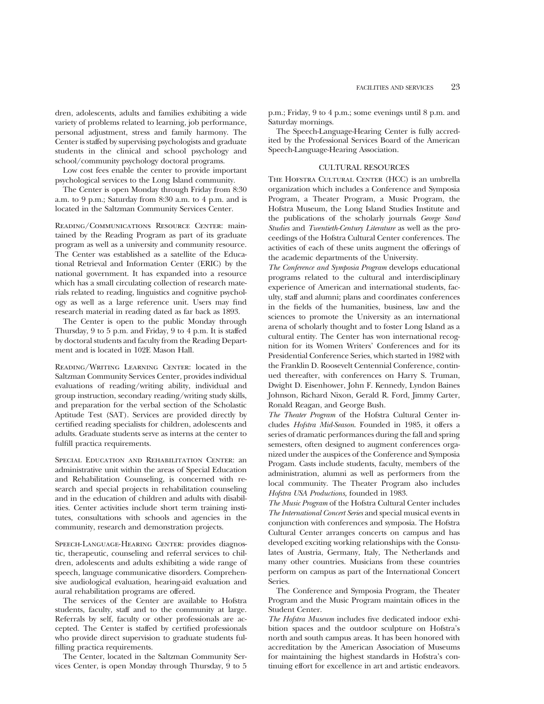dren, adolescents, adults and families exhibiting a wide variety of problems related to learning, job performance, personal adjustment, stress and family harmony. The Center is staffed by supervising psychologists and graduate students in the clinical and school psychology and school/community psychology doctoral programs.

Low cost fees enable the center to provide important psychological services to the Long Island community.

The Center is open Monday through Friday from 8:30 a.m. to 9 p.m.; Saturday from 8:30 a.m. to 4 p.m. and is located in the Saltzman Community Services Center.

Reading/Communications Resource Center: maintained by the Reading Program as part of its graduate program as well as a university and community resource. The Center was established as a satellite of the Educational Retrieval and Information Center (ERIC) by the national government. It has expanded into a resource which has a small circulating collection of research materials related to reading, linguistics and cognitive psychology as well as a large reference unit. Users may find research material in reading dated as far back as 1893.

The Center is open to the public Monday through Thursday, 9 to 5 p.m. and Friday, 9 to 4 p.m. It is staffed by doctoral students and faculty from the Reading Department and is located in 102E Mason Hall.

Reading/Writing Learning Center: located in the Saltzman Community Services Center, provides individual evaluations of reading/writing ability, individual and group instruction, secondary reading/writing study skills, and preparation for the verbal section of the Scholastic Aptitude Test (SAT). Services are provided directly by certified reading specialists for children, adolescents and adults. Graduate students serve as interns at the center to fulfill practica requirements.

Special Education and Rehabilitation Center: an administrative unit within the areas of Special Education and Rehabilitation Counseling, is concerned with research and special projects in rehabilitation counseling and in the education of children and adults with disabilities. Center activities include short term training institutes, consultations with schools and agencies in the community, research and demonstration projects.

SPEECH-LANGUAGE-HEARING CENTER: provides diagnostic, therapeutic, counseling and referral services to children, adolescents and adults exhibiting a wide range of speech, language communicative disorders. Comprehensive audiological evaluation, hearing-aid evaluation and aural rehabilitation programs are offered.

The services of the Center are available to Hofstra students, faculty, staff and to the community at large. Referrals by self, faculty or other professionals are accepted. The Center is staffed by certified professionals who provide direct supervision to graduate students fulfilling practica requirements.

The Center, located in the Saltzman Community Services Center, is open Monday through Thursday, 9 to 5 p.m.; Friday, 9 to 4 p.m.; some evenings until 8 p.m. and Saturday mornings.

The Speech-Language-Hearing Center is fully accredited by the Professional Services Board of the American Speech-Language-Hearing Association.

#### CULTURAL RESOURCES

The Hofstra Cultural Center (HCC) is an umbrella organization which includes a Conference and Symposia Program, a Theater Program, a Music Program, the Hofstra Museum, the Long Island Studies Institute and the publications of the scholarly journals *George Sand Studies* and *Twentieth-Century Literature* as well as the proceedings of the Hofstra Cultural Center conferences. The activities of each of these units augment the offerings of the academic departments of the University.

*The Conference and Symposia Program* develops educational programs related to the cultural and interdisciplinary experience of American and international students, faculty, staff and alumni; plans and coordinates conferences in the fields of the humanities, business, law and the sciences to promote the University as an international arena of scholarly thought and to foster Long Island as a cultural entity. The Center has won international recognition for its Women Writers' Conferences and for its Presidential Conference Series, which started in 1982 with the Franklin D. Roosevelt Centennial Conference, continued thereafter, with conferences on Harry S. Truman, Dwight D. Eisenhower, John F. Kennedy, Lyndon Baines Johnson, Richard Nixon, Gerald R. Ford, Jimmy Carter, Ronald Reagan, and George Bush.

*The Theater Program* of the Hofstra Cultural Center includes *Hofstra Mid-Season*. Founded in 1985, it offers a series of dramatic performances during the fall and spring semesters, often designed to augment conferences organized under the auspices of the Conference and Symposia Progam. Casts include students, faculty, members of the administration, alumni as well as performers from the local community. The Theater Program also includes *Hofstra USA Productions,* founded in 1983.

*The Music Program* of the Hofstra Cultural Center includes *The International Concert Series* and special musical events in conjunction with conferences and symposia. The Hofstra Cultural Center arranges concerts on campus and has developed exciting working relationships with the Consulates of Austria, Germany, Italy, The Netherlands and many other countries. Musicians from these countries perform on campus as part of the International Concert Series.

The Conference and Symposia Program, the Theater Program and the Music Program maintain offices in the Student Center.

*The Hofstra Museum* includes five dedicated indoor exhibition spaces and the outdoor sculpture on Hofstra's north and south campus areas. It has been honored with accreditation by the American Association of Museums for maintaining the highest standards in Hofstra's continuing effort for excellence in art and artistic endeavors.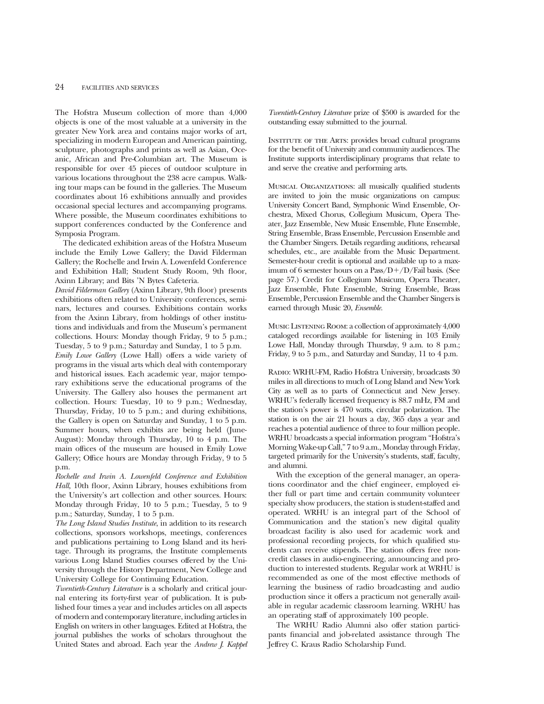The Hofstra Museum collection of more than 4,000 objects is one of the most valuable at a university in the greater New York area and contains major works of art, specializing in modern European and American painting, sculpture, photographs and prints as well as Asian, Oceanic, African and Pre-Columbian art. The Museum is responsible for over 45 pieces of outdoor sculpture in various locations throughout the 238 acre campus. Walking tour maps can be found in the galleries. The Museum coordinates about 16 exhibitions annually and provides occasional special lectures and accompanying programs. Where possible, the Museum coordinates exhibitions to support conferences conducted by the Conference and Symposia Program.

The dedicated exhibition areas of the Hofstra Museum include the Emily Lowe Gallery; the David Filderman Gallery; the Rochelle and Irwin A. Lowenfeld Conference and Exhibition Hall; Student Study Room, 9th floor, Axinn Library; and Bits 'N Bytes Cafeteria.

*David Filderman Gallery* (Axinn Library, 9th floor) presents exhibitions often related to University conferences, seminars, lectures and courses. Exhibitions contain works from the Axinn Library, from holdings of other institutions and individuals and from the Museum's permanent collections. Hours: Monday though Friday, 9 to 5 p.m.; Tuesday, 5 to 9 p.m.; Saturday and Sunday, 1 to 5 p.m. *Emily Lowe Gallery* (Lowe Hall) offers a wide variety of programs in the visual arts which deal with contemporary and historical issues. Each academic year, major temporary exhibitions serve the educational programs of the University. The Gallery also houses the permanent art collection. Hours: Tuesday, 10 to 9 p.m.; Wednesday, Thursday, Friday, 10 to 5 p.m.; and during exhibitions, the Gallery is open on Saturday and Sunday, 1 to 5 p.m. Summer hours, when exhibits are being held (June-August): Monday through Thursday, 10 to 4 p.m. The main offices of the museum are housed in Emily Lowe Gallery; Office hours are Monday through Friday, 9 to 5 p.m.

*Rochelle and Irwin A. Lowenfeld Conference and Exhibition Hall,* 10th floor, Axinn Library, houses exhibitions from the University's art collection and other sources. Hours: Monday through Friday, 10 to 5 p.m.; Tuesday, 5 to 9 p.m.; Saturday, Sunday, 1 to 5 p.m.

*The Long Island Studies Institute*, in addition to its research collections, sponsors workshops, meetings, conferences and publications pertaining to Long Island and its heritage. Through its programs, the Institute complements various Long Island Studies courses offered by the University through the History Department, New College and University College for Continuing Education.

*Twentieth-Century Literature* is a scholarly and critical journal entering its forty-first year of publication. It is published four times a year and includes articles on all aspects of modern and contemporary literature, including articles in English on writers in other languages. Edited at Hofstra, the journal publishes the works of scholars throughout the United States and abroad. Each year the *Andrew J. Kappel*

*Twentieth-Century Literature* prize of \$500 is awarded for the outstanding essay submitted to the journal.

INSTITUTE OF THE ARTS: provides broad cultural programs for the benefit of University and community audiences. The Institute supports interdisciplinary programs that relate to and serve the creative and performing arts.

Musical Organizations: all musically qualified students are invited to join the music organizations on campus: University Concert Band, Symphonic Wind Ensemble, Orchestra, Mixed Chorus, Collegium Musicum, Opera Theater, Jazz Ensemble, New Music Ensemble, Flute Ensemble, String Ensemble, Brass Ensemble, Percussion Ensemble and the Chamber Singers. Details regarding auditions, rehearsal schedules, etc., are available from the Music Department. Semester-hour credit is optional and available up to a maximum of 6 semester hours on a Pass/D+/D/Fail basis. (See page 57.) Credit for Collegium Musicum, Opera Theater, Jazz Ensemble, Flute Ensemble, String Ensemble, Brass Ensemble, Percussion Ensemble and the Chamber Singers is earned through Music 20, *Ensemble.*

Music Listening Room: a collection of approximately 4,000 cataloged recordings available for listening in 103 Emily Lowe Hall, Monday through Thursday, 9 a.m. to 8 p.m.; Friday, 9 to 5 p.m., and Saturday and Sunday, 11 to 4 p.m.

Radio: WRHU-FM, Radio Hofstra University, broadcasts 30 miles in all directions to much of Long Island and New York City as well as to parts of Connecticut and New Jersey. WRHU's federally licensed frequency is 88.7 mHz, FM and the station's power is 470 watts, circular polarization. The station is on the air 21 hours a day, 365 days a year and reaches a potential audience of three to four million people. WRHU broadcasts a special information program "Hofstra's Morning Wake-up Call," 7 to 9 a.m., Monday through Friday, targeted primarily for the University's students, staff, faculty, and alumni.

With the exception of the general manager, an operations coordinator and the chief engineer, employed either full or part time and certain community volunteer specialty show producers, the station is student-staffed and operated. WRHU is an integral part of the School of Communication and the station's new digital quality broadcast facility is also used for academic work and professional recording projects, for which qualified students can receive stipends. The station offers free noncredit classes in audio-engineering, announcing and production to interested students. Regular work at WRHU is recommended as one of the most effective methods of learning the business of radio broadcasting and audio production since it offers a practicum not generally available in regular academic classroom learning. WRHU has an operating staff of approximately 100 people.

The WRHU Radio Alumni also offer station participants financial and job-related assistance through The Jeffrey C. Kraus Radio Scholarship Fund.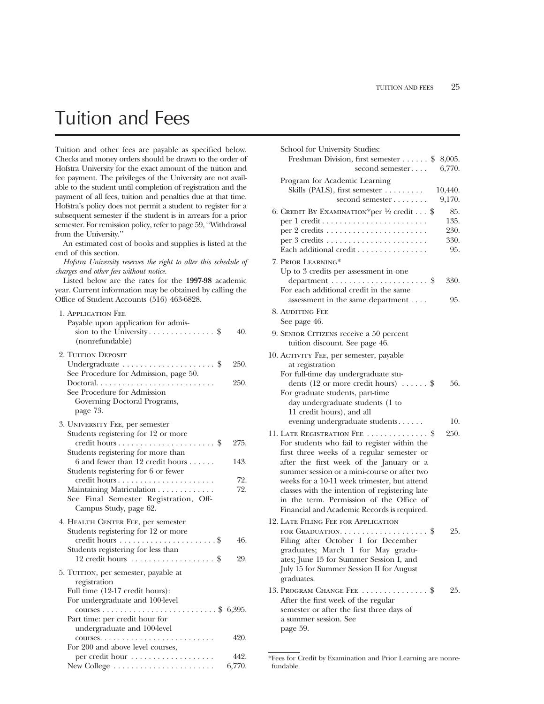# Tuition and Fees

Tuition and other fees are payable as specified below. Checks and money orders should be drawn to the order of Hofstra University for the exact amount of the tuition and fee payment. The privileges of the University are not available to the student until completion of registration and the payment of all fees, tuition and penalties due at that time. Hofstra's policy does not permit a student to register for a subsequent semester if the student is in arrears for a prior semester. For remission policy, refer to page 59, ''Withdrawal from the University.''

An estimated cost of books and supplies is listed at the end of this section.

*Hofstra University reserves the right to alter this schedule of charges and other fees without notice.*

Listed below are the rates for the **1997-98** academic year. Current information may be obtained by calling the Office of Student Accounts (516) 463-6828.

| 1. APPLICATION FEE<br>Payable upon application for admis-                                  |        |
|--------------------------------------------------------------------------------------------|--------|
| (nonrefundable)                                                                            | 40.    |
| 2. TUITION DEPOSIT                                                                         |        |
| Undergraduate $\dots\dots\dots\dots\dots\dots$ \$<br>See Procedure for Admission, page 50. | 250.   |
| Doctoral. $\ldots$ .                                                                       | 250.   |
| See Procedure for Admission                                                                |        |
| Governing Doctoral Programs,<br>page 73.                                                   |        |
| 3. UNIVERSITY FEE, per semester                                                            |        |
| Students registering for 12 or more                                                        |        |
|                                                                                            | 275.   |
| Students registering for more than                                                         |        |
| 6 and fewer than 12 credit hours $\dots$ .<br>Students registering for 6 or fewer          | 143.   |
|                                                                                            | 72.    |
| Maintaining Matriculation                                                                  | 72.    |
| See Final Semester Registration, Off-<br>Campus Study, page 62.                            |        |
| 4. HEALTH CENTER FEE, per semester                                                         |        |
| Students registering for 12 or more                                                        |        |
|                                                                                            | 46.    |
| Students registering for less than                                                         |        |
| $12$ credit hours \$                                                                       | 29.    |
| 5. TUITION, per semester, payable at<br>registration                                       |        |
| Full time (12-17 credit hours):                                                            |        |
| For undergraduate and 100-level                                                            |        |
|                                                                                            |        |
| Part time: per credit hour for                                                             |        |
| undergraduate and 100-level                                                                |        |
| For 200 and above level courses,                                                           | 420.   |
| per credit hour                                                                            | 442.   |
| New College                                                                                | 6,770. |
|                                                                                            |        |

| School for University Studies:                                                                 |                        |
|------------------------------------------------------------------------------------------------|------------------------|
| Freshman Division, first semester<br>second semester                                           | \$<br>8,005.<br>6,770. |
| Program for Academic Learning                                                                  |                        |
| Skills (PALS), first semester                                                                  | 10,440.                |
| second semester                                                                                | 9,170.                 |
| 6. CREDIT BY EXAMINATION*per $\frac{1}{2}$ credit \$                                           | 85.                    |
|                                                                                                | 135.                   |
|                                                                                                | 230.                   |
|                                                                                                | 330.                   |
| Each additional credit                                                                         | 95.                    |
| 7. PRIOR LEARNING*                                                                             |                        |
| Up to 3 credits per assessment in one                                                          | 330.                   |
| For each additional credit in the same                                                         |                        |
| assessment in the same department                                                              | 95.                    |
| 8. AUDITING FEE                                                                                |                        |
| See page 46.                                                                                   |                        |
| 9. SENIOR CITIZENS receive a 50 percent                                                        |                        |
| tuition discount. See page 46.                                                                 |                        |
| 10. ACTIVITY FEE, per semester, payable                                                        |                        |
| at registration                                                                                |                        |
| For full-time day undergraduate stu-                                                           |                        |
| dents (12 or more credit hours) $\dots$ \$                                                     | 56.                    |
| For graduate students, part-time<br>day undergraduate students (1 to                           |                        |
| 11 credit hours), and all                                                                      |                        |
| evening undergraduate students                                                                 | 10.                    |
| 11. LATE REGISTRATION FEE  \$                                                                  | 250.                   |
| For students who fail to register within the                                                   |                        |
| first three weeks of a regular semester or                                                     |                        |
| after the first week of the January or a                                                       |                        |
| summer session or a mini-course or after two                                                   |                        |
| weeks for a 10-11 week trimester, but attend<br>classes with the intention of registering late |                        |
| in the term. Permission of the Office of                                                       |                        |
| Financial and Academic Records is required.                                                    |                        |
| 12. LATE FILING FEE FOR APPLICATION                                                            |                        |
| FOR GRADUATION. $\dots \dots \dots \dots \dots \dots$                                          | 25.                    |
| Filing after October 1 for December                                                            |                        |
| graduates; March 1 for May gradu-                                                              |                        |
| ates; June 15 for Summer Session I, and<br>July 15 for Summer Session II for August            |                        |
| graduates.                                                                                     |                        |
| 13. PROGRAM CHANGE FEE  \$                                                                     | 25.                    |
| After the first week of the regular                                                            |                        |
| semester or after the first three days of                                                      |                        |
| a summer session. See                                                                          |                        |
| page 59.                                                                                       |                        |

<sup>\*</sup>Fees for Credit by Examination and Prior Learning are nonrefundable.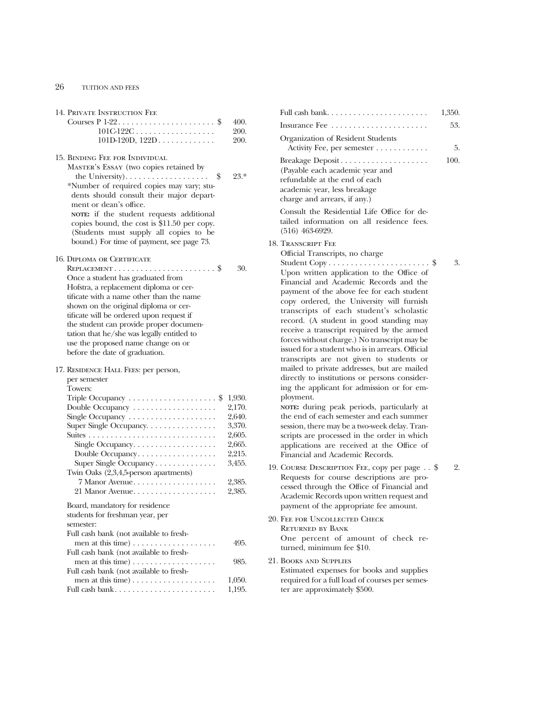# 26 TUITION AND FEES

| 14. PRIVATE INSTRUCTION FEE                                       |                  |
|-------------------------------------------------------------------|------------------|
| Courses $P$ 1-22\$                                                | 400.             |
| $101C-122C$                                                       | 200.             |
| $101D-120D, 122D$                                                 | 200.             |
| 15. BINDING FEE FOR INDIVIDUAL                                    |                  |
| MASTER'S ESSAY (two copies retained by                            |                  |
| the University). $\dots \dots \dots \dots \dots \dots$<br>\$      | 23.*             |
| *Number of required copies may vary; stu-                         |                  |
| dents should consult their major depart-                          |                  |
| ment or dean's office.                                            |                  |
| NOTE: if the student requests additional                          |                  |
| copies bound, the cost is \$11.50 per copy.                       |                  |
| (Students must supply all copies to be                            |                  |
| bound.) For time of payment, see page 73.                         |                  |
| <b>16. DIPLOMA OR CERTIFICATE</b>                                 |                  |
|                                                                   | 30.              |
| Once a student has graduated from                                 |                  |
| Hofstra, a replacement diploma or cer-                            |                  |
| tificate with a name other than the name                          |                  |
| shown on the original diploma or cer-                             |                  |
| tificate will be ordered upon request if                          |                  |
| the student can provide proper documen-                           |                  |
| tation that he/she was legally entitled to                        |                  |
| use the proposed name change on or                                |                  |
| before the date of graduation.                                    |                  |
| 17. RESIDENCE HALL FEES: per person,                              |                  |
| per semester                                                      |                  |
| Towers:                                                           |                  |
| Triple Occupancy  \$                                              | 1,930.           |
| Double Occupancy                                                  | 2,170.<br>2,640. |
| Single Occupancy<br>Super Single Occupancy.                       | 3,370.           |
|                                                                   | 2,605.           |
| Single Occupancy                                                  | 2,665.           |
| Double Occupancy.                                                 | 2,215.           |
| Super Single Occupancy                                            | 3,455.           |
| Twin Oaks (2,3,4,5-person apartments)                             |                  |
| 7 Manor Avenue                                                    | 2,385.           |
| 21 Manor Avenue                                                   | 2,385.           |
|                                                                   |                  |
| Board, mandatory for residence<br>students for freshman year, per |                  |
| semester:                                                         |                  |
| Full cash bank (not available to fresh-                           |                  |
| men at this time)                                                 | 495.             |
| Full cash bank (not available to fresh-                           |                  |
|                                                                   | 985.             |
| Full cash bank (not available to fresh-                           |                  |
|                                                                   | 1,050.           |
| Full cash bank                                                    | 1,195.           |

|                                                                                                                                                                                                                                                                                                                                                                                                                                                                                 | 1,350. |  |
|---------------------------------------------------------------------------------------------------------------------------------------------------------------------------------------------------------------------------------------------------------------------------------------------------------------------------------------------------------------------------------------------------------------------------------------------------------------------------------|--------|--|
|                                                                                                                                                                                                                                                                                                                                                                                                                                                                                 | 53.    |  |
| Organization of Resident Students                                                                                                                                                                                                                                                                                                                                                                                                                                               |        |  |
| Activity Fee, per semester                                                                                                                                                                                                                                                                                                                                                                                                                                                      | 5.     |  |
| Breakage Deposit<br>(Payable each academic year and<br>refundable at the end of each<br>academic year, less breakage<br>charge and arrears, if any.)                                                                                                                                                                                                                                                                                                                            | 100.   |  |
| Consult the Residential Life Office for de-<br>tailed information on all residence fees.<br>$(516)$ 463-6929.                                                                                                                                                                                                                                                                                                                                                                   |        |  |
| 18. Transcript Fee<br>Official Transcripts, no charge<br>Upon written application to the Office of<br>Financial and Academic Records and the<br>payment of the above fee for each student<br>copy ordered, the University will furnish<br>transcripts of each student's scholastic<br>record. (A student in good standing may<br>receive a transcript required by the armed<br>forces without charge.) No transcript may be<br>issued for a student who is in arrears. Official | 3.     |  |
| transcripts are not given to students or<br>mailed to private addresses, but are mailed<br>directly to institutions or persons consider-<br>ing the applicant for admission or for em-<br>ployment.<br>NOTE: during peak periods, particularly at<br>the end of each semester and each summer<br>session, there may be a two-week delay. Tran-<br>scripts are processed in the order in which<br>applications are received at the Office of<br>Financial and Academic Records.  |        |  |
| 19. COURSE DESCRIPTION FEE, copy per page \$<br>Requests for course descriptions are pro-<br>cessed through the Office of Financial and<br>Academic Records upon written request and<br>payment of the appropriate fee amount.                                                                                                                                                                                                                                                  | 2.     |  |
| 20. FEE FOR UNCOLLECTED CHECK<br>RETURNED BY BANK<br>One percent of amount of check re-<br>turned, minimum fee \$10.                                                                                                                                                                                                                                                                                                                                                            |        |  |
| <b>21. BOOKS AND SUPPLIES</b><br>Estimated expenses for books and supplies<br>required for a full load of courses per semes-<br>ter are approximately \$500.                                                                                                                                                                                                                                                                                                                    |        |  |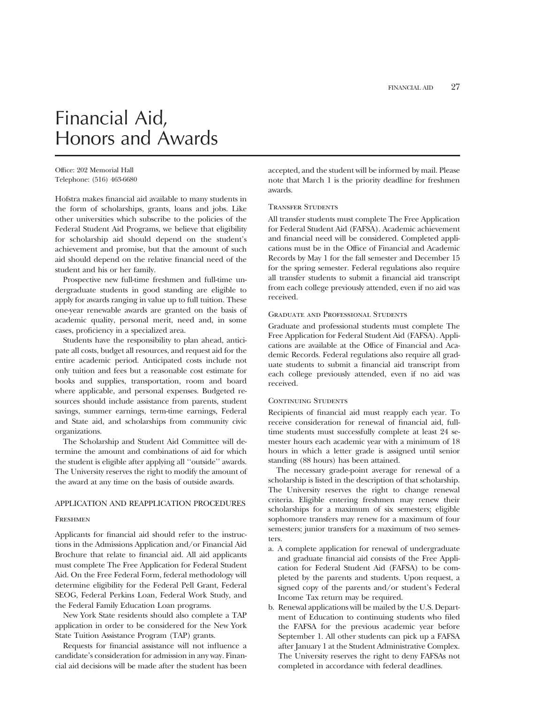# Financial Aid, Honors and Awards

Office: 202 Memorial Hall Telephone: (516) 463-6680

Hofstra makes financial aid available to many students in the form of scholarships, grants, loans and jobs. Like other universities which subscribe to the policies of the Federal Student Aid Programs, we believe that eligibility for scholarship aid should depend on the student's achievement and promise, but that the amount of such aid should depend on the relative financial need of the student and his or her family.

Prospective new full-time freshmen and full-time undergraduate students in good standing are eligible to apply for awards ranging in value up to full tuition. These one-year renewable awards are granted on the basis of academic quality, personal merit, need and, in some cases, proficiency in a specialized area.

Students have the responsibility to plan ahead, anticipate all costs, budget all resources, and request aid for the entire academic period. Anticipated costs include not only tuition and fees but a reasonable cost estimate for books and supplies, transportation, room and board where applicable, and personal expenses. Budgeted resources should include assistance from parents, student savings, summer earnings, term-time earnings, Federal and State aid, and scholarships from community civic organizations.

The Scholarship and Student Aid Committee will determine the amount and combinations of aid for which the student is eligible after applying all ''outside'' awards. The University reserves the right to modify the amount of the award at any time on the basis of outside awards.

### APPLICATION AND REAPPLICATION PROCEDURES

#### Freshmen

Applicants for financial aid should refer to the instructions in the Admissions Application and/or Financial Aid Brochure that relate to financial aid. All aid applicants must complete The Free Application for Federal Student Aid. On the Free Federal Form, federal methodology will determine eligibility for the Federal Pell Grant, Federal SEOG, Federal Perkins Loan, Federal Work Study, and the Federal Family Education Loan programs.

New York State residents should also complete a TAP application in order to be considered for the New York State Tuition Assistance Program (TAP) grants.

Requests for financial assistance will not influence a candidate's consideration for admission in any way. Financial aid decisions will be made after the student has been accepted, and the student will be informed by mail. Please note that March 1 is the priority deadline for freshmen awards.

#### Transfer Students

All transfer students must complete The Free Application for Federal Student Aid (FAFSA). Academic achievement and financial need will be considered. Completed applications must be in the Office of Financial and Academic Records by May 1 for the fall semester and December 15 for the spring semester. Federal regulations also require all transfer students to submit a financial aid transcript from each college previously attended, even if no aid was received.

#### Graduate and Professional Students

Graduate and professional students must complete The Free Application for Federal Student Aid (FAFSA). Applications are available at the Office of Financial and Academic Records. Federal regulations also require all graduate students to submit a financial aid transcript from each college previously attended, even if no aid was received.

#### CONTINUING STUDENTS

Recipients of financial aid must reapply each year. To receive consideration for renewal of financial aid, fulltime students must successfully complete at least 24 semester hours each academic year with a minimum of 18 hours in which a letter grade is assigned until senior standing (88 hours) has been attained.

The necessary grade-point average for renewal of a scholarship is listed in the description of that scholarship. The University reserves the right to change renewal criteria. Eligible entering freshmen may renew their scholarships for a maximum of six semesters; eligible sophomore transfers may renew for a maximum of four semesters; junior transfers for a maximum of two semesters.

- a. A complete application for renewal of undergraduate and graduate financial aid consists of the Free Application for Federal Student Aid (FAFSA) to be completed by the parents and students. Upon request, a signed copy of the parents and/or student's Federal Income Tax return may be required.
- b. Renewal applications will be mailed by the U.S. Department of Education to continuing students who filed the FAFSA for the previous academic year before September 1. All other students can pick up a FAFSA after January 1 at the Student Administrative Complex. The University reserves the right to deny FAFSAs not completed in accordance with federal deadlines.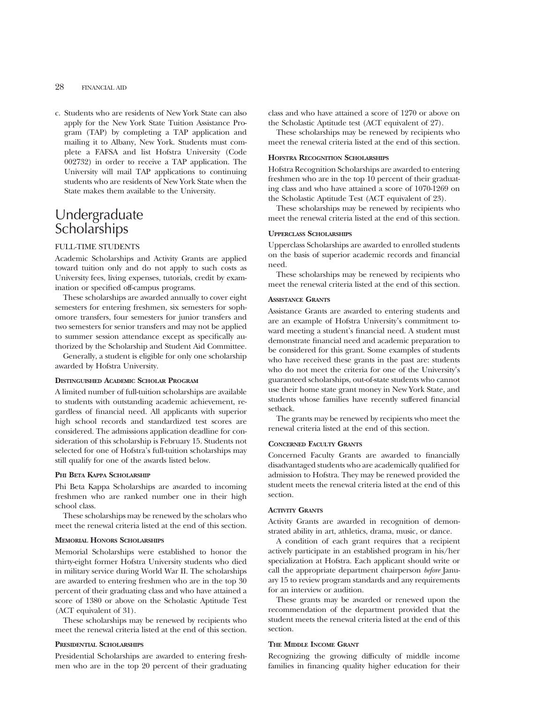# 28 FINANCIAL AID

c. Students who are residents of New York State can also apply for the New York State Tuition Assistance Program (TAP) by completing a TAP application and mailing it to Albany, New York. Students must complete a FAFSA and list Hofstra University (Code 002732) in order to receive a TAP application. The University will mail TAP applications to continuing students who are residents of New York State when the State makes them available to the University.

# Undergraduate Scholarships

## FULL-TIME STUDENTS

Academic Scholarships and Activity Grants are applied toward tuition only and do not apply to such costs as University fees, living expenses, tutorials, credit by examination or specified off-campus programs.

These scholarships are awarded annually to cover eight semesters for entering freshmen, six semesters for sophomore transfers, four semesters for junior transfers and two semesters for senior transfers and may not be applied to summer session attendance except as specifically authorized by the Scholarship and Student Aid Committee.

Generally, a student is eligible for only one scholarship awarded by Hofstra University.

#### **DISTINGUISHED ACADEMIC SCHOLAR PROGRAM**

A limited number of full-tuition scholarships are available to students with outstanding academic achievement, regardless of financial need. All applicants with superior high school records and standardized test scores are considered. The admissions application deadline for consideration of this scholarship is February 15. Students not selected for one of Hofstra's full-tuition scholarships may still qualify for one of the awards listed below.

#### **PHI BETA KAPPA SCHOLARSHIP**

Phi Beta Kappa Scholarships are awarded to incoming freshmen who are ranked number one in their high school class.

These scholarships may be renewed by the scholars who meet the renewal criteria listed at the end of this section.

#### **MEMORIAL HONORS SCHOLARSHIPS**

Memorial Scholarships were established to honor the thirty-eight former Hofstra University students who died in military service during World War II. The scholarships are awarded to entering freshmen who are in the top 30 percent of their graduating class and who have attained a score of 1380 or above on the Scholastic Aptitude Test (ACT equivalent of 31).

These scholarships may be renewed by recipients who meet the renewal criteria listed at the end of this section.

#### **PRESIDENTIAL SCHOLARSHIPS**

Presidential Scholarships are awarded to entering freshmen who are in the top 20 percent of their graduating class and who have attained a score of 1270 or above on the Scholastic Aptitude test (ACT equivalent of 27).

These scholarships may be renewed by recipients who meet the renewal criteria listed at the end of this section.

#### **HOFSTRA RECOGNITION SCHOLARSHIPS**

Hofstra Recognition Scholarships are awarded to entering freshmen who are in the top 10 percent of their graduating class and who have attained a score of 1070-1269 on the Scholastic Aptitude Test (ACT equivalent of 23).

These scholarships may be renewed by recipients who meet the renewal criteria listed at the end of this section.

# **UPPERCLASS SCHOLARSHIPS**

Upperclass Scholarships are awarded to enrolled students on the basis of superior academic records and financial need.

These scholarships may be renewed by recipients who meet the renewal criteria listed at the end of this section.

#### **ASSISTANCE GRANTS**

Assistance Grants are awarded to entering students and are an example of Hofstra University's commitment toward meeting a student's financial need. A student must demonstrate financial need and academic preparation to be considered for this grant. Some examples of students who have received these grants in the past are: students who do not meet the criteria for one of the University's guaranteed scholarships, out-of-state students who cannot use their home state grant money in New York State, and students whose families have recently suffered financial setback.

The grants may be renewed by recipients who meet the renewal criteria listed at the end of this section.

#### **CONCERNED FACULTY GRANTS**

Concerned Faculty Grants are awarded to financially disadvantaged students who are academically qualified for admission to Hofstra. They may be renewed provided the student meets the renewal criteria listed at the end of this section.

#### **ACTIVITY GRANTS**

Activity Grants are awarded in recognition of demonstrated ability in art, athletics, drama, music, or dance.

A condition of each grant requires that a recipient actively participate in an established program in his/her specialization at Hofstra. Each applicant should write or call the appropriate department chairperson *before* January 15 to review program standards and any requirements for an interview or audition.

These grants may be awarded or renewed upon the recommendation of the department provided that the student meets the renewal criteria listed at the end of this section.

#### **THE MIDDLE INCOME GRANT**

Recognizing the growing difficulty of middle income families in financing quality higher education for their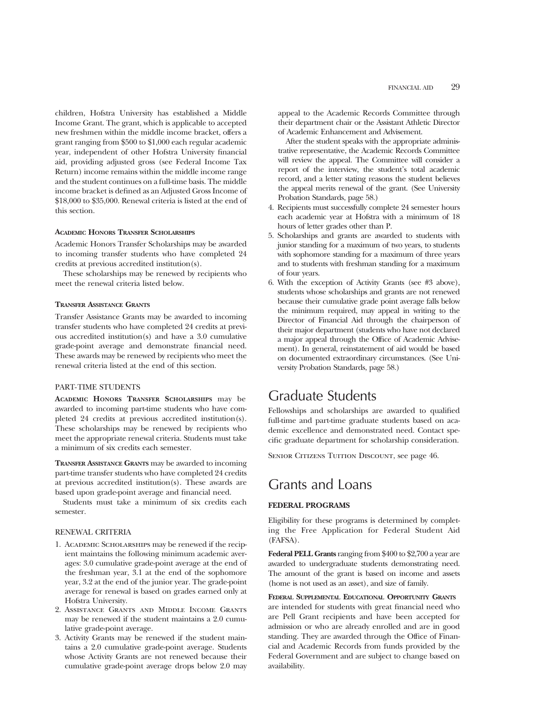children, Hofstra University has established a Middle Income Grant. The grant, which is applicable to accepted new freshmen within the middle income bracket, offers a grant ranging from \$500 to \$1,000 each regular academic year, independent of other Hofstra University financial aid, providing adjusted gross (see Federal Income Tax Return) income remains within the middle income range and the student continues on a full-time basis. The middle income bracket is defined as an Adjusted Gross Income of \$18,000 to \$35,000. Renewal criteria is listed at the end of this section.

#### **ACADEMIC HONORS TRANSFER SCHOLARSHIPS**

Academic Honors Transfer Scholarships may be awarded to incoming transfer students who have completed 24 credits at previous accredited institution(s).

These scholarships may be renewed by recipients who meet the renewal criteria listed below.

#### **TRANSFER ASSISTANCE GRANTS**

Transfer Assistance Grants may be awarded to incoming transfer students who have completed 24 credits at previous accredited institution(s) and have a 3.0 cumulative grade-point average and demonstrate financial need. These awards may be renewed by recipients who meet the renewal criteria listed at the end of this section.

## PART-TIME STUDENTS

**ACADEMIC HONORS TRANSFER SCHOLARSHIPS** may be awarded to incoming part-time students who have completed 24 credits at previous accredited institution(s). These scholarships may be renewed by recipients who meet the appropriate renewal criteria. Students must take a minimum of six credits each semester.

**TRANSFER ASSISTANCE GRANTS** may be awarded to incoming part-time transfer students who have completed 24 credits at previous accredited institution(s). These awards are based upon grade-point average and financial need.

Students must take a minimum of six credits each semester.

#### RENEWAL CRITERIA

- 1. Academic Scholarships may be renewed if the recipient maintains the following minimum academic averages: 3.0 cumulative grade-point average at the end of the freshman year, 3.1 at the end of the sophomore year, 3.2 at the end of the junior year. The grade-point average for renewal is based on grades earned only at Hofstra University.
- 2. Assistance Grants and Middle Income Grants may be renewed if the student maintains a 2.0 cumulative grade-point average.
- 3. Activity Grants may be renewed if the student maintains a 2.0 cumulative grade-point average. Students whose Activity Grants are not renewed because their cumulative grade-point average drops below 2.0 may

appeal to the Academic Records Committee through their department chair or the Assistant Athletic Director of Academic Enhancement and Advisement.

After the student speaks with the appropriate administrative representative, the Academic Records Committee will review the appeal. The Committee will consider a report of the interview, the student's total academic record, and a letter stating reasons the student believes the appeal merits renewal of the grant. (See University Probation Standards, page 58.)

- 4. Recipients must successfully complete 24 semester hours each academic year at Hofstra with a minimum of 18 hours of letter grades other than P.
- 5. Scholarships and grants are awarded to students with junior standing for a maximum of two years, to students with sophomore standing for a maximum of three years and to students with freshman standing for a maximum of four years.
- 6. With the exception of Activity Grants (see #3 above), students whose scholarships and grants are not renewed because their cumulative grade point average falls below the minimum required, may appeal in writing to the Director of Financial Aid through the chairperson of their major department (students who have not declared a major appeal through the Office of Academic Advisement). In general, reinstatement of aid would be based on documented extraordinary circumstances. (See University Probation Standards, page 58.)

# Graduate Students

Fellowships and scholarships are awarded to qualified full-time and part-time graduate students based on academic excellence and demonstrated need. Contact specific graduate department for scholarship consideration.

SENIOR CITIZENS TUITION DISCOUNT, see page 46.

# Grants and Loans

## **FEDERAL PROGRAMS**

Eligibility for these programs is determined by completing the Free Application for Federal Student Aid (FAFSA).

**Federal PELL Grants** ranging from \$400 to \$2,700 a year are awarded to undergraduate students demonstrating need. The amount of the grant is based on income and assets (home is not used as an asset), and size of family.

**FEDERAL SUPPLEMENTAL EDUCATIONAL OPPORTUNITY GRANTS** are intended for students with great financial need who are Pell Grant recipients and have been accepted for admission or who are already enrolled and are in good standing. They are awarded through the Office of Financial and Academic Records from funds provided by the Federal Government and are subject to change based on availability.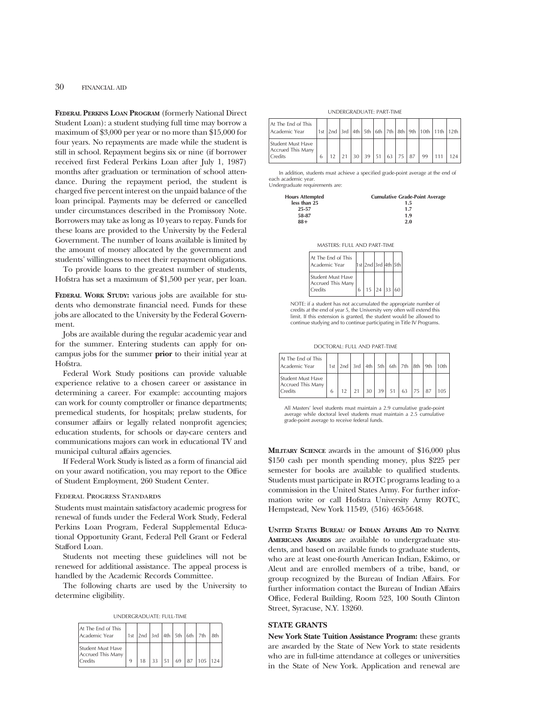30 FINANCIAL AID

**FEDERAL PERKINS LOAN PROGRAM** (formerly National Direct Student Loan): a student studying full time may borrow a maximum of \$3,000 per year or no more than \$15,000 for four years. No repayments are made while the student is still in school. Repayment begins six or nine (if borrower received first Federal Perkins Loan after July 1, 1987) months after graduation or termination of school attendance. During the repayment period, the student is charged five percent interest on the unpaid balance of the loan principal. Payments may be deferred or cancelled under circumstances described in the Promissory Note. Borrowers may take as long as 10 years to repay. Funds for these loans are provided to the University by the Federal Government. The number of loans available is limited by the amount of money allocated by the government and students' willingness to meet their repayment obligations.

To provide loans to the greatest number of students, Hofstra has set a maximum of \$1,500 per year, per loan.

**FEDERAL WORK STUDY:** various jobs are available for students who demonstrate financial need. Funds for these jobs are allocated to the University by the Federal Government.

Jobs are available during the regular academic year and for the summer. Entering students can apply for oncampus jobs for the summer **prior** to their initial year at Hofstra.

Federal Work Study positions can provide valuable experience relative to a chosen career or assistance in determining a career. For example: accounting majors can work for county comptroller or finance departments; premedical students, for hospitals; prelaw students, for consumer affairs or legally related nonprofit agencies; education students, for schools or day-care centers and communications majors can work in educational TV and municipal cultural affairs agencies.

If Federal Work Study is listed as a form of financial aid on your award notification, you may report to the Office of Student Employment, 260 Student Center.

#### Federal Progress Standards

Students must maintain satisfactory academic progress for renewal of funds under the Federal Work Study, Federal Perkins Loan Program, Federal Supplemental Educational Opportunity Grant, Federal Pell Grant or Federal Stafford Loan.

Students not meeting these guidelines will not be renewed for additional assistance. The appeal process is handled by the Academic Records Committee.

The following charts are used by the University to determine eligibility.

UNDERGRADUATE: FULL-TIME

| At The End of This<br>Academic Year               |  |  |  | 1st 2nd 3rd 4th 5th 6th 7th 8th                     |  |
|---------------------------------------------------|--|--|--|-----------------------------------------------------|--|
| Student Must Have<br>Accrued This Many<br>Credits |  |  |  | $33 \mid 51 \mid 69 \mid 87 \mid 105 \mid 124 \mid$ |  |

#### UNDERGRADUATE: PART-TIME

| At The End of This<br>Academic Year                      |   |  |    |                 |     |            |  |    | 1st  2nd  3rd   4th   5th   6th   7th   8th   9th   10th   11th   12th |     |
|----------------------------------------------------------|---|--|----|-----------------|-----|------------|--|----|------------------------------------------------------------------------|-----|
| Student Must Have<br>Accrued This Many<br><b>Credits</b> | h |  | 30 | $\frac{139}{ }$ | 151 | $63$ 75 87 |  | 99 |                                                                        | 124 |

In addition, students must achieve a specified grade-point average at the end of each academic year.

Undergraduate requirements are:

H<sub>o</sub>

| urs Attempted | <b>Cumulative Grade-Point Average</b> |
|---------------|---------------------------------------|
| less than 25  | 1.5                                   |
| 25-57         | 1.7                                   |
| 58-87         | 1.9                                   |
| $88+$         | 2.0                                   |

| <b>MASTERS: FULL AND PART-TIME</b>                |   |                     |                           |  |  |  |  |
|---------------------------------------------------|---|---------------------|---------------------------|--|--|--|--|
| At The End of This<br>Academic Year               |   | 1st 2nd 3rd 4th 5th |                           |  |  |  |  |
| Student Must Have<br>Accrued This Many<br>Credits | 6 |                     | $15 \mid 24 \mid 33 \mid$ |  |  |  |  |

NOTE: if a student has not accumulated the appropriate number of credits at the end of year 5, the University very often will extend this limit. If this extension is granted, the student would be allowed to continue studying and to continue participating in Title IV Programs.

DOCTORAL: FULL AND PART-TIME

| At The End of This<br>Academic Year                      |  |  |    |    | 1st   2nd   3rd   4th   5th   6th   7th   8th   9th   10th |    |  |
|----------------------------------------------------------|--|--|----|----|------------------------------------------------------------|----|--|
| Student Must Have<br>Accrued This Many<br><b>Credits</b> |  |  | 39 | 51 | 63                                                         | 87 |  |

All Masters' level students must maintain a 2.9 cumulative grade-point average while doctoral level students must maintain a 2.5 cumulative grade-point average to receive federal funds.

**MILITARY SCIENCE** awards in the amount of \$16,000 plus \$150 cash per month spending money, plus \$225 per semester for books are available to qualified students. Students must participate in ROTC programs leading to a commission in the United States Army. For further information write or call Hofstra University Army ROTC, Hempstead, New York 11549, (516) 463-5648.

**UNITED STATES BUREAU OF INDIAN AFFAIRS AID TO NATIVE AMERICANS AWARDS** are available to undergraduate students, and based on available funds to graduate students, who are at least one-fourth American Indian, Eskimo, or Aleut and are enrolled members of a tribe, band, or group recognized by the Bureau of Indian Affairs. For further information contact the Bureau of Indian Affairs Office, Federal Building, Room 523, 100 South Clinton Street, Syracuse, N.Y. 13260.

# **STATE GRANTS**

**New York State Tuition Assistance Program:** these grants are awarded by the State of New York to state residents who are in full-time attendance at colleges or universities in the State of New York. Application and renewal are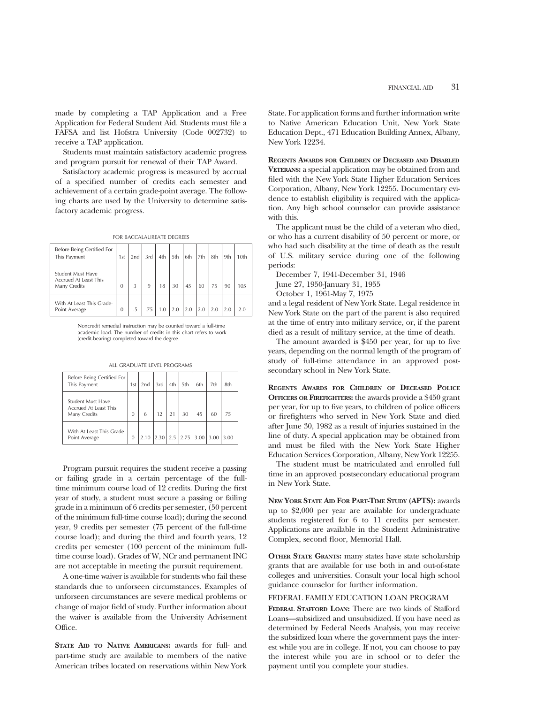made by completing a TAP Application and a Free Application for Federal Student Aid. Students must file a FAFSA and list Hofstra University (Code 002732) to receive a TAP application.

Students must maintain satisfactory academic progress and program pursuit for renewal of their TAP Award.

Satisfactory academic progress is measured by accrual of a specified number of credits each semester and achievement of a certain grade-point average. The following charts are used by the University to determine satisfactory academic progress.

|  |  | FOR BACCALAUREATE DEGREES |  |
|--|--|---------------------------|--|
|--|--|---------------------------|--|

| Before Being Certified For<br>This Payment                 | 1st      | 2nd             | 3rd | 4th | 5th | 6th | 7th | 8th | 9th | 10th |
|------------------------------------------------------------|----------|-----------------|-----|-----|-----|-----|-----|-----|-----|------|
| Student Must Have<br>Accrued At Least This<br>Many Credits | $\Omega$ | 3               | 9   | 18  | 30  | 45  | 60  | 75  | 90  | 105  |
| With At Least This Grade-<br>Point Average                 | $\Omega$ | $.5\phantom{0}$ | .75 | 1.0 | 2.0 | 2.0 | 2.0 | 2.0 | 2.0 | 2.0  |

Noncredit remedial instruction may be counted toward a full-time academic load. The number of credits in this chart refers to work (credit-bearing) completed toward the degree.

| Before Being Certified For<br>This Payment                               | 1st            | 2nd  | 3rd        | 4th | 5th         | 6th | 7th  | 8th  |
|--------------------------------------------------------------------------|----------------|------|------------|-----|-------------|-----|------|------|
| <b>Student Must Have</b><br><b>Accrued At Least This</b><br>Many Credits | $\Omega$       | 6    | 12         |     | 30          | 45  | 60   | 75   |
| With At Least This Grade-<br>Point Average                               | $\overline{0}$ | 2.10 | $2.30$ 2.5 |     | $2.75$ 3.00 |     | 3.00 | 3.00 |

Program pursuit requires the student receive a passing or failing grade in a certain percentage of the fulltime minimum course load of 12 credits. During the first year of study, a student must secure a passing or failing grade in a minimum of 6 credits per semester, (50 percent of the minimum full-time course load); during the second year, 9 credits per semester (75 percent of the full-time course load); and during the third and fourth years, 12 credits per semester (100 percent of the minimum fulltime course load). Grades of W, NCr and permanent INC are not acceptable in meeting the pursuit requirement.

A one-time waiver is available for students who fail these standards due to unforseen circumstances. Examples of unforseen circumstances are severe medical problems or change of major field of study. Further information about the waiver is available from the University Advisement Office.

**STATE AID TO NATIVE AMERICANS:** awards for full- and part-time study are available to members of the native American tribes located on reservations within New York

State. For application forms and further information write to Native American Education Unit, New York State Education Dept., 471 Education Building Annex, Albany, New York 12234.

**REGENTS AWARDS FOR CHILDREN OF DECEASED AND DISABLED VETERANS:** a special application may be obtained from and filed with the New York State Higher Education Services Corporation, Albany, New York 12255. Documentary evidence to establish eligibility is required with the application. Any high school counselor can provide assistance with this.

The applicant must be the child of a veteran who died, or who has a current disability of 50 percent or more, or who had such disability at the time of death as the result of U.S. military service during one of the following periods:

December 7, 1941-December 31, 1946

June 27, 1950-January 31, 1955

October 1, 1961-May 7, 1975

and a legal resident of New York State. Legal residence in New York State on the part of the parent is also required at the time of entry into military service, or, if the parent died as a result of military service, at the time of death.

The amount awarded is \$450 per year, for up to five years, depending on the normal length of the program of study of full-time attendance in an approved postsecondary school in New York State.

**REGENTS AWARDS FOR CHILDREN OF DECEASED POLICE OFFICERS OR FIREFIGHTERS:** the awards provide a \$450 grant per year, for up to five years, to children of police officers or firefighters who served in New York State and died after June 30, 1982 as a result of injuries sustained in the line of duty. A special application may be obtained from and must be filed with the New York State Higher Education Services Corporation, Albany, New York 12255.

The student must be matriculated and enrolled full time in an approved postsecondary educational program in New York State.

**NEW YORK STATE AID FOR PART-TIME STUDY (APTS):** awards up to \$2,000 per year are available for undergraduate students registered for 6 to 11 credits per semester. Applications are available in the Student Administrative Complex, second floor, Memorial Hall.

**OTHER STATE GRANTS:** many states have state scholarship grants that are available for use both in and out-of-state colleges and universities. Consult your local high school guidance counselor for further information.

#### FEDERAL FAMILY EDUCATION LOAN PROGRAM

**FEDERAL STAFFORD LOAN:** There are two kinds of Stafford Loans—subsidized and unsubsidized. If you have need as determined by Federal Needs Analysis, you may receive the subsidized loan where the government pays the interest while you are in college. If not, you can choose to pay the interest while you are in school or to defer the payment until you complete your studies.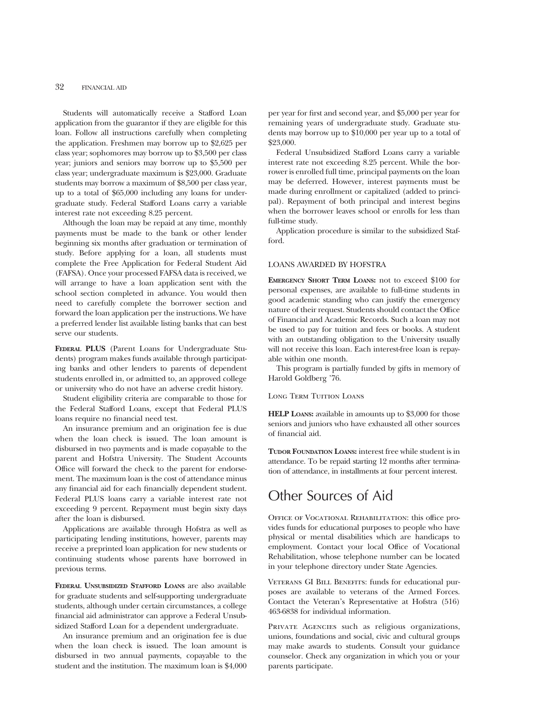Students will automatically receive a Stafford Loan application from the guarantor if they are eligible for this loan. Follow all instructions carefully when completing the application. Freshmen may borrow up to \$2,625 per class year; sophomores may borrow up to \$3,500 per class year; juniors and seniors may borrow up to \$5,500 per class year; undergraduate maximum is \$23,000. Graduate students may borrow a maximum of \$8,500 per class year, up to a total of \$65,000 including any loans for undergraduate study. Federal Stafford Loans carry a variable interest rate not exceeding 8.25 percent.

Although the loan may be repaid at any time, monthly payments must be made to the bank or other lender beginning six months after graduation or termination of study. Before applying for a loan, all students must complete the Free Application for Federal Student Aid (FAFSA). Once your processed FAFSA data is received, we will arrange to have a loan application sent with the school section completed in advance. You would then need to carefully complete the borrower section and forward the loan application per the instructions. We have a preferred lender list available listing banks that can best serve our students.

**FEDERAL PLUS** (Parent Loans for Undergraduate Students) program makes funds available through participating banks and other lenders to parents of dependent students enrolled in, or admitted to, an approved college or university who do not have an adverse credit history.

Student eligibility criteria are comparable to those for the Federal Stafford Loans, except that Federal PLUS loans require no financial need test.

An insurance premium and an origination fee is due when the loan check is issued. The loan amount is disbursed in two payments and is made copayable to the parent and Hofstra University. The Student Accounts Office will forward the check to the parent for endorsement. The maximum loan is the cost of attendance minus any financial aid for each financially dependent student. Federal PLUS loans carry a variable interest rate not exceeding 9 percent. Repayment must begin sixty days after the loan is disbursed.

Applications are available through Hofstra as well as participating lending institutions, however, parents may receive a preprinted loan application for new students or continuing students whose parents have borrowed in previous terms.

**FEDERAL UNSUBSIDIZED STAFFORD LOANS** are also available for graduate students and self-supporting undergraduate students, although under certain circumstances, a college financial aid administrator can approve a Federal Unsubsidized Stafford Loan for a dependent undergraduate.

An insurance premium and an origination fee is due when the loan check is issued. The loan amount is disbursed in two annual payments, copayable to the student and the institution. The maximum loan is \$4,000

per year for first and second year, and \$5,000 per year for remaining years of undergraduate study. Graduate students may borrow up to \$10,000 per year up to a total of \$23,000.

Federal Unsubsidized Stafford Loans carry a variable interest rate not exceeding 8.25 percent. While the borrower is enrolled full time, principal payments on the loan may be deferred. However, interest payments must be made during enrollment or capitalized (added to principal). Repayment of both principal and interest begins when the borrower leaves school or enrolls for less than full-time study.

Application procedure is similar to the subsidized Stafford.

#### LOANS AWARDED BY HOFSTRA

**EMERGENCY SHORT TERM LOANS:** not to exceed \$100 for personal expenses, are available to full-time students in good academic standing who can justify the emergency nature of their request. Students should contact the Office of Financial and Academic Records. Such a loan may not be used to pay for tuition and fees or books. A student with an outstanding obligation to the University usually will not receive this loan. Each interest-free loan is repayable within one month.

This program is partially funded by gifts in memory of Harold Goldberg '76.

#### Long Term Tuition Loans

**HELP LOANS:** available in amounts up to \$3,000 for those seniors and juniors who have exhausted all other sources of financial aid.

**TUDOR FOUNDATION LOANS:** interest free while student is in attendance. To be repaid starting 12 months after termination of attendance, in installments at four percent interest.

# Other Sources of Aid

OFFICE OF VOCATIONAL REHABILITATION: this office provides funds for educational purposes to people who have physical or mental disabilities which are handicaps to employment. Contact your local Office of Vocational Rehabilitation, whose telephone number can be located in your telephone directory under State Agencies.

VETERANS GI BILL BENEFITS: funds for educational purposes are available to veterans of the Armed Forces. Contact the Veteran's Representative at Hofstra (516) 463-6838 for individual information.

PRIVATE AGENCIES such as religious organizations, unions, foundations and social, civic and cultural groups may make awards to students. Consult your guidance counselor. Check any organization in which you or your parents participate.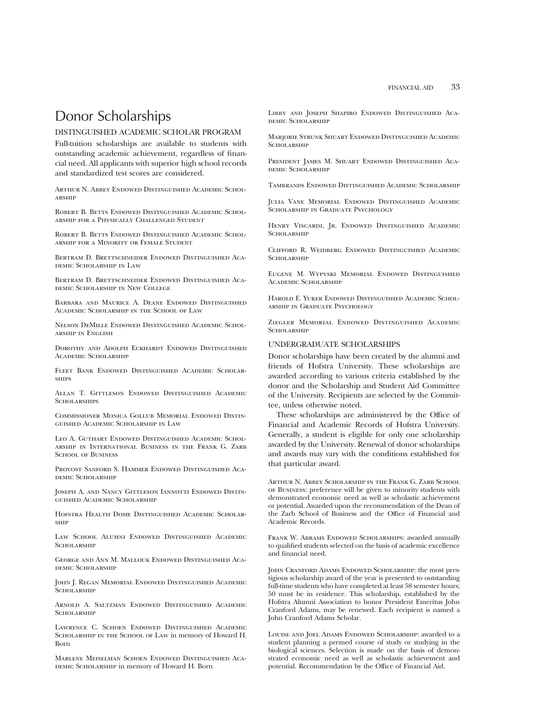# Donor Scholarships

# DISTINGUISHED ACADEMIC SCHOLAR PROGRAM

Full-tuition scholarships are available to students with outstanding academic achievement, regardless of financial need. All applicants with superior high school records and standardized test scores are considered.

Arthur N. Abbey Endowed Distinguished Academic Scholarship

Robert B. Betts Endowed Distinguished Academic Scholarship for a Physically Challenged Student

ROBERT B. BETTS ENDOWED DISTINGUISHED ACADEMIC SCHOLarship for a Minority or Female Student

Bertram D. Brettschneider Endowed Distinguished Academic Scholarship in Law

Bertram D. Brettschneider Endowed Distinguished Academic Scholarship in New College

Barbara and Maurice A. Deane Endowed Distinguished Academic Scholarship in the School of Law

Nelson DeMille Endowed Distinguished Academic Scholarship in English

Dorothy and Adolph Eckhardt Endowed Distinguished Academic Scholarship

Fleet Bank Endowed Distinguished Academic Scholar-**SHIPS** 

Allan T. Gittleson Endowed Distinguished Academic **SCHOLARSHIPS** 

Commissioner Monica Gollub Memorial Endowed Distinguished Academic Scholarship in Law

Leo A. Guthart Endowed Distinguished Academic Scholarship in International Business in the Frank G. Zarb SCHOOL OF BUSINESS

Provost Sanford S. Hammer Endowed Distinguished Academic Scholarship

Joseph A. and Nancy Gittleson Iannotti Endowed Distinguished Academic Scholarship

Hofstra Health Dome Distinguished Academic Scholarship

Law School Alumni Endowed Distinguished Academic **SCHOLARSHIP** 

George and Ann M. Mallouk Endowed Distinguished Academic Scholarship

John J. Regan Memorial Endowed Distinguished Academic **SCHOLARSHIP** 

Arnold A. Saltzman Endowed Distinguished Academic SCHOLARSHIP

Lawrence C. Schoen Endowed Distinguished Academic Scholarship in the School of Law in memory of Howard H. Born

Marlene Meiselman Schoen Endowed Distinguished Aca-DEMIC SCHOLARSHIP in memory of Howard H. Born

Libby and Joseph Shapiro Endowed Distinguished Academic Scholarship

Marjorie Strunk Shuart Endowed Distinguished Academic **SCHOLARSHIP** 

President James M. Shuart Endowed Distinguished Academic Scholarship

Tambrands Endowed Distinguished Academic Scholarship

Julia Vane Memorial Endowed Distinguished Academic SCHOLARSHIP IN GRADUATE PSYCHOLOGY

Henry Viscardi, Jr. Endowed Distinguished Academic **SCHOLARSHIP** 

Clifford R. Weidberg Endowed Distinguished Academic SCHOLARSHIP

Eugene M. Wypyski Memorial Endowed Distinguished ACADEMIC SCHOLARSHIP

Harold E. Yuker Endowed Distinguished Academic Scholarship in Graduate Psychology

Ziegler Memorial Endowed Distinguished Academic SCHOLARSHIP

#### UNDERGRADUATE SCHOLARSHIPS

Donor scholarships have been created by the alumni and friends of Hofstra University. These scholarships are awarded according to various criteria established by the donor and the Scholarship and Student Aid Committee of the University. Recipients are selected by the Committee, unless otherwise noted.

These scholarships are administered by the Office of Financial and Academic Records of Hofstra University. Generally, a student is eligible for only one scholarship awarded by the University. Renewal of donor scholarships and awards may vary with the conditions established for that particular award.

Arthur N. Abbey Scholarship in the Frank G. Zarb School of Business: preference will be given to minority students with demonstrated economic need as well as scholastic achievement or potential. Awarded upon the recommendation of the Dean of the Zarb School of Business and the Office of Financial and Academic Records.

Frank W. Abrams Endowed Scholarships: awarded annually to qualified students selected on the basis of academic excellence and financial need.

John Cranford Adams Endowed Scholarship: the most prestigious scholarship award of the year is presented to outstanding full-time students who have completed at least 58 semester hours; 50 must be in residence. This scholarship, established by the Hofstra Alumni Association to honor President Emeritus John Cranford Adams, may be renewed. Each recipient is named a John Cranford Adams Scholar.

Louise and Joel Adams Endowed Scholarship: awarded to a student planning a premed course of study or studying in the biological sciences. Selection is made on the basis of demonstrated economic need as well as scholastic achievement and potential. Recommendation by the Office of Financial Aid.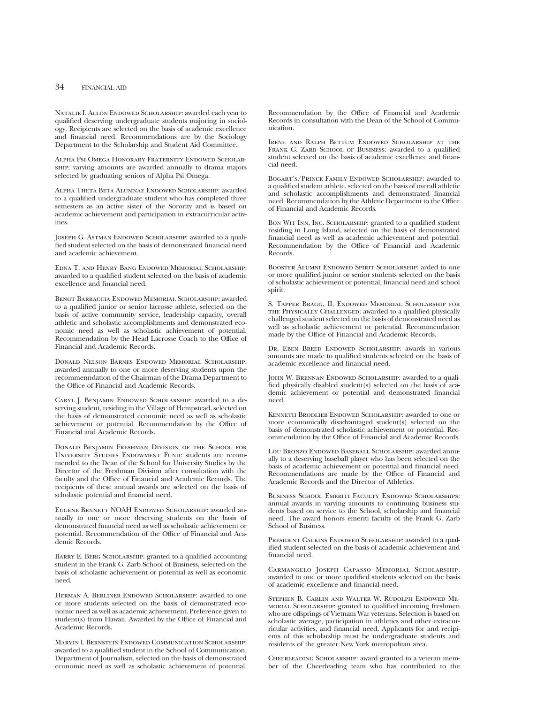## 34 FINANCIAL AID

Natalie I. Allon Endowed Scholarship: awarded each year to qualified deserving undergraduate students majoring in sociology. Recipients are selected on the basis of academic excellence and financial need. Recommendations are by the Sociology Department to the Scholarship and Student Aid Committee.

Alpha Psi Omega Honorary Fraternity Endowed Scholarship: varying amounts are awarded annually to drama majors selected by graduating seniors of Alpha Psi Omega.

Alpha Theta Beta Alumnae Endowed Scholarship: awarded to a qualified undergraduate student who has completed three semesters as an active sister of the Sorority and is based on academic achievement and participation in extracurricular activities.

JOSEPH G. ASTMAN ENDOWED SCHOLARSHIP: awarded to a qualified student selected on the basis of demonstrated financial need and academic achievement.

Edna T. and Henry Bang Endowed Memorial Scholarship: awarded to a qualified student selected on the basis of academic excellence and financial need.

Bengt Barbaccia Endowed Memorial Scholarship: awarded to a qualified junior or senior lacrosse athlete, selected on the basis of active community service, leadership capacity, overall athletic and scholastic accomplishments and demonstrated economic need as well as scholastic achievement of potential. Recommendation by the Head Lacrosse Coach to the Office of Financial and Academic Records.

Donald Nelson Barnes Endowed Memorial Scholarship: awarded annually to one or more deserving students upon the recommenndation of the Chairman of the Drama Department to the Office of Financial and Academic Records.

CARYL J. BENJAMIN ENDOWED SCHOLARSHIP: awarded to a deserving student, residing in the Village of Hempstead, selected on the basis of demonstrated economic need as well as scholastic achievement or potential. Recommendation by the Office of Financial and Academic Records.

Donald Benjamin Freshman Division of the School for University Studies Endowment Fund: students are recommended to the Dean of the School for University Studies by the Director of the Freshman Division after consultation with the faculty and the Office of Financial and Academic Records. The recipients of these annual awards are selected on the basis of scholastic potential and financial need.

Eugene Bennett NOAH Endowed Scholarship: awarded annually to one or more deserving students on the basis of demonstrated financial need as well as scholastic achievement or potential. Recommendation of the Office of Financial and Academic Records.

BARRY E. BERG SCHOLARSHIP: granted to a qualified accounting student in the Frank G. Zarb School of Business, selected on the basis of scholastic achievement or potential as well as economic need.

Herman A. Berliner Endowed Scholarship: awarded to one or more students selected on the basis of demonstrated economic need as well as academic achievement. Preference given to student(s) from Hawaii. Awarded by the Office of Financial and Academic Records.

Marvin I. Bernstein Endowed Communication Scholarship: awarded to a qualified student in the School of Communication, Department of Journalism, selected on the basis of demonstrated economic need as well as scholastic achievement of potential.

Recommendation by the Office of Financial and Academic Records in consultation with the Dean of the School of Communication.

Irene and Ralph Bettum Endowed Scholarship at the FRANK G. ZARB SCHOOL OF BUSINESS: awarded to a qualified student selected on the basis of academic excellence and financial need.

BOGART'S/PRINCE FAMILY ENDOWED SCHOLARSHIP: awarded to a qualified student athlete, selected on the basis of overall athletic and scholastic accomplishments and demonstrated financial need. Recommendation by the Athletic Department to the Office of Financial and Academic Records.

Bon Wit Inn, Inc. Scholarship: granted to a qualified student residing in Long Island, selected on the basis of demonstrated financial need as well as academic achievement and potential. Recommendation by the Office of Financial and Academic Records.

Booster Alumni Endowed Spirit Scholarship: arded to one or more qualified junior or senior students selected on the basis of scholastic achievement or potential, financial need and school spirit.

S. Tapper Bragg, II, Endowed Memorial Scholarship for the Physically Challenged: awarded to a qualified physically challenged student selected on the basis of demonstrated need as well as scholastic achievement or potential. Recommendation made by the Office of Financial and Academic Records.

Dr. Eben Breed Endowed Scholarship: awards in various amounts are made to qualified students selected on the basis of academic excellence and financial need.

JOHN W. BRENNAN ENDOWED SCHOLARSHIP: awarded to a qualified physically disabled student(s) selected on the basis of academic achievement or potential and demonstrated financial need.

Kenneth Brodlieb Endowed Scholarship: awarded to one or more economically disadvantaged student(s) selected on the basis of demonstrated scholastic achievement or potential. Recommendation by the Office of Financial and Academic Records.

Lou Bronzo Endowed Baseball SCHOLARSHIP: awarded annually to a deserving baseball player who has been selected on the basis of academic achievement or potential and financial need. Recommendations are made by the Office of Financial and Academic Records and the Director of Athletics.

Business School Emeriti Faculty Endowed Scholarships: annual awards in varying amounts to continuing business students based on service to the School, scholarship and financial need. The award honors emeriti faculty of the Frank G. Zarb School of Business.

PRESIDENT CALKINS ENDOWED SCHOLARSHIP: awarded to a qualified student selected on the basis of academic achievement and financial need.

Carmangelo Joseph Capasso Memorial Scholarship: awarded to one or more qualified students selected on the basis of academic excellence and financial need.

Stephen B. Carlin and Walter W. Rudolph Endowed Memorial Scholarship: granted to qualified incoming freshmen who are offsprings of Vietnam War veterans. Selection is based on scholastic average, participation in athletics and other extracurricular activities, and financial need. Applicants for and recipients of this scholarship must be undergraduate students and residents of the greater New York metropolitan area.

Cheerleading Scholarship: award granted to a veteran member of the Cheerleading team who has contributed to the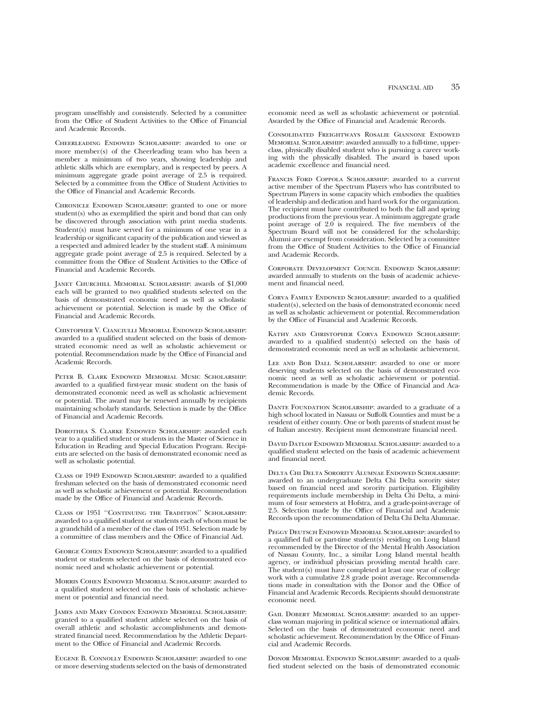program unselfishly and consistently. Selected by a committee from the Office of Student Activities to the Office of Financial and Academic Records.

Cheerleading Endowed Scholarship: awarded to one or more member(s) of the Cheerleading team who has been a member a minimum of two years, showing leadership and athletic skills which are exemplary, and is respected by peers. A minimum aggregate grade point average of 2.5 is required. Selected by a committee from the Office of Student Activities to the Office of Financial and Academic Records.

Chronicle Endowed Scholarship: granted to one or more student(s) who as exemplified the spirit and bond that can only be discovered through association with print media students. Student(s) must have served for a minimum of one year in a leadership or significant capacity of the publication and viewed as a respected and admired leader by the student staff. A minimum aggregate grade point average of 2.5 is required. Selected by a committee from the Office of Student Activities to the Office of Financial and Academic Records.

Janet Churchill Memorial Scholarship: awards of \$1,000 each will be granted to two qualified students selected on the basis of demonstrated economic need as well as scholastic achievement or potential. Selection is made by the Office of Financial and Academic Records.

Chistopher V. Cianciulli Memorial Endowed Scholarship: awarded to a qualified student selected on the basis of demonstrated economic need as well as scholastic achievement or potential. Recommendation made by the Office of Financial and Academic Records.

Peter B. Clark Endowed Memorial Music Scholarship: awarded to a qualified first-year music student on the basis of demonstrated economic need as well as scholastic achievement or potential. The award may be renewed annually by recipients maintaining scholarly standards. Selection is made by the Office of Financial and Academic Records.

Dorothea S. Clarke Endowed Scholarship: awarded each year to a qualified student or students in the Master of Science in Education in Reading and Special Education Program. Recipients are selected on the basis of demonstrated economic need as well as scholastic potential.

CLASS OF 1949 ENDOWED SCHOLARSHIP: awarded to a qualified freshman selected on the basis of demonstrated economic need as well as scholastic achievement or potential. Recommendation made by the Office of Financial and Academic Records.

Class of 1951 ''Continuing the Tradition'' Scholarship: awarded to a qualified student or students each of whom must be a grandchild of a member of the class of 1951. Selection made by a committee of class members and the Office of Financial Aid.

GEORGE COHEN ENDOWED SCHOLARSHIP: awarded to a qualified student or students selected on the basis of demonstrated economic need and scholastic achievement or potential.

Morris Cohen Endowed Memorial Scholarship: awarded to a qualified student selected on the basis of scholastic achievement or potential and financial need.

James and Mary Condon Endowed Memorial Scholarship: granted to a qualified student athlete selected on the basis of overall athletic and scholastic accomplishments and demonstrated financial need. Recommendation by the Athletic Department to the Office of Financial and Academic Records.

Eugene B. Connolly Endowed Scholarship: awarded to one or more deserving students selected on the basis of demonstrated economic need as well as scholastic achievement or potential. Awarded by the Office of Financial and Academic Records.

Consolidated Freightways Rosalie Giannone Endowed Memorial Scholarship: awarded annually to a full-time, upperclass, physically disabled student who is pursuing a career working with the physically disabled. The award is based upon academic excellence and financial need.

Francis Ford Coppola Scholarship: awarded to a current active member of the Spectrum Players who has contributed to Spectrum Players in some capacity which embodies the qualities of leadership and dedication and hard work for the organization. The recipient must have contributed to both the fall and spring productions from the previous year. A minimum aggregate grade point average of 2.0 is required. The five members of the Spectrum Board will not be considered for the scholarship; Alumni are exempt from consideration. Selected by a committee from the Office of Student Activities to the Office of Financial and Academic Records.

Corporate Development Council Endowed Scholarship: awarded annually to students on the basis of academic achievement and financial need.

CORVA FAMILY ENDOWED SCHOLARSHIP: awarded to a qualified student(s), selected on the basis of demonstrated economic need as well as scholastic achievement or potential. Recommendation by the Office of Financial and Academic Records.

Kathy and Christopher Corva Endowed Scholarship: awarded to a qualified student(s) selected on the basis of demonstrated economic need as well as scholastic achievement.

LEE AND BOB DALL SCHOLARSHIP: awarded to one or more deserving students selected on the basis of demonstrated economic need as well as scholastic achievement or potential. Recommendation is made by the Office of Financial and Academic Records.

DANTE FOUNDATION SCHOLARSHIP: awarded to a graduate of a high school located in Nassau or Suffolk Counties and must be a resident of either county. One or both parents of student must be of Italian ancestry. Recipient must demonstrate financial need.

David Datlof Endowed Memorial Scholarship: awarded to a qualified student selected on the basis of academic achievement and financial need.

Delta Chi Delta Sorority Alumnae Endowed Scholarship: awarded to an undergraduate Delta Chi Delta sorority sister based on financial need and sorority participation. Eligibility requirements include membership in Delta Chi Delta, a minimum of four semesters at Hofstra, and a grade-point-average of 2.5. Selection made by the Office of Financial and Academic Records upon the recommendation of Delta Chi Delta Alumnae.

Peggy Deutsch Endowed Memorial Scholarhsip: awarded to a qualified full or part-time student(s) residing on Long Island recommended by the Director of the Mental Health Association of Nassau County, Inc., a similar Long Island mental health agency, or individual physician providing mental health care. The student(s) must have completed at least one year of college work with a cumulative 2.8 grade point average. Recommendations made in consultation with the Donor and the Office of Financial and Academic Records. Recipients should demonstrate economic need.

GAIL DOBERT MEMORIAL SCHOLARSHIP: awarded to an upperclass woman majoring in political science or international affairs. Selected on the basis of demonstrated economic need and scholastic achievement. Recommendation by the Office of Financial and Academic Records.

DONOR MEMORIAL ENDOWED SCHOLARSHIP: awarded to a qualified student selected on the basis of demonstrated economic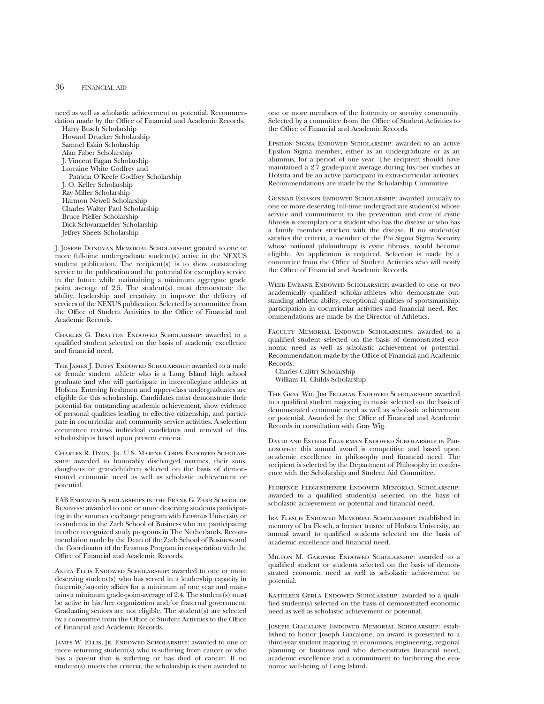need as well as scholastic achievement or potential. Recommendation made by the Office of Financial and Academic Records.

Harry Busch Scholarship Howard Drucker Scholarship Samuel Eskin Scholarship Alan Faber Scholarship J. Vincent Fagan Scholarship Lorraine White Godfrey and Patricia O'Keefe Godfrey Scholarship J. O. Keller Scholarship Ray Miller Scholarship Harmon Newell Scholarship Charles Walter Paul Scholarship Bruce Pfeffer Scholarship Dick Schwarzaelder Scholarship

Jeffrey Sheets Scholarship

J. Joseph Donovan Memorial Scholarship: granted to one or more full-time undergraduate student(s) active in the NEXUS student publication. The recipient(s) is to show outstanding service to the publication and the potential for exemplary service in the future while maintaining a minimum aggregate grade point average of 2.5. The student(s) must demonstrate the ability, leadership and creativity to improve the delivery of services of the NEXUS publication. Selected by a committee from the Office of Student Activities to the Office of Financial and Academic Records.

Charles G. Drayton Endowed Scholarship: awarded to a qualified student selected on the basis of academic excellence and financial need.

The James J. Duffy Endowed Scholarship: awarded to a male or female student athlete who is a Long Island high school graduate and who will participate in intercollegiate athletics at Hofstra. Entering freshmen and upper-class undergraduates are eligible for this scholarship. Candidates must demonstrate their potential for outstanding academic achievement, show evidence of personal qualities leading to effective citizenship, and participate in cocurricular and community service activities. A selection committee reviews individual candidates and renewal of this scholarship is based upon present criteria.

Charles R. Dyon, Jr. U.S. Marine Corps Endowed Scholarship: awarded to honorably discharged marines, their sons, daughters or grandchildren selected on the basis of demonstrated economic need as well as scholastic achievement or potential.

EAB Endowed Scholarships in the Frank G. Zarb School of Business: awarded to one or more deserving students participating in the summer exchange program with Erasmus University or to students in the Zarb School of Business who are participating in other recognized study programs in The Netherlands. Recommendation made by the Dean of the Zarb School of Business and the Coordinator of the Erasmus Program in cooperation with the Office of Financial and Academic Records.

ANITA ELLIS ENDOWED SCHOLARSHIP: awarded to one or more deserving student(s) who has served in a leadership capacity in fraternity/sorority affairs for a minimum of one year and maintains a minimum grade-point-average of 2.4. The student(s) must be active in his/her organization and/or fraternal government. Graduating seniors are not eligible. The student(s) are selected by a committee from the Office of Student Activities to the Office of Financial and Academic Records.

James W. Ellis, Jr. Endowed Scholarship: awarded to one or more returning student(s) who is suffering from cancer or who has a parent that is suffering or has died of cancer. If no student(s) meets this criteria, the scholarship is then awarded to

one or more members of the fraternity or sorority community. Selected by a committee from the Office of Student Activities to the Office of Financial and Academic Records.

Epsilon Sigma Endowed Scholarship: awarded to an active Epsilon Sigma member, either as an undergraduate or as an alumnus, for a period of one year. The recipient should have maintained a 2.7 grade-point average during his/her studies at Hofstra and be an active participant in extra-curricular activities. Recommendations are made by the Scholarship Committee.

Gunnar Esiason Endowed Scholarship: awarded annually to one or more deserving full-time undergraduate student(s) whose service and commitment to the prevention and cure of cystic fibrosis is exemplary or a student who has the disease or who has a family member stricken with the disease. If no student(s) satisfies the criteria, a member of the Phi Sigma Sigma Sorority whose national philanthropy is cystic fibrosis, would become eligible. An application is required. Selection is made by a committee from the Office of Student Activities who will notify the Office of Financial and Academic Records.

WEEB EWBANK ENDOWED SCHOLARSHIP: awarded to one or two academically qualified scholar-athletes who demonstrate outstanding athletic ability, exceptional qualities of sportsmanship, participation in cocurricular activities and financial need. Recommendations are made by the Director of Athletics.

Faculty Memorial Endowed Scholarships: awarded to a qualified student selected on the basis of demonstrated economic need as well as scholastic achievement or potential. Recommendation made by the Office of Financial and Academic Records.

Charles Calitri Scholarship William H. Childs Scholarship

The Gray Wig Jim Fellman Endowed Scholarship: awarded to a qualified student majoring in music selected on the basis of demonstrated economic need as well as scholastic achievement or potential. Awarded by the Office of Financial and Academic Records in consultation with Gray Wig.

David and Esther Filderman Endowed Scholarship in Philosophy: this annual award is competitive and based upon academic excellence in philosophy and financial need. The recipient is selected by the Department of Philosophy in conference with the Scholarship and Student Aid Committee.

Florence Flegenheimer Endowed Memorial Scholarship: awarded to a qualified student(s) selected on the basis of scholastic achievement or potential and financial need.

Ira Flesch Endowed Memorial Scholarship: established in memory of Ira Flesch, a former trustee of Hofstra University, an annual award to qualified students selected on the basis of academic excellence and financial need.

Milton M. Gardner Endowed Scholarship: awarded to a qualified student or students selected on the basis of demonstrated economic need as well as scholastic achievement or potential.

KATHLEEN GERLA ENDOWED SCHOLARSHIP: awarded to a qualified student(s) selected on the basis of demonstrated economic need as well as scholastic achievement or potential.

Joseph Giacalone Endowed Memorial Scholarship: established to honor Joseph Giacalone, an award is presented to a third-year student majoring in economics, engineering, regional planning or business and who demonstrates financial need, academic excellence and a commitment to furthering the economic well-being of Long Island.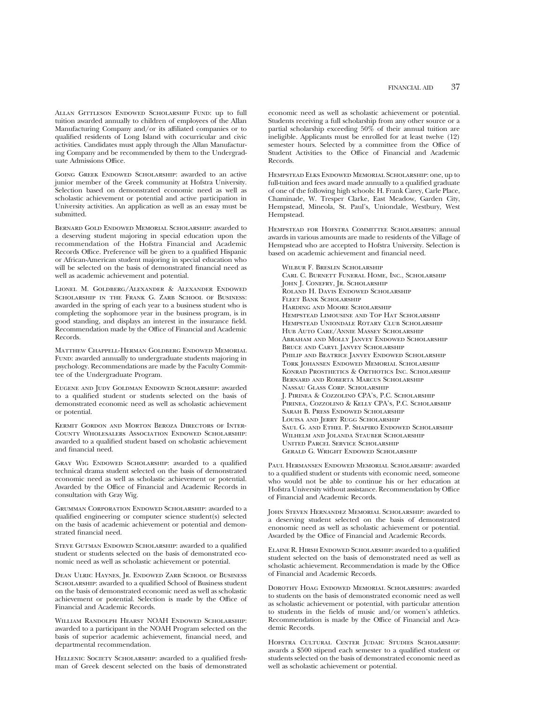Allan Gittleson Endowed Scholarship Fund: up to full tuition awarded annually to children of employees of the Allan Manufacturing Company and/or its affiliated companies or to qualified residents of Long Island with cocurricular and civic activities. Candidates must apply through the Allan Manufacturing Company and be recommended by them to the Undergraduate Admissions Office.

GOING GREEK ENDOWED SCHOLARSHIP: awarded to an active junior member of the Greek community at Hofstra University. Selection based on demonstrated economic need as well as scholastic achievement or potential and active participation in University activities. An application as well as an essay must be submitted.

Bernard Gold Endowed Memorial Scholarship: awarded to a deserving student majoring in special education upon the recommendation of the Hofstra Financial and Academic Records Office. Preference will be given to a qualified Hispanic or African-American student majoring in special education who will be selected on the basis of demonstrated financial need as well as academic achievement and potential.

Lionel M. Goldberg/Alexander & Alexander Endowed SCHOLARSHIP IN THE FRANK G. ZARB SCHOOL OF BUSINESS: awarded in the spring of each year to a business student who is completing the sophomore year in the business program, is in good standing, and displays an interest in the insurance field. Recommendation made by the Office of Financial and Academic Records.

Matthew Chappell-Herman Goldberg Endowed Memorial FUND: awarded annually to undergraduate students majoring in psychology. Recommendations are made by the Faculty Committee of the Undergraduate Program.

Eugene and Judy Goldman Endowed Scholarship: awarded to a qualified student or students selected on the basis of demonstrated economic need as well as scholastic achievement or potential.

Kermit Gordon and Morton Beroza Directors of Inter-County Wholesalers Association Endowed Scholarship: awarded to a qualified student based on scholastic achievement and financial need.

GRAY WIG ENDOWED SCHOLARSHIP: awarded to a qualified technical drama student selected on the basis of demonstrated economic need as well as scholastic achievement or potential. Awarded by the Office of Financial and Academic Records in consultation with Gray Wig.

GRUMMAN CORPORATION ENDOWED SCHOLARSHIP: awarded to a qualified engineering or computer science student(s) selected on the basis of academic achievement or potential and demonstrated financial need.

STEVE GUTMAN ENDOWED SCHOLARSHIP: awarded to a qualified student or students selected on the basis of demonstrated economic need as well as scholastic achievement or potential.

Dean Ulric Haynes, Jr. Endowed Zarb School of Business SCHOLARSHIP: awarded to a qualified School of Business student on the basis of demonstrated economic need as well as scholastic achievement or potential. Selection is made by the Office of Financial and Academic Records.

WILLIAM RANDOLPH HEARST NOAH ENDOWED SCHOLARSHIP: awarded to a participant in the NOAH Program selected on the basis of superior academic achievement, financial need, and departmental recommendation.

HELLENIC SOCIETY SCHOLARSHIP: awarded to a qualified freshman of Greek descent selected on the basis of demonstrated economic need as well as scholastic achievement or potential. Students receiving a full scholarship from any other source or a partial scholarship exceeding 50% of their annual tuition are ineligible. Applicants must be enrolled for at least twelve (12) semester hours. Selected by a committee from the Office of Student Activities to the Office of Financial and Academic Records.

Hempstead Elks Endowed Memorial Scholarship: one, up to full-tuition and fees award made annually to a qualified graduate of one of the following high schools: H. Frank Carey, Carle Place, Chaminade, W. Tresper Clarke, East Meadow, Garden City, Hempstead, Mineola, St. Paul's, Uniondale, Westbury, West Hempstead.

HEMPSTEAD FOR HOFSTRA COMMITTEE SCHOLARSHIPS: annual awards in various amounts are made to residents of the Village of Hempstead who are accepted to Hofstra University. Selection is based on academic achievement and financial need.

Wilbur F. Breslin Scholarship Carl C. Burnett Funeral Home, Inc., Scholarship John J. Conefry, Jr. Scholarship Roland H. Davis Endowed Scholarship FLEET BANK SCHOLARSHIP Harding and Moore Scholarship Hempstead Limousine and Top Hat Scholarship Hempstead Uniondale Rotary Club Scholarship Hub Auto Care/Annie Massey Scholarship Abraham and Molly Janvey Endowed Scholarship Bruce and Caryl Janvey Scholarship PHILIP AND BEATRICE JANVEY ENDOWED SCHOLARSHIP Tork Johansen Endowed Memorial Scholarship Konrad Prosthetics & Orthotics Inc. Scholarship Bernard and Roberta Marcus Scholarship Nassau Glass Corp. Scholarship J. Pirinea & Cozzolino CPA's, P.C. Scholarship Pirinea, Cozzolino & Kelly CPA's, P.C. Scholarship Sarah B. Press Endowed Scholarship LOUISA AND JERRY RUGG SCHOLARSHIP Saul G. and Ethel P. Shapiro Endowed Scholarship WILHELM AND JOLANDA STAUBER SCHOLARSHIP United Parcel Service Scholarship Gerald G. Wright Endowed Scholarship

Paul Hermansen Endowed Memorial Scholarship: awarded to a qualified student or students with economic need, someone who would not be able to continue his or her education at Hofstra University without assistance. Recommendation by Office of Financial and Academic Records.

John Steven Hernandez Memorial Scholarship: awarded to a deserving student selected on the basis of demonstrated enonomic need as well as scholastic achievement or potential. Awarded by the Office of Financial and Academic Records.

Elaine R. Hirsh Endowed Scholarship: awarded to a qualified student selected on the basis of demonstrated need as well as scholastic achievement. Recommendation is made by the Office of Financial and Academic Records.

Dorothy Hoag Endowed Memorial Scholarships: awarded to students on the basis of demonstrated economic need as well as scholastic achievement or potential, with particular attention to students in the fields of music and/or women's athletics. Recommendation is made by the Office of Financial and Academic Records.

Hofstra Cultural Center Judaic Studies Scholarship: awards a \$500 stipend each semester to a qualified student or students selected on the basis of demonstrated economic need as well as scholastic achievement or potential.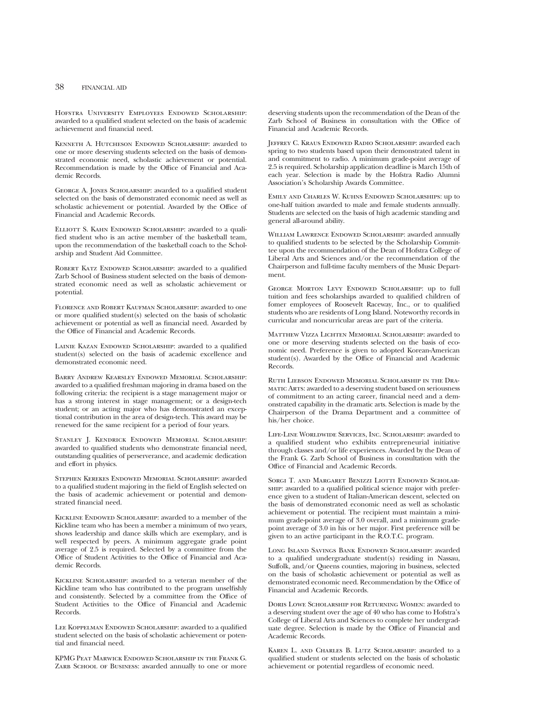## 38 FINANCIAL AID

Hofstra University Employees Endowed Scholarship: awarded to a qualified student selected on the basis of academic achievement and financial need.

Kenneth A. Hutcheson Endowed Scholarship: awarded to one or more deserving students selected on the basis of demonstrated economic need, scholastic achievement or potential. Recommendation is made by the Office of Financial and Academic Records.

George A. Jones Scholarship: awarded to a qualified student selected on the basis of demonstrated economic need as well as scholastic achievement or potential. Awarded by the Office of Financial and Academic Records.

ELLIOTT S. KAHN ENDOWED SCHOLARSHIP: awarded to a qualified student who is an active member of the basketball team, upon the recommendation of the basketball coach to the Scholarship and Student Aid Committee.

ROBERT KATZ ENDOWED SCHOLARSHIP: awarded to a qualified Zarb School of Business student selected on the basis of demonstrated economic need as well as scholastic achievement or potential.

Florence and Robert Kaufman Scholarship: awarded to one or more qualified student(s) selected on the basis of scholastic achievement or potential as well as financial need. Awarded by the Office of Financial and Academic Records.

LAINIE KAZAN ENDOWED SCHOLARSHIP: awarded to a qualified student(s) selected on the basis of academic excellence and demonstrated economic need.

Barry Andrew Kearsley Endowed Memorial Scholarship: awarded to a qualified freshman majoring in drama based on the following criteria: the recipient is a stage management major or has a strong interest in stage management; or a design-tech student; or an acting major who has demonstrated an exceptional contribution in the area of design-tech. This award may be renewed for the same recipient for a period of four years.

Stanley J. Kendrick Endowed Memorial Scholarship: awarded to qualified students who demonstrate financial need, outstanding qualities of perserverance, and academic dedication and effort in physics.

Stephen Kerekes Endowed Memorial Scholarship: awarded to a qualified student majoring in the field of English selected on the basis of academic achievement or potential and demonstrated financial need.

Kickline Endowed Scholarship: awarded to a member of the Kickline team who has been a member a minimum of two years, shows leadership and dance skills which are exemplary, and is well respected by peers. A minimum aggregate grade point average of 2.5 is required. Selected by a committee from the Office of Student Activities to the Office of Financial and Academic Records.

Kickline Scholarship: awarded to a veteran member of the Kickline team who has contributed to the program unselfishly and consistently. Selected by a committee from the Office of Student Activities to the Office of Financial and Academic Records.

Lee Koppelman Endowed Scholarship: awarded to a qualified student selected on the basis of scholastic achievement or potential and financial need.

KPMG Peat Marwick Endowed Scholarship in the Frank G. ZARB SCHOOL OF BUSINESS: awarded annually to one or more deserving students upon the recommendation of the Dean of the Zarb School of Business in consultation with the Office of Financial and Academic Records.

Jeffrey C. Kraus Endowed Radio Scholarship: awarded each spring to two students based upon their demonstrated talent in and commitment to radio. A minimum grade-point average of 2.5 is required. Scholarship application deadline is March 15th of each year. Selection is made by the Hofstra Radio Alumni Association's Scholarship Awards Committee.

Emily and Charles W. Kuhns Endowed Scholarships: up to one-half tuition awarded to male and female students annually. Students are selected on the basis of high academic standing and general all-around ability.

William Lawrence Endowed Scholarship: awarded annually to qualified students to be selected by the Scholarship Committee upon the recommendation of the Dean of Hofstra College of Liberal Arts and Sciences and/or the recommendation of the Chairperson and full-time faculty members of the Music Department.

George Morton Levy Endowed Scholarship: up to full tuition and fees scholarships awarded to qualified children of fomer employees of Roosevelt Raceway, Inc., or to qualified students who are residents of Long Island. Noteworthy records in curricular and noncurricular areas are part of the criteria.

Matthew Vizza Lichten Memorial Scholarship: awarded to one or more deserving students selected on the basis of economic need. Preference is given to adopted Korean-American student(s). Awarded by the Office of Financial and Academic Records.

Ruth Liebson Endowed Memorial Scholarship in the Dramatic Arts: awarded to a deserving student based on seriousness of commitment to an acting career, financial need and a demonstrated capability in the dramatic arts. Selection is made by the Chairperson of the Drama Department and a committee of his/her choice.

Life-Line Worldwide Services, Inc. Scholarship: awarded to a qualified student who exhibits entrepreneurial initiative through classes and/or life experiences. Awarded by the Dean of the Frank G. Zarb School of Business in consultation with the Office of Financial and Academic Records.

SORGI T. AND MARGARET BENIZZI LIOTTI ENDOWED SCHOLARship: awarded to a qualified political science major with preference given to a student of Italian-American descent, selected on the basis of demonstrated economic need as well as scholastic achievement or potential. The recipient must maintain a minimum grade-point average of 3.0 overall, and a minimum gradepoint average of 3.0 in his or her major. First preference will be given to an active participant in the R.O.T.C. program.

Long Island Savings Bank Endowed Scholarship: awarded to a qualified undergraduate student(s) residing in Nassau, Suffolk, and/or Queens counties, majoring in business, selected on the basis of scholastic achievement or potential as well as demonstrated economic need. Recommendation by the Office of Financial and Academic Records.

Doris Lowe Scholarship for Returning Women: awarded to a deserving student over the age of 40 who has come to Hofstra's College of Liberal Arts and Sciences to complete her undergraduate degree. Selection is made by the Office of Financial and Academic Records.

Karen L. and Charles B. Lutz Scholarship: awarded to a qualified student or students selected on the basis of scholastic achievement or potential regardless of economic need.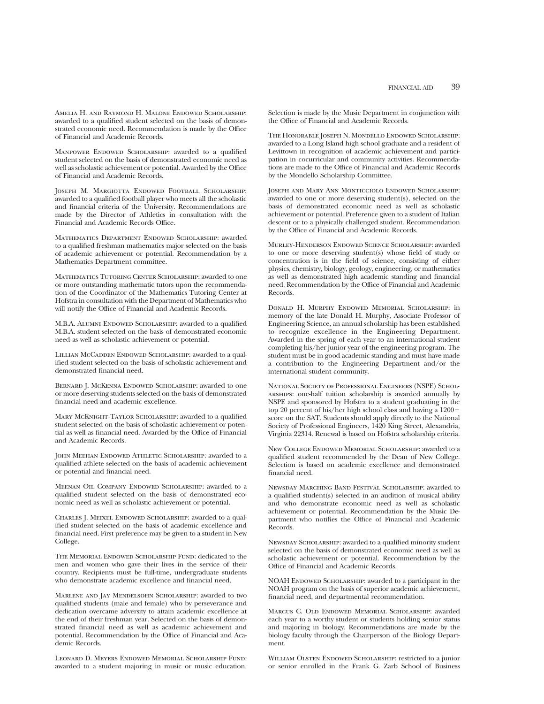Amelia H. and Raymond H. Malone Endowed Scholarship: awarded to a qualified student selected on the basis of demonstrated economic need. Recommendation is made by the Office of Financial and Academic Records.

MANPOWER ENDOWED SCHOLARSHIP: awarded to a qualified student selected on the basis of demonstrated economic need as well as scholastic achievement or potential. Awarded by the Office of Financial and Academic Records.

Joseph M. Margiotta Endowed Football Scholarship: awarded to a qualified football player who meets all the scholastic and financial criteria of the University. Recommendations are made by the Director of Athletics in consultation with the Financial and Academic Records Office.

Mathematics Department Endowed Scholarship: awarded to a qualified freshman mathematics major selected on the basis of academic achievement or potential. Recommendation by a Mathematics Department committee.

Mathematics Tutoring Center Scholarship: awarded to one or more outstanding mathematic tutors upon the recommendation of the Coordinator of the Mathematics Tutoring Center at Hofstra in consultation with the Department of Mathematics who will notify the Office of Financial and Academic Records.

M.B.A. ALUMNI ENDOWED SCHOLARSHIP: awarded to a qualified M.B.A. student selected on the basis of demonstrated economic need as well as scholastic achievement or potential.

LILLIAN MCCADDEN ENDOWED SCHOLARSHIP: awarded to a qualified student selected on the basis of scholastic achievement and demonstrated financial need.

BERNARD J. MCKENNA ENDOWED SCHOLARSHIP: awarded to one or more deserving students selected on the basis of demonstrated financial need and academic excellence.

Mary McKnight-Taylor Scholarship: awarded to a qualified student selected on the basis of scholastic achievement or potential as well as financial need. Awarded by the Office of Financial and Academic Records.

John Meehan Endowed Athletic Scholarship: awarded to a qualified athlete selected on the basis of academic achievement or potential and financial need.

Meenan Oil Company Endowed Scholarship: awarded to a qualified student selected on the basis of demonstrated economic need as well as scholastic achievement or potential.

Charles J. Meixel Endowed Scholarship: awarded to a qualified student selected on the basis of academic excellence and financial need. First preference may be given to a student in New College.

The Memorial Endowed Scholarship Fund: dedicated to the men and women who gave their lives in the service of their country. Recipients must be full-time, undergraduate students who demonstrate academic excellence and financial need.

Marlene and Jay Mendelsohn Scholarship: awarded to two qualified students (male and female) who by perseverance and dedication overcame adversity to attain academic excellence at the end of their freshman year. Selected on the basis of demonstrated financial need as well as academic achievement and potential. Recommendation by the Office of Financial and Academic Records.

Leonard D. Meyers Endowed Memorial Scholarship Fund: awarded to a student majoring in music or music education.

Selection is made by the Music Department in conjunction with the Office of Financial and Academic Records.

The Honorable Joseph N. Mondello Endowed Scholarship: awarded to a Long Island high school graduate and a resident of Levittown in recognition of academic achievement and participation in cocurricular and community activities. Recommendations are made to the Office of Financial and Academic Records by the Mondello Scholarship Committee.

Joseph and Mary Ann Monticciolo Endowed Scholarship: awarded to one or more deserving student(s), selected on the basis of demonstrated economic need as well as scholastic achievement or potential. Preference given to a student of Italian descent or to a physically challenged student. Recommendation by the Office of Financial and Academic Records.

Murley-Henderson Endowed Science Scholarship: awarded to one or more deserving student(s) whose field of study or concentration is in the field of science, consisting of either physics, chemistry, biology, geology, engineering, or mathematics as well as demonstrated high academic standing and financial need. Recommendation by the Office of Financial and Academic Records.

Donald H. Murphy Endowed Memorial Scholarship: in memory of the late Donald H. Murphy, Associate Professor of Engineering Science, an annual scholarship has been established to recognize excellence in the Engineering Department. Awarded in the spring of each year to an international student completing his/her junior year of the engineering program. The student must be in good academic standing and must have made a contribution to the Engineering Department and/or the international student community.

National Society of Professional Engineers (NSPE) Scholarships: one-half tuition scholarship is awarded annually by NSPE and sponsored by Hofstra to a student graduating in the top 20 percent of his/her high school class and having a  $1200+$ score on the SAT. Students should apply directly to the National Society of Professional Engineers, 1420 King Street, Alexandria, Virginia 22314. Renewal is based on Hofstra scholarship criteria.

New College Endowed Memorial Scholarship: awarded to a qualified student recommended by the Dean of New College. Selection is based on academic excellence and demonstrated financial need.

Newsday Marching Band Festival Scholarship: awarded to a qualified student(s) selected in an audition of musical ability and who demonstrate economic need as well as scholastic achievement or potential. Recommendation by the Music Department who notifies the Office of Financial and Academic Records.

Newsday Scholarship: awarded to a qualified minority student selected on the basis of demonstrated economic need as well as scholastic achievement or potential. Recommendation by the Office of Financial and Academic Records.

NOAH ENDOWED SCHOLARSHIP: awarded to a participant in the NOAH program on the basis of superior academic achievement, financial need, and departmental recommendation.

Marcus C. Old Endowed Memorial Scholarship: awarded each year to a worthy student or students holding senior status and majoring in biology. Recommendations are made by the biology faculty through the Chairperson of the Biology Department.

William Olsten Endowed Scholarship: restricted to a junior or senior enrolled in the Frank G. Zarb School of Business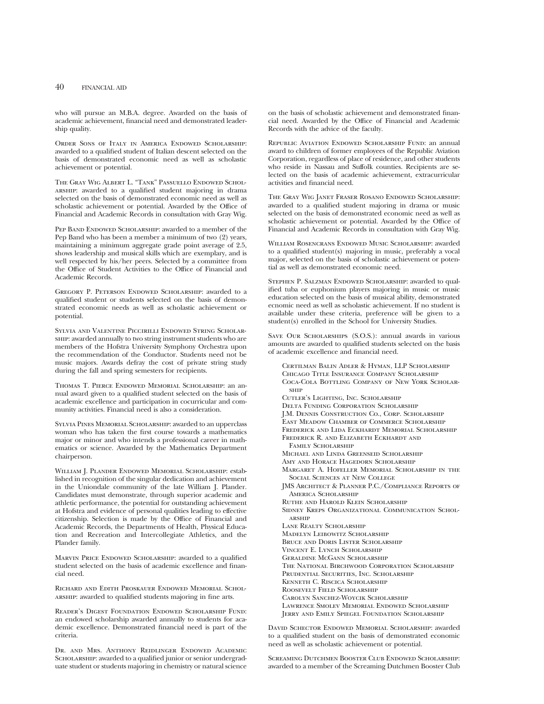## 40 FINANCIAL AID

who will pursue an M.B.A. degree. Awarded on the basis of academic achievement, financial need and demonstrated leadership quality.

Order Sons of Italy in America Endowed Scholarship: awarded to a qualified student of Italian descent selected on the basis of demonstrated economic need as well as scholastic achievement or potential.

The Gray Wig Albert L. "Tank" Passuello Endowed Scholarship: awarded to a qualified student majoring in drama selected on the basis of demonstrated economic need as well as scholastic achievement or potential. Awarded by the Office of Financial and Academic Records in consultation with Gray Wig.

PEP BAND ENDOWED SCHOLARSHIP: awarded to a member of the Pep Band who has been a member a minimum of two (2) years, maintaining a minimum aggregate grade point average of 2.5, shows leadership and musical skills which are exemplary, and is well respected by his/her peers. Selected by a committee from the Office of Student Activities to the Office of Financial and Academic Records.

Gregory P. Peterson Endowed Scholarship: awarded to a qualified student or students selected on the basis of demonstrated economic needs as well as scholastic achievement or potential.

Sylvia and Valentine Piccirilli Endowed String Scholarship: awarded annually to two string instrument students who are members of the Hofstra University Symphony Orchestra upon the recommendation of the Conductor. Students need not be music majors. Awards defray the cost of private string study during the fall and spring semesters for recipients.

Thomas T. Pierce Endowed Memorial Scholarship: an annual award given to a qualified student selected on the basis of academic excellence and participation in cocurricular and community activities. Financial need is also a consideration.

Sylvia Pines Memorial Scholarship: awarded to an upperclass woman who has taken the first course towards a mathematics major or minor and who intends a professional career in mathematics or science. Awarded by the Mathematics Department chairperson.

WILLIAM J. PLANDER ENDOWED MEMORIAL SCHOLARSHIP: established in recognition of the singular dedication and achievement in the Uniondale community of the late William J. Plander. Candidates must demonstrate, through superior academic and athletic performance, the potential for outstanding achievement at Hofstra and evidence of personal qualities leading to effective citizenship. Selection is made by the Office of Financial and Academic Records, the Departments of Health, Physical Education and Recreation and Intercollegiate Athletics, and the Plander family.

MARVIN PRICE ENDOWED SCHOLARSHIP: awarded to a qualified student selected on the basis of academic excellence and financial need.

Richard and Edith Proskauer Endowed Memorial Scholarship: awarded to qualified students majoring in fine arts.

Reader's Digest Foundation Endowed Scholarship Fund: an endowed scholarship awarded annually to students for academic excellence. Demonstrated financial need is part of the criteria.

Dr. and Mrs. Anthony Reidlinger Endowed Academic SCHOLARSHIP: awarded to a qualified junior or senior undergraduate student or students majoring in chemistry or natural science

on the basis of scholastic achievement and demonstrated financial need. Awarded by the Office of Financial and Academic Records with the advice of the faculty.

Republic Aviation Endowed Scholarship Fund: an annual award to children of former employees of the Republic Aviation Corporation, regardless of place of residence, and other students who reside in Nassau and Suffolk counties. Recipients are selected on the basis of academic achievement, extracurricular activities and financial need.

The Gray Wig Janet Fraser Rosano Endowed Scholarship: awarded to a qualified student majoring in drama or music selected on the basis of demonstrated economic need as well as scholastic achievement or potential. Awarded by the Office of Financial and Academic Records in consultation with Gray Wig.

William Rosencrans Endowed Music Scholarship: awarded to a qualified student(s) majoring in music, preferably a vocal major, selected on the basis of scholastic achievement or potential as well as demonstrated economic need.

Stephen P. Salzman Endowed Scholarship: awarded to qualified tuba or euphonium players majoring in music or music education selected on the basis of musical ability, demonstrated ecnomic need as well as scholastic achievement. If no student is available under these criteria, preference will be given to a student(s) enrolled in the School for University Studies.

Save Our Scholarships (S.O.S.): annual awards in various amounts are awarded to qualified students selected on the basis of academic excellence and financial need.

Certilman Balin Adler & Hyman, LLP Scholarship Chicago Title Insurance Company Scholarship Coca-Cola Bottling Company of New York Scholarship Cutler's Lighting, Inc. Scholarship Delta Funding Corporation Scholarship J.M. Dennis Construction Co., Corp. Scholarship East Meadow Chamber of Commerce Scholarship Frederick and Lida Eckhardt Memorial Scholarship Frederick R. and Elizabeth Eckhardt and Family Scholarship Michael and Linda Greenseid Scholarship Amy and Horace Hagedorn Scholarship Margaret A. Hofeller Memorial Scholarship in the Social Sciences at New College JMS Architect & Planner P.C./Compliance Reports of America Scholarship Ruthe and Harold Klein Scholarship Sidney Kreps Organizational Communication Schol-**ADSHIP** Lane Realty Scholarship Madelyn Leibowitz Scholarship Bruce and Doris Lister Scholarship Vincent E. Lynch Scholarship Geraldine McGann Scholarship The National Birchwood Corporation Scholarship Prudential Securities, Inc. Scholarship Kenneth C. Riscica Scholarship Roosevelt Field Scholarship Carolyn Sanchez-Woycik Scholarship Lawrence Smolev Memorial Endowed Scholarship Jerry and Emily Spiegel Foundation Scholarship

David Schector Endowed Memorial Scholarship: awarded to a qualified student on the basis of demonstrated economic need as well as scholastic achievement or potential.

Screaming Dutchmen Booster Club Endowed Scholarship: awarded to a member of the Screaming Dutchmen Booster Club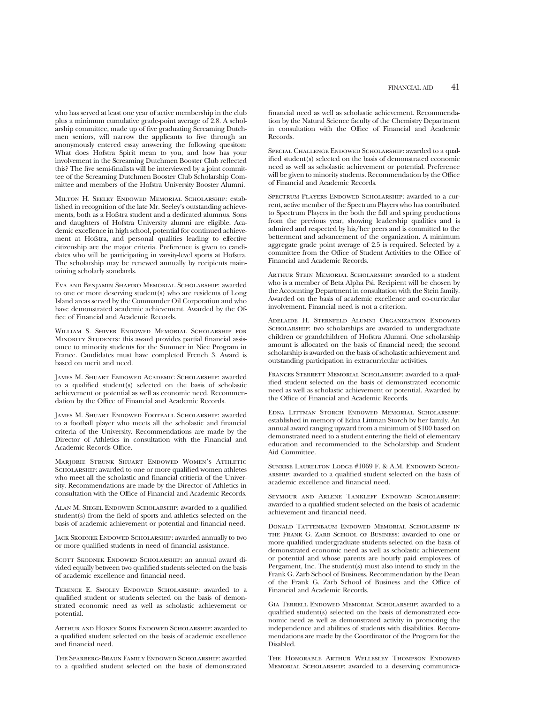who has served at least one year of active membership in the club plus a minimum cumulative grade-point average of 2.8. A scholarship committee, made up of five graduating Screaming Dutchmen seniors, will narrow the applicants to five through an anonymously entered essay answering the following quesiton: What does Hofstra Spirit mean to you, and how has your involvement in the Screaming Dutchmen Booster Club reflected this? The five semi-finalists will be interviewed by a joint committee of the Screaming Dutchmen Booster Club Scholarship Committee and members of the Hofstra University Booster Alumni.

Milton H. Seeley Endowed Memorial Scholarship: established in recognition of the late Mr. Seeley's outstanding achievements, both as a Hofstra student and a dedicated alumnus. Sons and daughters of Hofstra University alumni are eligible. Academic excellence in high school, potential for continued achievement at Hofstra, and personal qualities leading to effective citizenship are the major criteria. Preference is given to candidates who will be participating in varsity-level sports at Hofstra. The scholarship may be renewed annually by recipients maintaining scholarly standards.

Eva and Benjamin Shapiro Memorial Scholarship: awarded to one or more deserving student(s) who are residents of Long Island areas served by the Commander Oil Corporation and who have demonstrated academic achievement. Awarded by the Office of Financial and Academic Records.

William S. Shiver Endowed Memorial Scholarship for MINORITY STUDENTS: this award provides partial financial assistance to minority students for the Summer in Nice Program in France. Candidates must have completed French 3. Award is based on merit and need.

James M. Shuart Endowed Academic Scholarship: awarded to a qualified student(s) selected on the basis of scholastic achievement or potential as well as economic need. Recommendation by the Office of Financial and Academic Records.

James M. Shuart Endowed Football Scholarship: awarded to a football player who meets all the scholastic and financial criteria of the University. Recommendations are made by the Director of Athletics in consultation with the Financial and Academic Records Office.

Marjorie Strunk Shuart Endowed Women's Athletic SCHOLARSHIP: awarded to one or more qualified women athletes who meet all the scholastic and financial critieria of the University. Recommendations are made by the Director of Athletics in consultation with the Office of Financial and Academic Records.

Alan M. Siegel Endowed Scholarship: awarded to a qualified student(s) from the field of sports and athletics selected on the basis of academic achievement or potential and financial need.

Jack Skodnek Endowed Scholarship: awarded annually to two or more qualified students in need of financial assistance.

SCOTT SKODNEK ENDOWED SCHOLARSHIP: an annual award divided equally between two qualified students selected on the basis of academic excellence and financial need.

Terence E. Smolev Endowed Scholarship: awarded to a qualified student or students selected on the basis of demonstrated economic need as well as scholastic achievement or potential.

Arthur and Honey Sorin Endowed Scholarship: awarded to a qualified student selected on the basis of academic excellence and financial need.

The Sparberg-Braun Family Endowed Scholarship: awarded to a qualified student selected on the basis of demonstrated financial need as well as scholastic achievement. Recommendation by the Natural Science faculty of the Chemistry Department in consultation with the Office of Financial and Academic Records.

Special Challenge Endowed Scholarship: awarded to a qualified student(s) selected on the basis of demonstrated economic need as well as scholastic achievement or potential. Preference will be given to minority students. Recommendation by the Office of Financial and Academic Records.

Spectrum Players Endowed Scholarship: awarded to a current, active member of the Spectrum Players who has contributed to Spectrum Players in the both the fall and spring productions from the previous year, showing leadership qualities and is admired and respected by his/her peers and is committed to the betterment and advancement of the organization. A minimum aggregate grade point average of 2.5 is required. Selected by a committee from the Office of Student Activities to the Office of Financial and Academic Records.

Arthur Stein Memorial Scholarship: awarded to a student who is a member of Beta Alpha Psi. Recipient will be chosen by the Accounting Department in consultation with the Stein family. Awarded on the basis of academic excellence and co-curricular involvement. Financial need is not a criterion.

Adelaide H. Sternfeld Alumni Organization Endowed SCHOLARSHIP: two scholarships are awarded to undergraduate children or grandchildren of Hofstra Alumni. One scholarship amount is allocated on the basis of financial need; the second scholarship is awarded on the basis of scholastic achievement and outstanding participation in extracurricular activities.

FRANCES STERRETT MEMORIAL SCHOLARSHIP: awarded to a qualified student selected on the basis of demonstrated economic need as well as scholastic achievement or potential. Awarded by the Office of Financial and Academic Records.

Edna Littman Storch Endowed Memorial Scholarship: established in memory of Edna Littman Storch by her family. An annual award ranging upward from a minimum of \$100 based on demonstrated need to a student entering the field of elementary education and recommended to the Scholarship and Student Aid Committee.

SUNRISE LAURELTON LODGE #1069 F. & A.M. ENDOWED SCHOLarship: awarded to a qualified student selected on the basis of academic excellence and financial need.

Seymour and Arlene Tankleff Endowed Scholarship: awarded to a qualified student selected on the basis of academic achievement and financial need.

Donald Tattenbaum Endowed Memorial Scholarship in the Frank G. Zarb School of Business: awarded to one or more qualified undergraduate students selected on the basis of demonstrated economic need as well as scholastic achievement or potential and whose parents are hourly paid employees of Pergament, Inc. The student(s) must also intend to study in the Frank G. Zarb School of Business. Recommendation by the Dean of the Frank G. Zarb School of Business and the Office of Financial and Academic Records.

Gia Terrell Endowed Memorial Scholarship: awarded to a qualified student(s) selected on the basis of demonstrated economic need as well as demonstrated activity in promoting the independence and abilities of students with disabilities. Recommendations are made by the Coordinator of the Program for the Disabled.

The Honorable Arthur Wellesley Thompson Endowed Memorial Scholarship: awarded to a deserving communica-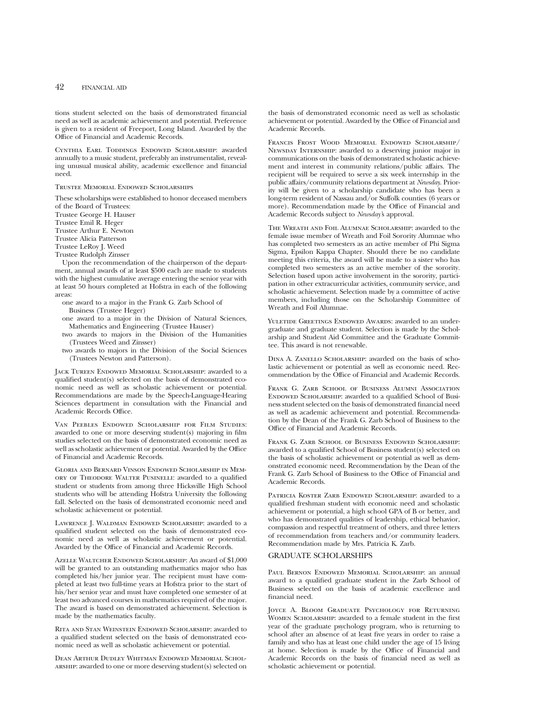## 42 FINANCIAL AID

tions student selected on the basis of demonstrated financial need as well as academic achievement and potential. Preference is given to a resident of Freeport, Long Island. Awarded by the Office of Financial and Academic Records.

Cynthia Earl Toddings Endowed Scholarship: awarded annually to a music student, preferably an instrumentalist, revealing unusual musical ability, academic excellence and financial need.

#### Trustee Memorial Endowed Scholarships

These scholarships were established to honor deceased members of the Board of Trustees: Trustee George H. Hauser Trustee Emil R. Heger

Trustee Arthur E. Newton Trustee Alicia Patterson Trustee LeRoy J. Weed

Trustee Rudolph Zinsser

Upon the recommendation of the chairperson of the department, annual awards of at least \$500 each are made to students with the highest cumulative average entering the senior year with at least 50 hours completed at Hofstra in each of the following areas:

- one award to a major in the Frank G. Zarb School of Business (Trustee Heger)
- one award to a major in the Division of Natural Sciences, Mathematics and Engineering (Trustee Hauser)
- two awards to majors in the Division of the Humanities (Trustees Weed and Zinsser)
- two awards to majors in the Division of the Social Sciences (Trustees Newton and Patterson).

Jack Tureen Endowed Memorial Scholarship: awarded to a qualified student(s) selected on the basis of demonstrated economic need as well as scholastic achievement or potential. Recommendations are made by the Speech-Language-Hearing Sciences department in consultation with the Financial and Academic Records Office.

Van Peebles Endowed Scholarship for Film Studies: awarded to one or more deserving student(s) majoring in film studies selected on the basis of demonstrated economic need as well as scholastic achievement or potential. Awarded by the Office of Financial and Academic Records.

Gloria and Bernard Vinson Endowed Scholarship in Memory of Theodore Walter Pusinelli: awarded to a qualified student or students from among three Hicksville High School students who will be attending Hofstra University the following fall. Selected on the basis of demonstrated economic need and scholastic achievement or potential.

Lawrence J. Waldman Endowed Scholarship: awarded to a qualified student selected on the basis of demonstrated economic need as well as scholastic achievement or potential. Awarded by the Office of Financial and Academic Records.

Azelle Waltcher Endowed Scholarship: An award of \$1,000 will be granted to an outstanding mathematics major who has completed his/her junior year. The recipient must have completed at least two full-time years at Hofstra prior to the start of his/her senior year and must have completed one semester of at least two advanced courses in mathematics required of the major. The award is based on demonstrated achievement. Selection is made by the mathematics faculty.

Rita and Stan Weinstein Endowed Scholarship: awarded to a qualified student selected on the basis of demonstrated economic need as well as scholastic achievement or potential.

Dean Arthur Dudley Whitman Endowed Memorial Scholarship: awarded to one or more deserving student(s) selected on the basis of demonstrated economic need as well as scholastic achievement or potential. Awarded by the Office of Financial and Academic Records.

Francis Frost Wood Memorial Endowed Scholarship/ Newsday Internship: awarded to a deserving junior major in communications on the basis of demonstrated scholastic achievement and interest in community relations/public affairs. The recipient will be required to serve a six week internship in the public affairs/community relations department at *Newsday*. Priority will be given to a scholarship candidate who has been a long-term resident of Nassau and/or Suffolk counties (6 years or more). Recommendation made by the Office of Financial and Academic Records subject to *Newsday'*s approval.

The Wreath and Foil Alumnae Scholarship: awarded to the female issue member of Wreath and Foil Sorority Alumnae who has completed two semesters as an active member of Phi Sigma Sigma, Epsilon Kappa Chapter. Should there be no candidate meeting this criteria, the award will be made to a sister who has completed two semesters as an active member of the sorority. Selection based upon active involvement in the sorority, participation in other extracurricular activities, community service, and scholastic achievement. Selection made by a committee of active members, including those on the Scholarship Committee of Wreath and Foil Alumnae.

YULETIDE GREETINGS ENDOWED AWARDS: awarded to an undergraduate and graduate student. Selection is made by the Scholarship and Student Aid Committee and the Graduate Committee. This award is not renewable.

Dina A. Zanello Scholarship: awarded on the basis of scholastic achievement or potential as well as economic need. Recommendation by the Office of Financial and Academic Records.

FRANK G. ZARB SCHOOL OF BUSINESS ALUMNI ASSOCIATION ENDOWED SCHOLARSHIP: awarded to a qualified School of Business student selected on the basis of demonstrated financial need as well as academic achievement and potential. Recommendation by the Dean of the Frank G. Zarb School of Business to the Office of Financial and Academic Records.

FRANK G. ZARB SCHOOL OF BUSINESS ENDOWED SCHOLARSHIP: awarded to a qualified School of Business student(s) selected on the basis of scholastic achievement or potential as well as demonstrated economic need. Recommendation by the Dean of the Frank G. Zarb School of Business to the Office of Financial and Academic Records.

PATRICIA KOSTER ZARB ENDOWED SCHOLARSHIP: awarded to a qualified freshman student with economic need and scholastic achievement or potential, a high school GPA of B or better, and who has demonstrated qualities of leadership, ethical behavior, compassion and respectful treatment of others, and three letters of recommendation from teachers and/or community leaders. Recommendation made by Mrs. Patricia K. Zarb.

# GRADUATE SCHOLARSHIPS

Paul Bernon Endowed Memorial Scholarship: an annual award to a qualified graduate student in the Zarb School of Business selected on the basis of academic excellence and financial need.

JOYCE A. BLOOM GRADUATE PSYCHOLOGY FOR RETURNING Women Scholarship: awarded to a female student in the first year of the graduate psychology program, who is returning to school after an absence of at least five years in order to raise a family and who has at least one child under the age of 15 living at home. Selection is made by the Office of Financial and Academic Records on the basis of financial need as well as scholastic achievement or potential.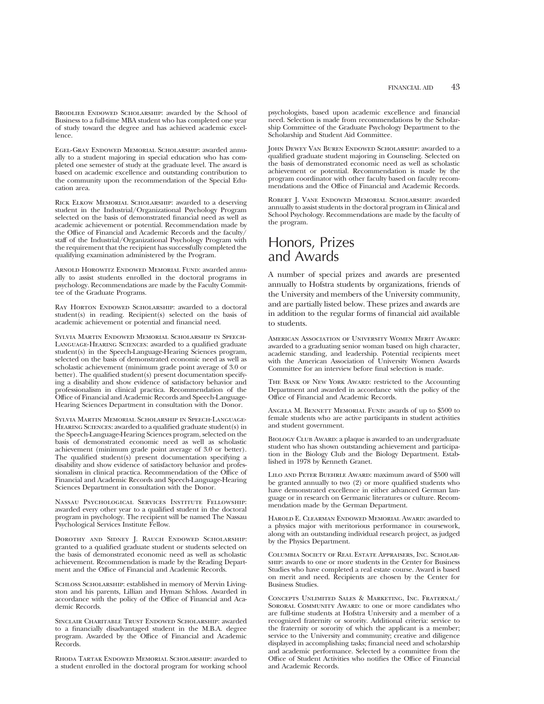BRODLIEB ENDOWED SCHOLARSHIP: awarded by the School of Business to a full-time MBA student who has completed one year of study toward the degree and has achieved academic excellence.

Egel-Gray Endowed Memorial Scholarship: awarded annually to a student majoring in special education who has completed one semester of study at the graduate level. The award is based on academic excellence and outstanding contribution to the community upon the recommendation of the Special Education area.

Rick Elkow Memorial Scholarship: awarded to a deserving student in the Industrial/Organizational Psychology Program selected on the basis of demonstrated financial need as well as academic achievement or potential. Recommendation made by the Office of Financial and Academic Records and the faculty/ staff of the Industrial/Organizational Psychology Program with the requirement that the recipient has successfully completed the qualifying examination administered by the Program.

Arnold Horowitz Endowed Memorial Fund: awarded annually to assist students enrolled in the doctoral programs in psychology. Recommendations are made by the Faculty Committee of the Graduate Programs.

RAY HORTON ENDOWED SCHOLARSHIP: awarded to a doctoral student(s) in reading. Recipient(s) selected on the basis of academic achievement or potential and financial need.

Sylvia Martin Endowed Memorial Scholarship in Speech-Language-Hearing Sciences: awarded to a qualified graduate student(s) in the Speech-Language-Hearing Sciences program, selected on the basis of demonstrated economic need as well as scholastic achievement (minimum grade point average of 3.0 or better). The qualified student(s) present documentation specifying a disability and show evidence of satisfactory behavior and professionalism in clinical practica. Recommendation of the Office of Financial and Academic Records and Speech-Language-Hearing Sciences Department in consultation with the Donor.

Sylvia Martin Memorial Scholarship in Speech-Language-Hearing Sciences: awarded to a qualified graduate student(s) in the Speech-Language-Hearing Sciences program, selected on the basis of demonstrated economic need as well as scholastic achievement (minimum grade point average of 3.0 or better). The qualified student(s) present documentation specifying a disability and show evidence of satisfactory behavior and professionalism in clinical practica. Recommendation of the Office of Financial and Academic Records and Speech-Language-Hearing Sciences Department in consultation with the Donor.

Nassau Psychological Services Institute Fellowship: awarded every other year to a qualified student in the doctoral program in psychology. The recipient will be named The Nassau Psychological Services Institute Fellow.

Dorothy and Sidney J. Rauch Endowed Scholarship: granted to a qualified graduate student or students selected on the basis of demonstrated economic need as well as scholastic achievement. Recommendation is made by the Reading Department and the Office of Financial and Academic Records.

SCHLOSS SCHOLARSHIP: established in memory of Mervin Livingston and his parents, Lillian and Hyman Schloss. Awarded in accordance with the policy of the Office of Financial and Academic Records.

Sinclair Charitable Trust Endowed Scholarship: awarded to a financially disadvantaged student in the M.B.A. degree program. Awarded by the Office of Financial and Academic Records.

Rhoda Tartak Endowed Memorial Scholarship: awarded to a student enrolled in the doctoral program for working school

psychologists, based upon academic excellence and financial need. Selection is made from recommendations by the Scholarship Committee of the Graduate Psychology Department to the Scholarship and Student Aid Committee.

John Dewey Van Buren Endowed Scholarship: awarded to a qualified graduate student majoring in Counseling. Selected on the basis of demonstrated economic need as well as scholastic achievement or potential. Recommendation is made by the program coordinator with other faculty based on faculty recommendations and the Office of Financial and Academic Records.

Robert J. Vane Endowed Memorial Scholarship: awarded annually to assist students in the doctoral program in Clinical and School Psychology. Recommendations are made by the faculty of the program.

# Honors, Prizes and Awards

A number of special prizes and awards are presented annually to Hofstra students by organizations, friends of the University and members of the University community, and are partially listed below. These prizes and awards are in addition to the regular forms of financial aid available to students.

American Association of University Women Merit Award: awarded to a graduating senior woman based on high character, academic standing, and leadership. Potential recipients meet with the American Association of University Women Awards Committee for an interview before final selection is made.

THE BANK OF NEW YORK AWARD: restricted to the Accounting Department and awarded in accordance with the policy of the Office of Financial and Academic Records.

Angela M. Bennett Memorial Fund: awards of up to \$500 to female students who are active participants in student activities and student government.

BIOLOGY CLUB AWARD: a plaque is awarded to an undergraduate student who has shown outstanding achievement and participation in the Biology Club and the Biology Department. Established in 1978 by Kenneth Granet.

Lilo and Peter Buehrle Award: maximum award of \$500 will be granted annually to two (2) or more qualified students who have demonstrated excellence in either advanced German language or in research on Germanic literatures or culture. Recommendation made by the German Department.

Harold E. Clearman Endowed Memorial Award: awarded to a physics major with meritorious performance in coursework, along with an outstanding individual research project, as judged by the Physics Department.

Columbia Society of Real Estate Appraisers, Inc. Scholarship: awards to one or more students in the Center for Business Studies who have completed a real estate course. Award is based on merit and need. Recipients are chosen by the Center for Business Studies.

Concepts Unlimited Sales & Marketing, Inc. Fraternal/ SORORAL COMMUNITY AWARD: to one or more candidates who are full-time students at Hofstra University and a member of a recognized fraternity or sorority. Additional criteria: service to the fraternity or sorority of which the applicant is a member; service to the University and community; creative and diligence displayed in accomplishing tasks; financial need and scholarship and academic performance. Selected by a committee from the Office of Student Activities who notifies the Office of Financial and Academic Records.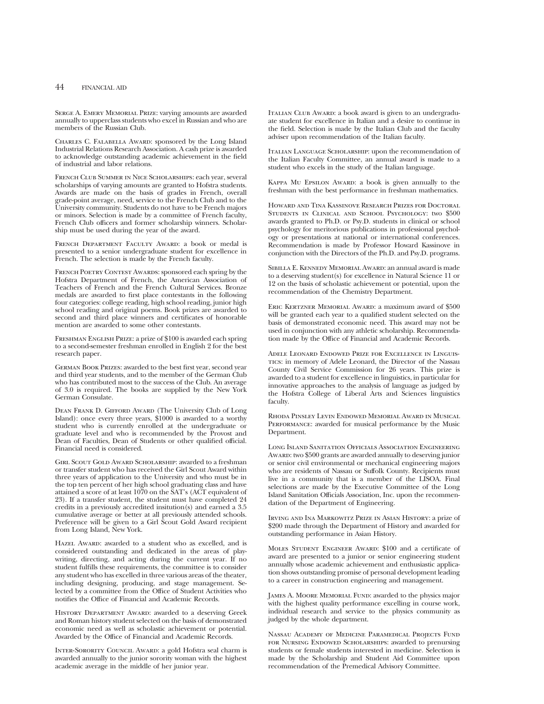SERGE A. EMERY MEMORIAL PRIZE: varying amounts are awarded annually to upperclass students who excel in Russian and who are members of the Russian Club.

Charles C. Falabella Award: sponsored by the Long Island Industrial Relations Research Association. A cash prize is awarded to acknowledge outstanding academic achievement in the field of industrial and labor relations.

French Club Summer in Nice Scholarships: each year, several scholarships of varying amounts are granted to Hofstra students. Awards are made on the basis of grades in French, overall grade-point average, need, service to the French Club and to the University community. Students do not have to be French majors or minors. Selection is made by a committee of French faculty, French Club officers and former scholarship winners. Scholarship must be used during the year of the award.

French Department Faculty Award: a book or medal is presented to a senior undergraduate student for excellence in French. The selection is made by the French faculty.

FRENCH POETRY CONTEST AWARDS: sponsored each spring by the Hofstra Department of French, the American Association of Teachers of French and the French Cultural Services. Bronze medals are awarded to first place contestants in the following four categories: college reading, high school reading, junior high school reading and original poems. Book prizes are awarded to second and third place winners and certificates of honorable mention are awarded to some other contestants.

FRESHMAN ENGLISH PRIZE: a prize of \$100 is awarded each spring to a second-semester freshman enrolled in English 2 for the best research paper.

German Book Prizes: awarded to the best first year, second year and third year students, and to the member of the German Club who has contributed most to the success of the Club. An average of 3.0 is required. The books are supplied by the New York German Consulate.

Dean Frank D. Gifford Award (The University Club of Long Island): once every three years, \$1000 is awarded to a worthy student who is currently enrolled at the undergraduate or graduate level and who is recommended by the Provost and Dean of Faculties, Dean of Students or other qualified official. Financial need is considered.

Girl Scout Gold Award Scholarship: awarded to a freshman or transfer student who has received the Girl Scout Award within three years of application to the University and who must be in the top ten percent of her high school graduating class and have attained a score of at least 1070 on the SAT's (ACT equivalent of 23). If a transfer student, the student must have completed 24 credits in a previously accredited insitution(s) and earned a 3.5 cumulative average or better at all previously attended schools. Preference will be given to a Girl Scout Gold Award recipient from Long Island, New York.

HAZEL AWARD: awarded to a student who as excelled, and is considered outstanding and dedicated in the areas of playwriting, directing, and acting during the current year. If no student fulfills these requirements, the committee is to consider any student who has excelled in three various areas of the theater, including designing, producing, and stage management. Selected by a committee from the Office of Student Activities who notifies the Office of Financial and Academic Records.

History Department Award: awarded to a deserving Greek and Roman history student selected on the basis of demonstrated economic need as well as scholastic achievement or potential. Awarded by the Office of Financial and Academic Records.

Inter-Sorority Council Award: a gold Hofstra seal charm is awarded annually to the junior sorority woman with the highest academic average in the middle of her junior year.

Italian Club Award: a book award is given to an undergraduate student for excellence in Italian and a desire to continue in the field. Selection is made by the Italian Club and the faculty adviser upon recommendation of the Italian faculty.

Italian Language Scholarship: upon the recommendation of the Italian Faculty Committee, an annual award is made to a student who excels in the study of the Italian language.

Kappa Mu Epsilon Award: a book is given annually to the freshman with the best performance in freshman mathematics.

Howard and Tina Kassinove Research Prizes for Doctoral Students in Clinical and School Psychology: two \$500 awards granted to Ph.D. or Psy.D. students in clinical or school psychology for meritorious publications in professional psychology or presentations at national or international conferences. Recommendation is made by Professor Howard Kassinove in conjunction with the Directors of the Ph.D. and Psy.D. programs.

Sibilla E. Kennedy Memorial Award: an annual award is made to a deserving student(s) for excellence in Natural Science 11 or 12 on the basis of scholastic achievement or potential, upon the recommendation of the Chemistry Department.

Eric Kertzner Memorial Award: a maximum award of \$500 will be granted each year to a qualified student selected on the basis of demonstrated economic need. This award may not be used in conjunction with any athletic scholarship. Recommendation made by the Office of Financial and Academic Records.

Adele Leonard Endowed Prize for Excellence in Linguistics: in memory of Adele Leonard, the Director of the Nassau County Civil Service Commission for 26 years. This prize is awarded to a student for excellence in linguistics, in particular for innovative approaches to the analysis of language as judged by the Hofstra College of Liberal Arts and Sciences linguistics faculty.

Rhoda Pinsley Levin Endowed Memorial Award in Musical PERFORMANCE: awarded for musical performance by the Music Department.

Long Island Sanitation Officials Association Engineering Award: two \$500 grants are awarded annually to deserving junior or senior civil environmental or mechanical engineering majors who are residents of Nassau or Suffolk County. Recipients must live in a community that is a member of the LISOA. Final selections are made by the Executive Committee of the Long Island Sanitation Officials Association, Inc. upon the recommendation of the Department of Engineering.

Irving and Ina Markowitz Prize in Asian History: a prize of \$200 made through the Department of History and awarded for outstanding performance in Asian History.

Moles Student Engineer Award: \$100 and a certificate of award are presented to a junior or senior engineering student annually whose academic achievement and enthusiastic application shows outstanding promise of personal development leading to a career in construction engineering and management.

James A. Moore Memorial Fund: awarded to the physics major with the highest quality performance excelling in course work, individual research and service to the physics community as judged by the whole department.

Nassau Academy of Medicine Paramedical Projects Fund FOR NURSING ENDOWED SCHOLARSHIPS: awarded to prenursing students or female students interested in medicine. Selection is made by the Scholarship and Student Aid Committee upon recommendation of the Premedical Advisory Committee.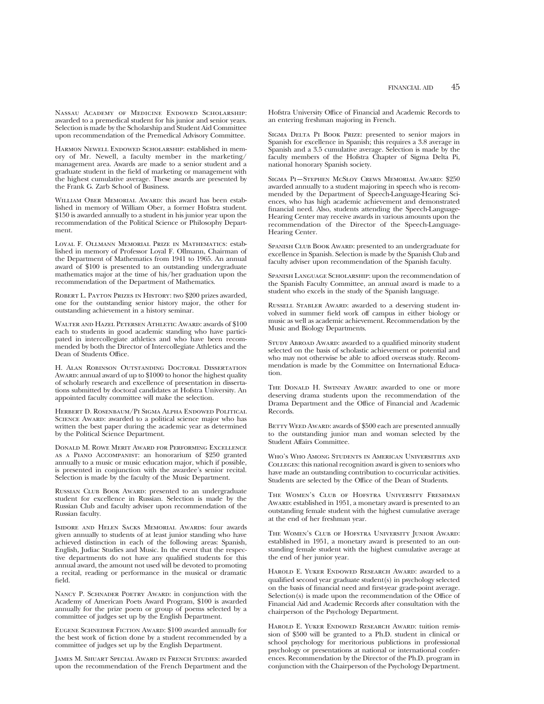Nassau Academy of Medicine Endowed Scholarship: awarded to a premedical student for his junior and senior years. Selection is made by the Scholarship and Student Aid Committee upon recommendation of the Premedical Advisory Committee.

Harmon Newell Endowed Scholarship: established in memory of Mr. Newell, a faculty member in the marketing/ management area. Awards are made to a senior student and a graduate student in the field of marketing or management with the highest cumulative average. These awards are presented by the Frank G. Zarb School of Business.

WILLIAM OBER MEMORIAL AWARD: this award has been established in memory of William Ober, a former Hofstra student. \$150 is awarded annually to a student in his junior year upon the recommendation of the Political Science or Philosophy Department.

Loyal F. Ollmann Memorial Prize in Mathematics: established in memory of Professor Loyal F. Ollmann, Chairman of the Department of Mathematics from 1941 to 1965. An annual award of \$100 is presented to an outstanding undergraduate mathematics major at the time of his/her graduation upon the recommendation of the Department of Mathematics.

Robert L. Payton Prizes in History: two \$200 prizes awarded, one for the outstanding senior history major, the other for outstanding achievement in a history seminar.

Walter and Hazel Petersen Athletic Award: awards of \$100 each to students in good academic standing who have participated in intercollegiate athletics and who have been recommended by both the Director of Intercollegiate Athletics and the Dean of Students Office.

H. Alan Robinson Outstanding Doctoral Dissertation Award: annual award of up to \$1000 to honor the highest quality of scholarly research and excellence of presentation in dissertations submitted by doctoral candidates at Hofstra University. An appointed faculty committee will make the selection.

Herbert D. Rosenbaum/Pi Sigma Alpha Endowed Political SCIENCE AWARD: awarded to a political science major who has written the best paper during the academic year as determined by the Political Science Department.

Donald M. Rowe Merit Award for Performing Excellence as a Piano Accompanist: an honorarium of \$250 granted annually to a music or music education major, which if possible, is presented in conjunction with the awardee's senior recital. Selection is made by the faculty of the Music Department.

RUSSIAN CLUB BOOK AWARD: presented to an undergraduate student for excellence in Russian. Selection is made by the Russian Club and faculty adviser upon recommendation of the Russian faculty.

Isidore and Helen Sacks Memorial Awards: four awards given annually to students of at least junior standing who have achieved distinction in each of the following areas: Spanish, English, Judiac Studies and Music. In the event that the respective departments do not have any qualified students for this annual award, the amount not used will be devoted to promoting a recital, reading or performance in the musical or dramatic field.

NANCY P. SCHNADER POETRY AWARD: in conjunction with the Academy of American Poets Award Program, \$100 is awarded annually for the prize poem or group of poems selected by a committee of judges set up by the English Department.

Eugene Schneider Fiction Award: \$100 awarded annually for the best work of fiction done by a student recommended by a committee of judges set up by the English Department.

James M. Shuart Special Award in French Studies: awarded upon the recommendation of the French Department and the

Hofstra University Office of Financial and Academic Records to an entering freshman majoring in French.

SIGMA DELTA PI BOOK PRIZE: presented to senior majors in Spanish for excellence in Spanish; this requires a 3.8 average in Spanish and a 3.5 cumulative average. Selection is made by the faculty members of the Hofstra Chapter of Sigma Delta Pi, national honorary Spanish society.

Sigma Pi—Stephen McSloy Crews Memorial Award: \$250 awarded annually to a student majoring in speech who is recommended by the Department of Speech-Language-Hearing Sciences, who has high academic achievement and demonstrated financial need. Also, students attending the Speech-Language-Hearing Center may receive awards in various amounts upon the recommendation of the Director of the Speech-Language-Hearing Center.

SPANISH CLUB BOOK AWARD: presented to an undergraduate for excellence in Spanish. Selection is made by the Spanish Club and faculty adviser upon recommendation of the Spanish faculty.

Spanish Language Scholarship: upon the recommendation of the Spanish Faculty Committee, an annual award is made to a student who excels in the study of the Spanish language.

RUSSELL STABLER AWARD: awarded to a deserving student involved in summer field work off campus in either biology or music as well as academic achievement. Recommendation by the Music and Biology Departments.

STUDY ABROAD AWARD: awarded to a qualified minority student selected on the basis of scholastic achievement or potential and who may not otherwise be able to afford overseas study. Recommendation is made by the Committee on International Education.

THE DONALD H. SWINNEY AWARD: awarded to one or more deserving drama students upon the recommendation of the Drama Department and the Office of Financial and Academic Records.

BETTY WEED AWARD: awards of \$500 each are presented annually to the outstanding junior man and woman selected by the Student Affairs Committee.

Who's Who Among Students in American Universities and Colleges: this national recognition award is given to seniors who have made an outstanding contribution to cocurricular activities. Students are selected by the Office of the Dean of Students.

The Women's Club of Hofstra University Freshman Award: established in 1951, a monetary award is presented to an outstanding female student with the highest cumulative average at the end of her freshman year.

The Women's Club of Hofstra University Junior Award: established in 1951, a monetary award is presented to an outstanding female student with the highest cumulative average at the end of her junior year.

Harold E. Yuker Endowed Research Award: awarded to a qualified second year graduate student(s) in psychology selected on the basis of financial need and first-year grade-point average. Selection(s) is made upon the recommendation of the Office of Financial Aid and Academic Records after consultation with the chairperson of the Psychology Department.

HAROLD E. YUKER ENDOWED RESEARCH AWARD: tuition remission of \$500 will be granted to a Ph.D. student in clinical or school psychology for meritorious publictions in professional psychology or presentations at national or international conferences. Recommendation by the Director of the Ph.D. program in conjunction with the Chairperson of the Psychology Department.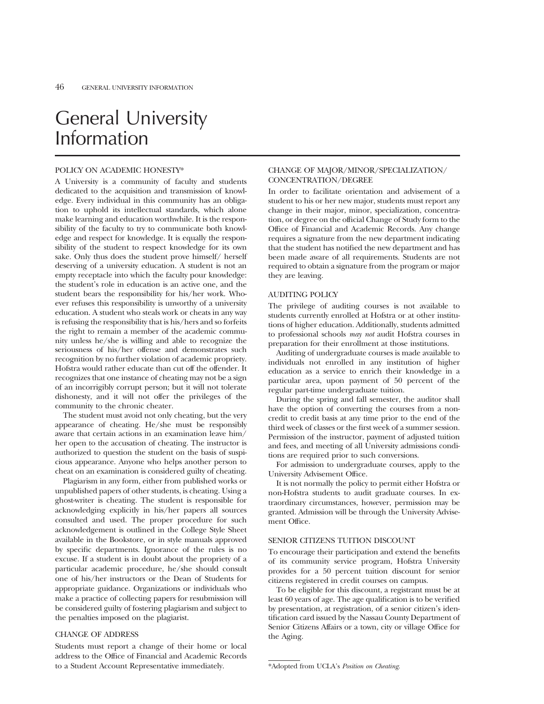## General University Information

#### POLICY ON ACADEMIC HONESTY\*

A University is a community of faculty and students dedicated to the acquisition and transmission of knowledge. Every individual in this community has an obligation to uphold its intellectual standards, which alone make learning and education worthwhile. It is the responsibility of the faculty to try to communicate both knowledge and respect for knowledge. It is equally the responsibility of the student to respect knowledge for its own sake. Only thus does the student prove himself/ herself deserving of a university education. A student is not an empty receptacle into which the faculty pour knowledge: the student's role in education is an active one, and the student bears the responsibility for his/her work. Whoever refuses this responsibility is unworthy of a university education. A student who steals work or cheats in any way is refusing the responsibility that is his/hers and so forfeits the right to remain a member of the academic community unless he/she is willing and able to recognize the seriousness of his/her offense and demonstrates such recognition by no further violation of academic propriety. Hofstra would rather educate than cut off the offender. It recognizes that one instance of cheating may not be a sign of an incorrigibly corrupt person; but it will not tolerate dishonesty, and it will not offer the privileges of the community to the chronic cheater.

The student must avoid not only cheating, but the very appearance of cheating. He/she must be responsibly aware that certain actions in an examination leave him/ her open to the accusation of cheating. The instructor is authorized to question the student on the basis of suspicious appearance. Anyone who helps another person to cheat on an examination is considered guilty of cheating.

Plagiarism in any form, either from published works or unpublished papers of other students, is cheating. Using a ghost-writer is cheating. The student is responsible for acknowledging explicitly in his/her papers all sources consulted and used. The proper procedure for such acknowledgement is outlined in the College Style Sheet available in the Bookstore, or in style manuals approved by specific departments. Ignorance of the rules is no excuse. If a student is in doubt about the propriety of a particular academic procedure, he/she should consult one of his/her instructors or the Dean of Students for appropriate guidance. Organizations or individuals who make a practice of collecting papers for resubmission will be considered guilty of fostering plagiarism and subject to the penalties imposed on the plagiarist.

#### CHANGE OF ADDRESS

Students must report a change of their home or local address to the Office of Financial and Academic Records to a Student Account Representative immediately.

#### CHANGE OF MAJOR/MINOR/SPECIALIZATION/ CONCENTRATION/DEGREE

In order to facilitate orientation and advisement of a student to his or her new major, students must report any change in their major, minor, specialization, concentration, or degree on the official Change of Study form to the Office of Financial and Academic Records. Any change requires a signature from the new department indicating that the student has notified the new department and has been made aware of all requirements. Students are not required to obtain a signature from the program or major they are leaving.

#### AUDITING POLICY

The privilege of auditing courses is not available to students currently enrolled at Hofstra or at other institutions of higher education. Additionally, students admitted to professional schools *may not* audit Hofstra courses in preparation for their enrollment at those institutions.

Auditing of undergraduate courses is made available to individuals not enrolled in any institution of higher education as a service to enrich their knowledge in a particular area, upon payment of 50 percent of the regular part-time undergraduate tuition.

During the spring and fall semester, the auditor shall have the option of converting the courses from a noncredit to credit basis at any time prior to the end of the third week of classes or the first week of a summer session. Permission of the instructor, payment of adjusted tuition and fees, and meeting of all University admissions conditions are required prior to such conversions.

For admission to undergraduate courses, apply to the University Advisement Office.

It is not normally the policy to permit either Hofstra or non-Hofstra students to audit graduate courses. In extraordinary circumstances, however, permission may be granted. Admission will be through the University Advisement Office.

#### SENIOR CITIZENS TUITION DISCOUNT

To encourage their participation and extend the benefits of its community service program, Hofstra University provides for a 50 percent tuition discount for senior citizens registered in credit courses on campus.

To be eligible for this discount, a registrant must be at least 60 years of age. The age qualification is to be verified by presentation, at registration, of a senior citizen's identification card issued by the Nassau County Department of Senior Citizens Affairs or a town, city or village Office for the Aging.

<sup>\*</sup>Adopted from UCLA's *Position on Cheating.*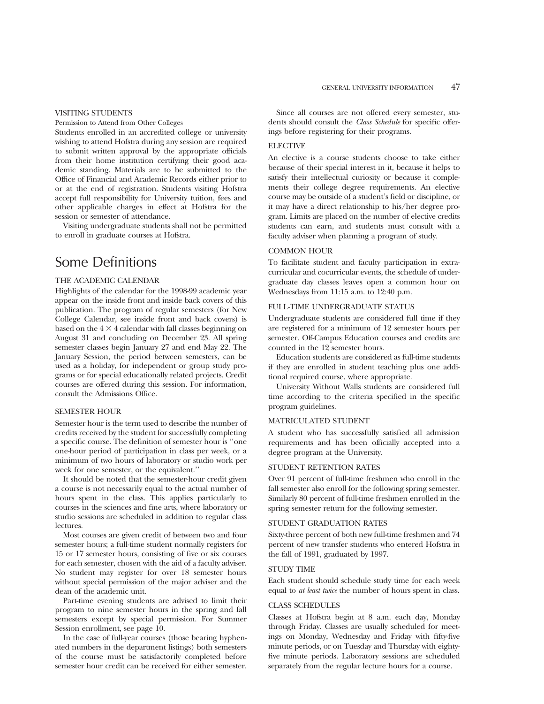#### VISITING STUDENTS

Permission to Attend from Other Colleges

Students enrolled in an accredited college or university wishing to attend Hofstra during any session are required to submit written approval by the appropriate officials from their home institution certifying their good academic standing. Materials are to be submitted to the Office of Financial and Academic Records either prior to or at the end of registration. Students visiting Hofstra accept full responsibility for University tuition, fees and other applicable charges in effect at Hofstra for the session or semester of attendance.

Visiting undergraduate students shall not be permitted to enroll in graduate courses at Hofstra.

### Some Definitions

#### THE ACADEMIC CALENDAR

Highlights of the calendar for the 1998-99 academic year appear on the inside front and inside back covers of this publication. The program of regular semesters (for New College Calendar, see inside front and back covers) is based on the  $4 \times 4$  calendar with fall classes beginning on August 31 and concluding on December 23. All spring semester classes begin January 27 and end May 22. The January Session, the period between semesters, can be used as a holiday, for independent or group study programs or for special educationally related projects. Credit courses are offered during this session. For information, consult the Admissions Office.

#### SEMESTER HOUR

Semester hour is the term used to describe the number of credits received by the student for successfully completing a specific course. The definition of semester hour is ''one one-hour period of participation in class per week, or a minimum of two hours of laboratory or studio work per week for one semester, or the equivalent.''

It should be noted that the semester-hour credit given a course is not necessarily equal to the actual number of hours spent in the class. This applies particularly to courses in the sciences and fine arts, where laboratory or studio sessions are scheduled in addition to regular class lectures.

Most courses are given credit of between two and four semester hours; a full-time student normally registers for 15 or 17 semester hours, consisting of five or six courses for each semester, chosen with the aid of a faculty adviser. No student may register for over 18 semester hours without special permission of the major adviser and the dean of the academic unit.

Part-time evening students are advised to limit their program to nine semester hours in the spring and fall semesters except by special permission. For Summer Session enrollment, see page 10.

In the case of full-year courses (those bearing hyphenated numbers in the department listings) both semesters of the course must be satisfactorily completed before semester hour credit can be received for either semester.

Since all courses are not offered every semester, students should consult the *Class Schedule* for specific offerings before registering for their programs.

#### ELECTIVE

An elective is a course students choose to take either because of their special interest in it, because it helps to satisfy their intellectual curiosity or because it complements their college degree requirements. An elective course may be outside of a student's field or discipline, or it may have a direct relationship to his/her degree program. Limits are placed on the number of elective credits students can earn, and students must consult with a faculty adviser when planning a program of study.

#### COMMON HOUR

To facilitate student and faculty participation in extracurricular and cocurricular events, the schedule of undergraduate day classes leaves open a common hour on Wednesdays from 11:15 a.m. to 12:40 p.m.

#### FULL-TIME UNDERGRADUATE STATUS

Undergraduate students are considered full time if they are registered for a minimum of 12 semester hours per semester. Off-Campus Education courses and credits are counted in the 12 semester hours.

Education students are considered as full-time students if they are enrolled in student teaching plus one additional required course, where appropriate.

University Without Walls students are considered full time according to the criteria specified in the specific program guidelines.

#### MATRICULATED STUDENT

A student who has successfully satisfied all admission requirements and has been officially accepted into a degree program at the University.

#### STUDENT RETENTION RATES

Over 91 percent of full-time freshmen who enroll in the fall semester also enroll for the following spring semester. Similarly 80 percent of full-time freshmen enrolled in the spring semester return for the following semester.

#### STUDENT GRADUATION RATES

Sixty-three percent of both new full-time freshmen and 74 percent of new transfer students who entered Hofstra in the fall of 1991, graduated by 1997.

#### STUDY TIME

Each student should schedule study time for each week equal to *at least twice* the number of hours spent in class.

#### CLASS SCHEDULES

Classes at Hofstra begin at 8 a.m. each day, Monday through Friday. Classes are usually scheduled for meetings on Monday, Wednesday and Friday with fifty-five minute periods, or on Tuesday and Thursday with eightyfive minute periods. Laboratory sessions are scheduled separately from the regular lecture hours for a course.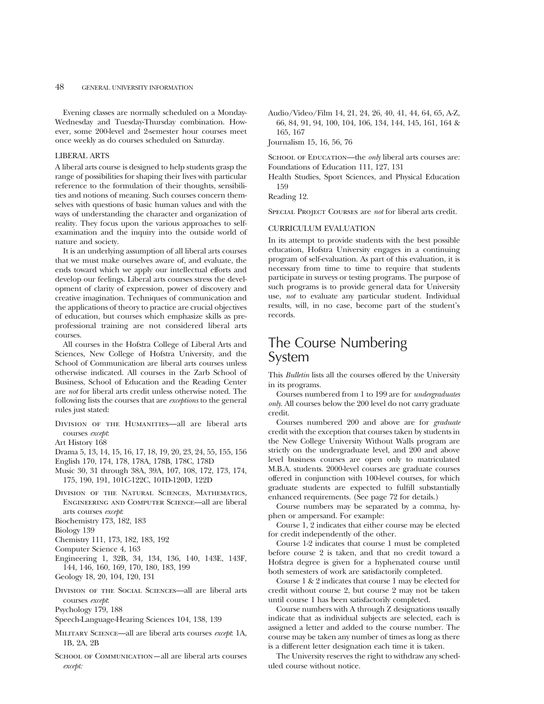Evening classes are normally scheduled on a Monday-Wednesday and Tuesday-Thursday combination. However, some 200-level and 2-semester hour courses meet once weekly as do courses scheduled on Saturday.

#### LIBERAL ARTS

A liberal arts course is designed to help students grasp the range of possibilities for shaping their lives with particular reference to the formulation of their thoughts, sensibilities and notions of meaning. Such courses concern themselves with questions of basic human values and with the ways of understanding the character and organization of reality. They focus upon the various approaches to selfexamination and the inquiry into the outside world of nature and society.

It is an underlying assumption of all liberal arts courses that we must make ourselves aware of, and evaluate, the ends toward which we apply our intellectual efforts and develop our feelings. Liberal arts courses stress the development of clarity of expression, power of discovery and creative imagination. Techniques of communication and the applications of theory to practice are crucial objectives of education, but courses which emphasize skills as preprofessional training are not considered liberal arts courses.

All courses in the Hofstra College of Liberal Arts and Sciences, New College of Hofstra University, and the School of Communication are liberal arts courses unless otherwise indicated. All courses in the Zarb School of Business, School of Education and the Reading Center are *not* for liberal arts credit unless otherwise noted. The following lists the courses that are *exceptions* to the general rules just stated:

DIVISION OF THE HUMANITIES-all are liberal arts courses *except*:

Art History 168

Drama 5, 13, 14, 15, 16, 17, 18, 19, 20, 23, 24, 55, 155, 156

English 170, 174, 178, 178A, 178B, 178C, 178D

- Music 30, 31 through 38A, 39A, 107, 108, 172, 173, 174, 175, 190, 191, 101C-122C, 101D-120D, 122D
- Division of the Natural Sciences, Mathematics, Engineering and Computer Science—all are liberal arts courses *except*:
- Biochemistry 173, 182, 183

Biology 139

- Chemistry 111, 173, 182, 183, 192
- Computer Science 4, 163
- Engineering 1, 32B, 34, 134, 136, 140, 143E, 143F, 144, 146, 160, 169, 170, 180, 183, 199
- Geology 18, 20, 104, 120, 131
- Division of the Social Sciences—all are liberal arts courses *except*:
- Psychology 179, 188
- Speech-Language-Hearing Sciences 104, 138, 139
- Military Science—all are liberal arts courses *except*: 1A, 1B, 2A, 2B
- SCHOOL OF COMMUNICATION—all are liberal arts courses *except:*

Audio/Video/Film 14, 21, 24, 26, 40, 41, 44, 64, 65, A-Z, 66, 84, 91, 94, 100, 104, 106, 134, 144, 145, 161, 164 & 165, 167

Journalism 15, 16, 56, 76

SCHOOL OF EDUCATION—the *only* liberal arts courses are: Foundations of Education 111, 127, 131

Health Studies, Sport Sciences, and Physical Education 159

Reading 12.

Special Project Courses are *not* for liberal arts credit.

#### CURRICULUM EVALUATION

In its attempt to provide students with the best possible education, Hofstra University engages in a continuing program of self-evaluation. As part of this evaluation, it is necessary from time to time to require that students participate in surveys or testing programs. The purpose of such programs is to provide general data for University use, *not* to evaluate any particular student. Individual results, will, in no case, become part of the student's records.

### The Course Numbering System

This *Bulletin* lists all the courses offered by the University in its programs.

Courses numbered from 1 to 199 are for *undergraduates only.* All courses below the 200 level do not carry graduate credit.

Courses numbered 200 and above are for *graduate* credit with the exception that courses taken by students in the New College University Without Walls program are strictly on the undergraduate level, and 200 and above level business courses are open only to matriculated M.B.A. students. 2000-level courses are graduate courses offered in conjunction with 100-level courses, for which graduate students are expected to fulfill substantially enhanced requirements. (See page 72 for details.)

Course numbers may be separated by a comma, hyphen or ampersand. For example:

Course 1, 2 indicates that either course may be elected for credit independently of the other.

Course 1-2 indicates that course 1 must be completed before course 2 is taken, and that no credit toward a Hofstra degree is given for a hyphenated course until both semesters of work are satisfactorily completed.

Course1&2 indicates that course 1 may be elected for credit without course 2, but course 2 may not be taken until course 1 has been satisfactorily completed.

Course numbers with A through Z designations usually indicate that as individual subjects are selected, each is assigned a letter and added to the course number. The course may be taken any number of times as long as there is a different letter designation each time it is taken.

The University reserves the right to withdraw any scheduled course without notice.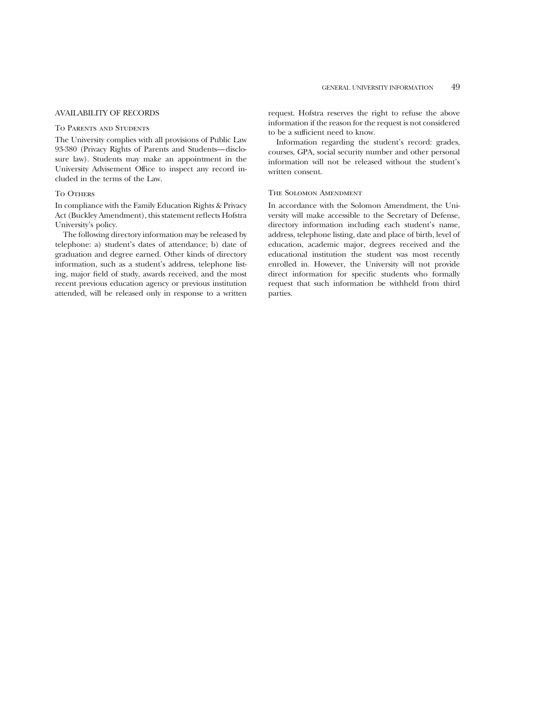#### AVAILABILITY OF RECORDS

#### To Parents and Students

The University complies with all provisions of Public Law 93-380 (Privacy Rights of Parents and Students—disclosure law). Students may make an appointment in the University Advisement Office to inspect any record included in the terms of the Law.

#### TO OTHERS

In compliance with the Family Education Rights & Privacy Act (Buckley Amendment), this statement reflects Hofstra University's policy.

The following directory information may be released by telephone: a) student's dates of attendance; b) date of graduation and degree earned. Other kinds of directory information, such as a student's address, telephone listing, major field of study, awards received, and the most recent previous education agency or previous institution attended, will be released only in response to a written request. Hofstra reserves the right to refuse the above information if the reason for the request is not considered to be a sufficient need to know.

Information regarding the student's record: grades, courses, GPA, social security number and other personal information will not be released without the student's written consent.

#### The Solomon Amendment

In accordance with the Solomon Amendment, the University will make accessible to the Secretary of Defense, directory information including each student's name, address, telephone listing, date and place of birth, level of education, academic major, degrees received and the educational institution the student was most recently enrolled in. However, the University will not provide direct information for specific students who formally request that such information be withheld from third parties.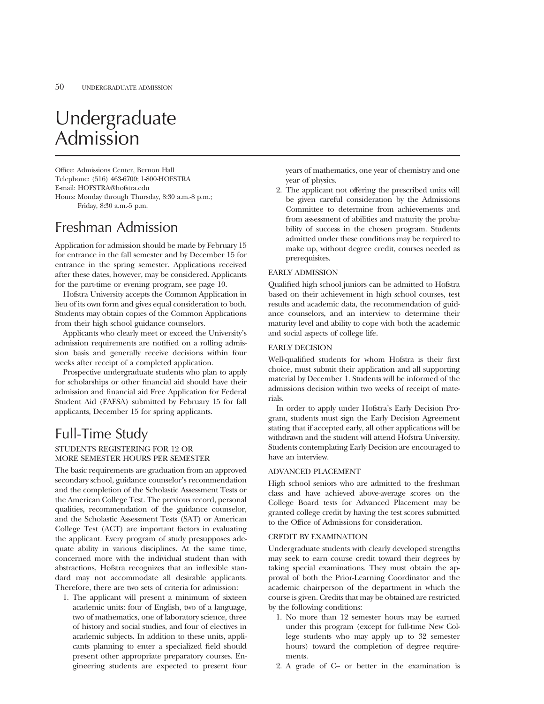## Undergraduate Admission

Office: Admissions Center, Bernon Hall Telephone: (516) 463-6700; 1-800-HOFSTRA E-mail: HOFSTRA@hofstra.edu Hours: Monday through Thursday, 8:30 a.m.-8 p.m.; Friday, 8:30 a.m.-5 p.m.

### Freshman Admission

Application for admission should be made by February 15 for entrance in the fall semester and by December 15 for entrance in the spring semester. Applications received after these dates, however, may be considered. Applicants for the part-time or evening program, see page 10.

Hofstra University accepts the Common Application in lieu of its own form and gives equal consideration to both. Students may obtain copies of the Common Applications from their high school guidance counselors.

Applicants who clearly meet or exceed the University's admission requirements are notified on a rolling admission basis and generally receive decisions within four weeks after receipt of a completed application.

Prospective undergraduate students who plan to apply for scholarships or other financial aid should have their admission and financial aid Free Application for Federal Student Aid (FAFSA) submitted by February 15 for fall applicants, December 15 for spring applicants.

### Full-Time Study

#### STUDENTS REGISTERING FOR 12 OR MORE SEMESTER HOURS PER SEMESTER

The basic requirements are graduation from an approved secondary school, guidance counselor's recommendation and the completion of the Scholastic Assessment Tests or the American College Test. The previous record, personal qualities, recommendation of the guidance counselor, and the Scholastic Assessment Tests (SAT) or American College Test (ACT) are important factors in evaluating the applicant. Every program of study presupposes adequate ability in various disciplines. At the same time, concerned more with the individual student than with abstractions, Hofstra recognizes that an inflexible standard may not accommodate all desirable applicants. Therefore, there are two sets of criteria for admission:

1. The applicant will present a minimum of sixteen academic units: four of English, two of a language, two of mathematics, one of laboratory science, three of history and social studies, and four of electives in academic subjects. In addition to these units, applicants planning to enter a specialized field should present other appropriate preparatory courses. Engineering students are expected to present four years of mathematics, one year of chemistry and one year of physics.

2. The applicant not offering the prescribed units will be given careful consideration by the Admissions Committee to determine from achievements and from assessment of abilities and maturity the probability of success in the chosen program. Students admitted under these conditions may be required to make up, without degree credit, courses needed as prerequisites.

#### EARLY ADMISSION

Qualified high school juniors can be admitted to Hofstra based on their achievement in high school courses, test results and academic data, the recommendation of guidance counselors, and an interview to determine their maturity level and ability to cope with both the academic and social aspects of college life.

#### EARLY DECISION

Well-qualified students for whom Hofstra is their first choice, must submit their application and all supporting material by December 1. Students will be informed of the admissions decision within two weeks of receipt of materials.

In order to apply under Hofstra's Early Decision Program, students must sign the Early Decision Agreement stating that if accepted early, all other applications will be withdrawn and the student will attend Hofstra University. Students contemplating Early Decision are encouraged to have an interview.

#### ADVANCED PLACEMENT

High school seniors who are admitted to the freshman class and have achieved above-average scores on the College Board tests for Advanced Placement may be granted college credit by having the test scores submitted to the Office of Admissions for consideration.

#### CREDIT BY EXAMINATION

Undergraduate students with clearly developed strengths may seek to earn course credit toward their degrees by taking special examinations. They must obtain the approval of both the Prior-Learning Coordinator and the academic chairperson of the department in which the course is given. Credits that may be obtained are restricted by the following conditions:

- 1. No more than 12 semester hours may be earned under this program (except for full-time New College students who may apply up to 32 semester hours) toward the completion of degree requirements.
- 2. A grade of C– or better in the examination is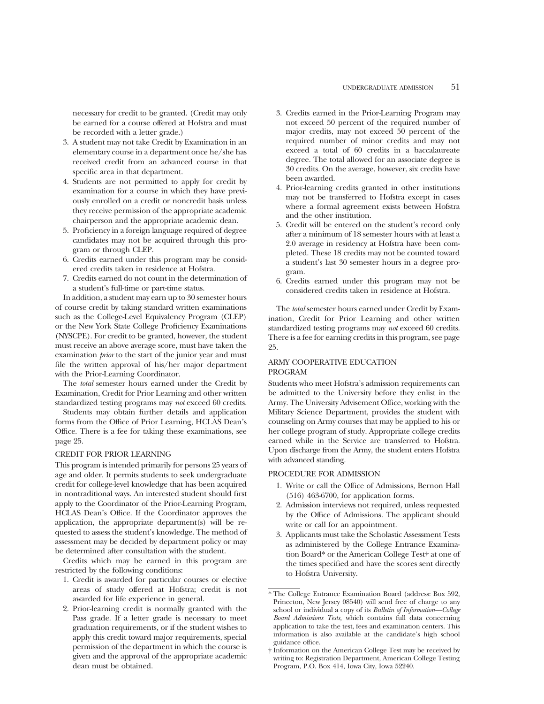necessary for credit to be granted. (Credit may only be earned for a course offered at Hofstra and must be recorded with a letter grade.)

- 3. A student may not take Credit by Examination in an elementary course in a department once he/she has received credit from an advanced course in that specific area in that department.
- 4. Students are not permitted to apply for credit by examination for a course in which they have previously enrolled on a credit or noncredit basis unless they receive permission of the appropriate academic chairperson and the appropriate academic dean.
- 5. Proficiency in a foreign language required of degree candidates may not be acquired through this program or through CLEP.
- 6. Credits earned under this program may be considered credits taken in residence at Hofstra.
- 7. Credits earned do not count in the determination of a student's full-time or part-time status.

In addition, a student may earn up to 30 semester hours of course credit by taking standard written examinations such as the College-Level Equivalency Program (CLEP) or the New York State College Proficiency Examinations (NYSCPE). For credit to be granted, however, the student must receive an above average score, must have taken the examination *prior* to the start of the junior year and must file the written approval of his/her major department with the Prior-Learning Coordinator.

The *total* semester hours earned under the Credit by Examination, Credit for Prior Learning and other written standardized testing programs may *not* exceed 60 credits.

Students may obtain further details and application forms from the Office of Prior Learning, HCLAS Dean's Office. There is a fee for taking these examinations, see page 25.

#### CREDIT FOR PRIOR LEARNING

This program is intended primarily for persons 25 years of age and older. It permits students to seek undergraduate credit for college-level knowledge that has been acquired in nontraditional ways. An interested student should first apply to the Coordinator of the Prior-Learning Program, HCLAS Dean's Office. If the Coordinator approves the application, the appropriate department(s) will be requested to assess the student's knowledge. The method of assessment may be decided by department policy or may be determined after consultation with the student.

Credits which may be earned in this program are restricted by the following conditions:

- 1. Credit is awarded for particular courses or elective areas of study offered at Hofstra; credit is not awarded for life experience in general.
- 2. Prior-learning credit is normally granted with the Pass grade. If a letter grade is necessary to meet graduation requirements, or if the student wishes to apply this credit toward major requirements, special permission of the department in which the course is given and the approval of the appropriate academic dean must be obtained.
- 3. Credits earned in the Prior-Learning Program may not exceed 50 percent of the required number of major credits, may not exceed 50 percent of the required number of minor credits and may not exceed a total of 60 credits in a baccalaureate degree. The total allowed for an associate degree is 30 credits. On the average, however, six credits have been awarded.
- 4. Prior-learning credits granted in other institutions may not be transferred to Hofstra except in cases where a formal agreement exists between Hofstra and the other institution.
- 5. Credit will be entered on the student's record only after a minimum of 18 semester hours with at least a 2.0 average in residency at Hofstra have been completed. These 18 credits may not be counted toward a student's last 30 semester hours in a degree program.
- 6. Credits earned under this program may not be considered credits taken in residence at Hofstra.

The *total* semester hours earned under Credit by Examination, Credit for Prior Learning and other written standardized testing programs may *not* exceed 60 credits. There is a fee for earning credits in this program, see page 25.

#### ARMY COOPERATIVE EDUCATION PROGRAM

Students who meet Hofstra's admission requirements can be admitted to the University before they enlist in the Army. The University Advisement Office, working with the Military Science Department, provides the student with counseling on Army courses that may be applied to his or her college program of study. Appropriate college credits earned while in the Service are transferred to Hofstra. Upon discharge from the Army, the student enters Hofstra with advanced standing.

#### PROCEDURE FOR ADMISSION

- 1. Write or call the Office of Admissions, Bernon Hall (516) 463-6700, for application forms.
- 2. Admission interviews not required, unless requested by the Office of Admissions. The applicant should write or call for an appointment.
- 3. Applicants must take the Scholastic Assessment Tests as administered by the College Entrance Examination Board\* or the American College Test† at one of the times specified and have the scores sent directly to Hofstra University.

<sup>\*</sup> The College Entrance Examination Board (address: Box 592, Princeton, New Jersey 08540) will send free of charge to any school or individual a copy of its *Bulletin of Information—College Board Admissions Tests,* which contains full data concerning application to take the test, fees and examination centers. This information is also available at the candidate's high school guidance office.

<sup>†</sup> Information on the American College Test may be received by writing to: Registration Department, American College Testing Program, P.O. Box 414, Iowa City, Iowa 52240.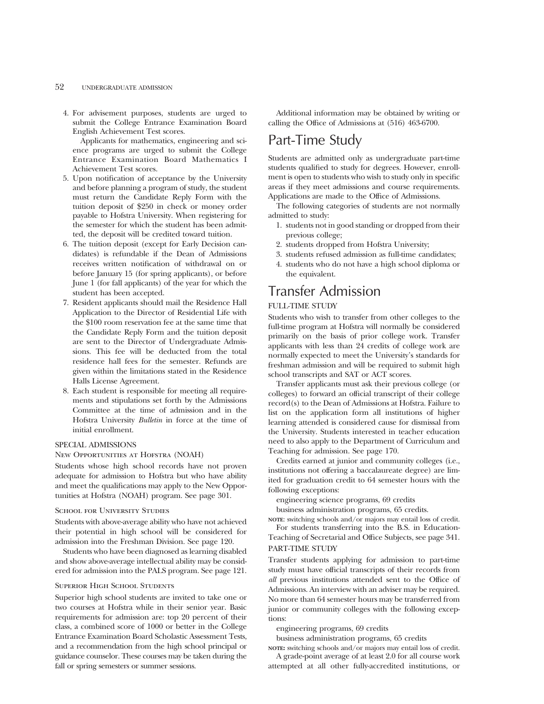#### 52 UNDERGRADUATE ADMISSION

4. For advisement purposes, students are urged to submit the College Entrance Examination Board English Achievement Test scores.

Applicants for mathematics, engineering and science programs are urged to submit the College Entrance Examination Board Mathematics I Achievement Test scores.

- 5. Upon notification of acceptance by the University and before planning a program of study, the student must return the Candidate Reply Form with the tuition deposit of \$250 in check or money order payable to Hofstra University. When registering for the semester for which the student has been admitted, the deposit will be credited toward tuition.
- 6. The tuition deposit (except for Early Decision candidates) is refundable if the Dean of Admissions receives written notification of withdrawal on or before January 15 (for spring applicants), or before June 1 (for fall applicants) of the year for which the student has been accepted.
- 7. Resident applicants should mail the Residence Hall Application to the Director of Residential Life with the \$100 room reservation fee at the same time that the Candidate Reply Form and the tuition deposit are sent to the Director of Undergraduate Admissions. This fee will be deducted from the total residence hall fees for the semester. Refunds are given within the limitations stated in the Residence Halls License Agreement.
- 8. Each student is responsible for meeting all requirements and stipulations set forth by the Admissions Committee at the time of admission and in the Hofstra University *Bulletin* in force at the time of initial enrollment.

#### SPECIAL ADMISSIONS

#### New Opportunities at Hofstra (NOAH)

Students whose high school records have not proven adequate for admission to Hofstra but who have ability and meet the qualifications may apply to the New Opportunities at Hofstra (NOAH) program. See page 301.

#### School for University Studies

Students with above-average ability who have not achieved their potential in high school will be considered for admission into the Freshman Division. See page 120.

Students who have been diagnosed as learning disabled and show above-average intellectual ability may be considered for admission into the PALS program. See page 121.

#### Superior High School Students

Superior high school students are invited to take one or two courses at Hofstra while in their senior year. Basic requirements for admission are: top 20 percent of their class, a combined score of 1000 or better in the College Entrance Examination Board Scholastic Assessment Tests, and a recommendation from the high school principal or guidance counselor. These courses may be taken during the fall or spring semesters or summer sessions.

Additional information may be obtained by writing or calling the Office of Admissions at (516) 463-6700.

### Part-Time Study

Students are admitted only as undergraduate part-time students qualified to study for degrees. However, enrollment is open to students who wish to study only in specific areas if they meet admissions and course requirements. Applications are made to the Office of Admissions.

The following categories of students are not normally admitted to study:

- 1. students not in good standing or dropped from their previous college;
- 2. students dropped from Hofstra University;
- 3. students refused admission as full-time candidates;
- 4. students who do not have a high school diploma or the equivalent.

### Transfer Admission

#### FULL-TIME STUDY

Students who wish to transfer from other colleges to the full-time program at Hofstra will normally be considered primarily on the basis of prior college work. Transfer applicants with less than 24 credits of college work are normally expected to meet the University's standards for freshman admission and will be required to submit high school transcripts and SAT or ACT scores.

Transfer applicants must ask their previous college (or colleges) to forward an official transcript of their college record(s) to the Dean of Admissions at Hofstra. Failure to list on the application form all institutions of higher learning attended is considered cause for dismissal from the University. Students interested in teacher education need to also apply to the Department of Curriculum and Teaching for admission. See page 170.

Credits earned at junior and community colleges (i.e., institutions not offering a baccalaureate degree) are limited for graduation credit to 64 semester hours with the following exceptions:

engineering science programs, 69 credits

business administration programs, 65 credits.

**NOTE**: switching schools and/or majors may entail loss of credit. For students transferring into the B.S. in Education-

Teaching of Secretarial and Office Subjects, see page 341. PART-TIME STUDY

Transfer students applying for admission to part-time study must have official transcripts of their records from *all* previous institutions attended sent to the Office of Admissions. An interview with an adviser may be required. No more than 64 semester hours may be transferred from junior or community colleges with the following exceptions:

engineering programs, 69 credits

business administration programs, 65 credits

**NOTE:** switching schools and/or majors may entail loss of credit. A grade-point average of at least 2.0 for all course work

attempted at all other fully-accredited institutions, or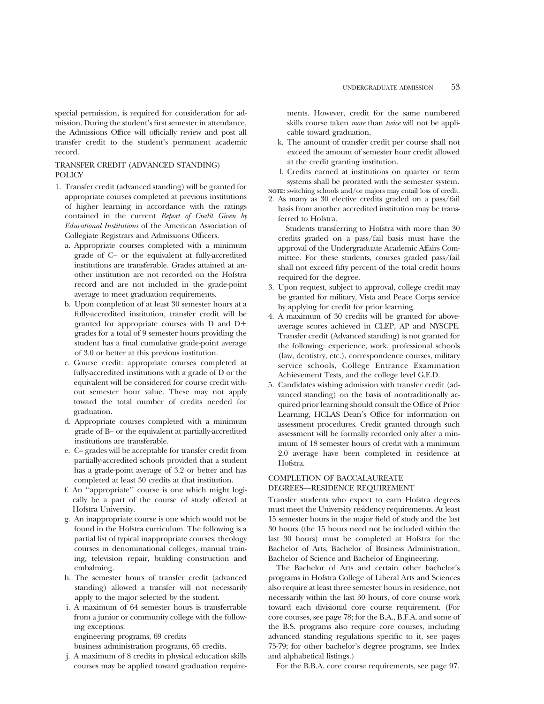special permission, is required for consideration for admission. During the student's first semester in attendance, the Admissions Office will officially review and post all transfer credit to the student's permanent academic record.

#### TRANSFER CREDIT (ADVANCED STANDING) POLICY

- 1. Transfer credit (advanced standing) will be granted for appropriate courses completed at previous institutions of higher learning in accordance with the ratings contained in the current *Report of Credit Given by Educational Institutions* of the American Association of Collegiate Registrars and Admissions Officers.
	- a. Appropriate courses completed with a minimum grade of C– or the equivalent at fully-accredited institutions are transferable. Grades attained at another institution are not recorded on the Hofstra record and are not included in the grade-point average to meet graduation requirements.
	- b. Upon completion of at least 30 semester hours at a fully-accredited institution, transfer credit will be granted for appropriate courses with  $D$  and  $D+$ grades for a total of 9 semester hours providing the student has a final cumulative grade-point average of 3.0 or better at this previous institution.
	- c. Course credit: appropriate courses completed at fully-accredited institutions with a grade of D or the equivalent will be considered for course credit without semester hour value. These may not apply toward the total number of credits needed for graduation.
	- d. Appropriate courses completed with a minimum grade of B– or the equivalent at partially-accredited institutions are transferable.
	- e. C– grades will be acceptable for transfer credit from partially-accredited schools provided that a student has a grade-point average of 3.2 or better and has completed at least 30 credits at that institution.
	- f. An ''appropriate'' course is one which might logically be a part of the course of study offered at Hofstra University.
	- g. An inappropriate course is one which would not be found in the Hofstra curriculum. The following is a partial list of typical inappropriate courses: theology courses in denominational colleges, manual training, television repair, building construction and embalming.
	- h. The semester hours of transfer credit (advanced standing) allowed a transfer will not necessarily apply to the major selected by the student.
	- i. A maximum of 64 semester hours is transferrable from a junior or community college with the following exceptions:

engineering programs, 69 credits

business administration programs, 65 credits.

j. A maximum of 8 credits in physical education skills courses may be applied toward graduation requirements. However, credit for the same numbered skills course taken *more* than *twice* will not be applicable toward graduation.

- k. The amount of transfer credit per course shall not exceed the amount of semester hour credit allowed at the credit granting institution.
- l. Credits earned at institutions on quarter or term systems shall be prorated with the semester system.

**NOTE:** switching schools and/or majors may entail loss of credit. 2. As many as 30 elective credits graded on a pass/fail

basis from another accredited institution may be transferred to Hofstra.

Students transferring to Hofstra with more than 30 credits graded on a pass/fail basis must have the approval of the Undergraduate Academic Affairs Committee. For these students, courses graded pass/fail shall not exceed fifty percent of the total credit hours required for the degree.

- 3. Upon request, subject to approval, college credit may be granted for military, Vista and Peace Corps service by applying for credit for prior learning.
- 4. A maximum of 30 credits will be granted for aboveaverage scores achieved in CLEP, AP and NYSCPE. Transfer credit (Advanced standing) is not granted for the following: experience, work, professional schools (law, dentistry, etc.), correspondence courses, military service schools, College Entrance Examination Achievement Tests, and the college level G.E.D.
- 5. Candidates wishing admission with transfer credit (advanced standing) on the basis of nontraditionally acquired prior learning should consult the Office of Prior Learning, HCLAS Dean's Office for information on assessment procedures. Credit granted through such assessment will be formally recorded only after a minimum of 18 semester hours of credit with a minimum 2.0 average have been completed in residence at Hofstra.

#### COMPLETION OF BACCALAUREATE DEGREES—RESIDENCE REQUIREMENT

Transfer students who expect to earn Hofstra degrees must meet the University residency requirements. At least 15 semester hours in the major field of study and the last 30 hours (the 15 hours need not be included within the last 30 hours) must be completed at Hofstra for the Bachelor of Arts, Bachelor of Business Administration, Bachelor of Science and Bachelor of Engineering.

The Bachelor of Arts and certain other bachelor's programs in Hofstra College of Liberal Arts and Sciences also require at least three semester hours in residence, not necessarily within the last 30 hours, of core course work toward each divisional core course requirement. (For core courses, see page 78; for the B.A., B.F.A. and some of the B.S. programs also require core courses, including advanced standing regulations specific to it, see pages 75-79; for other bachelor's degree programs, see Index and alphabetical listings.)

For the B.B.A. core course requirements, see page 97.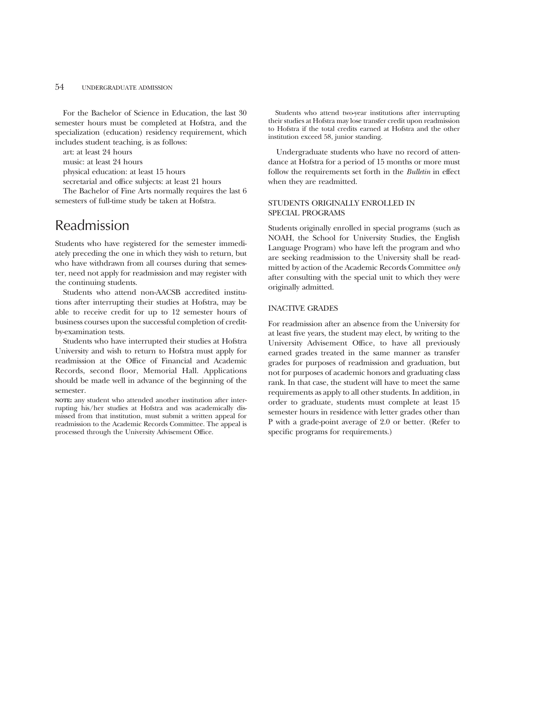For the Bachelor of Science in Education, the last 30 semester hours must be completed at Hofstra, and the specialization (education) residency requirement, which includes student teaching, is as follows:

art: at least 24 hours

music: at least 24 hours

physical education: at least 15 hours

secretarial and office subjects: at least 21 hours

The Bachelor of Fine Arts normally requires the last 6 semesters of full-time study be taken at Hofstra.

### Readmission

Students who have registered for the semester immediately preceding the one in which they wish to return, but who have withdrawn from all courses during that semester, need not apply for readmission and may register with the continuing students.

Students who attend non-AACSB accredited institutions after interrupting their studies at Hofstra, may be able to receive credit for up to 12 semester hours of business courses upon the successful completion of creditby-examination tests.

Students who have interrupted their studies at Hofstra University and wish to return to Hofstra must apply for readmission at the Office of Financial and Academic Records, second floor, Memorial Hall. Applications should be made well in advance of the beginning of the semester.

**NOTE:** any student who attended another institution after interrupting his/her studies at Hofstra and was academically dismissed from that institution, must submit a written appeal for readmission to the Academic Records Committee. The appeal is processed through the University Advisement Office.

Students who attend two-year institutions after interrupting their studies at Hofstra may lose transfer credit upon readmission to Hofstra if the total credits earned at Hofstra and the other institution exceed 58, junior standing.

Undergraduate students who have no record of attendance at Hofstra for a period of 15 months or more must follow the requirements set forth in the *Bulletin* in effect when they are readmitted.

#### STUDENTS ORIGINALLY ENROLLED IN SPECIAL PROGRAMS

Students originally enrolled in special programs (such as NOAH, the School for University Studies, the English Language Program) who have left the program and who are seeking readmission to the University shall be readmitted by action of the Academic Records Committee *only* after consulting with the special unit to which they were originally admitted.

#### INACTIVE GRADES

For readmission after an absence from the University for at least five years, the student may elect, by writing to the University Advisement Office, to have all previously earned grades treated in the same manner as transfer grades for purposes of readmission and graduation, but not for purposes of academic honors and graduating class rank. In that case, the student will have to meet the same requirements as apply to all other students. In addition, in order to graduate, students must complete at least 15 semester hours in residence with letter grades other than P with a grade-point average of 2.0 or better. (Refer to specific programs for requirements.)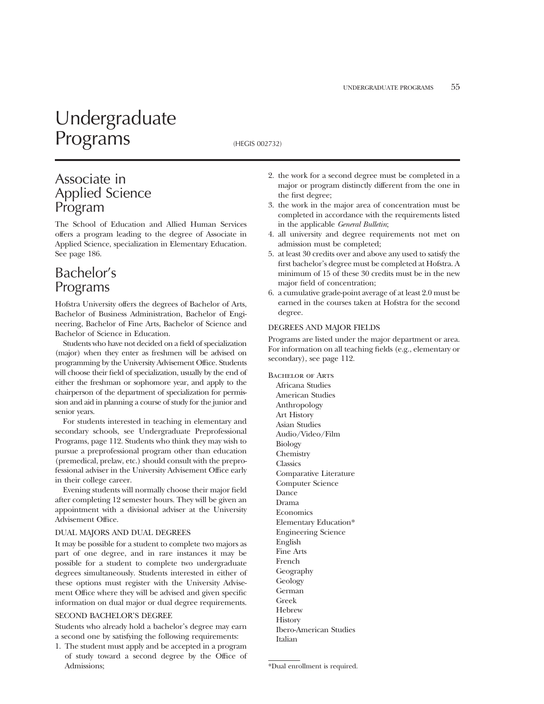## Undergraduate Programs (HEGIS 002732)

### Associate in Applied Science Program

The School of Education and Allied Human Services offers a program leading to the degree of Associate in Applied Science, specialization in Elementary Education. See page 186.

### Bachelor's Programs

Hofstra University offers the degrees of Bachelor of Arts, Bachelor of Business Administration, Bachelor of Engineering, Bachelor of Fine Arts, Bachelor of Science and Bachelor of Science in Education.

Students who have not decided on a field of specialization (major) when they enter as freshmen will be advised on programming by the University Advisement Office. Students will choose their field of specialization, usually by the end of either the freshman or sophomore year, and apply to the chairperson of the department of specialization for permission and aid in planning a course of study for the junior and senior years.

For students interested in teaching in elementary and secondary schools, see Undergraduate Preprofessional Programs, page 112. Students who think they may wish to pursue a preprofessional program other than education (premedical, prelaw, etc.) should consult with the preprofessional adviser in the University Advisement Office early in their college career.

Evening students will normally choose their major field after completing 12 semester hours. They will be given an appointment with a divisional adviser at the University Advisement Office.

#### DUAL MAJORS AND DUAL DEGREES

It may be possible for a student to complete two majors as part of one degree, and in rare instances it may be possible for a student to complete two undergraduate degrees simultaneously. Students interested in either of these options must register with the University Advisement Office where they will be advised and given specific information on dual major or dual degree requirements.

#### SECOND BACHELOR'S DEGREE

Students who already hold a bachelor's degree may earn a second one by satisfying the following requirements:

1. The student must apply and be accepted in a program of study toward a second degree by the Office of Admissions;

- 2. the work for a second degree must be completed in a major or program distinctly different from the one in the first degree;
- 3. the work in the major area of concentration must be completed in accordance with the requirements listed in the applicable *General Bulletin*;
- 4. all university and degree requirements not met on admission must be completed;
- 5. at least 30 credits over and above any used to satisfy the first bachelor's degree must be completed at Hofstra. A minimum of 15 of these 30 credits must be in the new major field of concentration;
- 6. a cumulative grade-point average of at least 2.0 must be earned in the courses taken at Hofstra for the second degree.

#### DEGREES AND MAJOR FIELDS

Programs are listed under the major department or area. For information on all teaching fields (e.g., elementary or secondary), see page 112.

BACHELOR OF ARTS Africana Studies American Studies Anthropology Art History Asian Studies Audio/Video/Film Biology Chemistry Classics Comparative Literature Computer Science Dance Drama Economics Elementary Education\* Engineering Science English Fine Arts French Geography Geology German Greek Hebrew **History** Ibero-American Studies Italian

<sup>\*</sup>Dual enrollment is required.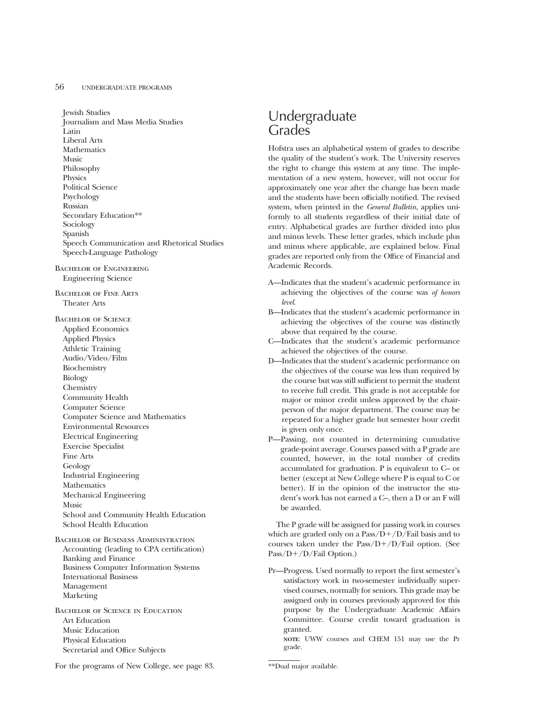#### 56 UNDERGRADUATE PROGRAMS

Jewish Studies Journalism and Mass Media Studies Latin Liberal Arts **Mathematics** Music Philosophy Physics Political Science Psychology Russian Secondary Education\*\* Sociology Spanish Speech Communication and Rhetorical Studies Speech-Language Pathology Bachelor of Engineering Engineering Science Bachelor of Fine Arts Theater Arts Bachelor of Science Applied Economics Applied Physics Athletic Training Audio/Video/Film Biochemistry Biology Chemistry Community Health

Computer Science Computer Science and Mathematics Environmental Resources Electrical Engineering Exercise Specialist Fine Arts Geology Industrial Engineering **Mathematics** Mechanical Engineering Music School and Community Health Education School Health Education

Bachelor of Business Administration Accounting (leading to CPA certification) Banking and Finance Business Computer Information Systems International Business Management Marketing

Bachelor of Science in Education Art Education Music Education Physical Education Secretarial and Office Subjects

### Undergraduate Grades

Hofstra uses an alphabetical system of grades to describe the quality of the student's work. The University reserves the right to change this system at any time. The implementation of a new system, however, will not occur for approximately one year after the change has been made and the students have been officially notified. The revised system, when printed in the *General Bulletin*, applies uniformly to all students regardless of their initial date of entry. Alphabetical grades are further divided into plus and minus levels. These letter grades, which include plus and minus where applicable, are explained below. Final grades are reported only from the Office of Financial and Academic Records.

- A—Indicates that the student's academic performance in achieving the objectives of the course was *of honors level*.
- B—Indicates that the student's academic performance in achieving the objectives of the course was distinctly above that required by the course.
- C—Indicates that the student's academic performance achieved the objectives of the course.
- D—Indicates that the student's academic performance on the objectives of the course was less than required by the course but was still sufficient to permit the student to receive full credit. This grade is not acceptable for major or minor credit unless approved by the chairperson of the major department. The course may be repeated for a higher grade but semester hour credit is given only once.
- P—Passing, not counted in determining cumulative grade-point average. Courses passed with a P grade are counted, however, in the total number of credits accumulated for graduation. P is equivalent to C– or better (except at New College where P is equal to C or better). If in the opinion of the instructor the student's work has not earned a C–, then a D or an F will be awarded.

The P grade will be assigned for passing work in courses which are graded only on a  $Pass/D+/D/Fall$  basis and to courses taken under the  $Pass/D+/D/Fall$  option. (See  $Pass/D+/D/Fail Option.)$ 

Pr—Progress. Used normally to report the first semester's satisfactory work in two-semester individually supervised courses, normally for seniors. This grade may be assigned only in courses previously approved for this purpose by the Undergraduate Academic Affairs Committee. Course credit toward graduation is granted.

**NOTE**: UWW courses and CHEM 151 may use the Pr grade.

For the programs of New College, see page 83.

\*\*Dual major available.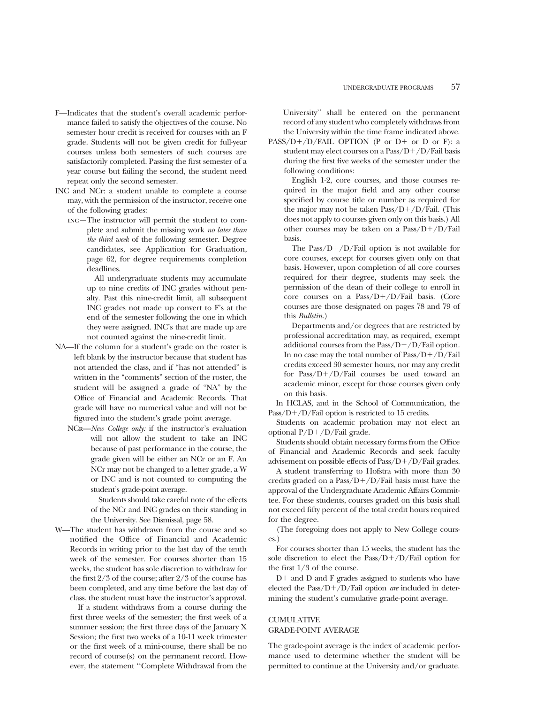- F—Indicates that the student's overall academic performance failed to satisfy the objectives of the course. No semester hour credit is received for courses with an F grade. Students will not be given credit for full-year courses unless both semesters of such courses are satisfactorily completed. Passing the first semester of a year course but failing the second, the student need repeat only the second semester.
- INC and NCr: a student unable to complete a course may, with the permission of the instructor, receive one of the following grades:
	- inc—The instructor will permit the student to complete and submit the missing work *no later than the third week* of the following semester. Degree candidates, see Application for Graduation, page 62, for degree requirements completion deadlines.

All undergraduate students may accumulate up to nine credits of INC grades without penalty. Past this nine-credit limit, all subsequent INC grades not made up convert to F's at the end of the semester following the one in which they were assigned. INC's that are made up are not counted against the nine-credit limit.

- NA—If the column for a student's grade on the roster is left blank by the instructor because that student has not attended the class, and if "has not attended" is written in the "comments" section of the roster, the student will be assigned a grade of "NA" by the Office of Financial and Academic Records. That grade will have no numerical value and will not be figured into the student's grade point average.
	- NCr—*New College only:* if the instructor's evaluation will not allow the student to take an INC because of past performance in the course, the grade given will be either an NCr or an F. An NCr may not be changed to a letter grade, a W or INC and is not counted to computing the student's grade-point average.

Students should take careful note of the effects of the NCr and INC grades on their standing in the University. See Dismissal, page 58.

W—The student has withdrawn from the course and so notified the Office of Financial and Academic Records in writing prior to the last day of the tenth week of the semester. For courses shorter than 15 weeks, the student has sole discretion to withdraw for the first 2/3 of the course; after 2/3 of the course has been completed, and any time before the last day of class, the student must have the instructor's approval.

If a student withdraws from a course during the first three weeks of the semester; the first week of a summer session; the first three days of the January X Session; the first two weeks of a 10-11 week trimester or the first week of a mini-course, there shall be no record of course(s) on the permanent record. However, the statement ''Complete Withdrawal from the

University'' shall be entered on the permanent record of any student who completely withdraws from the University within the time frame indicated above.

PASS/D+/D/FAIL OPTION (P or D+ or D or F): a student may elect courses on a  $Pass/D+/D/Fall$  basis during the first five weeks of the semester under the following conditions:

English 1-2, core courses, and those courses required in the major field and any other course specified by course title or number as required for the major may not be taken  $Pass/D+/D/Fall.$  (This does not apply to courses given only on this basis.) All other courses may be taken on a  $Pass/D+/D/Fall$ basis.

The Pass/ $D+/D/Fail$  option is not available for core courses, except for courses given only on that basis. However, upon completion of all core courses required for their degree, students may seek the permission of the dean of their college to enroll in core courses on a  $Pass/D+/D/Fall$  basis. (Core courses are those designated on pages 78 and 79 of this *Bulletin.*)

Departments and/or degrees that are restricted by professional accreditation may, as required, exempt additional courses from the  $Pass/D+/D/Fail$  option. In no case may the total number of  $Pass/D+/D/Fall$ credits exceed 30 semester hours, nor may any credit for  $Pass/D+/D/Fail$  courses be used toward an academic minor, except for those courses given only on this basis.

In HCLAS, and in the School of Communication, the  $Pass/D+/D/Fail$  option is restricted to 15 credits.

Students on academic probation may not elect an optional  $P/D+ / D$ /Fail grade.

Students should obtain necessary forms from the Office of Financial and Academic Records and seek faculty advisement on possible effects of  $Pass/D+/D/Fail$  grades.

A student transferring to Hofstra with more than 30 credits graded on a  $Pass/D+/D/Fall$  basis must have the approval of the Undergraduate Academic Affairs Committee. For these students, courses graded on this basis shall not exceed fifty percent of the total credit hours required for the degree.

(The foregoing does not apply to New College courses.)

For courses shorter than 15 weeks, the student has the sole discretion to elect the Pass/ $D+/D$ /Fail option for the first 1/3 of the course.

 $D+$  and  $D$  and  $F$  grades assigned to students who have elected the Pass/D+/D/Fail option *are* included in determining the student's cumulative grade-point average.

#### **CUMULATIVE** GRADE-POINT AVERAGE

The grade-point average is the index of academic performance used to determine whether the student will be permitted to continue at the University and/or graduate.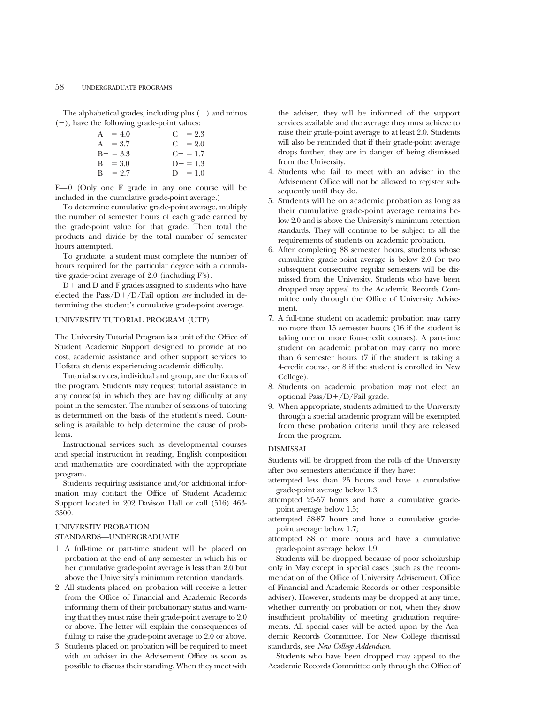The alphabetical grades, including plus  $(+)$  and minus  $(-)$ , have the following grade-point values:

| $A = 4.0$   | $C_{+} = 2.3$ |
|-------------|---------------|
| $A - = 3.7$ | $C = 2.0$     |
| $B+ = 3.3$  | $C = 1.7$     |
| $B = 3.0$   | $D+ = 1.3$    |
| $B - = 2.7$ | $D = 1.0$     |

F—0 (Only one F grade in any one course will be included in the cumulative grade-point average.)

To determine cumulative grade-point average, multiply the number of semester hours of each grade earned by the grade-point value for that grade. Then total the products and divide by the total number of semester hours attempted.

To graduate, a student must complete the number of hours required for the particular degree with a cumulative grade-point average of 2.0 (including F's).

 $D+$  and  $D$  and  $F$  grades assigned to students who have elected the  $Pass/D+/D/Fall$  option *are* included in determining the student's cumulative grade-point average.

#### UNIVERSITY TUTORIAL PROGRAM (UTP)

The University Tutorial Program is a unit of the Office of Student Academic Support designed to provide at no cost, academic assistance and other support services to Hofstra students experiencing academic difficulty.

Tutorial services, individual and group, are the focus of the program. Students may request tutorial assistance in any course(s) in which they are having difficulty at any point in the semester. The number of sessions of tutoring is determined on the basis of the student's need. Counseling is available to help determine the cause of problems.

Instructional services such as developmental courses and special instruction in reading, English composition and mathematics are coordinated with the appropriate program.

Students requiring assistance and/or additional information may contact the Office of Student Academic Support located in 202 Davison Hall or call (516) 463- 3500.

#### UNIVERSITY PROBATION STANDARDS—UNDERGRADUATE

- 1. A full-time or part-time student will be placed on probation at the end of any semester in which his or her cumulative grade-point average is less than 2.0 but above the University's minimum retention standards.
- 2. All students placed on probation will receive a letter from the Office of Financial and Academic Records informing them of their probationary status and warning that they must raise their grade-point average to 2.0 or above. The letter will explain the consequences of failing to raise the grade-point average to 2.0 or above.
- 3. Students placed on probation will be required to meet with an adviser in the Advisement Office as soon as possible to discuss their standing. When they meet with

the adviser, they will be informed of the support services available and the average they must achieve to raise their grade-point average to at least 2.0. Students will also be reminded that if their grade-point average drops further, they are in danger of being dismissed from the University.

- 4. Students who fail to meet with an adviser in the Advisement Office will not be allowed to register subsequently until they do.
- 5. Students will be on academic probation as long as their cumulative grade-point average remains below 2.0 and is above the University's minimum retention standards. They will continue to be subject to all the requirements of students on academic probation.
- 6. After completing 88 semester hours, students whose cumulative grade-point average is below 2.0 for two subsequent consecutive regular semesters will be dismissed from the University. Students who have been dropped may appeal to the Academic Records Committee only through the Office of University Advisement.
- 7. A full-time student on academic probation may carry no more than 15 semester hours (16 if the student is taking one or more four-credit courses). A part-time student on academic probation may carry no more than 6 semester hours (7 if the student is taking a 4-credit course, or 8 if the student is enrolled in New College).
- 8. Students on academic probation may not elect an optional Pass/D+/D/Fail grade.
- 9. When appropriate, students admitted to the University through a special academic program will be exempted from these probation criteria until they are released from the program.

#### DISMISSAL

Students will be dropped from the rolls of the University after two semesters attendance if they have:

- attempted less than 25 hours and have a cumulative grade-point average below 1.3;
- attempted 25-57 hours and have a cumulative gradepoint average below 1.5;
- attempted 58-87 hours and have a cumulative gradepoint average below 1.7;
- attempted 88 or more hours and have a cumulative grade-point average below 1.9.

Students will be dropped because of poor scholarship only in May except in special cases (such as the recommendation of the Office of University Advisement, Office of Financial and Academic Records or other responsible adviser). However, students may be dropped at any time, whether currently on probation or not, when they show insufficient probability of meeting graduation requirements. All special cases will be acted upon by the Academic Records Committee. For New College dismissal standards, see *New College Addendum*.

Students who have been dropped may appeal to the Academic Records Committee only through the Office of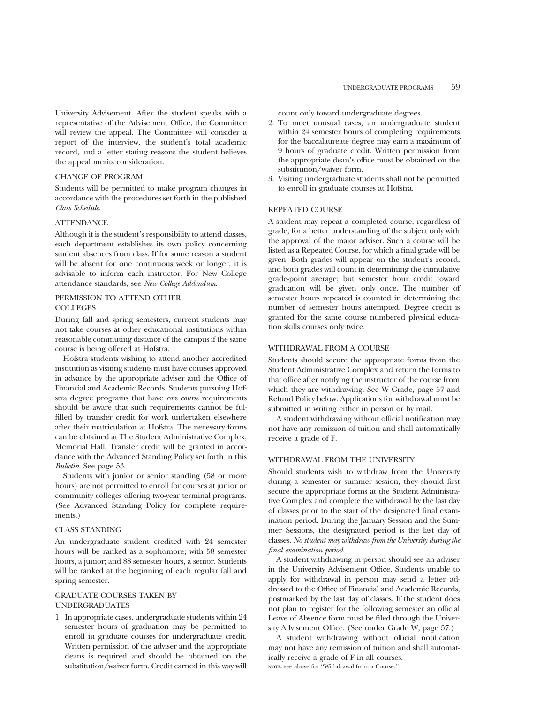University Advisement. After the student speaks with a representative of the Advisement Office, the Committee will review the appeal. The Committee will consider a report of the interview, the student's total academic record, and a letter stating reasons the student believes the appeal merits consideration.

#### CHANGE OF PROGRAM

Students will be permitted to make program changes in accordance with the procedures set forth in the published *Class Schedule*.

#### **ATTENDANCE**

Although it is the student's responsibility to attend classes, each department establishes its own policy concerning student absences from class. If for some reason a student will be absent for one continuous week or longer, it is advisable to inform each instructor. For New College attendance standards, see *New College Addendum*.

#### PERMISSION TO ATTEND OTHER **COLLEGES**

During fall and spring semesters, current students may not take courses at other educational institutions within reasonable commuting distance of the campus if the same course is being offered at Hofstra.

Hofstra students wishing to attend another accredited institution as visiting students must have courses approved in advance by the appropriate adviser and the Office of Financial and Academic Records. Students pursuing Hofstra degree programs that have *core course* requirements should be aware that such requirements cannot be fulfilled by transfer credit for work undertaken elsewhere after their matriculation at Hofstra. The necessary forms can be obtained at The Student Administrative Complex, Memorial Hall. Transfer credit will be granted in accordance with the Advanced Standing Policy set forth in this *Bulletin*. See page 53.

Students with junior or senior standing (58 or more hours) are not permitted to enroll for courses at junior or community colleges offering two-year terminal programs. (See Advanced Standing Policy for complete requirements.)

#### CLASS STANDING

An undergraduate student credited with 24 semester hours will be ranked as a sophomore; with 58 semester hours, a junior; and 88 semester hours, a senior. Students will be ranked at the beginning of each regular fall and spring semester.

#### GRADUATE COURSES TAKEN BY UNDERGRADUATES

1. In appropriate cases, undergraduate students within 24 semester hours of graduation may be permitted to enroll in graduate courses for undergraduate credit. Written permission of the adviser and the appropriate deans is required and should be obtained on the substitution/waiver form. Credit earned in this way will

count only toward undergraduate degrees.

- 2. To meet unusual cases, an undergraduate student within 24 semester hours of completing requirements for the baccalaureate degree may earn a maximum of 9 hours of graduate credit. Written permission from the appropriate dean's office must be obtained on the substitution/waiver form.
- 3. Visiting undergraduate students shall not be permitted to enroll in graduate courses at Hofstra.

#### REPEATED COURSE

A student may repeat a completed course, regardless of grade, for a better understanding of the subject only with the approval of the major adviser. Such a course will be listed as a Repeated Course, for which a final grade will be given. Both grades will appear on the student's record, and both grades will count in determining the cumulative grade-point average; but semester hour credit toward graduation will be given only once. The number of semester hours repeated is counted in determining the number of semester hours attempted. Degree credit is granted for the same course numbered physical education skills courses only twice.

#### WITHDRAWAL FROM A COURSE

Students should secure the appropriate forms from the Student Administrative Complex and return the forms to that office after notifying the instructor of the course from which they are withdrawing. See W Grade, page 57 and Refund Policy below. Applications for withdrawal must be submitted in writing either in person or by mail.

A student withdrawing without official notification may not have any remission of tuition and shall automatically receive a grade of F.

#### WITHDRAWAL FROM THE UNIVERSITY

Should students wish to withdraw from the University during a semester or summer session, they should first secure the appropriate forms at the Student Administrative Complex and complete the withdrawal by the last day of classes prior to the start of the designated final examination period. During the January Session and the Summer Sessions, the designated period is the last day of classes. *No student may withdraw from the University during the final examination period.*

A student withdrawing in person should see an adviser in the University Advisement Office. Students unable to apply for withdrawal in person may send a letter addressed to the Office of Financial and Academic Records, postmarked by the last day of classes. If the student does not plan to register for the following semester an official Leave of Absence form must be filed through the University Advisement Office. (See under Grade W, page 57.)

A student withdrawing without official notification may not have any remission of tuition and shall automatically receive a grade of F in all courses. **NOTE**: see above for ''Withdrawal from a Course.''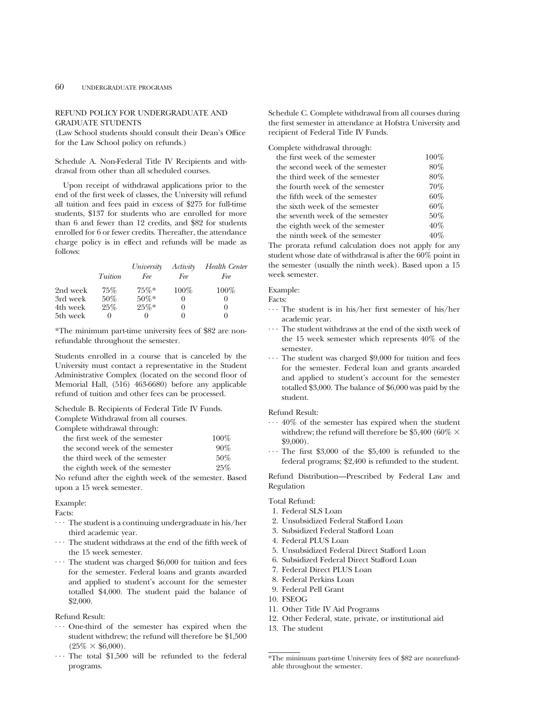#### REFUND POLICY FOR UNDERGRADUATE AND GRADUATE STUDENTS

(Law School students should consult their Dean's Office for the Law School policy on refunds.)

Schedule A. Non-Federal Title IV Recipients and withdrawal from other than all scheduled courses.

Upon receipt of withdrawal applications prior to the end of the first week of classes, the University will refund all tuition and fees paid in excess of \$275 for full-time students, \$137 for students who are enrolled for more than 6 and fewer than 12 credits, and \$82 for students enrolled for 6 or fewer credits. Thereafter, the attendance charge policy is in effect and refunds will be made as follows:

|          |         | University | Activity         | Health Center |
|----------|---------|------------|------------------|---------------|
|          | Tuition | Fee        | Fee              | Fee           |
| 2nd week | 75%     | $75\%*$    | $100\%$          | $100\%$       |
| 3rd week | $50\%$  | $50\%*$    | $\left( \right)$ |               |
| 4th week | 25%     | $25\%*$    | $_{0}$           | $\theta$      |
| 5th week |         |            | $\theta$         |               |

\*The minimum part-time university fees of \$82 are nonrefundable throughout the semester.

Students enrolled in a course that is canceled by the University must contact a representative in the Student Administrative Complex (located on the second floor of Memorial Hall, (516) 463-6680) before any applicable refund of tuition and other fees can be processed.

Schedule B. Recipients of Federal Title IV Funds. Complete Withdrawal from all courses.

Complete withdrawal through:

| the first week of the semester  | $100\%$ |
|---------------------------------|---------|
| the second week of the semester | 90%     |
| the third week of the semester  | 50%     |
| the eighth week of the semester | 25%     |

No refund after the eighth week of the semester. Based upon a 15 week semester.

Example:

Facts:

- ... The student is a continuing undergraduate in his/her third academic year.<br> $\cdots$  The student withdraws at the end of the fifth week of
- the 15 week semester.<br> $\cdots$  The student was charged \$6,000 for tuition and fees
- for the semester. Federal loans and grants awarded and applied to student's account for the semester totalled \$4,000. The student paid the balance of \$2,000.

Refund Result:

- ... One-third of the semester has expired when the student withdrew; the refund will therefore be \$1,500 ( $25\% \times $6,000$ ).<br>
... The total \$1,500 will be refunded to the federal
- programs.

Schedule C. Complete withdrawal from all courses during the first semester in attendance at Hofstra University and recipient of Federal Title IV Funds.

#### Complete withdrawal through:

| the first week of the semester   | $100\%$ |
|----------------------------------|---------|
| the second week of the semester  | $80\%$  |
| the third week of the semester   | 80%     |
| the fourth week of the semester  | 70%     |
| the fifth week of the semester   | 60%     |
| the sixth week of the semester   | 60%     |
| the seventh week of the semester | 50%     |
| the eighth week of the semester  | 40%     |
| the ninth week of the semester   | 40%     |

The prorata refund calculation does not apply for any student whose date of withdrawal is after the 60% point in the semester (usually the ninth week). Based upon a 15 week semester.

#### Example:

Facts:

- ... The student is in his/her first semester of his/her academic year.<br>The student withdraws at the end of the sixth week of
- the 15 week semester which represents 40% of the semester.<br> $\cdots$  The student was charged \$9,000 for tuition and fees
- for the semester. Federal loan and grants awarded and applied to student's account for the semester totalled \$3,000. The balance of \$6,000 was paid by the student.

Refund Result:

- $\cdots$  40% of the semester has expired when the student withdrew; the refund will therefore be \$5,400 (60%  $\times$  $$9,000$ .<br>  $\cdots$  The first \$3,000 of the \$5,400 is refunded to the
- federal programs; \$2,400 is refunded to the student.

Refund Distribution—Prescribed by Federal Law and Regulation

#### Total Refund:

- 1. Federal SLS Loan
- 2. Unsubsidized Federal Stafford Loan
- 3. Subsidized Federal Stafford Loan
- 4. Federal PLUS Loan
- 5. Unsubsidized Federal Direct Stafford Loan
- 6. Subsidized Federal Direct Stafford Loan
- 7. Federal Direct PLUS Loan
- 8. Federal Perkins Loan
- 9. Federal Pell Grant
- 10. FSEOG
- 11. Other Title IV Aid Programs
- 12. Other Federal, state, private, or institutional aid
- 13. The student

<sup>\*</sup>The minimum part-time University fees of \$82 are nonrefundable throughout the semester.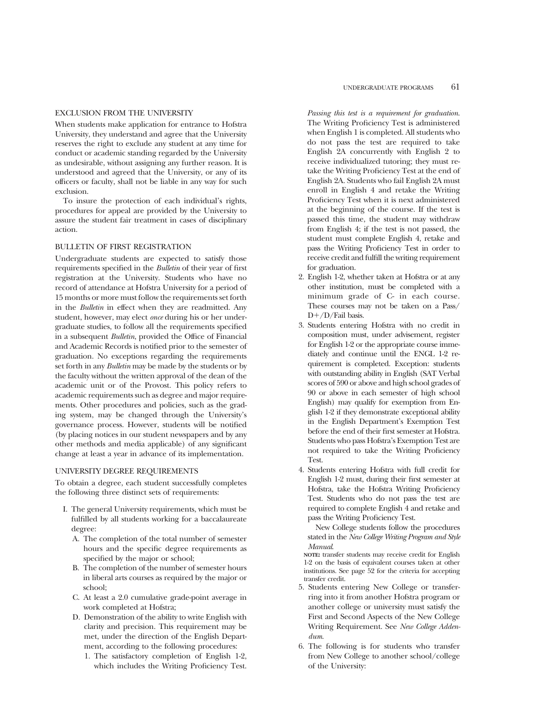#### EXCLUSION FROM THE UNIVERSITY

When students make application for entrance to Hofstra University, they understand and agree that the University reserves the right to exclude any student at any time for conduct or academic standing regarded by the University as undesirable, without assigning any further reason. It is understood and agreed that the University, or any of its officers or faculty, shall not be liable in any way for such exclusion.

To insure the protection of each individual's rights, procedures for appeal are provided by the University to assure the student fair treatment in cases of disciplinary action.

#### BULLETIN OF FIRST REGISTRATION

Undergraduate students are expected to satisfy those requirements specified in the *Bulletin* of their year of first registration at the University. Students who have no record of attendance at Hofstra University for a period of 15 months or more must follow the requirements set forth in the *Bulletin* in effect when they are readmitted. Any student, however, may elect *once* during his or her undergraduate studies, to follow all the requirements specified in a subsequent *Bulletin*, provided the Office of Financial and Academic Records is notified prior to the semester of graduation. No exceptions regarding the requirements set forth in any *Bulletin* may be made by the students or by the faculty without the written approval of the dean of the academic unit or of the Provost. This policy refers to academic requirements such as degree and major requirements. Other procedures and policies, such as the grading system, may be changed through the University's governance process. However, students will be notified (by placing notices in our student newspapers and by any other methods and media applicable) of any significant change at least a year in advance of its implementation.

#### UNIVERSITY DEGREE REQUIREMENTS

To obtain a degree, each student successfully completes the following three distinct sets of requirements:

- I. The general University requirements, which must be fulfilled by all students working for a baccalaureate degree:
	- A. The completion of the total number of semester hours and the specific degree requirements as specified by the major or school;
	- B. The completion of the number of semester hours in liberal arts courses as required by the major or school;
	- C. At least a 2.0 cumulative grade-point average in work completed at Hofstra;
	- D. Demonstration of the ability to write English with clarity and precision. This requirement may be met, under the direction of the English Department, according to the following procedures:
		- 1. The satisfactory completion of English 1-2, which includes the Writing Proficiency Test.

*Passing this test is a requirement for graduation*. The Writing Proficiency Test is administered when English 1 is completed. All students who do not pass the test are required to take English 2A concurrently with English 2 to receive individualized tutoring; they must retake the Writing Proficiency Test at the end of English 2A. Students who fail English 2A must enroll in English 4 and retake the Writing Proficiency Test when it is next administered at the beginning of the course. If the test is passed this time, the student may withdraw from English 4; if the test is not passed, the student must complete English 4, retake and pass the Writing Proficiency Test in order to receive credit and fulfill the writing requirement for graduation.

- 2. English 1-2, whether taken at Hofstra or at any other institution, must be completed with a minimum grade of C- in each course. These courses may not be taken on a Pass/  $D+/D$ /Fail basis.
- 3. Students entering Hofstra with no credit in composition must, under advisement, register for English 1-2 or the appropriate course immediately and continue until the ENGL 1-2 requirement is completed. Exception: students with outstanding ability in English (SAT Verbal scores of 590 or above and high school grades of 90 or above in each semester of high school English) may qualify for exemption from English 1-2 if they demonstrate exceptional ability in the English Department's Exemption Test before the end of their first semester at Hofstra. Students who pass Hofstra's Exemption Test are not required to take the Writing Proficiency Test.
- 4. Students entering Hofstra with full credit for English 1-2 must, during their first semester at Hofstra, take the Hofstra Writing Proficiency Test. Students who do not pass the test are required to complete English 4 and retake and pass the Writing Proficiency Test.

New College students follow the procedures stated in the *New College Writing Program and Style Manual*.

**NOTE:** transfer students may receive credit for English 1-2 on the basis of equivalent courses taken at other institutions. See page 52 for the criteria for accepting transfer credit.

- 5. Students entering New College or transferring into it from another Hofstra program or another college or university must satisfy the First and Second Aspects of the New College Writing Requirement. See *New College Addendum*.
- 6. The following is for students who transfer from New College to another school/college of the University: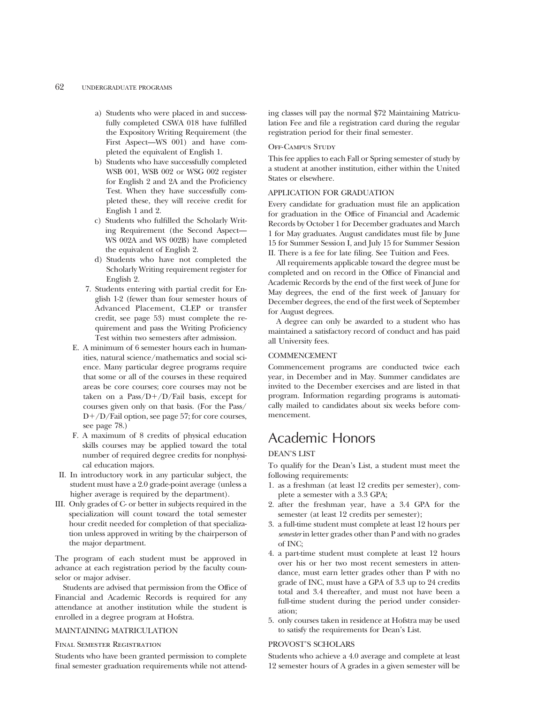- a) Students who were placed in and successfully completed CSWA 018 have fulfilled the Expository Writing Requirement (the First Aspect—WS 001) and have completed the equivalent of English 1.
- b) Students who have successfully completed WSB 001, WSB 002 or WSG 002 register for English 2 and 2A and the Proficiency Test. When they have successfully completed these, they will receive credit for English 1 and 2.
- c) Students who fulfilled the Scholarly Writing Requirement (the Second Aspect— WS 002A and WS 002B) have completed the equivalent of English 2.
- d) Students who have not completed the Scholarly Writing requirement register for English 2.
- 7. Students entering with partial credit for English 1-2 (fewer than four semester hours of Advanced Placement, CLEP or transfer credit, see page 53) must complete the requirement and pass the Writing Proficiency Test within two semesters after admission.
- E. A minimum of 6 semester hours each in humanities, natural science/mathematics and social science. Many particular degree programs require that some or all of the courses in these required areas be core courses; core courses may not be taken on a Pass/ $D+/D/F$ ail basis, except for courses given only on that basis. (For the Pass/  $D+/D$ /Fail option, see page 57; for core courses, see page 78.)
- F. A maximum of 8 credits of physical education skills courses may be applied toward the total number of required degree credits for nonphysical education majors.
- II. In introductory work in any particular subject, the student must have a 2.0 grade-point average (unless a higher average is required by the department).
- III. Only grades of C- or better in subjects required in the specialization will count toward the total semester hour credit needed for completion of that specialization unless approved in writing by the chairperson of the major department.

The program of each student must be approved in advance at each registration period by the faculty counselor or major adviser.

Students are advised that permission from the Office of Financial and Academic Records is required for any attendance at another institution while the student is enrolled in a degree program at Hofstra.

#### MAINTAINING MATRICULATION

#### Final Semester Registration

Students who have been granted permission to complete final semester graduation requirements while not attending classes will pay the normal \$72 Maintaining Matriculation Fee and file a registration card during the regular registration period for their final semester.

#### OFF-CAMPUS STUDY

This fee applies to each Fall or Spring semester of study by a student at another institution, either within the United States or elsewhere.

#### APPLICATION FOR GRADUATION

Every candidate for graduation must file an application for graduation in the Office of Financial and Academic Records by October 1 for December graduates and March 1 for May graduates. August candidates must file by June 15 for Summer Session I, and July 15 for Summer Session II. There is a fee for late filing. See Tuition and Fees.

All requirements applicable toward the degree must be completed and on record in the Office of Financial and Academic Records by the end of the first week of June for May degrees, the end of the first week of January for December degrees, the end of the first week of September for August degrees.

A degree can only be awarded to a student who has maintained a satisfactory record of conduct and has paid all University fees.

#### **COMMENCEMENT**

Commencement programs are conducted twice each year, in December and in May. Summer candidates are invited to the December exercises and are listed in that program. Information regarding programs is automatically mailed to candidates about six weeks before commencement.

### Academic Honors

#### DEAN'S LIST

To qualify for the Dean's List, a student must meet the following requirements:

- 1. as a freshman (at least 12 credits per semester), complete a semester with a 3.3 GPA;
- 2. after the freshman year, have a 3.4 GPA for the semester (at least 12 credits per semester);
- 3. a full-time student must complete at least 12 hours per *semester* in letter grades other than P and with no grades of INC;
- 4. a part-time student must complete at least 12 hours over his or her two most recent semesters in attendance, must earn letter grades other than P with no grade of INC, must have a GPA of 3.3 up to 24 credits total and 3.4 thereafter, and must not have been a full-time student during the period under consideration;
- 5. only courses taken in residence at Hofstra may be used to satisfy the requirements for Dean's List.

#### PROVOST'S SCHOLARS

Students who achieve a 4.0 average and complete at least 12 semester hours of A grades in a given semester will be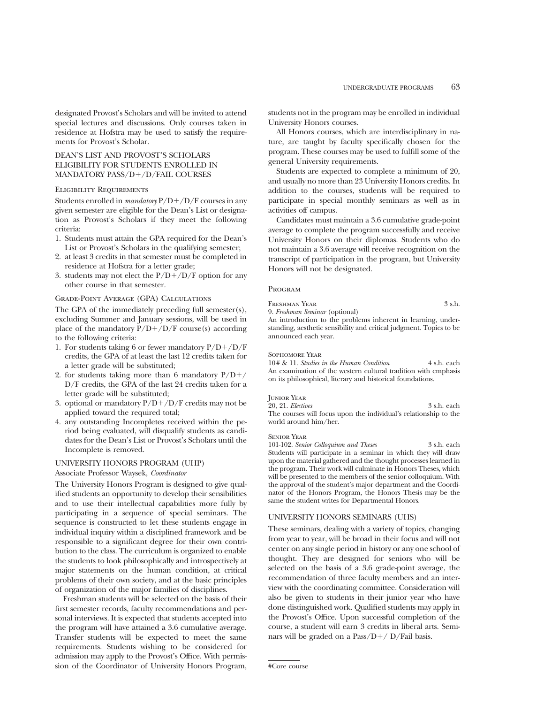designated Provost's Scholars and will be invited to attend special lectures and discussions. Only courses taken in residence at Hofstra may be used to satisfy the requirements for Provost's Scholar.

#### DEAN'S LIST AND PROVOST'S SCHOLARS ELIGIBILITY FOR STUDENTS ENROLLED IN MANDATORY PASS/D+/D/FAIL COURSES

#### Eligibility Requirements

Students enrolled in *mandatory*  $P/D+ / D/F$  courses in any given semester are eligible for the Dean's List or designation as Provost's Scholars if they meet the following criteria:

- 1. Students must attain the GPA required for the Dean's List or Provost's Scholars in the qualifying semester;
- 2. at least 3 credits in that semester must be completed in residence at Hofstra for a letter grade;
- 3. students may not elect the  $P/D+/D/F$  option for any other course in that semester.

#### Grade-Point Average (GPA) Calculations

The GPA of the immediately preceding full semester(s), excluding Summer and January sessions, will be used in place of the mandatory  $P/D+/D/F$  course(s) according to the following criteria:

- 1. For students taking 6 or fewer mandatory  $P/D+/D/F$ credits, the GPA of at least the last 12 credits taken for a letter grade will be substituted;
- 2. for students taking more than 6 mandatory  $P/D+/$ D/F credits, the GPA of the last 24 credits taken for a letter grade will be substituted;
- 3. optional or mandatory  $P/D+/D/F$  credits may not be applied toward the required total;
- 4. any outstanding Incompletes received within the period being evaluated, will disqualify students as candidates for the Dean's List or Provost's Scholars until the Incomplete is removed.

#### UNIVERSITY HONORS PROGRAM (UHP)

Associate Professor Waysek, *Coordinator*

The University Honors Program is designed to give qualified students an opportunity to develop their sensibilities and to use their intellectual capabilities more fully by participating in a sequence of special seminars. The sequence is constructed to let these students engage in individual inquiry within a disciplined framework and be responsible to a significant degree for their own contribution to the class. The curriculum is organized to enable the students to look philosophically and introspectively at major statements on the human condition, at critical problems of their own society, and at the basic principles of organization of the major families of disciplines.

Freshman students will be selected on the basis of their first semester records, faculty recommendations and personal interviews. It is expected that students accepted into the program will have attained a 3.6 cumulative average. Transfer students will be expected to meet the same requirements. Students wishing to be considered for admission may apply to the Provost's Office. With permission of the Coordinator of University Honors Program, students not in the program may be enrolled in individual University Honors courses.

All Honors courses, which are interdisciplinary in nature, are taught by faculty specifically chosen for the program. These courses may be used to fulfill some of the general University requirements.

Students are expected to complete a minimum of 20, and usually no more than 23 University Honors credits. In addition to the courses, students will be required to participate in special monthly seminars as well as in activities off campus.

Candidates must maintain a 3.6 cumulative grade-point average to complete the program successfully and receive University Honors on their diplomas. Students who do not maintain a 3.6 average will receive recognition on the transcript of participation in the program, but University Honors will not be designated.

#### Program

FRESHMAN YEAR 3 s.h.

9. *Freshman Seminar* (optional)

An introduction to the problems inherent in learning, understanding, aesthetic sensibility and critical judgment. Topics to be announced each year.

#### Sophomore Year

10# & 11. *Studies in the Human Condition* 4 s.h. each An examination of the western cultural tradition with emphasis on its philosophical, literary and historical foundations.

#### Junior Year

20, 21. *Electives* 3 s.h. each The courses will focus upon the individual's relationship to the world around him/her.

#### Senior Year

101-102. *Senior Colloquium and Theses* 3 s.h. each Students will participate in a seminar in which they will draw upon the material gathered and the thought processes learned in the program. Their work will culminate in Honors Theses, which will be presented to the members of the senior colloquium. With the approval of the student's major department and the Coordinator of the Honors Program, the Honors Thesis may be the same the student writes for Departmental Honors.

#### UNIVERSITY HONORS SEMINARS (UHS)

These seminars, dealing with a variety of topics, changing from year to year, will be broad in their focus and will not center on any single period in history or any one school of thought. They are designed for seniors who will be selected on the basis of a 3.6 grade-point average, the recommendation of three faculty members and an interview with the coordinating committee. Consideration will also be given to students in their junior year who have done distinguished work. Qualified students may apply in the Provost's Office. Upon successful completion of the course, a student will earn 3 credits in liberal arts. Seminars will be graded on a Pass/ $D+$ / D/Fail basis.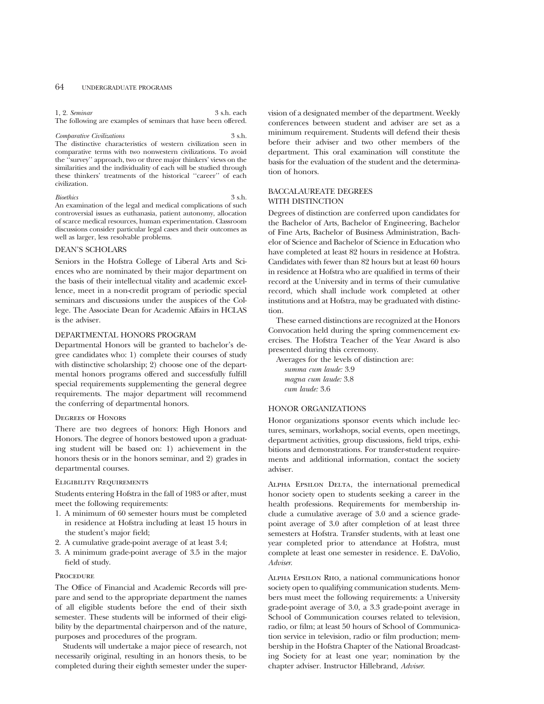#### 64 UNDERGRADUATE PROGRAMS

#### 1, 2. *Seminar* 3 s.h. each

The following are examples of seminars that have been offered.

*Comparative Civilizations* 3 s.h. The distinctive characteristics of western civilization seen in comparative terms with two nonwestern civilizations. To avoid the ''survey'' approach, two or three major thinkers' views on the similarities and the individuality of each will be studied through these thinkers' treatments of the historical "career" of each civilization.

#### *Bioethics* 3 s.h.

An examination of the legal and medical complications of such controversial issues as euthanasia, patient autonomy, allocation of scarce medical resources, human experimentation. Classroom discussions consider particular legal cases and their outcomes as well as larger, less resolvable problems.

#### DEAN'S SCHOLARS

Seniors in the Hofstra College of Liberal Arts and Sciences who are nominated by their major department on the basis of their intellectual vitality and academic excellence, meet in a non-credit program of periodic special seminars and discussions under the auspices of the College. The Associate Dean for Academic Affairs in HCLAS is the adviser.

#### DEPARTMENTAL HONORS PROGRAM

Departmental Honors will be granted to bachelor's degree candidates who: 1) complete their courses of study with distinctive scholarship; 2) choose one of the departmental honors programs offered and successfully fulfill special requirements supplementing the general degree requirements. The major department will recommend the conferring of departmental honors.

#### Degrees of Honors

There are two degrees of honors: High Honors and Honors. The degree of honors bestowed upon a graduating student will be based on: 1) achievement in the honors thesis or in the honors seminar, and 2) grades in departmental courses.

#### Eligibility Requirements

Students entering Hofstra in the fall of 1983 or after, must meet the following requirements:

- 1. A minimum of 60 semester hours must be completed in residence at Hofstra including at least 15 hours in the student's major field;
- 2. A cumulative grade-point average of at least 3.4;
- 3. A minimum grade-point average of 3.5 in the major field of study.

#### **PROCEDURE**

The Office of Financial and Academic Records will prepare and send to the appropriate department the names of all eligible students before the end of their sixth semester. These students will be informed of their eligibility by the departmental chairperson and of the nature, purposes and procedures of the program.

Students will undertake a major piece of research, not necessarily original, resulting in an honors thesis, to be completed during their eighth semester under the supervision of a designated member of the department. Weekly conferences between student and adviser are set as a minimum requirement. Students will defend their thesis before their adviser and two other members of the department. This oral examination will constitute the basis for the evaluation of the student and the determination of honors.

#### BACCALAUREATE DEGREES WITH DISTINCTION

Degrees of distinction are conferred upon candidates for the Bachelor of Arts, Bachelor of Engineering, Bachelor of Fine Arts, Bachelor of Business Administration, Bachelor of Science and Bachelor of Science in Education who have completed at least 82 hours in residence at Hofstra. Candidates with fewer than 82 hours but at least 60 hours in residence at Hofstra who are qualified in terms of their record at the University and in terms of their cumulative record, which shall include work completed at other institutions and at Hofstra, may be graduated with distinction.

These earned distinctions are recognized at the Honors Convocation held during the spring commencement exercises. The Hofstra Teacher of the Year Award is also presented during this ceremony.

Averages for the levels of distinction are:

*summa cum laude:* 3.9 *magna cum laude:* 3.8 *cum laude:* 3.6

#### HONOR ORGANIZATIONS

Honor organizations sponsor events which include lectures, seminars, workshops, social events, open meetings, department activities, group discussions, field trips, exhibitions and demonstrations. For transfer-student requirements and additional information, contact the society adviser.

ALPHA EPSILON DELTA, the international premedical honor society open to students seeking a career in the health professions. Requirements for membership include a cumulative average of 3.0 and a science gradepoint average of 3.0 after completion of at least three semesters at Hofstra. Transfer students, with at least one year completed prior to attendance at Hofstra, must complete at least one semester in residence. E. DaVolio, *Adviser*.

Alpha Epsilon Rho, a national communications honor society open to qualifying communication students. Members must meet the following requirements: a University grade-point average of 3.0, a 3.3 grade-point average in School of Communication courses related to television, radio, or film; at least 50 hours of School of Communication service in television, radio or film production; membership in the Hofstra Chapter of the National Broadcasting Society for at least one year; nomination by the chapter adviser. Instructor Hillebrand, *Adviser*.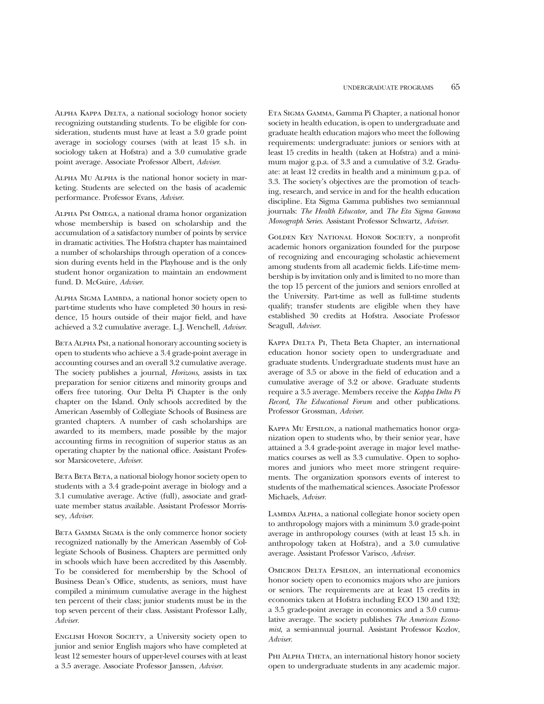Alpha Kappa Delta, a national sociology honor society recognizing outstanding students. To be eligible for consideration, students must have at least a 3.0 grade point average in sociology courses (with at least 15 s.h. in sociology taken at Hofstra) and a 3.0 cumulative grade point average. Associate Professor Albert, *Adviser*.

Alpha Mu Alpha is the national honor society in marketing. Students are selected on the basis of academic performance. Professor Evans, *Adviser*.

Alpha Psi Omega, a national drama honor organization whose membership is based on scholarship and the accumulation of a satisfactory number of points by service in dramatic activities. The Hofstra chapter has maintained a number of scholarships through operation of a concession during events held in the Playhouse and is the only student honor organization to maintain an endowment fund. D. McGuire, *Adviser*.

Alpha Sigma Lambda, a national honor society open to part-time students who have completed 30 hours in residence, 15 hours outside of their major field, and have achieved a 3.2 cumulative average. L.J. Wenchell, *Adviser*.

BETA ALPHA PsI, a national honorary accounting society is open to students who achieve a 3.4 grade-point average in accounting courses and an overall 3.2 cumulative average. The society publishes a journal, *Horizons*, assists in tax preparation for senior citizens and minority groups and offers free tutoring. Our Delta Pi Chapter is the only chapter on the Island. Only schools accredited by the American Assembly of Collegiate Schools of Business are granted chapters. A number of cash scholarships are awarded to its members, made possible by the major accounting firms in recognition of superior status as an operating chapter by the national office. Assistant Professor Marsicovetere, *Adviser*.

BETA BETA, a national biology honor society open to students with a 3.4 grade-point average in biology and a 3.1 cumulative average. Active (full), associate and graduate member status available. Assistant Professor Morrissey, *Adviser*.

BETA GAMMA SIGMA is the only commerce honor society recognized nationally by the American Assembly of Collegiate Schools of Business. Chapters are permitted only in schools which have been accredited by this Assembly. To be considered for membership by the School of Business Dean's Office, students, as seniors, must have compiled a minimum cumulative average in the highest ten percent of their class; junior students must be in the top seven percent of their class. Assistant Professor Lally, *Adviser*.

English Honor Society, a University society open to junior and senior English majors who have completed at least 12 semester hours of upper-level courses with at least a 3.5 average. Associate Professor Janssen, *Adviser*.

Eta Sigma Gamma, Gamma Pi Chapter, a national honor society in health education, is open to undergraduate and graduate health education majors who meet the following requirements: undergraduate: juniors or seniors with at least 15 credits in health (taken at Hofstra) and a minimum major g.p.a. of 3.3 and a cumulative of 3.2. Graduate: at least 12 credits in health and a minimum g.p.a. of 3.3. The society's objectives are the promotion of teaching, research, and service in and for the health education discipline. Eta Sigma Gamma publishes two semiannual journals: *The Health Educator,* and *The Eta Sigma Gamma Monograph Series.* Assistant Professor Schwartz, *Adviser*.

Golden Key National Honor Society, a nonprofit academic honors organization founded for the purpose of recognizing and encouraging scholastic achievement among students from all academic fields. Life-time membership is by invitation only and is limited to no more than the top 15 percent of the juniors and seniors enrolled at the University. Part-time as well as full-time students qualify; transfer students are eligible when they have established 30 credits at Hofstra. Associate Professor Seagull, *Adviser*.

KAPPA DELTA PI, Theta Beta Chapter, an international education honor society open to undergraduate and graduate students. Undergraduate students must have an average of 3.5 or above in the field of education and a cumulative average of 3.2 or above. Graduate students require a 3.5 average. Members receive the *Kappa Delta Pi Record, The Educational Forum* and other publications. Professor Grossman, *Adviser*.

Kappa Mu Epsilon, a national mathematics honor organization open to students who, by their senior year, have attained a 3.4 grade-point average in major level mathematics courses as well as 3.3 cumulative. Open to sophomores and juniors who meet more stringent requirements. The organization sponsors events of interest to students of the mathematical sciences. Associate Professor Michaels, *Adviser*.

LAMBDA ALPHA, a national collegiate honor society open to anthropology majors with a minimum 3.0 grade-point average in anthropology courses (with at least 15 s.h. in anthropology taken at Hofstra), and a 3.0 cumulative average. Assistant Professor Varisco, *Adviser*.

OMICRON DELTA EPSILON, an international economics honor society open to economics majors who are juniors or seniors. The requirements are at least 15 credits in economics taken at Hofstra including ECO 130 and 132; a 3.5 grade-point average in economics and a 3.0 cumulative average. The society publishes *The American Economist*, a semi-annual journal. Assistant Professor Kozlov, *Adviser*.

PHI ALPHA THETA, an international history honor society open to undergraduate students in any academic major.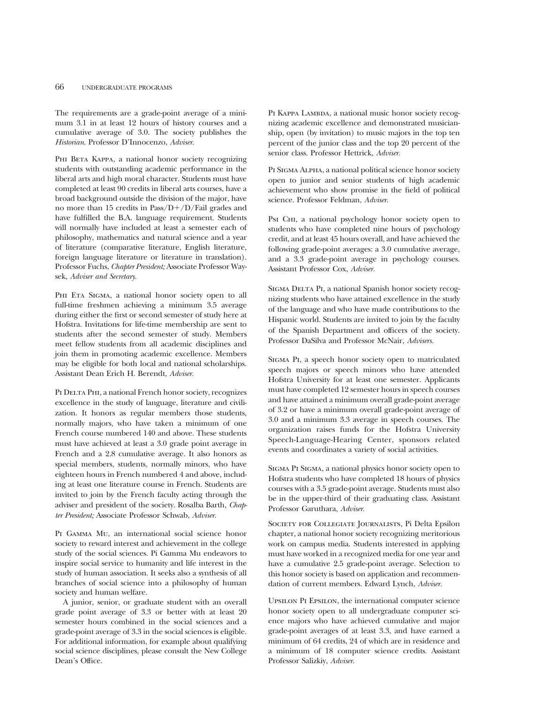The requirements are a grade-point average of a minimum 3.1 in at least 12 hours of history courses and a cumulative average of 3.0. The society publishes the *Historian*. Professor D'Innocenzo, *Adviser*.

PHI BETA KAPPA, a national honor society recognizing students with outstanding academic performance in the liberal arts and high moral character. Students must have completed at least 90 credits in liberal arts courses, have a broad background outside the division of the major, have no more than 15 credits in  $Pass/D+/D/Fail$  grades and have fulfilled the B.A. language requirement. Students will normally have included at least a semester each of philosophy, mathematics and natural science and a year of literature (comparative literature, English literature, foreign language literature or literature in translation). Professor Fuchs, *Chapter President;* Associate Professor Waysek, *Adviser and Secretary*.

PHI ETA SIGMA, a national honor society open to all full-time freshmen achieving a minimum 3.5 average during either the first or second semester of study here at Hofstra. Invitations for life-time membership are sent to students after the second semester of study. Members meet fellow students from all academic disciplines and join them in promoting academic excellence. Members may be eligible for both local and national scholarships. Assistant Dean Erich H. Berendt, *Adviser.*

PI DELTA PHI, a national French honor society, recognizes excellence in the study of language, literature and civilization. It honors as regular members those students, normally majors, who have taken a minimum of one French course numbered 140 and above. These students must have achieved at least a 3.0 grade point average in French and a 2.8 cumulative average. It also honors as special members, students, normally minors, who have eighteen hours in French numbered 4 and above, including at least one literature course in French. Students are invited to join by the French faculty acting through the adviser and president of the society. Rosalba Barth, *Chapter President;* Associate Professor Schwab, *Adviser*.

Pi Gamma Mu, an international social science honor society to reward interest and achievement in the college study of the social sciences. Pi Gamma Mu endeavors to inspire social service to humanity and life interest in the study of human association. It seeks also a synthesis of all branches of social science into a philosophy of human society and human welfare.

A junior, senior, or graduate student with an overall grade point average of 3.3 or better with at least 20 semester hours combined in the social sciences and a grade-point average of 3.3 in the social sciences is eligible. For additional information, for example about qualifying social science disciplines, please consult the New College Dean's Office.

PI KAPPA LAMBDA, a national music honor society recognizing academic excellence and demonstrated musicianship, open (by invitation) to music majors in the top ten percent of the junior class and the top 20 percent of the senior class. Professor Hettrick, *Adviser.*

PI SIGMA ALPHA, a national political science honor society open to junior and senior students of high academic achievement who show promise in the field of political science. Professor Feldman, *Adviser*.

PsI CHI, a national psychology honor society open to students who have completed nine hours of psychology credit, and at least 45 hours overall, and have achieved the following grade-point averages: a 3.0 cumulative average, and a 3.3 grade-point average in psychology courses. Assistant Professor Cox, *Adviser.*

SIGMA DELTA PI, a national Spanish honor society recognizing students who have attained excellence in the study of the language and who have made contributions to the Hispanic world. Students are invited to join by the faculty of the Spanish Department and officers of the society. Professor DaSilva and Professor McNair, *Advisers.*

Sigma Pi, a speech honor society open to matriculated speech majors or speech minors who have attended Hofstra University for at least one semester. Applicants must have completed 12 semester hours in speech courses and have attained a minimum overall grade-point average of 3.2 or have a minimum overall grade-point average of 3.0 and a minimum 3.3 average in speech courses. The organization raises funds for the Hofstra University Speech-Language-Hearing Center, sponsors related events and coordinates a variety of social activities.

Sigma Pi Sigma, a national physics honor society open to Hofstra students who have completed 18 hours of physics courses with a 3.5 grade-point average. Students must also be in the upper-third of their graduating class. Assistant Professor Garuthara, *Adviser*.

Society for Collegiate Journalists, Pi Delta Epsilon chapter, a national honor society recognizing meritorious work on campus media. Students interested in applying must have worked in a recognized media for one year and have a cumulative 2.5 grade-point average. Selection to this honor society is based on application and recommendation of current members. Edward Lynch, *Adviser.*

Upsilon Pi Epsilon, the international computer science honor society open to all undergraduate computer science majors who have achieved cumulative and major grade-point averages of at least 3.3, and have earned a minimum of 64 credits, 24 of which are in residence and a minimum of 18 computer science credits. Assistant Professor Salizkiy, *Adviser*.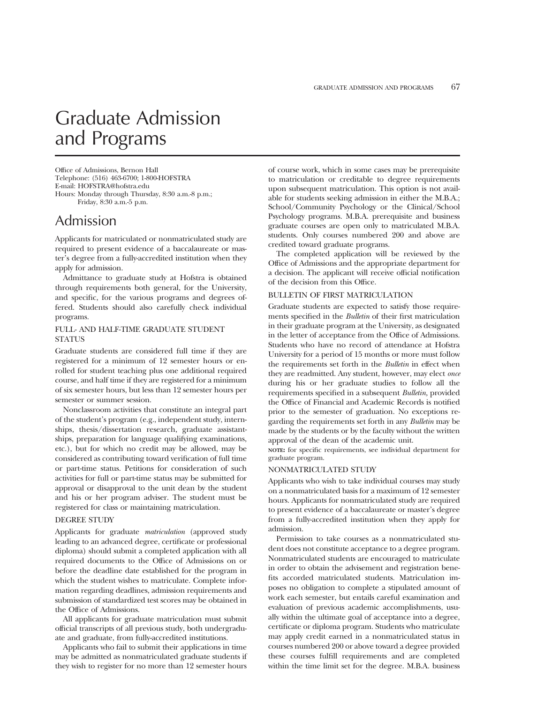## Graduate Admission and Programs

Office of Admissions, Bernon Hall Telephone: (516) 463-6700; 1-800-HOFSTRA E-mail: HOFSTRA@hofstra.edu Hours: Monday through Thursday, 8:30 a.m.-8 p.m.; Friday, 8:30 a.m.-5 p.m.

Admission

Applicants for matriculated or nonmatriculated study are required to present evidence of a baccalaureate or master's degree from a fully-accredited institution when they apply for admission.

Admittance to graduate study at Hofstra is obtained through requirements both general, for the University, and specific, for the various programs and degrees offered. Students should also carefully check individual programs.

#### FULL- AND HALF-TIME GRADUATE STUDENT STATUS

Graduate students are considered full time if they are registered for a minimum of 12 semester hours or enrolled for student teaching plus one additional required course, and half time if they are registered for a minimum of six semester hours, but less than 12 semester hours per semester or summer session.

Nonclassroom activities that constitute an integral part of the student's program (e.g., independent study, internships, thesis/dissertation research, graduate assistantships, preparation for language qualifying examinations, etc.), but for which no credit may be allowed, may be considered as contributing toward verification of full time or part-time status. Petitions for consideration of such activities for full or part-time status may be submitted for approval or disapproval to the unit dean by the student and his or her program adviser. The student must be registered for class or maintaining matriculation.

#### DEGREE STUDY

Applicants for graduate *matriculation* (approved study leading to an advanced degree, certificate or professional diploma) should submit a completed application with all required documents to the Office of Admissions on or before the deadline date established for the program in which the student wishes to matriculate. Complete information regarding deadlines, admission requirements and submission of standardized test scores may be obtained in the Office of Admissions.

All applicants for graduate matriculation must submit official transcripts of all previous study, both undergraduate and graduate, from fully-accredited institutions.

Applicants who fail to submit their applications in time may be admitted as nonmatriculated graduate students if they wish to register for no more than 12 semester hours

of course work, which in some cases may be prerequisite to matriculation or creditable to degree requirements upon subsequent matriculation. This option is not available for students seeking admission in either the M.B.A.; School/Community Psychology or the Clinical/School Psychology programs. M.B.A. prerequisite and business graduate courses are open only to matriculated M.B.A. students. Only courses numbered 200 and above are credited toward graduate programs.

The completed application will be reviewed by the Office of Admissions and the appropriate department for a decision. The applicant will receive official notification of the decision from this Office.

#### BULLETIN OF FIRST MATRICULATION

Graduate students are expected to satisfy those requirements specified in the *Bulletin* of their first matriculation in their graduate program at the University, as designated in the letter of acceptance from the Office of Admissions. Students who have no record of attendance at Hofstra University for a period of 15 months or more must follow the requirements set forth in the *Bulletin* in effect when they are readmitted. Any student, however, may elect *once* during his or her graduate studies to follow all the requirements specified in a subsequent *Bulletin,* provided the Office of Financial and Academic Records is notified prior to the semester of graduation. No exceptions regarding the requirements set forth in any *Bulletin* may be made by the students or by the faculty without the written approval of the dean of the academic unit.

**NOTE:** for specific requirements, see individual department for graduate program.

#### NONMATRICULATED STUDY

Applicants who wish to take individual courses may study on a nonmatriculated basis for a maximum of 12 semester hours. Applicants for nonmatriculated study are required to present evidence of a baccalaureate or master's degree from a fully-accredited institution when they apply for admission.

Permission to take courses as a nonmatriculated student does not constitute acceptance to a degree program. Nonmatriculated students are encouraged to matriculate in order to obtain the advisement and registration benefits accorded matriculated students. Matriculation imposes no obligation to complete a stipulated amount of work each semester, but entails careful examination and evaluation of previous academic accomplishments, usually within the ultimate goal of acceptance into a degree, certificate or diploma program. Students who matriculate may apply credit earned in a nonmatriculated status in courses numbered 200 or above toward a degree provided these courses fulfill requirements and are completed within the time limit set for the degree. M.B.A. business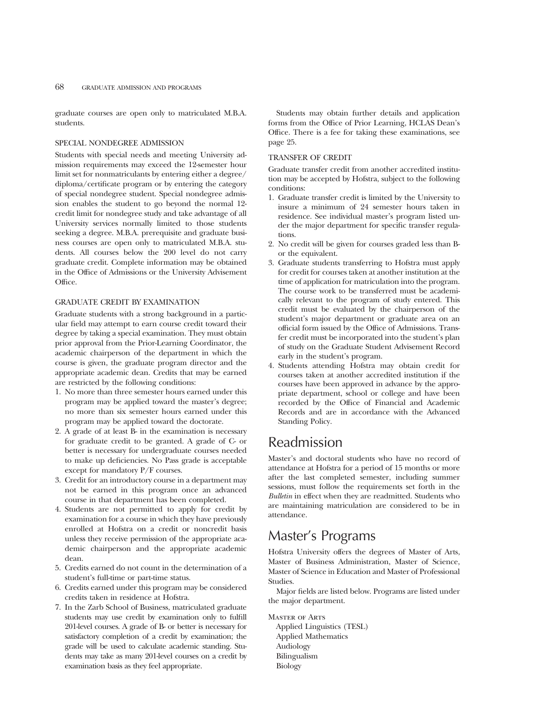graduate courses are open only to matriculated M.B.A. students.

#### SPECIAL NONDEGREE ADMISSION

Students with special needs and meeting University admission requirements may exceed the 12-semester hour limit set for nonmatriculants by entering either a degree/ diploma/certificate program or by entering the category of special nondegree student. Special nondegree admission enables the student to go beyond the normal 12 credit limit for nondegree study and take advantage of all University services normally limited to those students seeking a degree. M.B.A. prerequisite and graduate business courses are open only to matriculated M.B.A. students. All courses below the 200 level do not carry graduate credit. Complete information may be obtained in the Office of Admissions or the University Advisement Office.

#### GRADUATE CREDIT BY EXAMINATION

Graduate students with a strong background in a particular field may attempt to earn course credit toward their degree by taking a special examination. They must obtain prior approval from the Prior-Learning Coordinator, the academic chairperson of the department in which the course is given, the graduate program director and the appropriate academic dean. Credits that may be earned are restricted by the following conditions:

- 1. No more than three semester hours earned under this program may be applied toward the master's degree; no more than six semester hours earned under this program may be applied toward the doctorate.
- 2. A grade of at least B- in the examination is necessary for graduate credit to be granted. A grade of C- or better is necessary for undergraduate courses needed to make up deficiencies. No Pass grade is acceptable except for mandatory P/F courses.
- 3. Credit for an introductory course in a department may not be earned in this program once an advanced course in that department has been completed.
- 4. Students are not permitted to apply for credit by examination for a course in which they have previously enrolled at Hofstra on a credit or noncredit basis unless they receive permission of the appropriate academic chairperson and the appropriate academic dean.
- 5. Credits earned do not count in the determination of a student's full-time or part-time status.
- 6. Credits earned under this program may be considered credits taken in residence at Hofstra.
- 7. In the Zarb School of Business, matriculated graduate students may use credit by examination only to fulfill 201-level courses. A grade of B- or better is necessary for satisfactory completion of a credit by examination; the grade will be used to calculate academic standing. Students may take as many 201-level courses on a credit by examination basis as they feel appropriate.

Students may obtain further details and application forms from the Office of Prior Learning, HCLAS Dean's Office. There is a fee for taking these examinations, see page 25.

#### TRANSFER OF CREDIT

Graduate transfer credit from another accredited institution may be accepted by Hofstra, subject to the following conditions:

- 1. Graduate transfer credit is limited by the University to insure a minimum of 24 semester hours taken in residence. See individual master's program listed under the major department for specific transfer regulations.
- 2. No credit will be given for courses graded less than Bor the equivalent.
- 3. Graduate students transferring to Hofstra must apply for credit for courses taken at another institution at the time of application for matriculation into the program. The course work to be transferred must be academically relevant to the program of study entered. This credit must be evaluated by the chairperson of the student's major department or graduate area on an official form issued by the Office of Admissions. Transfer credit must be incorporated into the student's plan of study on the Graduate Student Advisement Record early in the student's program.
- 4. Students attending Hofstra may obtain credit for courses taken at another accredited institution if the courses have been approved in advance by the appropriate department, school or college and have been recorded by the Office of Financial and Academic Records and are in accordance with the Advanced Standing Policy.

### Readmission

Master's and doctoral students who have no record of attendance at Hofstra for a period of 15 months or more after the last completed semester, including summer sessions, must follow the requirements set forth in the *Bulletin* in effect when they are readmitted. Students who are maintaining matriculation are considered to be in attendance.

### Master's Programs

Hofstra University offers the degrees of Master of Arts, Master of Business Administration, Master of Science, Master of Science in Education and Master of Professional Studies.

Major fields are listed below. Programs are listed under the major department.

Master of Arts Applied Linguistics (TESL) Applied Mathematics Audiology Bilingualism Biology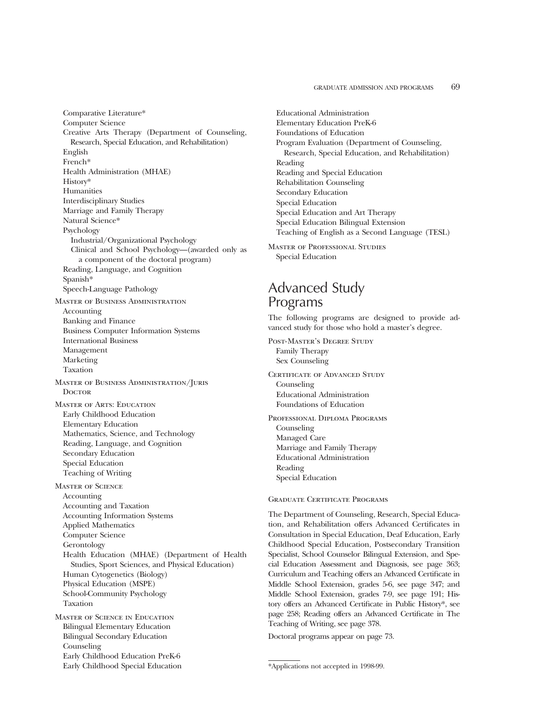Comparative Literature\* Computer Science Creative Arts Therapy (Department of Counseling, Research, Special Education, and Rehabilitation) English French\* Health Administration (MHAE) History\* Humanities Interdisciplinary Studies Marriage and Family Therapy Natural Science\* Psychology Industrial/Organizational Psychology Clinical and School Psychology—(awarded only as a component of the doctoral program) Reading, Language, and Cognition Spanish\* Speech-Language Pathology Master of Business Administration Accounting Banking and Finance Business Computer Information Systems International Business Management Marketing Taxation Master of Business Administration/Juris **DOCTOR** Master of Arts: Education Early Childhood Education Elementary Education Mathematics, Science, and Technology Reading, Language, and Cognition Secondary Education Special Education Teaching of Writing Master of Science Accounting Accounting and Taxation Accounting Information Systems Applied Mathematics Computer Science Gerontology Health Education (MHAE) (Department of Health Studies, Sport Sciences, and Physical Education) Human Cytogenetics (Biology) Physical Education (MSPE) School-Community Psychology Taxation Master of Science in Education Bilingual Elementary Education Bilingual Secondary Education Counseling Early Childhood Education PreK-6

Early Childhood Special Education

Educational Administration Elementary Education PreK-6 Foundations of Education Program Evaluation (Department of Counseling, Research, Special Education, and Rehabilitation) Reading Reading and Special Education Rehabilitation Counseling Secondary Education Special Education Special Education and Art Therapy Special Education Bilingual Extension Teaching of English as a Second Language (TESL)

Master of Professional Studies Special Education

### Advanced Study Programs

The following programs are designed to provide advanced study for those who hold a master's degree.

Post-Master's Degree Study Family Therapy Sex Counseling

CERTIFICATE OF ADVANCED STUDY Counseling Educational Administration Foundations of Education

Professional Diploma Programs Counseling Managed Care Marriage and Family Therapy Educational Administration Reading Special Education

#### Graduate Certificate Programs

The Department of Counseling, Research, Special Education, and Rehabilitation offers Advanced Certificates in Consultation in Special Education, Deaf Education, Early Childhood Special Education, Postsecondary Transition Specialist, School Counselor Bilingual Extension, and Special Education Assessment and Diagnosis, see page 363; Curriculum and Teaching offers an Advanced Certificate in Middle School Extension, grades 5-6, see page 347; and Middle School Extension, grades 7-9, see page 191; History offers an Advanced Certificate in Public History\*, see page 258; Reading offers an Advanced Certificate in The Teaching of Writing, see page 378.

Doctoral programs appear on page 73.

<sup>\*</sup>Applications not accepted in 1998-99.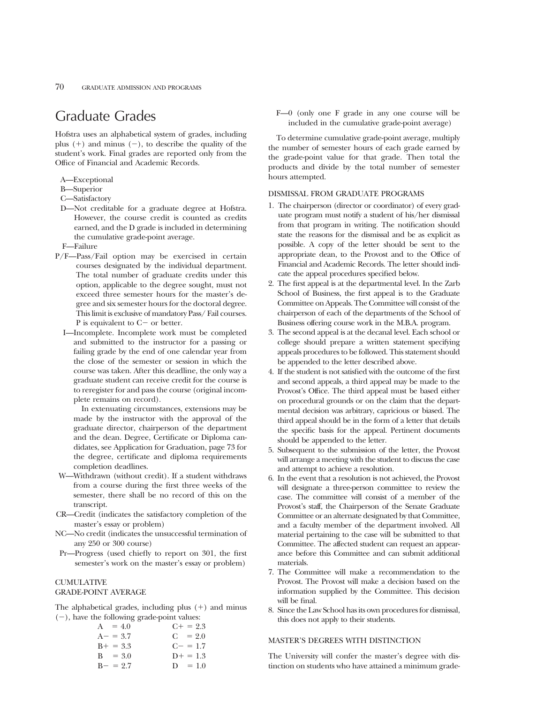### Graduate Grades

Hofstra uses an alphabetical system of grades, including plus  $(+)$  and minus  $(-)$ , to describe the quality of the student's work. Final grades are reported only from the Office of Financial and Academic Records.

- A—Exceptional
- B—Superior
- C—Satisfactory
- D—Not creditable for a graduate degree at Hofstra. However, the course credit is counted as credits earned, and the D grade is included in determining the cumulative grade-point average.
- F—Failure
- P/F—Pass/Fail option may be exercised in certain courses designated by the individual department. The total number of graduate credits under this option, applicable to the degree sought, must not exceed three semester hours for the master's degree and six semester hours for the doctoral degree. This limit is exclusive of mandatory Pass/ Fail courses. P is equivalent to  $C-$  or better.
	- I—Incomplete. Incomplete work must be completed and submitted to the instructor for a passing or failing grade by the end of one calendar year from the close of the semester or session in which the course was taken. After this deadline, the only way a graduate student can receive credit for the course is to reregister for and pass the course (original incomplete remains on record).

In extenuating circumstances, extensions may be made by the instructor with the approval of the graduate director, chairperson of the department and the dean. Degree, Certificate or Diploma candidates, see Application for Graduation, page 73 for the degree, certificate and diploma requirements completion deadlines.

- W—Withdrawn (without credit). If a student withdraws from a course during the first three weeks of the semester, there shall be no record of this on the transcript.
- CR—Credit (indicates the satisfactory completion of the master's essay or problem)
- NC—No credit (indicates the unsuccessful termination of any 250 or 300 course)
- Pr—Progress (used chiefly to report on 301, the first semester's work on the master's essay or problem)

#### **CUMULATIVE**

#### GRADE-POINT AVERAGE

The alphabetical grades, including plus  $(+)$  and minus  $(-)$ , have the following grade-point values:

| $A = 4.0$   | $C_{\pm} = 2.3$ |
|-------------|-----------------|
| $A - = 3.7$ | $C = 2.0$       |
| $B+ = 3.3$  | $C = 1.7$       |
| $B = 3.0$   | $D+ = 1.3$      |
| $B - = 2.7$ | $D = 1.0$       |

F—0 (only one F grade in any one course will be included in the cumulative grade-point average)

To determine cumulative grade-point average, multiply the number of semester hours of each grade earned by the grade-point value for that grade. Then total the products and divide by the total number of semester hours attempted.

#### DISMISSAL FROM GRADUATE PROGRAMS

- 1. The chairperson (director or coordinator) of every graduate program must notify a student of his/her dismissal from that program in writing. The notification should state the reasons for the dismissal and be as explicit as possible. A copy of the letter should be sent to the appropriate dean, to the Provost and to the Office of Financial and Academic Records. The letter should indicate the appeal procedures specified below.
- 2. The first appeal is at the departmental level. In the Zarb School of Business, the first appeal is to the Graduate Committee on Appeals. The Committee will consist of the chairperson of each of the departments of the School of Business offering course work in the M.B.A. program.
- 3. The second appeal is at the decanal level. Each school or college should prepare a written statement specifying appeals procedures to be followed. This statement should be appended to the letter described above.
- 4. If the student is not satisfied with the outcome of the first and second appeals, a third appeal may be made to the Provost's Office. The third appeal must be based either on procedural grounds or on the claim that the departmental decision was arbitrary, capricious or biased. The third appeal should be in the form of a letter that details the specific basis for the appeal. Pertinent documents should be appended to the letter.
- 5. Subsequent to the submission of the letter, the Provost will arrange a meeting with the student to discuss the case and attempt to achieve a resolution.
- 6. In the event that a resolution is not achieved, the Provost will designate a three-person committee to review the case. The committee will consist of a member of the Provost's staff, the Chairperson of the Senate Graduate Committee or an alternate designated by that Committee, and a faculty member of the department involved. All material pertaining to the case will be submitted to that Committee. The affected student can request an appearance before this Committee and can submit additional materials.
- 7. The Committee will make a recommendation to the Provost. The Provost will make a decision based on the information supplied by the Committee. This decision will be final.
- 8. Since the Law School has its own procedures for dismissal, this does not apply to their students.

#### MASTER'S DEGREES WITH DISTINCTION

The University will confer the master's degree with distinction on students who have attained a minimum grade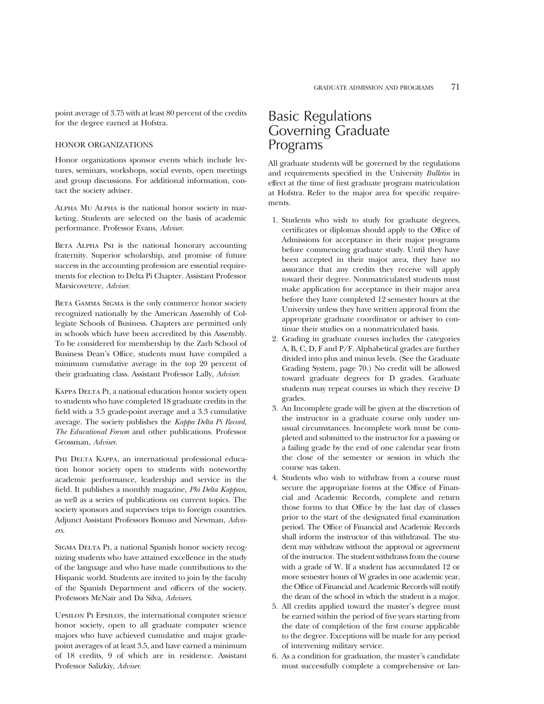point average of 3.75 with at least 80 percent of the credits for the degree earned at Hofstra.

#### HONOR ORGANIZATIONS

Honor organizations sponsor events which include lectures, seminars, workshops, social events, open meetings and group discussions. For additional information, contact the society adviser.

Alpha Mu Alpha is the national honor society in marketing. Students are selected on the basis of academic performance. Professor Evans, *Adviser*.

BETA ALPHA PsI is the national honorary accounting fraternity. Superior scholarship, and promise of future success in the accounting profession are essential requirements for election to Delta Pi Chapter. Assistant Professor Marsicovetere, *Adviser*.

BETA GAMMA SIGMA is the only commerce honor society recognized nationally by the American Assembly of Collegiate Schools of Business. Chapters are permitted only in schools which have been accredited by this Assembly. To be considered for membership by the Zarb School of Business Dean's Office, students must have compiled a minimum cumulative average in the top 20 percent of their graduating class. Assistant Professor Lally, *Adviser*.

KAPPA DELTA PI, a national education honor society open to students who have completed 18 graduate credits in the field with a 3.5 grade-point average and a 3.3 cumulative average. The society publishes the *Kappa Delta Pi Record, The Educational Forum* and other publications. Professor Grossman, *Adviser*.

PHI DELTA KAPPA, an international professional education honor society open to students with noteworthy academic performance, leadership and service in the field. It publishes a monthly magazine, *Phi Delta Kappan*, as well as a series of publications on current topics. The society sponsors and supervises trips to foreign countries. Adjunct Assistant Professors Bonuso and Newman, *Advisers*.

SIGMA DELTA PI, a national Spanish honor society recognizing students who have attained excellence in the study of the language and who have made contributions to the Hispanic world. Students are invited to join by the faculty of the Spanish Department and officers of the society. Professors McNair and Da Silva, *Advisers*.

Upsilon Pi Epsilon, the international computer science honor society, open to all graduate computer science majors who have achieved cumulative and major gradepoint averages of at least 3.5, and have earned a minimum of 18 credits, 9 of which are in residence. Assistant Professor Salizkiy, *Adviser*.

### Basic Regulations Governing Graduate Programs

All graduate students will be governed by the regulations and requirements specified in the University *Bulletin* in effect at the time of first graduate program matriculation at Hofstra. Refer to the major area for specific requirements.

- 1. Students who wish to study for graduate degrees, certificates or diplomas should apply to the Office of Admissions for acceptance in their major programs before commencing graduate study. Until they have been accepted in their major area, they have no assurance that any credits they receive will apply toward their degree. Nonmatriculated students must make application for acceptance in their major area before they have completed 12 semester hours at the University unless they have written approval from the appropriate graduate coordinator or adviser to continue their studies on a nonmatriculated basis.
- 2. Grading in graduate courses includes the categories A, B, C, D, F and P/F. Alphabetical grades are further divided into plus and minus levels. (See the Graduate Grading System, page 70.) No credit will be allowed toward graduate degrees for D grades. Graduate students may repeat courses in which they receive D grades.
- 3. An Incomplete grade will be given at the discretion of the instructor in a graduate course only under unusual circumstances. Incomplete work must be completed and submitted to the instructor for a passing or a failing grade by the end of one calendar year from the close of the semester or session in which the course was taken.
- 4. Students who wish to withdraw from a course must secure the appropriate forms at the Office of Financial and Academic Records, complete and return those forms to that Office by the last day of classes prior to the start of the designated final examination period. The Office of Financial and Academic Records shall inform the instructor of this withdrawal. The student may withdraw without the approval or agreement of the instructor. The student withdraws from the course with a grade of W. If a student has accumulated 12 or more semester hours of W grades in one academic year, the Office of Financial and Academic Records will notify the dean of the school in which the student is a major.
- 5. All credits applied toward the master's degree must be earned within the period of five years starting from the date of completion of the first course applicable to the degree. Exceptions will be made for any period of intervening military service.
- 6. As a condition for graduation, the master's candidate must successfully complete a comprehensive or lan-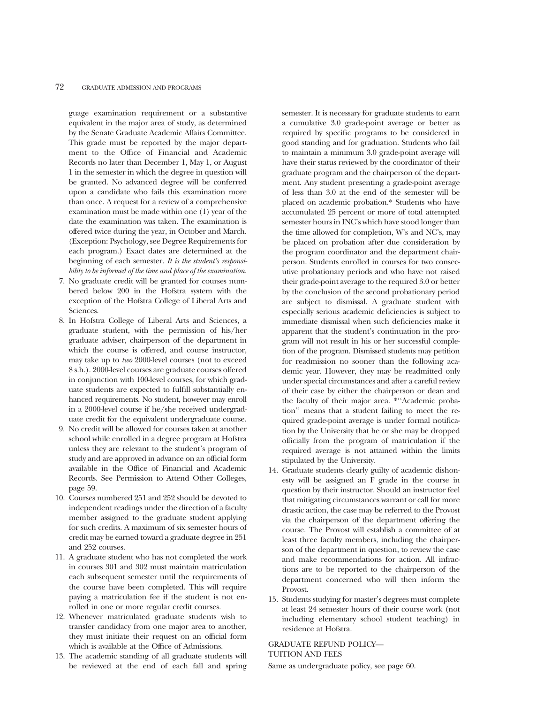guage examination requirement or a substantive equivalent in the major area of study, as determined by the Senate Graduate Academic Affairs Committee. This grade must be reported by the major department to the Office of Financial and Academic Records no later than December 1, May 1, or August 1 in the semester in which the degree in question will be granted. No advanced degree will be conferred upon a candidate who fails this examination more than once. A request for a review of a comprehensive examination must be made within one (1) year of the date the examination was taken. The examination is offered twice during the year, in October and March. (Exception: Psychology, see Degree Requirements for each program.) Exact dates are determined at the beginning of each semester. *It is the student's responsibility to be informed of the time and place of the examination.*

- 7. No graduate credit will be granted for courses numbered below 200 in the Hofstra system with the exception of the Hofstra College of Liberal Arts and Sciences.
- 8. In Hofstra College of Liberal Arts and Sciences, a graduate student, with the permission of his/her graduate adviser, chairperson of the department in which the course is offered, and course instructor, may take up to *two* 2000-level courses (not to exceed 8 s.h.). 2000-level courses are graduate courses offered in conjunction with 100-level courses, for which graduate students are expected to fulfill substantially enhanced requirements. No student, however may enroll in a 2000-level course if he/she received undergraduate credit for the equivalent undergraduate course.
- 9. No credit will be allowed for courses taken at another school while enrolled in a degree program at Hofstra unless they are relevant to the student's program of study and are approved in advance on an official form available in the Office of Financial and Academic Records. See Permission to Attend Other Colleges, page 59.
- 10. Courses numbered 251 and 252 should be devoted to independent readings under the direction of a faculty member assigned to the graduate student applying for such credits. A maximum of six semester hours of credit may be earned toward a graduate degree in 251 and 252 courses.
- 11. A graduate student who has not completed the work in courses 301 and 302 must maintain matriculation each subsequent semester until the requirements of the course have been completed. This will require paying a matriculation fee if the student is not enrolled in one or more regular credit courses.
- 12. Whenever matriculated graduate students wish to transfer candidacy from one major area to another, they must initiate their request on an official form which is available at the Office of Admissions.
- 13. The academic standing of all graduate students will be reviewed at the end of each fall and spring

semester. It is necessary for graduate students to earn a cumulative 3.0 grade-point average or better as required by specific programs to be considered in good standing and for graduation. Students who fail to maintain a minimum 3.0 grade-point average will have their status reviewed by the coordinator of their graduate program and the chairperson of the department. Any student presenting a grade-point average of less than 3.0 at the end of the semester will be placed on academic probation.\* Students who have accumulated 25 percent or more of total attempted semester hours in INC's which have stood longer than the time allowed for completion, W's and NC's, may be placed on probation after due consideration by the program coordinator and the department chairperson. Students enrolled in courses for two consecutive probationary periods and who have not raised their grade-point average to the required 3.0 or better by the conclusion of the second probationary period are subject to dismissal. A graduate student with especially serious academic deficiencies is subject to immediate dismissal when such deficiencies make it apparent that the student's continuation in the program will not result in his or her successful completion of the program. Dismissed students may petition for readmission no sooner than the following academic year. However, they may be readmitted only under special circumstances and after a careful review of their case by either the chairperson or dean and the faculty of their major area. \*''Academic probation'' means that a student failing to meet the required grade-point average is under formal notification by the University that he or she may be dropped officially from the program of matriculation if the required average is not attained within the limits stipulated by the University.

- 14. Graduate students clearly guilty of academic dishonesty will be assigned an F grade in the course in question by their instructor. Should an instructor feel that mitigating circumstances warrant or call for more drastic action, the case may be referred to the Provost via the chairperson of the department offering the course. The Provost will establish a committee of at least three faculty members, including the chairperson of the department in question, to review the case and make recommendations for action. All infractions are to be reported to the chairperson of the department concerned who will then inform the Provost.
- 15. Students studying for master's degrees must complete at least 24 semester hours of their course work (not including elementary school student teaching) in residence at Hofstra.

#### GRADUATE REFUND POLICY— TUITION AND FEES

Same as undergraduate policy, see page 60.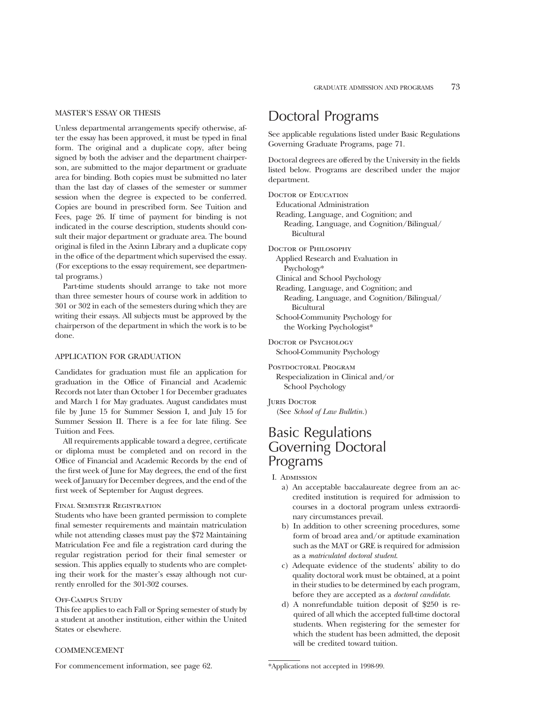#### MASTER'S ESSAY OR THESIS

Unless departmental arrangements specify otherwise, after the essay has been approved, it must be typed in final form. The original and a duplicate copy, after being signed by both the adviser and the department chairperson, are submitted to the major department or graduate area for binding. Both copies must be submitted no later than the last day of classes of the semester or summer session when the degree is expected to be conferred. Copies are bound in prescribed form. See Tuition and Fees, page 26. If time of payment for binding is not indicated in the course description, students should consult their major department or graduate area. The bound original is filed in the Axinn Library and a duplicate copy in the office of the department which supervised the essay. (For exceptions to the essay requirement, see departmental programs.)

Part-time students should arrange to take not more than three semester hours of course work in addition to 301 or 302 in each of the semesters during which they are writing their essays. All subjects must be approved by the chairperson of the department in which the work is to be done.

#### APPLICATION FOR GRADUATION

Candidates for graduation must file an application for graduation in the Office of Financial and Academic Records not later than October 1 for December graduates and March 1 for May graduates. August candidates must file by June 15 for Summer Session I, and July 15 for Summer Session II. There is a fee for late filing. See Tuition and Fees.

All requirements applicable toward a degree, certificate or diploma must be completed and on record in the Office of Financial and Academic Records by the end of the first week of June for May degrees, the end of the first week of January for December degrees, and the end of the first week of September for August degrees.

#### Final Semester Registration

Students who have been granted permission to complete final semester requirements and maintain matriculation while not attending classes must pay the \$72 Maintaining Matriculation Fee and file a registration card during the regular registration period for their final semester or session. This applies equally to students who are completing their work for the master's essay although not currently enrolled for the 301-302 courses.

#### Off-Campus Study

This fee applies to each Fall or Spring semester of study by a student at another institution, either within the United States or elsewhere.

### Doctoral Programs

See applicable regulations listed under Basic Regulations Governing Graduate Programs, page 71.

Doctoral degrees are offered by the University in the fields listed below. Programs are described under the major department.

DOCTOR OF EDUCATION

Educational Administration

Reading, Language, and Cognition; and Reading, Language, and Cognition/Bilingual/ Bicultural

Doctor of Philosophy

- Applied Research and Evaluation in Psychology\*
- Clinical and School Psychology
- Reading, Language, and Cognition; and
	- Reading, Language, and Cognition/Bilingual/ Bicultural
- School-Community Psychology for the Working Psychologist\*

Doctor of Psychology School-Community Psychology

POSTDOCTORAL PROGRAM Respecialization in Clinical and/or School Psychology

**JURIS DOCTOR** (See *School of Law Bulletin.*)

### Basic Regulations Governing Doctoral Programs

I. Admission

- a) An acceptable baccalaureate degree from an accredited institution is required for admission to courses in a doctoral program unless extraordinary circumstances prevail.
- b) In addition to other screening procedures, some form of broad area and/or aptitude examination such as the MAT or GRE is required for admission as a *matriculated doctoral student*.
- c) Adequate evidence of the students' ability to do quality doctoral work must be obtained, at a point in their studies to be determined by each program, before they are accepted as a *doctoral candidate*.
- d) A nonrefundable tuition deposit of \$250 is required of all which the accepted full-time doctoral students. When registering for the semester for which the student has been admitted, the deposit will be credited toward tuition.

#### **COMMENCEMENT**

For commencement information, see page 62.

<sup>\*</sup>Applications not accepted in 1998-99.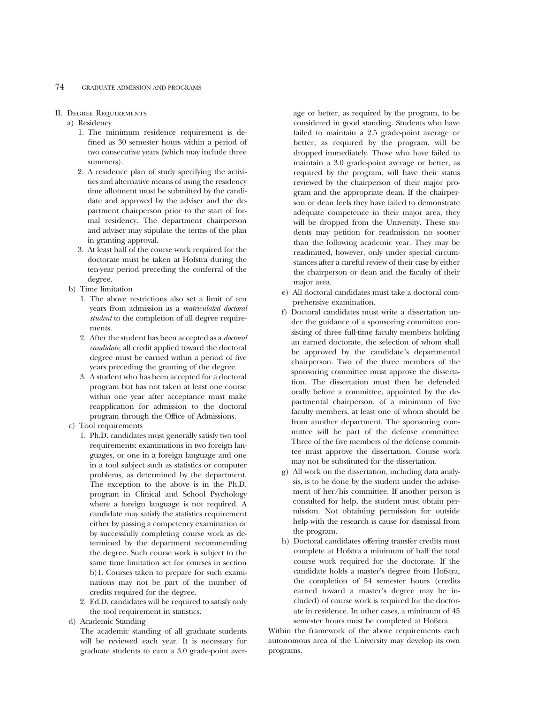#### 74 GRADUATE ADMISSION AND PROGRAMS

#### II. Degree Requirements

- a) Residency
	- 1. The minimum residence requirement is defined as 30 semester hours within a period of two consecutive years (which may include three summers).
	- 2. A residence plan of study specifying the activities and alternative means of using the residency time allotment must be submitted by the candidate and approved by the adviser and the department chairperson prior to the start of formal residency. The department chairperson and adviser may stipulate the terms of the plan in granting approval.
	- 3. At least half of the course work required for the doctorate must be taken at Hofstra during the ten-year period preceding the conferral of the degree.
- b) Time limitation
	- 1. The above restrictions also set a limit of ten years from admission as a *matriculated doctoral student* to the completion of all degree requirements.
	- 2. After the student has been accepted as a *doctoral candidate*, all credit applied toward the doctoral degree must be earned within a period of five years preceding the granting of the degree.
	- 3. A student who has been accepted for a doctoral program but has not taken at least one course within one year after acceptance must make reapplication for admission to the doctoral program through the Office of Admissions.
- c) Tool requirements
	- 1. Ph.D. candidates must generally satisfy two tool requirements: examinations in two foreign languages, or one in a foreign language and one in a tool subject such as statistics or computer problems, as determined by the department. The exception to the above is in the Ph.D. program in Clinical and School Psychology where a foreign language is not required. A candidate may satisfy the statistics requirement either by passing a competency examination or by successfully completing course work as determined by the department recommending the degree. Such course work is subject to the same time limitation set for courses in section b)1. Courses taken to prepare for such examinations may not be part of the number of credits required for the degree.
	- 2. Ed.D. candidates will be required to satisfy only the tool requirement in statistics.
- d) Academic Standing

The academic standing of all graduate students will be reviewed each year. It is necessary for graduate students to earn a 3.0 grade-point average or better, as required by the program, to be considered in good standing. Students who have failed to maintain a 2.5 grade-point average or better, as required by the program, will be dropped immediately. Those who have failed to maintain a 3.0 grade-point average or better, as required by the program, will have their status reviewed by the chairperson of their major program and the appropriate dean. If the chairperson or dean feels they have failed to demonstrate adequate competence in their major area, they will be dropped from the University. These students may petition for readmission no sooner than the following academic year. They may be readmitted, however, only under special circumstances after a careful review of their case by either the chairperson or dean and the faculty of their major area.

- e) All doctoral candidates must take a doctoral comprehensive examination.
- f) Doctoral candidates must write a dissertation under the guidance of a sponsoring committee consisting of three full-time faculty members holding an earned doctorate, the selection of whom shall be approved by the candidate's departmental chairperson. Two of the three members of the sponsoring committee must approve the dissertation. The dissertation must then be defended orally before a committee, appointed by the departmental chairperson, of a minimum of five faculty members, at least one of whom should be from another department. The sponsoring committee will be part of the defense committee. Three of the five members of the defense committee must approve the dissertation. Course work may not be substituted for the dissertation.
- g) All work on the dissertation, including data analysis, is to be done by the student under the advisement of her/his committee. If another person is consulted for help, the student must obtain permission. Not obtaining permission for outside help with the research is cause for dismissal from the program.
- h) Doctoral candidates offering transfer credits must complete at Hofstra a minimum of half the total course work required for the doctorate. If the candidate holds a master's degree from Hofstra, the completion of 54 semester hours (credits earned toward a master's degree may be included) of course work is required for the doctorate in residence. In other cases, a minimum of 45 semester hours must be completed at Hofstra.

Within the framework of the above requirements each autonomous area of the University may develop its own programs.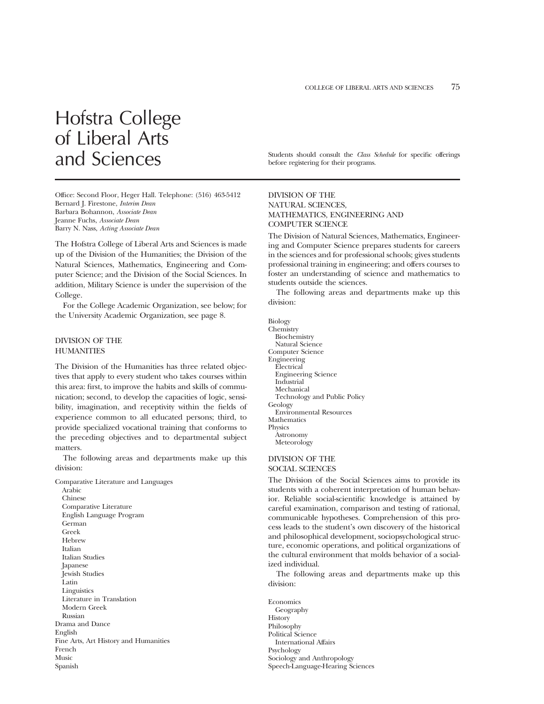# Hofstra College of Liberal Arts

Office: Second Floor, Heger Hall. Telephone: (516) 463-5412 Bernard J. Firestone, *Interim Dean* Barbara Bohannon, *Associate Dean* Jeanne Fuchs, *Associate Dean* Barry N. Nass, *Acting Associate Dean*

The Hofstra College of Liberal Arts and Sciences is made up of the Division of the Humanities; the Division of the Natural Sciences, Mathematics, Engineering and Computer Science; and the Division of the Social Sciences. In addition, Military Science is under the supervision of the College.

For the College Academic Organization, see below; for the University Academic Organization, see page 8.

#### DIVISION OF THE **HUMANITIES**

The Division of the Humanities has three related objectives that apply to every student who takes courses within this area: first, to improve the habits and skills of communication; second, to develop the capacities of logic, sensibility, imagination, and receptivity within the fields of experience common to all educated persons; third, to provide specialized vocational training that conforms to the preceding objectives and to departmental subject matters.

The following areas and departments make up this division:

Comparative Literature and Languages

Arabic Chinese Comparative Literature English Language Program German Greek Hebrew Italian Italian Studies Japanese Jewish Studies Latin Linguistics Literature in Translation Modern Greek Russian Drama and Dance English Fine Arts, Art History and Humanities French Music Spanish

and Sciences Students should consult the *Class Schedule* for specific offerings before registering for their programs.

#### DIVISION OF THE NATURAL SCIENCES, MATHEMATICS, ENGINEERING AND COMPUTER SCIENCE

The Division of Natural Sciences, Mathematics, Engineering and Computer Science prepares students for careers in the sciences and for professional schools; gives students professional training in engineering; and offers courses to foster an understanding of science and mathematics to students outside the sciences.

The following areas and departments make up this division:

Biology **Chemistry** Biochemistry Natural Science Computer Science Engineering **Electrical** Engineering Science Industrial Mechanical Technology and Public Policy Geology Environmental Resources Mathematics **Physics** Astronomy Meteorology

#### DIVISION OF THE SOCIAL SCIENCES

The Division of the Social Sciences aims to provide its students with a coherent interpretation of human behavior. Reliable social-scientific knowledge is attained by careful examination, comparison and testing of rational, communicable hypotheses. Comprehension of this process leads to the student's own discovery of the historical and philosophical development, sociopsychological structure, economic operations, and political organizations of the cultural environment that molds behavior of a socialized individual.

The following areas and departments make up this division:

Economics Geography History Philosophy Political Science International Affairs Psychology Sociology and Anthropology Speech-Language-Hearing Sciences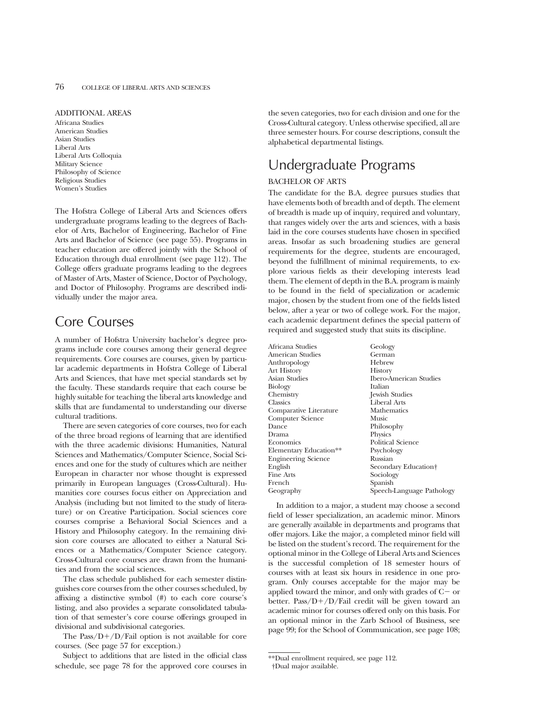#### ADDITIONAL AREAS

Africana Studies American Studies Asian Studies Liberal Arts Liberal Arts Colloquia Military Science Philosophy of Science Religious Studies Women's Studies

The Hofstra College of Liberal Arts and Sciences offers undergraduate programs leading to the degrees of Bachelor of Arts, Bachelor of Engineering, Bachelor of Fine Arts and Bachelor of Science (see page 55). Programs in teacher education are offered jointly with the School of Education through dual enrollment (see page 112). The College offers graduate programs leading to the degrees of Master of Arts, Master of Science, Doctor of Psychology, and Doctor of Philosophy. Programs are described individually under the major area.

### Core Courses

A number of Hofstra University bachelor's degree programs include core courses among their general degree requirements. Core courses are courses, given by particular academic departments in Hofstra College of Liberal Arts and Sciences, that have met special standards set by the faculty. These standards require that each course be highly suitable for teaching the liberal arts knowledge and skills that are fundamental to understanding our diverse cultural traditions.

There are seven categories of core courses, two for each of the three broad regions of learning that are identified with the three academic divisions: Humanities, Natural Sciences and Mathematics/Computer Science, Social Sciences and one for the study of cultures which are neither European in character nor whose thought is expressed primarily in European languages (Cross-Cultural). Humanities core courses focus either on Appreciation and Analysis (including but not limited to the study of literature) or on Creative Participation. Social sciences core courses comprise a Behavioral Social Sciences and a History and Philosophy category. In the remaining division core courses are allocated to either a Natural Sciences or a Mathematics/Computer Science category. Cross-Cultural core courses are drawn from the humanities and from the social sciences.

The class schedule published for each semester distinguishes core courses from the other courses scheduled, by affixing a distinctive symbol (#) to each core course's listing, and also provides a separate consolidated tabulation of that semester's core course offerings grouped in divisional and subdivisional categories.

The Pass/ $D+/D/Fail$  option is not available for core courses. (See page 57 for exception.)

Subject to additions that are listed in the official class schedule, see page 78 for the approved core courses in the seven categories, two for each division and one for the Cross-Cultural category. Unless otherwise specified, all are three semester hours. For course descriptions, consult the alphabetical departmental listings.

## Undergraduate Programs

#### BACHELOR OF ARTS

The candidate for the B.A. degree pursues studies that have elements both of breadth and of depth. The element of breadth is made up of inquiry, required and voluntary, that ranges widely over the arts and sciences, with a basis laid in the core courses students have chosen in specified areas. Insofar as such broadening studies are general requirements for the degree, students are encouraged, beyond the fulfillment of minimal requirements, to explore various fields as their developing interests lead them. The element of depth in the B.A. program is mainly to be found in the field of specialization or academic major, chosen by the student from one of the fields listed below, after a year or two of college work. For the major, each academic department defines the special pattern of required and suggested study that suits its discipline.

Africana Studies Geology<br>American Studies German American Studies German<br>Anthropology Hebrew Anthropology Hebrev<br>Art History History Art History<br>Asian Studies Biology<br>Chemistry Classics Liberal Arts Comparative Literature Mathematics<br>
Computer Science Music Computer Science<br>Dance Dance Philosophy<br>Drama Physics Physics Economics Political Science<br>Elementary Education<sup>\*\*</sup> Psychology Elementary Education<sup>\*\*</sup> Psychology<br>Fragmeeting Science Russian Engineering Science<br>English English Secondary Education†<br>Fine Arts Sociology Fine Arts Sociology<br>French Spanish French Spanish<br>Geography Speech-

Ibero-American Studies<br>Italian **Jewish Studies** Speech-Language Pathology

In addition to a major, a student may choose a second field of lesser specialization, an academic minor. Minors are generally available in departments and programs that offer majors. Like the major, a completed minor field will be listed on the student's record. The requirement for the optional minor in the College of Liberal Arts and Sciences is the successful completion of 18 semester hours of courses with at least six hours in residence in one program. Only courses acceptable for the major may be applied toward the minor, and only with grades of  $C-$  or better. Pass/ $D+/D/Fail$  credit will be given toward an academic minor for courses offered only on this basis. For an optional minor in the Zarb School of Business, see page 99; for the School of Communication, see page 108;

<sup>\*\*</sup>Dual enrollment required, see page 112. †Dual major available.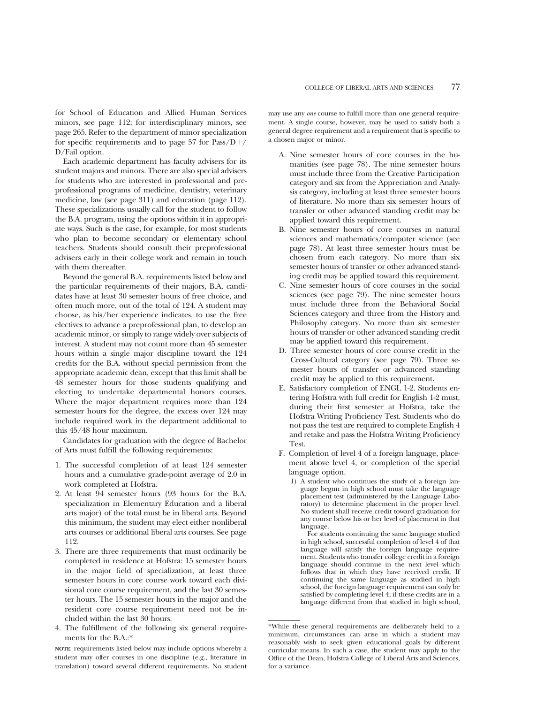for School of Education and Allied Human Services minors, see page 112; for interdisciplinary minors, see page 265. Refer to the department of minor specialization for specific requirements and to page 57 for Pass/ $D+/$ D/Fail option.

Each academic department has faculty advisers for its student majors and minors. There are also special advisers for students who are interested in professional and preprofessional programs of medicine, dentistry, veterinary medicine, law (see page 311) and education (page 112). These specializations usually call for the student to follow the B.A. program, using the options within it in appropriate ways. Such is the case, for example, for most students who plan to become secondary or elementary school teachers. Students should consult their preprofessional advisers early in their college work and remain in touch with them thereafter.

Beyond the general B.A. requirements listed below and the particular requirements of their majors, B.A. candidates have at least 30 semester hours of free choice, and often much more, out of the total of 124. A student may choose, as his/her experience indicates, to use the free electives to advance a preprofessional plan, to develop an academic minor, or simply to range widely over subjects of interest. A student may not count more than 45 semester hours within a single major discipline toward the 124 credits for the B.A. without special permission from the appropriate academic dean, except that this limit shall be 48 semester hours for those students qualifying and electing to undertake departmental honors courses. Where the major department requires more than 124 semester hours for the degree, the excess over 124 may include required work in the department additional to this 45/48 hour maximum.

Candidates for graduation with the degree of Bachelor of Arts must fulfill the following requirements:

- 1. The successful completion of at least 124 semester hours and a cumulative grade-point average of 2.0 in work completed at Hofstra.
- 2. At least 94 semester hours (93 hours for the B.A. specialization in Elementary Education and a liberal arts major) of the total must be in liberal arts. Beyond this minimum, the student may elect either nonliberal arts courses or additional liberal arts courses. See page 112.
- 3. There are three requirements that must ordinarily be completed in residence at Hofstra: 15 semester hours in the major field of specialization, at least three semester hours in core course work toward each divisional core course requirement, and the last 30 semester hours. The 15 semester hours in the major and the resident core course requirement need not be included within the last 30 hours.
- 4. The fulfillment of the following six general requirements for the B.A.:\*

**NOTE**: requirements listed below may include options whereby a student may offer courses in one discipline (e.g., literature in translation) toward several different requirements. No student may use any *one* course to fulfill more than one general requirement. A single course, however, may be used to satisfy both a general degree requirement and a requirement that is specific to a chosen major or minor.

- A. Nine semester hours of core courses in the humanities (see page 78). The nine semester hours must include three from the Creative Participation category and six from the Appreciation and Analysis category, including at least three semester hours of literature. No more than six semester hours of transfer or other advanced standing credit may be applied toward this requirement.
- B. Nine semester hours of core courses in natural sciences and mathematics/computer science (see page 78). At least three semester hours must be chosen from each category. No more than six semester hours of transfer or other advanced standing credit may be applied toward this requirement.
- C. Nine semester hours of core courses in the social sciences (see page 79). The nine semester hours must include three from the Behavioral Social Sciences category and three from the History and Philosophy category. No more than six semester hours of transfer or other advanced standing credit may be applied toward this requirement.
- D. Three semester hours of core course credit in the Cross-Cultural category (see page 79). Three semester hours of transfer or advanced standing credit may be applied to this requirement.
- E. Satisfactory completion of ENGL 1-2. Students entering Hofstra with full credit for English 1-2 must, during their first semester at Hofstra, take the Hofstra Writing Proficiency Test. Students who do not pass the test are required to complete English 4 and retake and pass the Hofstra Writing Proficiency Test.
- F. Completion of level 4 of a foreign language, placement above level 4, or completion of the special language option.
	- 1) A student who continues the study of a foreign language begun in high school must take the language placement test (administered by the Language Laboratory) to determine placement in the proper level. No student shall receive credit toward graduation for any course below his or her level of placement in that language.
		- For students continuing the same language studied in high school, successful completion of level 4 of that language will satisfy the foreign language requirement. Students who transfer college credit in a foreign language should continue in the next level which follows that in which they have received credit. If continuing the same language as studied in high school, the foreign language requirement can only be satisfied by completing level 4; if these credits are in a language different from that studied in high school,

<sup>\*</sup>While these general requirements are deliberately held to a minimum, circumstances can arise in which a student may reasonably wish to seek given educational goals by different curricular means. In such a case, the student may apply to the Office of the Dean, Hofstra College of Liberal Arts and Sciences, for a variance.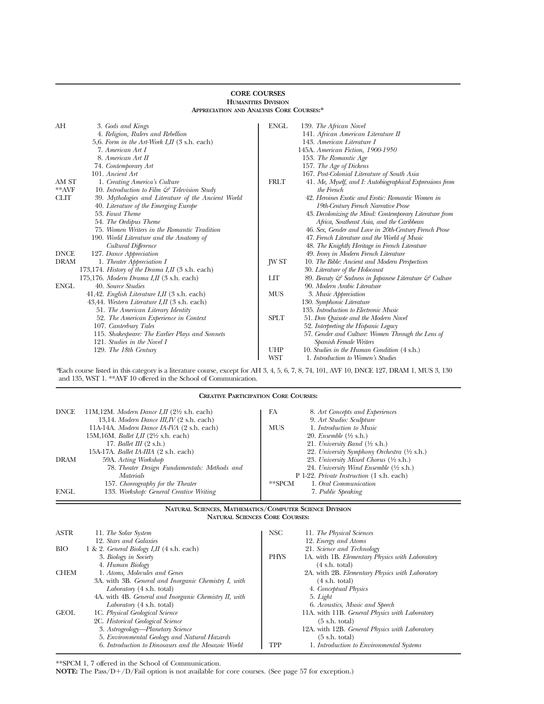| <b>APPRECIATION AND ANALYSIS CORE COURSES:*</b> |                                                                 |             |                                                          |
|-------------------------------------------------|-----------------------------------------------------------------|-------------|----------------------------------------------------------|
| АH                                              | 3. Gods and Kings                                               | ENGL        | 139. The African Novel                                   |
|                                                 | 4. Religion, Rulers and Rebellion                               |             | 141. African American Literature II                      |
|                                                 | 5,6. Form in the Art-Work I, II $(3 \text{ s.h.} \text{ each})$ |             | 143. American Literature I                               |
|                                                 | 7. American Art I                                               |             | 145A. American Fiction, 1900-1950                        |
|                                                 | 8. American Art II                                              |             | 153. The Romantic Age                                    |
|                                                 | 74. Contemporary Art                                            |             | 157. The Age of Dickens                                  |
|                                                 | 101. Ancient Art                                                |             | 167. Post-Colonial Literature of South Asia              |
| AM ST                                           | 1. Creating America's Culture                                   | <b>FRLT</b> | 41. Me, Myself, and I: Autobiographical Expressions from |
| $*$ * $AVF$                                     | 10. Introduction to Film $\mathcal{C}$ Television Study         |             | the French                                               |
| <b>CLIT</b>                                     | 39. Mythologies and Literature of the Ancient World             |             | 42. Heroines Exotic and Erotic: Romantic Women in        |
|                                                 | 40. Literature of the Emerging Europe                           |             | 19th-Century French Narrative Prose                      |
|                                                 | 53. Faust Theme                                                 |             | 43. Decolonizing the Mind: Contemporary Literature from  |
|                                                 | 54. The Oedipus Theme                                           |             | Africa, Southeast Asia, and the Caribbean                |
|                                                 | 75. Women Writers in the Romantic Tradition                     |             | 46. Sex, Gender and Love in 20th-Century French Prose    |
|                                                 | 190. World Literature and the Anatomy of                        |             | 47. French Literature and the World of Music             |
|                                                 | Cultural Difference                                             |             | 48. The Knightly Heritage in French Literature           |
| <b>DNCE</b>                                     | 127. Dance Appreciation                                         |             | 49. Irony in Modern French Literature                    |
| <b>DRAM</b>                                     | 1. Theater Appreciation I                                       | JW ST       | 10. The Bible: Ancient and Modern Perspectives           |
|                                                 | 173,174. History of the Drama I,II (3 s.h. each)                |             | 30. Literature of the Holocaust                          |
|                                                 | 175,176. Modern Drama I, II (3 s.h. each)                       | LIT         | 89. Beauty & Sadness in Japanese Literature & Culture    |
| <b>ENGL</b>                                     | 40. Source Studies                                              |             | 90. Modern Arabic Literature                             |
|                                                 | 41,42. English Literature I, II $(3 \text{ s.h.} \text{ each})$ | <b>MUS</b>  | 3. Music Appreciation                                    |
|                                                 | 43,44. Western Literature I, II (3 s.h. each)                   |             | 130. Symphonic Literature                                |
|                                                 | 51. The American Literary Identity                              |             | 135. Introduction to Electronic Music                    |
|                                                 | 52. The American Experience in Context                          | <b>SPLT</b> | 51. Don Quixote and the Modern Novel                     |
|                                                 | 107. Canterbury Tales                                           |             | 52. Interpreting the Hispanic Legacy                     |
|                                                 | 115. Shakespeare: The Earlier Plays and Sonnets                 |             | 57. Gender and Culture: Women Through the Lens of        |
|                                                 | 121. Studies in the Novel I                                     |             | Spanish Female Writers                                   |
|                                                 | 129. The 18th Century                                           | UHP         | 10. Studies in the Human Condition (4 s.h.)              |
|                                                 |                                                                 | <b>WST</b>  | 1. Introduction to Women's Studies                       |

### **CORE COURSES HUMANITIES DIVISION**

*\**Each course listed in this category is a literature course, except for AH 3, 4, 5, 6, 7, 8, 74, 101, AVF 10, DNCE 127, DRAM 1, MUS 3, 130 and 135, WST 1. \*\*AVF 10 offered in the School of Communication.

**CREATIVE PARTICIPATION CORE COURSES:**

| <b>DNCE</b> | 11M,12M. Modern Dance I,II $(2\frac{1}{2}$ s.h. each)<br>13,14. Modern Dance III, IV (2 s.h. each) | FA<br>8. Art Concepts and Experiences<br>9. Art Studio: Sculpture |
|-------------|----------------------------------------------------------------------------------------------------|-------------------------------------------------------------------|
|             | 11A-14A. Modern Dance IA-IVA (2 s.h. each)                                                         | <b>MUS</b><br>1. Introduction to Music                            |
|             | 15M, 16M. Ballet I, II $(2\frac{1}{2}$ s.h. each)                                                  | 20. Ensemble $(\frac{1}{2}$ s.h.)                                 |
|             | 17. Ballet III $(2 \text{ s.h.})$                                                                  | 21. University Band $(\frac{1}{2}$ s.h.)                          |
|             | 15A-17A. Ballet IA-IIIA (2 s.h. each)                                                              | 22. University Symphony Orchestra (1/2 s.h.)                      |
| <b>DRAM</b> | 59A. Acting Workshop                                                                               | 23. University Mixed Chorus $(\frac{1}{2}$ s.h.)                  |
|             | 78. Theater Design Fundamentals: Methods and                                                       | 24. University Wind Ensemble $(\frac{1}{2}$ s.h.)                 |
|             | <i>Materials</i>                                                                                   | P 1-22. Private Instruction (1 s.h. each)                         |
|             | 157. Choreography for the Theater                                                                  | $*$ $SPCM$<br>1. Oral Communication                               |
| <b>ENGL</b> | 133. Workshop: General Creative Writing                                                            | 7. Public Speaking                                                |

#### **NATURAL SCIENCES, MATHEMATICS/COMPUTER SCIENCE DIVISION NATURAL SCIENCES CORE COURSES:**

 $\equiv$ 

| <b>ASTR</b> | 11. The Solar System                                       | NSC <sub>1</sub> | 11. The Physical Sciences                       |
|-------------|------------------------------------------------------------|------------------|-------------------------------------------------|
|             | 12. Stars and Galaxies                                     |                  | 12. Energy and Atoms                            |
| <b>BIO</b>  | 1 & 2. <i>General Biology I,II</i> $(4 \text{ s.h. each})$ |                  | 21. Science and Technology                      |
|             | 3. Biology in Society                                      | <b>PHYS</b>      | 1A. with 1B. Elementary Physics with Laboratory |
|             | 4. Human Biology                                           |                  | $(4 \text{ s.h. total})$                        |
| <b>CHEM</b> | 1. Atoms, Molecules and Genes                              |                  | 2A. with 2B. Elementary Physics with Laboratory |
|             | 3A. with 3B. General and Inorganic Chemistry I, with       |                  | $(4 \text{ s.h. total})$                        |
|             | Laboratory (4 s.h. total)                                  |                  | 4. Conceptual Physics                           |
|             | 4A. with 4B. General and Inorganic Chemistry II, with      |                  | 5. Light                                        |
|             | Laboratory (4 s.h. total)                                  |                  | 6. Acoustics, Music and Speech                  |
| <b>GEOL</b> | 1C. Physical Geological Science                            |                  | 11A. with 11B. General Physics with Laboratory  |
|             | 2C. Historical Geological Science                          |                  | $(5 \text{ s.h. total})$                        |
|             | 3. Astrogeology—Planetary Science                          |                  | 12A. with 12B. General Physics with Laboratory  |
|             | 5. Environmental Geology and Natural Hazards               |                  | $(5 \text{ s.h. total})$                        |
|             | 6. Introduction to Dinosaurs and the Mesozoic World        | TPP              | 1. Introduction to Environmental Systems        |

\*\*SPCM 1, 7 offered in the School of Communication.

**NOTE:** The Pass/D+/D/Fail option is not available for core courses. (See page 57 for exception.)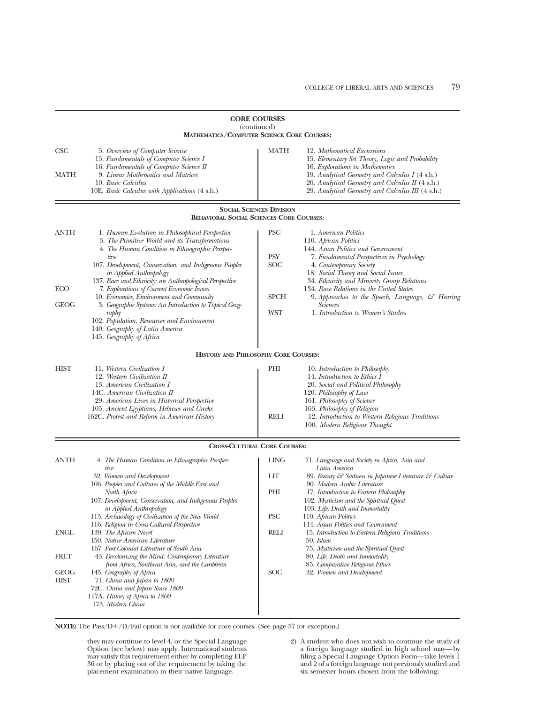| <b>CORE COURSES</b><br>(continued)<br><b>MATHEMATICS/COMPUTER SCIENCE CORE COURSES:</b> |                                                                                                                                                                                                                                                                                                                                                                                                                                                                                                                                                                                                                                                                                                                                                                                                                                                                                                            |                                                                      |                                                                                                                                                                                                                                                                                                                                                                                                                                                                                                                                                                                                                                                                                                            |
|-----------------------------------------------------------------------------------------|------------------------------------------------------------------------------------------------------------------------------------------------------------------------------------------------------------------------------------------------------------------------------------------------------------------------------------------------------------------------------------------------------------------------------------------------------------------------------------------------------------------------------------------------------------------------------------------------------------------------------------------------------------------------------------------------------------------------------------------------------------------------------------------------------------------------------------------------------------------------------------------------------------|----------------------------------------------------------------------|------------------------------------------------------------------------------------------------------------------------------------------------------------------------------------------------------------------------------------------------------------------------------------------------------------------------------------------------------------------------------------------------------------------------------------------------------------------------------------------------------------------------------------------------------------------------------------------------------------------------------------------------------------------------------------------------------------|
| CSC<br>MATH                                                                             | 5. Overview of Computer Science<br>15. Fundamentals of Computer Science I<br>16. Fundamentals of Computer Science II<br>9. Linear Mathematics and Matrices<br>10. Basic Calculus<br>10E. Basic Calculus with Applications (4 s.h.)                                                                                                                                                                                                                                                                                                                                                                                                                                                                                                                                                                                                                                                                         | MATH                                                                 | 12. Mathematical Excursions<br>15. Elementary Set Theory, Logic and Probability<br>16. Explorations in Mathematics<br>19. Analytical Geometry and Calculus I (4 s.h.)<br>20. Analytical Geometry and Calculus II (4 s.h.)<br>29. Analytical Geometry and Calculus III (4 s.h.)                                                                                                                                                                                                                                                                                                                                                                                                                             |
|                                                                                         | <b>BEHAVIORAL SOCIAL SCIENCES CORE COURSES:</b>                                                                                                                                                                                                                                                                                                                                                                                                                                                                                                                                                                                                                                                                                                                                                                                                                                                            | <b>SOCIAL SCIENCES DIVISION</b>                                      |                                                                                                                                                                                                                                                                                                                                                                                                                                                                                                                                                                                                                                                                                                            |
| <b>ANTH</b><br><b>ECO</b><br><b>GEOG</b><br><b>HIST</b>                                 | 1. Human Evolution in Philosophical Perspective<br>3. The Primitive World and its Transformations<br>4. The Human Condition in Ethnographic Perspec-<br>tive<br>107. Development, Conservation, and Indigenous Peoples<br>in Applied Anthropology<br>137. Race and Ethnicity: an Anthropological Perspective<br>7. Explorations of Current Economic Issues<br>10. Economics, Environment and Community<br>3. Geographic Systems: An Introduction to Topical Geog-<br>raphy<br>102. Population, Resources and Environment<br>140. Geography of Latin America<br>145. Geography of Africa<br>HISTORY AND PHILOSOPHY CORE COURSES:<br>11. Western Civilization I<br>12. Western Civilization II<br>13. American Civilization I<br>14C. American Civilization II<br>29. American Lives in Historical Perspective<br>105. Ancient Egyptians, Hebrews and Greeks<br>162C. Protest and Reform in American History | <b>PSC</b><br>PSY<br>SOC<br><b>SPCH</b><br><b>WST</b><br>PHI<br>RELI | 1. American Politics<br>110. African Politics<br>144. Asian Politics and Government<br>7. Fundamental Perspectives in Psychology<br>4. Contemporary Society<br>18. Social Theory and Social Issues<br>34. Ethnicity and Minority Group Relations<br>134. Race Relations in the United States<br>9. Approaches to the Speech, Language, $\mathcal{C}$ Hearing<br><i>Sciences</i><br>1. Introduction to Women's Studies<br>10. Introduction to Philosophy<br>14. Introduction to Ethics I<br>20. Social and Political Philosophy<br>120. Philosophy of Law<br>161. Philosophy of Science<br>163. Philosophy of Religion<br>12. Introduction to Western Religious Traditions<br>100. Modern Religious Thought |
|                                                                                         | <b>CROSS-CULTURAL CORE COURSES:</b>                                                                                                                                                                                                                                                                                                                                                                                                                                                                                                                                                                                                                                                                                                                                                                                                                                                                        |                                                                      |                                                                                                                                                                                                                                                                                                                                                                                                                                                                                                                                                                                                                                                                                                            |
| ANTH<br><b>ENGL</b><br><b>FRLT</b><br><b>GEOG</b><br><b>HIST</b>                        | 4. The Human Condition in Ethnographic Perspec-<br>tive<br>32. Women and Development<br>106. Peoples and Cultures of the Middle East and<br>North Africa<br>107. Development, Conservation, and Indigenous Peoples<br>in Applied Anthropology<br>113. Archaeology of Civilization of the New World<br>116. Religion in Cross-Cultural Perspective<br>139. The African Novel<br>150. Native American Literature<br>167. Post-Colonial Literature of South Asia<br>43. Decolonizing the Mind: Contemporary Literature<br>from Africa, Southeast Asia, and the Caribbean<br>145. Geography of Africa<br>71. China and Japan to 1800<br>72C. China and Japan Since 1800<br>117A. History of Africa to 1800<br>173. Modern China                                                                                                                                                                                | <b>LING</b><br>LIT<br>PHI<br><b>PSC</b><br><b>RELI</b><br><b>SOC</b> | 71. Language and Society in Africa, Asia and<br>Latin America<br>89. Beauty & Sadness in Japanese Literature & Culture<br>90. Modern Arabic Literature<br>17. Introduction to Eastern Philosophy<br>102. Mysticism and the Spiritual Quest<br>103. Life, Death and Immortality<br>110. African Politics<br>144. Asian Politics and Government<br>15. Introduction to Eastern Religious Traditions<br>50. Islam<br>75. Mysticism and the Spiritual Quest<br>80. Life, Death and Immortality<br>85. Comparative Religious Ethics<br>32. Women and Development                                                                                                                                                |

**NOTE:** The Pass/D+/D/Fail option is not available for core courses. (See page 57 for exception.)

they may continue to level 4, or the Special Language Option (see below) may apply. International students may satisfy this requirement either by completing ELP 36 or by placing out of the requirement by taking the placement examination in their native language.

2) A student who does not wish to continue the study of a foreign language studied in high school may—by filing a Special Language Option Form—take levels 1 and 2 of a foreign language not previously studied and six semester hours chosen from the following: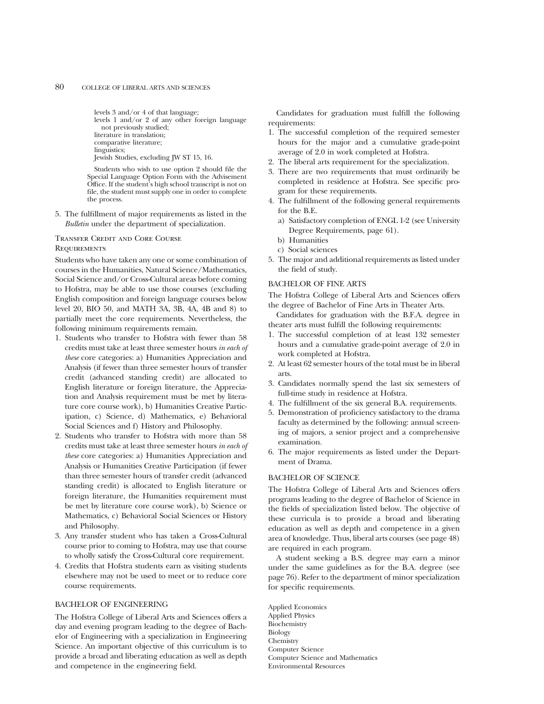```
levels 3 and/or 4 of that language;
levels 1 and/or 2 of any other foreign language
  not previously studied;
literature in translation;
comparative literature;
linguistics;
Jewish Studies, excluding JW ST 15, 16.
```
Students who wish to use option 2 should file the Special Language Option Form with the Advisement Office. If the student's high school transcript is not on file, the student must supply one in order to complete the process.

5. The fulfillment of major requirements as listed in the *Bulletin* under the department of specialization.

#### Transfer Credit and Core Course **REQUIREMENTS**

Students who have taken any one or some combination of courses in the Humanities, Natural Science/Mathematics, Social Science and/or Cross-Cultural areas before coming to Hofstra, may be able to use those courses (excluding English composition and foreign language courses below level 20, BIO 50, and MATH 3A, 3B, 4A, 4B and 8) to partially meet the core requirements. Nevertheless, the following minimum requirements remain.

- 1. Students who transfer to Hofstra with fewer than 58 credits must take at least three semester hours *in each of these* core categories: a) Humanities Appreciation and Analysis (if fewer than three semester hours of transfer credit (advanced standing credit) are allocated to English literature or foreign literature, the Appreciation and Analysis requirement must be met by literature core course work), b) Humanities Creative Participation, c) Science, d) Mathematics, e) Behavioral Social Sciences and f) History and Philosophy.
- 2. Students who transfer to Hofstra with more than 58 credits must take at least three semester hours *in each of these* core categories: a) Humanities Appreciation and Analysis or Humanities Creative Participation (if fewer than three semester hours of transfer credit (advanced standing credit) is allocated to English literature or foreign literature, the Humanities requirement must be met by literature core course work), b) Science or Mathematics, c) Behavioral Social Sciences or History and Philosophy.
- 3. Any transfer student who has taken a Cross-Cultural course prior to coming to Hofstra, may use that course to wholly satisfy the Cross-Cultural core requirement.
- 4. Credits that Hofstra students earn as visiting students elsewhere may not be used to meet or to reduce core course requirements.

#### BACHELOR OF ENGINEERING

The Hofstra College of Liberal Arts and Sciences offers a day and evening program leading to the degree of Bachelor of Engineering with a specialization in Engineering Science. An important objective of this curriculum is to provide a broad and liberating education as well as depth and competence in the engineering field.

Candidates for graduation must fulfill the following requirements:

- 1. The successful completion of the required semester hours for the major and a cumulative grade-point average of 2.0 in work completed at Hofstra.
- 2. The liberal arts requirement for the specialization.
- 3. There are two requirements that must ordinarily be completed in residence at Hofstra. See specific program for these requirements.
- 4. The fulfillment of the following general requirements for the B.E.
	- a) Satisfactory completion of ENGL 1-2 (see University Degree Requirements, page 61).
	- b) Humanities
	- c) Social sciences
- 5. The major and additional requirements as listed under the field of study.

#### BACHELOR OF FINE ARTS

The Hofstra College of Liberal Arts and Sciences offers the degree of Bachelor of Fine Arts in Theater Arts.

Candidates for graduation with the B.F.A. degree in theater arts must fulfill the following requirements:

- 1. The successful completion of at least 132 semester hours and a cumulative grade-point average of 2.0 in work completed at Hofstra.
- 2. At least 62 semester hours of the total must be in liberal arts.
- 3. Candidates normally spend the last six semesters of full-time study in residence at Hofstra.
- 4. The fulfillment of the six general B.A. requirements.
- 5. Demonstration of proficiency satisfactory to the drama faculty as determined by the following: annual screening of majors, a senior project and a comprehensive examination.
- 6. The major requirements as listed under the Department of Drama.

#### BACHELOR OF SCIENCE

The Hofstra College of Liberal Arts and Sciences offers programs leading to the degree of Bachelor of Science in the fields of specialization listed below. The objective of these curricula is to provide a broad and liberating education as well as depth and competence in a given area of knowledge. Thus, liberal arts courses (see page 48) are required in each program.

A student seeking a B.S. degree may earn a minor under the same guidelines as for the B.A. degree (see page 76). Refer to the department of minor specialization for specific requirements.

Applied Economics Applied Physics Biochemistry Biology Chemistry Computer Science Computer Science and Mathematics Environmental Resources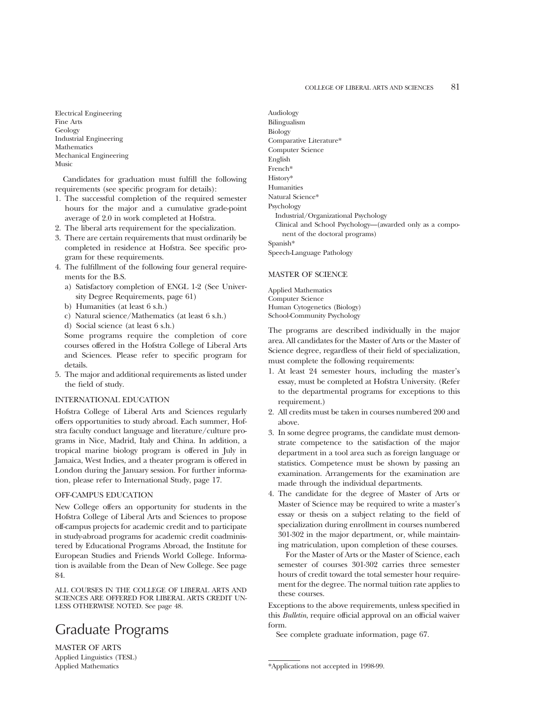Electrical Engineering Fine Arts Geology Industrial Engineering Mathematics Mechanical Engineering Music

Candidates for graduation must fulfill the following requirements (see specific program for details):

- 1. The successful completion of the required semester hours for the major and a cumulative grade-point average of 2.0 in work completed at Hofstra.
- 2. The liberal arts requirement for the specialization.
- 3. There are certain requirements that must ordinarily be completed in residence at Hofstra. See specific program for these requirements.
- 4. The fulfillment of the following four general requirements for the B.S.
	- a) Satisfactory completion of ENGL 1-2 (See University Degree Requirements, page 61)
	- b) Humanities (at least 6 s.h.)
	- c) Natural science/Mathematics (at least 6 s.h.)
	- d) Social science (at least 6 s.h.)

Some programs require the completion of core courses offered in the Hofstra College of Liberal Arts and Sciences. Please refer to specific program for details.

5. The major and additional requirements as listed under the field of study.

#### INTERNATIONAL EDUCATION

Hofstra College of Liberal Arts and Sciences regularly offers opportunities to study abroad. Each summer, Hofstra faculty conduct language and literature/culture programs in Nice, Madrid, Italy and China. In addition, a tropical marine biology program is offered in July in Jamaica, West Indies, and a theater program is offered in London during the January session. For further information, please refer to International Study, page 17.

#### OFF-CAMPUS EDUCATION

New College offers an opportunity for students in the Hofstra College of Liberal Arts and Sciences to propose off-campus projects for academic credit and to participate in study-abroad programs for academic credit coadministered by Educational Programs Abroad, the Institute for European Studies and Friends World College. Information is available from the Dean of New College. See page 84.

ALL COURSES IN THE COLLEGE OF LIBERAL ARTS AND SCIENCES ARE OFFERED FOR LIBERAL ARTS CREDIT UN-LESS OTHERWISE NOTED. See page 48.

## Graduate Programs

MASTER OF ARTS Applied Linguistics (TESL) Applied Mathematics

Audiology Bilingualism Biology Comparative Literature\* Computer Science English French\* History\* Humanities Natural Science\* Psychology Industrial/Organizational Psychology Clinical and School Psychology—(awarded only as a component of the doctoral programs) Spanish\* Speech-Language Pathology

#### MASTER OF SCIENCE

Applied Mathematics Computer Science Human Cytogenetics (Biology) School-Community Psychology

The programs are described individually in the major area. All candidates for the Master of Arts or the Master of Science degree, regardless of their field of specialization, must complete the following requirements:

- 1. At least 24 semester hours, including the master's essay, must be completed at Hofstra University. (Refer to the departmental programs for exceptions to this requirement.)
- 2. All credits must be taken in courses numbered 200 and above.
- 3. In some degree programs, the candidate must demonstrate competence to the satisfaction of the major department in a tool area such as foreign language or statistics. Competence must be shown by passing an examination. Arrangements for the examination are made through the individual departments.
- 4. The candidate for the degree of Master of Arts or Master of Science may be required to write a master's essay or thesis on a subject relating to the field of specialization during enrollment in courses numbered 301-302 in the major department, or, while maintaining matriculation, upon completion of these courses.

For the Master of Arts or the Master of Science, each semester of courses 301-302 carries three semester hours of credit toward the total semester hour requirement for the degree. The normal tuition rate applies to these courses.

Exceptions to the above requirements, unless specified in this *Bulletin*, require official approval on an official waiver form.

See complete graduate information, page 67.

<sup>\*</sup>Applications not accepted in 1998-99.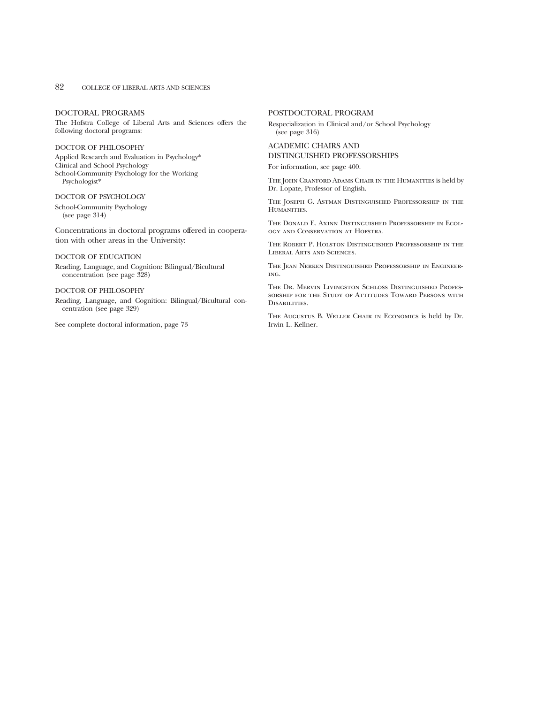#### 82 COLLEGE OF LIBERAL ARTS AND SCIENCES

#### DOCTORAL PROGRAMS

The Hofstra College of Liberal Arts and Sciences offers the following doctoral programs:

#### DOCTOR OF PHILOSOPHY

Applied Research and Evaluation in Psychology\* Clinical and School Psychology School-Community Psychology for the Working Psychologist\*

#### DOCTOR OF PSYCHOLOGY

School-Community Psychology (see page 314)

Concentrations in doctoral programs offered in cooperation with other areas in the University:

#### DOCTOR OF EDUCATION

Reading, Language, and Cognition: Bilingual/Bicultural concentration (see page 328)

#### DOCTOR OF PHILOSOPHY

Reading, Language, and Cognition: Bilingual/Bicultural concentration (see page 329)

See complete doctoral information, page 73

#### POSTDOCTORAL PROGRAM

Respecialization in Clinical and/or School Psychology (see page 316)

#### ACADEMIC CHAIRS AND DISTINGUISHED PROFESSORSHIPS

For information, see page 400.

The John Cranford Adams Chair in the Humanities is held by Dr. Lopate, Professor of English.

The Joseph G. Astman Distinguished Professorship in the HUMANITIES.

The Donald E. Axinn Distinguished Professorship in Ecology and Conservation at Hofstra.

The Robert P. Holston Distinguished Professorship in the Liberal Arts and Sciences.

The Jean Nerken Distinguished Professorship in Engineering.

The Dr. Mervin Livingston Schloss Distinguished Professorship for the Study of Attitudes Toward Persons with Disabilities.

The Augustus B. Weller Chair in Economics is held by Dr. Irwin L. Kellner.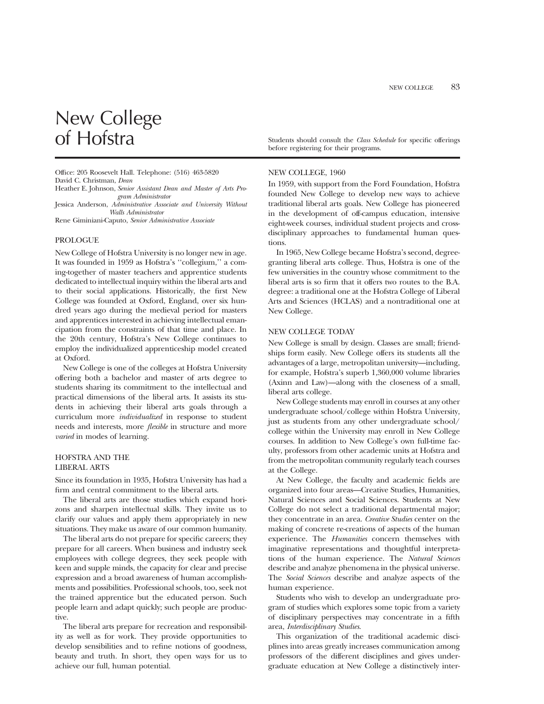# New College<br>of Hofstra

Office: 205 Roosevelt Hall. Telephone: (516) 463-5820 David C. Christman, *Dean*

Heather E. Johnson, *Senior Assistant Dean and Master of Arts Program Administrator*

Jessica Anderson, *Administrative Associate and University Without Walls Administrator*

Rene Giminiani-Caputo, *Senior Administrative Associate*

#### PROLOGUE

New College of Hofstra University is no longer new in age. It was founded in 1959 as Hofstra's ''collegium,'' a coming-together of master teachers and apprentice students dedicated to intellectual inquiry within the liberal arts and to their social applications. Historically, the first New College was founded at Oxford, England, over six hundred years ago during the medieval period for masters and apprentices interested in achieving intellectual emancipation from the constraints of that time and place. In the 20th century, Hofstra's New College continues to employ the individualized apprenticeship model created at Oxford.

New College is one of the colleges at Hofstra University offering both a bachelor and master of arts degree to students sharing its commitment to the intellectual and practical dimensions of the liberal arts. It assists its students in achieving their liberal arts goals through a curriculum more *individualized* in response to student needs and interests, more *flexible* in structure and more *varied* in modes of learning.

#### HOFSTRA AND THE LIBERAL ARTS

Since its foundation in 1935, Hofstra University has had a firm and central commitment to the liberal arts.

The liberal arts are those studies which expand horizons and sharpen intellectual skills. They invite us to clarify our values and apply them appropriately in new situations. They make us aware of our common humanity.

The liberal arts do not prepare for specific careers; they prepare for all careers. When business and industry seek employees with college degrees, they seek people with keen and supple minds, the capacity for clear and precise expression and a broad awareness of human accomplishments and possibilities. Professional schools, too, seek not the trained apprentice but the educated person. Such people learn and adapt quickly; such people are productive.

The liberal arts prepare for recreation and responsibility as well as for work. They provide opportunities to develop sensibilities and to refine notions of goodness, beauty and truth. In short, they open ways for us to achieve our full, human potential.

Students should consult the *Class Schedule* for specific offerings before registering for their programs.

#### NEW COLLEGE, 1960

In 1959, with support from the Ford Foundation, Hofstra founded New College to develop new ways to achieve traditional liberal arts goals. New College has pioneered in the development of off-campus education, intensive eight-week courses, individual student projects and crossdisciplinary approaches to fundamental human questions.

In 1965, New College became Hofstra's second, degreegranting liberal arts college. Thus, Hofstra is one of the few universities in the country whose commitment to the liberal arts is so firm that it offers two routes to the B.A. degree: a traditional one at the Hofstra College of Liberal Arts and Sciences (HCLAS) and a nontraditional one at New College.

#### NEW COLLEGE TODAY

New College is small by design. Classes are small; friendships form easily. New College offers its students all the advantages of a large, metropolitan university—including, for example, Hofstra's superb 1,360,000 volume libraries (Axinn and Law)—along with the closeness of a small, liberal arts college.

New College students may enroll in courses at any other undergraduate school/college within Hofstra University, just as students from any other undergraduate school/ college within the University may enroll in New College courses. In addition to New College's own full-time faculty, professors from other academic units at Hofstra and from the metropolitan community regularly teach courses at the College.

At New College, the faculty and academic fields are organized into four areas—Creative Studies, Humanities, Natural Sciences and Social Sciences. Students at New College do not select a traditional departmental major; they concentrate in an area. *Creative Studies* center on the making of concrete re-creations of aspects of the human experience. The *Humanities* concern themselves with imaginative representations and thoughtful interpretations of the human experience. The *Natural Sciences* describe and analyze phenomena in the physical universe. The *Social Sciences* describe and analyze aspects of the human experience.

Students who wish to develop an undergraduate program of studies which explores some topic from a variety of disciplinary perspectives may concentrate in a fifth area, *Interdisciplinary Studies*.

This organization of the traditional academic disciplines into areas greatly increases communication among professors of the different disciplines and gives undergraduate education at New College a distinctively inter-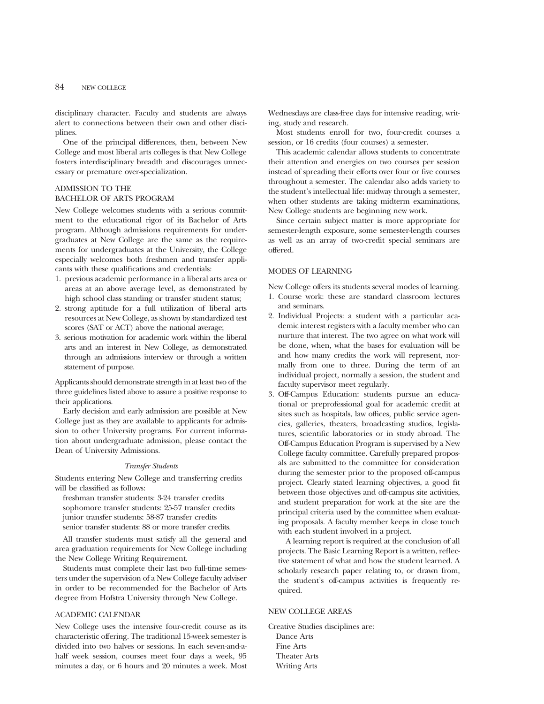#### 84 NEW COLLEGE

disciplinary character. Faculty and students are always alert to connections between their own and other disciplines.

One of the principal differences, then, between New College and most liberal arts colleges is that New College fosters interdisciplinary breadth and discourages unnecessary or premature over-specialization.

#### ADMISSION TO THE BACHELOR OF ARTS PROGRAM

New College welcomes students with a serious commitment to the educational rigor of its Bachelor of Arts program. Although admissions requirements for undergraduates at New College are the same as the requirements for undergraduates at the University, the College especially welcomes both freshmen and transfer applicants with these qualifications and credentials:

- 1. previous academic performance in a liberal arts area or areas at an above average level, as demonstrated by high school class standing or transfer student status;
- 2. strong aptitude for a full utilization of liberal arts resources at New College, as shown by standardized test scores (SAT or ACT) above the national average;
- 3. serious motivation for academic work within the liberal arts and an interest in New College, as demonstrated through an admissions interview or through a written statement of purpose.

Applicants should demonstrate strength in at least two of the three guidelines listed above to assure a positive response to their applications.

Early decision and early admission are possible at New College just as they are available to applicants for admission to other University programs. For current information about undergraduate admission, please contact the Dean of University Admissions.

#### *Transfer Students*

Students entering New College and transferring credits will be classified as follows:

freshman transfer students: 3-24 transfer credits sophomore transfer students: 25-57 transfer credits junior transfer students: 58-87 transfer credits senior transfer students: 88 or more transfer credits.

All transfer students must satisfy all the general and area graduation requirements for New College including the New College Writing Requirement.

Students must complete their last two full-time semesters under the supervision of a New College faculty adviser in order to be recommended for the Bachelor of Arts degree from Hofstra University through New College.

#### ACADEMIC CALENDAR

New College uses the intensive four-credit course as its characteristic offering. The traditional 15-week semester is divided into two halves or sessions. In each seven-and-ahalf week session, courses meet four days a week, 95 minutes a day, or 6 hours and 20 minutes a week. Most Wednesdays are class-free days for intensive reading, writing, study and research.

Most students enroll for two, four-credit courses a session, or 16 credits (four courses) a semester.

This academic calendar allows students to concentrate their attention and energies on two courses per session instead of spreading their efforts over four or five courses throughout a semester. The calendar also adds variety to the student's intellectual life: midway through a semester, when other students are taking midterm examinations, New College students are beginning new work.

Since certain subject matter is more appropriate for semester-length exposure, some semester-length courses as well as an array of two-credit special seminars are offered.

#### MODES OF LEARNING

New College offers its students several modes of learning.

- 1. Course work: these are standard classroom lectures and seminars.
- 2. Individual Projects: a student with a particular academic interest registers with a faculty member who can nurture that interest. The two agree on what work will be done, when, what the bases for evaluation will be and how many credits the work will represent, normally from one to three. During the term of an individual project, normally a session, the student and faculty supervisor meet regularly.
- 3. Off-Campus Education: students pursue an educational or preprofessional goal for academic credit at sites such as hospitals, law offices, public service agencies, galleries, theaters, broadcasting studios, legislatures, scientific laboratories or in study abroad. The Off-Campus Education Program is supervised by a New College faculty committee. Carefully prepared proposals are submitted to the committee for consideration during the semester prior to the proposed off-campus project. Clearly stated learning objectives, a good fit between those objectives and off-campus site activities, and student preparation for work at the site are the principal criteria used by the committee when evaluating proposals. A faculty member keeps in close touch with each student involved in a project.

A learning report is required at the conclusion of all projects. The Basic Learning Report is a written, reflective statement of what and how the student learned. A scholarly research paper relating to, or drawn from, the student's off-campus activities is frequently required.

#### NEW COLLEGE AREAS

Creative Studies disciplines are: Dance Arts Fine Arts Theater Arts Writing Arts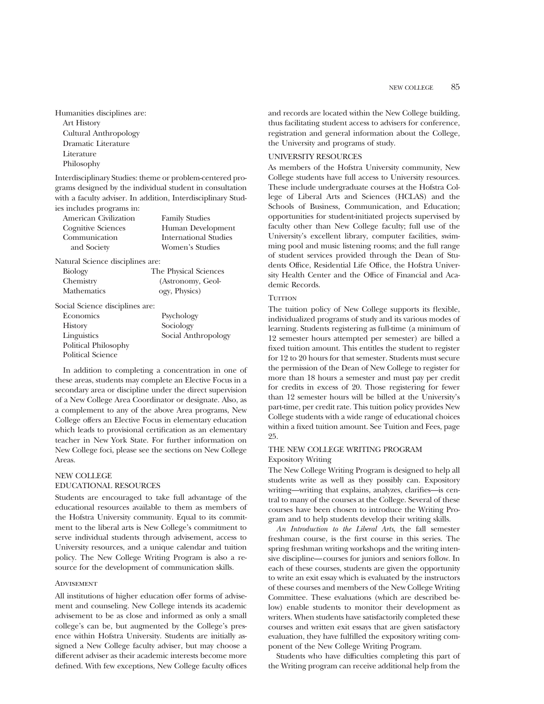Humanities disciplines are:

Art History Cultural Anthropology Dramatic Literature **Literature** Philosophy

Interdisciplinary Studies: theme or problem-centered programs designed by the individual student in consultation with a faculty adviser. In addition, Interdisciplinary Studies includes programs in:

| <b>Family Studies</b> |
|-----------------------|
| Human Development     |
| International Studies |
| Women's Studies       |
|                       |

Natural Science disciplines are:

| <b>Biology</b>     | The Physical Sciences |
|--------------------|-----------------------|
| Chemistry          | (Astronomy, Geol-     |
| <b>Mathematics</b> | ogy, Physics)         |

#### Social Science disciplines are:

| Economics            | Psychology          |
|----------------------|---------------------|
| <b>History</b>       | Sociology           |
| Linguistics          | Social Anthropology |
| Political Philosophy |                     |
| Political Science    |                     |

In addition to completing a concentration in one of these areas, students may complete an Elective Focus in a secondary area or discipline under the direct supervision of a New College Area Coordinator or designate. Also, as a complement to any of the above Area programs, New College offers an Elective Focus in elementary education which leads to provisional certification as an elementary teacher in New York State. For further information on New College foci, please see the sections on New College Areas.

#### NEW COLLEGE EDUCATIONAL RESOURCES

Students are encouraged to take full advantage of the educational resources available to them as members of the Hofstra University community. Equal to its commitment to the liberal arts is New College's commitment to serve individual students through advisement, access to University resources, and a unique calendar and tuition policy. The New College Writing Program is also a resource for the development of communication skills.

#### **ADVISEMENT**

All institutions of higher education offer forms of advisement and counseling. New College intends its academic advisement to be as close and informed as only a small college's can be, but augmented by the College's presence within Hofstra University. Students are initially assigned a New College faculty adviser, but may choose a different adviser as their academic interests become more defined. With few exceptions, New College faculty offices and records are located within the New College building, thus facilitating student access to advisers for conference, registration and general information about the College, the University and programs of study.

#### UNIVERSITY RESOURCES

As members of the Hofstra University community, New College students have full access to University resources. These include undergraduate courses at the Hofstra College of Liberal Arts and Sciences (HCLAS) and the Schools of Business, Communication, and Education; opportunities for student-initiated projects supervised by faculty other than New College faculty; full use of the University's excellent library, computer facilities, swimming pool and music listening rooms; and the full range of student services provided through the Dean of Students Office, Residential Life Office, the Hofstra University Health Center and the Office of Financial and Academic Records.

#### **THITION**

The tuition policy of New College supports its flexible, individualized programs of study and its various modes of learning. Students registering as full-time (a minimum of 12 semester hours attempted per semester) are billed a fixed tuition amount. This entitles the student to register for 12 to 20 hours for that semester. Students must secure the permission of the Dean of New College to register for more than 18 hours a semester and must pay per credit for credits in excess of 20. Those registering for fewer than 12 semester hours will be billed at the University's part-time, per credit rate. This tuition policy provides New College students with a wide range of educational choices within a fixed tuition amount. See Tuition and Fees, page 25.

#### THE NEW COLLEGE WRITING PROGRAM Expository Writing

The New College Writing Program is designed to help all students write as well as they possibly can. Expository writing—writing that explains, analyzes, clarifies—is central to many of the courses at the College. Several of these courses have been chosen to introduce the Writing Program and to help students develop their writing skills.

*An Introduction to the Liberal Arts*, the fall semester freshman course, is the first course in this series. The spring freshman writing workshops and the writing intensive discipline—courses for juniors and seniors follow. In each of these courses, students are given the opportunity to write an exit essay which is evaluated by the instructors of these courses and members of the New College Writing Committee. These evaluations (which are described below) enable students to monitor their development as writers. When students have satisfactorily completed these courses and written exit essays that are given satisfactory evaluation, they have fulfilled the expository writing component of the New College Writing Program.

Students who have difficulties completing this part of the Writing program can receive additional help from the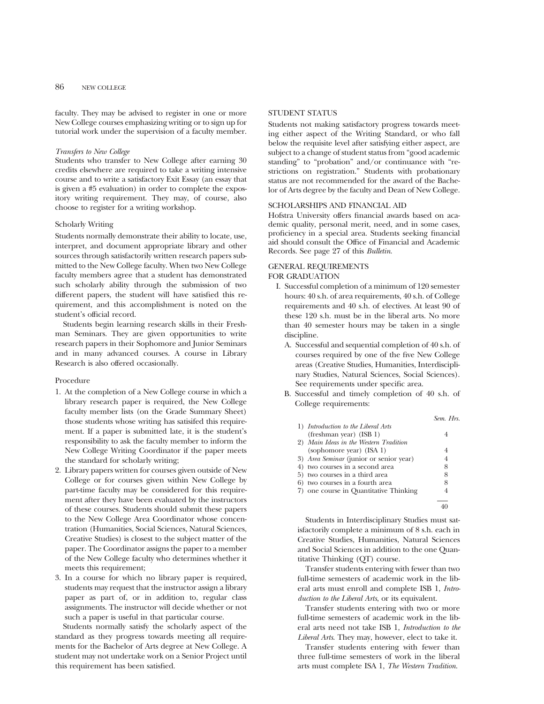faculty. They may be advised to register in one or more New College courses emphasizing writing or to sign up for tutorial work under the supervision of a faculty member.

#### *Transfers to New College*

Students who transfer to New College after earning 30 credits elsewhere are required to take a writing intensive course and to write a satisfactory Exit Essay (an essay that is given a #5 evaluation) in order to complete the expository writing requirement. They may, of course, also choose to register for a writing workshop.

#### Scholarly Writing

Students normally demonstrate their ability to locate, use, interpret, and document appropriate library and other sources through satisfactorily written research papers submitted to the New College faculty. When two New College faculty members agree that a student has demonstrated such scholarly ability through the submission of two different papers, the student will have satisfied this requirement, and this accomplishment is noted on the student's official record.

Students begin learning research skills in their Freshman Seminars. They are given opportunities to write research papers in their Sophomore and Junior Seminars and in many advanced courses. A course in Library Research is also offered occasionally.

#### Procedure

- 1. At the completion of a New College course in which a library research paper is required, the New College faculty member lists (on the Grade Summary Sheet) those students whose writing has satisifed this requirement. If a paper is submitted late, it is the student's responsibility to ask the faculty member to inform the New College Writing Coordinator if the paper meets the standard for scholarly writing;
- 2. Library papers written for courses given outside of New College or for courses given within New College by part-time faculty may be considered for this requirement after they have been evaluated by the instructors of these courses. Students should submit these papers to the New College Area Coordinator whose concentration (Humanities, Social Sciences, Natural Sciences, Creative Studies) is closest to the subject matter of the paper. The Coordinator assigns the paper to a member of the New College faculty who determines whether it meets this requirement;
- 3. In a course for which no library paper is required, students may request that the instructor assign a library paper as part of, or in addition to, regular class assignments. The instructor will decide whether or not such a paper is useful in that particular course.

Students normally satisfy the scholarly aspect of the standard as they progress towards meeting all requirements for the Bachelor of Arts degree at New College. A student may not undertake work on a Senior Project until this requirement has been satisfied.

#### STUDENT STATUS

Students not making satisfactory progress towards meeting either aspect of the Writing Standard, or who fall below the requisite level after satisfying either aspect, are subject to a change of student status from "good academic standing" to "probation" and/or continuance with "restrictions on registration." Students with probationary status are not recommended for the award of the Bachelor of Arts degree by the faculty and Dean of New College.

#### SCHOLARSHIPS AND FINANCIAL AID

Hofstra University offers financial awards based on academic quality, personal merit, need, and in some cases, proficiency in a special area. Students seeking financial aid should consult the Office of Financial and Academic Records. See page 27 of this *Bulletin*.

#### GENERAL REQUIREMENTS

FOR GRADUATION

- I. Successful completion of a minimum of 120 semester hours: 40 s.h. of area requirements, 40 s.h. of College requirements and 40 s.h. of electives. At least 90 of these 120 s.h. must be in the liberal arts. No more than 40 semester hours may be taken in a single discipline.
	- A. Successful and sequential completion of 40 s.h. of courses required by one of the five New College areas (Creative Studies, Humanities, Interdisciplinary Studies, Natural Sciences, Social Sciences). See requirements under specific area.
	- B. Successful and timely completion of 40 s.h. of College requirements:

|                                         | Sem. Hrs. |
|-----------------------------------------|-----------|
| 1) Introduction to the Liberal Arts     |           |
| (freshman year) $(ISBN 1)$              |           |
| 2) Main Ideas in the Western Tradition  |           |
| (sophomore year) (ISA 1)                | 4         |
| 3) Area Seminar (junior or senior year) | 4         |
| 4) two courses in a second area         | 8         |
| 5) two courses in a third area          | 8         |
| 6) two courses in a fourth area         | 8         |
| 7) one course in Quantitative Thinking  |           |
|                                         |           |
|                                         |           |

Students in Interdisciplinary Studies must satisfactorily complete a minimum of 8 s.h. each in Creative Studies, Humanities, Natural Sciences and Social Sciences in addition to the one Quantitative Thinking (QT) course.

Transfer students entering with fewer than two full-time semesters of academic work in the liberal arts must enroll and complete ISB 1, *Introduction to the Liberal Arts*, or its equivalent.

Transfer students entering with two or more full-time semesters of academic work in the liberal arts need not take ISB 1, *Introduction to the Liberal Arts*. They may, however, elect to take it.

Transfer students entering with fewer than three full-time semesters of work in the liberal arts must complete ISA 1, *The Western Tradition*.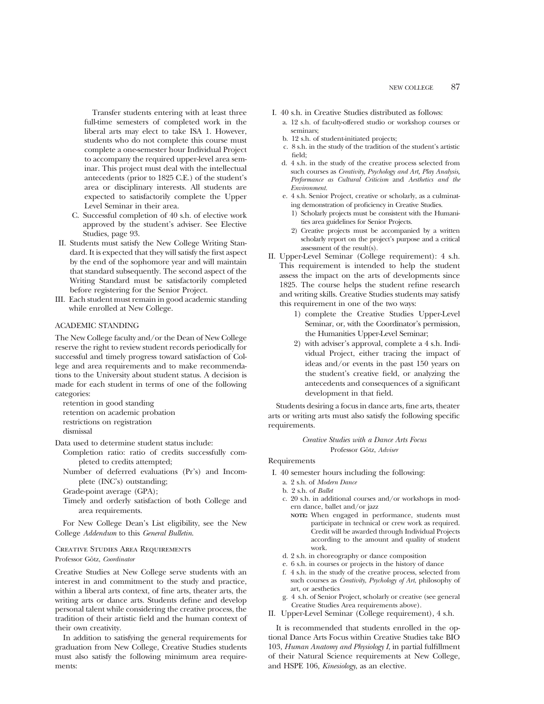Transfer students entering with at least three full-time semesters of completed work in the liberal arts may elect to take ISA 1. However, students who do not complete this course must complete a one-semester hour Individual Project to accompany the required upper-level area seminar. This project must deal with the intellectual antecedents (prior to 1825 C.E.) of the student's area or disciplinary interests. All students are expected to satisfactorily complete the Upper Level Seminar in their area.

- C. Successful completion of 40 s.h. of elective work approved by the student's adviser. See Elective Studies, page 93.
- II. Students must satisfy the New College Writing Standard. It is expected that they will satisfy the first aspect by the end of the sophomore year and will maintain that standard subsequently. The second aspect of the Writing Standard must be satisfactorily completed before registering for the Senior Project.
- III. Each student must remain in good academic standing while enrolled at New College.

#### ACADEMIC STANDING

The New College faculty and/or the Dean of New College reserve the right to review student records periodically for successful and timely progress toward satisfaction of College and area requirements and to make recommendations to the University about student status. A decision is made for each student in terms of one of the following categories:

retention in good standing retention on academic probation restrictions on registration dismissal

Data used to determine student status include:

- Completion ratio: ratio of credits successfully completed to credits attempted;
- Number of deferred evaluations (Pr's) and Incomplete (INC's) outstanding;

Grade-point average (GPA);

Timely and orderly satisfaction of both College and area requirements.

For New College Dean's List eligibility, see the New College *Addendum* to this *General Bulletin*.

#### Creative Studies Area Requirements

Professor Götz, *Coordinator* 

Creative Studies at New College serve students with an interest in and commitment to the study and practice, within a liberal arts context, of fine arts, theater arts, the writing arts or dance arts. Students define and develop personal talent while considering the creative process, the tradition of their artistic field and the human context of their own creativity.

In addition to satisfying the general requirements for graduation from New College, Creative Studies students must also satisfy the following minimum area requirements:

- I. 40 s.h. in Creative Studies distributed as follows:
	- a. 12 s.h. of faculty-offered studio or workshop courses or seminars;
	- b. 12 s.h. of student-initiated projects;
	- c. 8 s.h. in the study of the tradition of the student's artistic field;
	- d. 4 s.h. in the study of the creative process selected from such courses as *Creativity, Psychology and Art, Play Analysis, Performance as Cultural Criticism* and *Aesthetics and the Environment.*
	- e. 4 s.h. Senior Project, creative or scholarly, as a culminating demonstration of proficiency in Creative Studies.
		- 1) Scholarly projects must be consistent with the Humanities area guidelines for Senior Projects.
	- 2) Creative projects must be accompanied by a written scholarly report on the project's purpose and a critical assessment of the result(s).
- II. Upper-Level Seminar (College requirement): 4 s.h. This requirement is intended to help the student assess the impact on the arts of developments since 1825. The course helps the student refine research and writing skills. Creative Studies students may satisfy this requirement in one of the two ways:
	- 1) complete the Creative Studies Upper-Level Seminar, or, with the Coordinator's permission, the Humanities Upper-Level Seminar;
	- 2) with adviser's approval, complete a 4 s.h. Individual Project, either tracing the impact of ideas and/or events in the past 150 years on the student's creative field, or analyzing the antecedents and consequences of a significant development in that field.

Students desiring a focus in dance arts, fine arts, theater arts or writing arts must also satisfy the following specific requirements.

> *Creative Studies with a Dance Arts Focus* Professor Götz, *Adviser*

#### Requirements

- I. 40 semester hours including the following:
	- a. 2 s.h. of *Modern Dance*
	- b. 2 s.h. of *Ballet*
	- c. 20 s.h. in additional courses and/or workshops in modern dance, ballet and/or jazz
		- **NOTE:** When engaged in performance, students must participate in technical or crew work as required. Credit will be awarded through Individual Projects according to the amount and quality of student work.
	- d. 2 s.h. in choreography or dance composition
	- e. 6 s.h. in courses or projects in the history of dance
	- f. 4 s.h. in the study of the creative process, selected from such courses as *Creativity*, *Psychology of Art*, philosophy of art, or aesthetics
	- g. 4 s.h. of Senior Project, scholarly or creative (see general Creative Studies Area requirements above).
- II. Upper-Level Seminar (College requirement), 4 s.h.

It is recommended that students enrolled in the optional Dance Arts Focus within Creative Studies take BIO 103, *Human Anatomy and Physiology I*, in partial fulfillment of their Natural Science requirements at New College, and HSPE 106, *Kinesiology*, as an elective.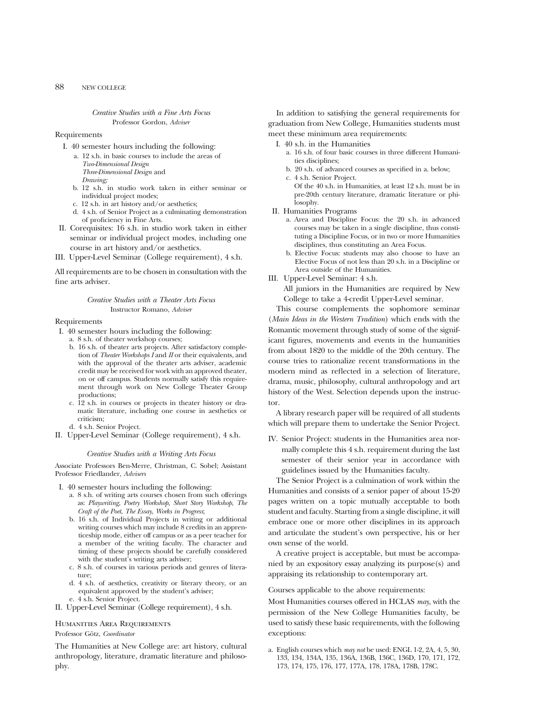#### *Creative Studies with a Fine Arts Focus* Professor Gordon, *Adviser*

#### Requirements

- I. 40 semester hours including the following:
	- a. 12 s.h. in basic courses to include the areas of *Two-Dimensional Design*
		- *Three-Dimensional Design* and
		- *Drawing;*
	- b. 12 s.h. in studio work taken in either seminar or individual project modes;
	- c. 12 s.h. in art history and/or aesthetics;
	- d. 4 s.h. of Senior Project as a culminating demonstration of proficiency in Fine Arts.
- II. Corequisites: 16 s.h. in studio work taken in either seminar or individual project modes, including one course in art history and/or aesthetics.
- III. Upper-Level Seminar (College requirement), 4 s.h.

All requirements are to be chosen in consultation with the fine arts adviser.

#### *Creative Studies with a Theater Arts Focus* Instructor Romano, *Adviser*

#### Requirements

- I. 40 semester hours including the following:
	- a. 8 s.h. of theater workshop courses;
	- b. 16 s.h. of theater arts projects. After satisfactory completion of *Theater Workshops I* and *II* or their equivalents, and with the approval of the theater arts adviser, academic credit may be received for work with an approved theater, on or off campus. Students normally satisfy this requirement through work on New College Theater Group productions;
	- c. 12 s.h. in courses or projects in theater history or dramatic literature, including one course in aesthetics or criticism;
	- d. 4 s.h. Senior Project.
- II. Upper-Level Seminar (College requirement), 4 s.h.

#### *Creative Studies with a Writing Arts Focus*

Associate Professors Ben-Merre, Christman, C. Sobel; Assistant Professor Friedlander, *Advisers*

- I. 40 semester hours including the following:
	- a. 8 s.h. of writing arts courses chosen from such offerings as: *Playwriting*, *Poetry Workshop*, *Short Story Workshop*, *The Craft of the Poet*, *The Essay*, *Works in Progress*;
	- b. 16 s.h. of Individual Projects in writing or additional writing courses which may include 8 credits in an apprenticeship mode, either off campus or as a peer teacher for a member of the writing faculty. The character and timing of these projects should be carefully considered with the student's writing arts adviser;
	- c. 8 s.h. of courses in various periods and genres of literature;
	- d. 4 s.h. of aesthetics, creativity or literary theory, or an equivalent approved by the student's adviser; e. 4 s.h. Senior Project.
- II. Upper-Level Seminar (College requirement), 4 s.h.

#### Humanities Area Requirements

#### Professor Götz, *Coordinator*

The Humanities at New College are: art history, cultural anthropology, literature, dramatic literature and philosophy.

In addition to satisfying the general requirements for graduation from New College, Humanities students must meet these minimum area requirements:

- I. 40 s.h. in the Humanities
	- a. 16 s.h. of four basic courses in three different Humanities disciplines;
	- b. 20 s.h. of advanced courses as specified in a. below;
	- c. 4 s.h. Senior Project.

Of the 40 s.h. in Humanities, at least 12 s.h. must be in pre-20th century literature, dramatic literature or philosophy.

- II. Humanities Programs
	- a. Area and Discipline Focus: the 20 s.h. in advanced courses may be taken in a single discipline, thus constituting a Discipline Focus, or in two or more Humanities disciplines, thus constituting an Area Focus.
	- b. Elective Focus: students may also choose to have an Elective Focus of not less than 20 s.h. in a Discipline or Area outside of the Humanities.
- III. Upper-Level Seminar: 4 s.h.
	- All juniors in the Humanities are required by New College to take a 4-credit Upper-Level seminar.

This course complements the sophomore seminar (*Main Ideas in the Western Tradition*) which ends with the Romantic movement through study of some of the significant figures, movements and events in the humanities from about 1820 to the middle of the 20th century. The course tries to rationalize recent transformations in the modern mind as reflected in a selection of literature, drama, music, philosophy, cultural anthropology and art history of the West. Selection depends upon the instructor.

A library research paper will be required of all students which will prepare them to undertake the Senior Project.

IV. Senior Project: students in the Humanities area normally complete this 4 s.h. requirement during the last semester of their senior year in accordance with guidelines issued by the Humanities faculty.

The Senior Project is a culmination of work within the Humanities and consists of a senior paper of about 15-20 pages written on a topic mutually acceptable to both student and faculty. Starting from a single discipline, it will embrace one or more other disciplines in its approach and articulate the student's own perspective, his or her own sense of the world.

A creative project is acceptable, but must be accompanied by an expository essay analyzing its purpose(s) and appraising its relationship to contemporary art.

#### Courses applicable to the above requirements:

Most Humanities courses offered in HCLAS *may*, with the permission of the New College Humanities faculty, be used to satisfy these basic requirements, with the following exceptions:

a. English courses which *may not* be used: ENGL 1-2, 2A, 4, 5, 30, 133, 134, 134A, 135, 136A, 136B, 136C, 136D, 170, 171, 172, 173, 174, 175, 176, 177, 177A, 178, 178A, 178B, 178C.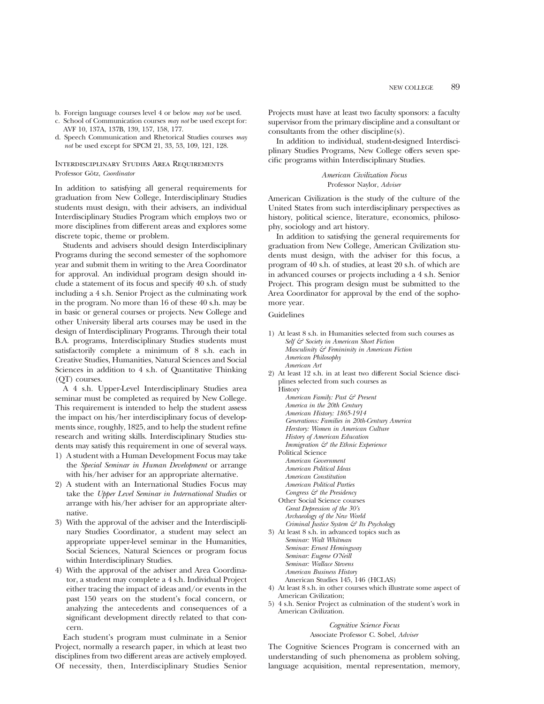- b. Foreign language courses level 4 or below *may not* be used.
- c. School of Communication courses *may not* be used except for: AVF 10, 137A, 137B, 139, 157, 158, 177.
- d. Speech Communication and Rhetorical Studies courses *may not* be used except for SPCM 21, 33, 53, 109, 121, 128.

#### Interdisciplinary Studies Area Requirements Professor Götz, *Coordinator*

In addition to satisfying all general requirements for graduation from New College, Interdisciplinary Studies students must design, with their advisers, an individual Interdisciplinary Studies Program which employs two or more disciplines from different areas and explores some discrete topic, theme or problem.

Students and advisers should design Interdisciplinary Programs during the second semester of the sophomore year and submit them in writing to the Area Coordinator for approval. An individual program design should include a statement of its focus and specify 40 s.h. of study including a 4 s.h. Senior Project as the culminating work in the program. No more than 16 of these 40 s.h. may be in basic or general courses or projects. New College and other University liberal arts courses may be used in the design of Interdisciplinary Programs. Through their total B.A. programs, Interdisciplinary Studies students must satisfactorily complete a minimum of 8 s.h. each in Creative Studies, Humanities, Natural Sciences and Social Sciences in addition to 4 s.h. of Quantitative Thinking (QT) courses.

A 4 s.h. Upper-Level Interdisciplinary Studies area seminar must be completed as required by New College. This requirement is intended to help the student assess the impact on his/her interdisciplinary focus of developments since, roughly, 1825, and to help the student refine research and writing skills. Interdisciplinary Studies students may satisfy this requirement in one of several ways. 1) A student with a Human Development Focus may take

- the *Special Seminar in Human Development* or arrange with his/her adviser for an appropriate alternative.
- 2) A student with an International Studies Focus may take the *Upper Level Seminar in International Studies* or arrange with his/her adviser for an appropriate alternative.
- 3) With the approval of the adviser and the Interdisciplinary Studies Coordinator, a student may select an appropriate upper-level seminar in the Humanities, Social Sciences, Natural Sciences or program focus within Interdisciplinary Studies.
- 4) With the approval of the adviser and Area Coordinator, a student may complete a 4 s.h. Individual Project either tracing the impact of ideas and/or events in the past 150 years on the student's focal concern, or analyzing the antecedents and consequences of a significant development directly related to that concern.

Each student's program must culminate in a Senior Project, normally a research paper, in which at least two disciplines from two different areas are actively employed. Of necessity, then, Interdisciplinary Studies Senior Projects must have at least two faculty sponsors: a faculty supervisor from the primary discipline and a consultant or consultants from the other discipline(s).

In addition to individual, student-designed Interdisciplinary Studies Programs, New College offers seven specific programs within Interdisciplinary Studies.

> *American Civilization Focus* Professor Naylor, *Adviser*

American Civilization is the study of the culture of the United States from such interdisciplinary perspectives as history, political science, literature, economics, philosophy, sociology and art history.

In addition to satisfying the general requirements for graduation from New College, American Civilization students must design, with the adviser for this focus, a program of 40 s.h. of studies, at least 20 s.h. of which are in advanced courses or projects including a 4 s.h. Senior Project. This program design must be submitted to the Area Coordinator for approval by the end of the sophomore year.

#### Guidelines

- 1) At least 8 s.h. in Humanities selected from such courses as *Self & Society in American Short Fiction Masculinity & Femininity in American Fiction American Philosophy American Art*
- 2) At least 12 s.h. in at least two different Social Science disciplines selected from such courses as
	- **History**
	- *American Family: Past & Present America in the 20th Century American History: 1865-1914 Generations: Families in 20th-Century America Herstory: Women in American Culture History of American Education*
	- *Immigration & the Ethnic Experience*
	- Political Science *American Government American Political Ideas American Constitution American Political Parties*
	- *Congress & the Presidency* Other Social Science courses
	- *Great Depression of the 30's Archaeology of the New World Criminal Justice System & Its Psychology*
- 3) At least 8 s.h. in advanced topics such as *Seminar: Walt Whitman Seminar: Ernest Hemingway Seminar: Eugene O'Neill Seminar: Wallace Stevens American Business History*
	- American Studies 145, 146 (HCLAS)
- 4) At least 8 s.h. in other courses which illustrate some aspect of American Civilization;
- 5) 4 s.h. Senior Project as culmination of the student's work in American Civilization.

#### *Cognitive Science Focus*

Associate Professor C. Sobel, *Adviser*

The Cognitive Sciences Program is concerned with an understanding of such phenomena as problem solving, language acquisition, mental representation, memory,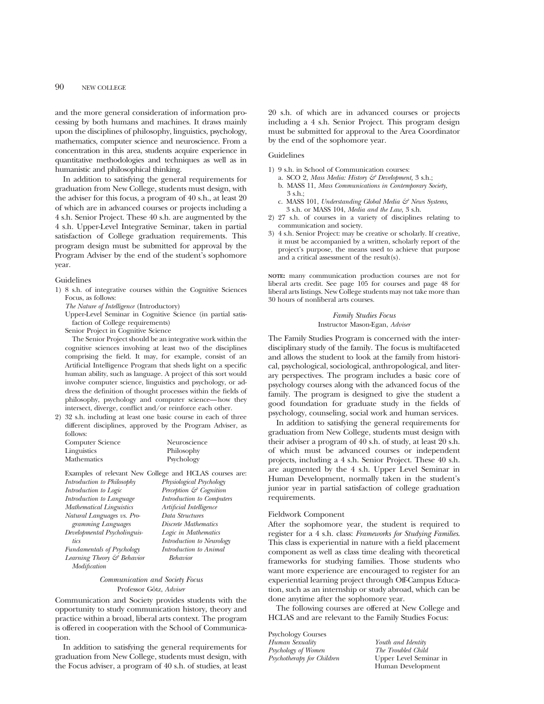and the more general consideration of information processing by both humans and machines. It draws mainly upon the disciplines of philosophy, linguistics, psychology, mathematics, computer science and neuroscience. From a concentration in this area, students acquire experience in quantitative methodologies and techniques as well as in humanistic and philosophical thinking.

In addition to satisfying the general requirements for graduation from New College, students must design, with the adviser for this focus, a program of 40 s.h., at least 20 of which are in advanced courses or projects including a 4 s.h. Senior Project. These 40 s.h. are augmented by the 4 s.h. Upper-Level Integrative Seminar, taken in partial satisfaction of College graduation requirements. This program design must be submitted for approval by the Program Adviser by the end of the student's sophomore year.

#### Guidelines

- 1) 8 s.h. of integrative courses within the Cognitive Sciences Focus, as follows:
	- *The Nature of Intelligence* (Introductory)

Upper-Level Seminar in Cognitive Science (in partial satisfaction of College requirements)

Senior Project in Cognitive Science

The Senior Project should be an integrative work within the cognitive sciences involving at least two of the disciplines comprising the field. It may, for example, consist of an Artificial Intelligence Program that sheds light on a specific human ability, such as language. A project of this sort would involve computer science, linguistics and psychology, or address the definition of thought processes within the fields of philosophy, psychology and computer science—how they intersect, diverge, conflict and/or reinforce each other.

2) 32 s.h. including at least one basic course in each of three different disciplines, approved by the Program Adviser, as follows:

| Computer Science | Neuroscience |
|------------------|--------------|
| Linguistics      | Philosophy   |
| Mathematics      | Psychology   |

| Examples of relevant New College and HCLAS courses are: |
|---------------------------------------------------------|
| Physiological Psychology                                |
| Perception & Cognition                                  |
| Introduction to Computers                               |
| Artificial Intelligence                                 |
| Data Structures                                         |
| Discrete Mathematics                                    |
| Logic in Mathematics                                    |
| Introduction to Neurology                               |
| Introduction to Animal                                  |
| Learning Theory & Behavior<br>Behavior                  |
|                                                         |
|                                                         |

#### *Communication and Society Focus* Professor Götz, *Adviser*

Communication and Society provides students with the opportunity to study communication history, theory and practice within a broad, liberal arts context. The program is offered in cooperation with the School of Communication.

In addition to satisfying the general requirements for graduation from New College, students must design, with the Focus adviser, a program of 40 s.h. of studies, at least 20 s.h. of which are in advanced courses or projects including a 4 s.h. Senior Project. This program design must be submitted for approval to the Area Coordinator by the end of the sophomore year.

#### Guidelines

- 1) 9 s.h. in School of Communication courses:
	- a. SCO 2, *Mass Media: History & Development,* 3 s.h.;
	- b. MASS 11, *Mass Communications in Contemporary Society*, 3 s.h.;
	- c. MASS 101, *Understanding Global Media & News Systems,* 3 s.h. or MASS 104, *Media and the Law,* 3 s.h.
- 2) 27 s.h. of courses in a variety of disciplines relating to communication and society.
- 3) 4 s.h. Senior Project: may be creative or scholarly. If creative, it must be accompanied by a written, scholarly report of the project's purpose, the means used to achieve that purpose and a critical assessment of the result(s).

**NOTE:** many communication production courses are not for liberal arts credit. See page 105 for courses and page 48 for liberal arts listings. New College students may not take more than 30 hours of nonliberal arts courses.

#### *Family Studies Focus* Instructor Mason-Egan, *Adviser*

The Family Studies Program is concerned with the interdisciplinary study of the family. The focus is multifaceted and allows the student to look at the family from historical, psychological, sociological, anthropological, and literary perspectives. The program includes a basic core of psychology courses along with the advanced focus of the family. The program is designed to give the student a good foundation for graduate study in the fields of psychology, counseling, social work and human services.

In addition to satisfying the general requirements for graduation from New College, students must design with their adviser a program of 40 s.h. of study, at least 20 s.h. of which must be advanced courses or independent projects, including a 4 s.h. Senior Project. These 40 s.h. are augmented by the 4 s.h. Upper Level Seminar in Human Development, normally taken in the student's junior year in partial satisfaction of college graduation requirements.

#### Fieldwork Component

After the sophomore year, the student is required to register for a 4 s.h. class: *Frameworks for Studying Families*. This class is experiential in nature with a field placement component as well as class time dealing with theoretical frameworks for studying families. Those students who want more experience are encouraged to register for an experiential learning project through Off-Campus Education, such as an internship or study abroad, which can be done anytime after the sophomore year.

The following courses are offered at New College and HCLAS and are relevant to the Family Studies Focus:

Psychology Courses *Human Sexuality Psychology of Women Psychotherapy for Children*

*Youth and Identity The Troubled Child* Upper Level Seminar in Human Development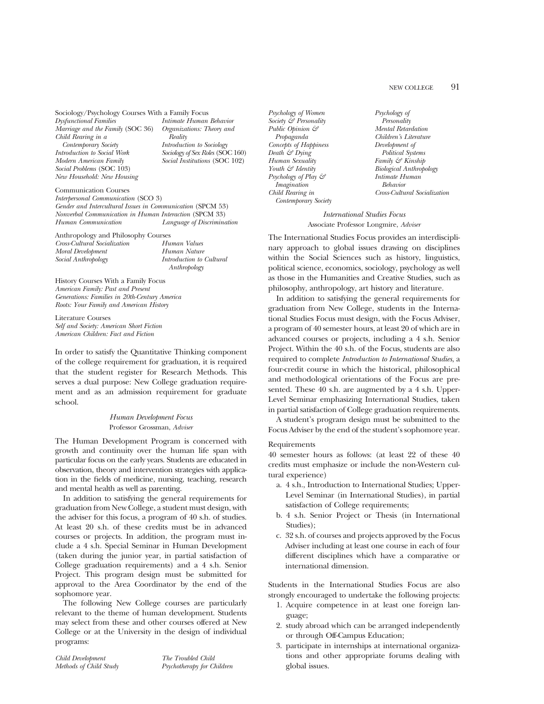#### NEW COLLEGE 91

Sociology/Psychology Courses With a Family Focus

*Dysfunctional Families Marriage and the Family* (SOC 36) *Child Rearing in a Contemporary Society Introduction to Social Work Modern American Family Social Problems* (SOC 103) *New Household: New Housing*

*Intimate Human Behavior Organizations: Theory and Reality Introduction to Sociology Sociology of Sex Roles* (SOC 160) *Social Institutions* (SOC 102)

#### Communication Courses

*Interpersonal Communication* (SCO 3) *Gender and Intercultural Issues in Communication* (SPCM 53) *Nonverbal Communication in Human Interaction* (SPCM 33) *Human Communication Language of Discrimination*

Anthropology and Philosophy Courses *Cross-Cultural Socialization Moral Development Social Anthropology Human Values*

*Human Nature Introduction to Cultural Anthropology*

History Courses With a Family Focus *American Family: Past and Present Generations: Families in 20th-Century America Roots: Your Family and American History*

Literature Courses *Self and Society: American Short Fiction American Children: Fact and Fiction*

In order to satisfy the Quantitative Thinking component of the college requirement for graduation, it is required that the student register for Research Methods. This serves a dual purpose: New College graduation requirement and as an admission requirement for graduate school.

> *Human Development Focus* Professor Grossman, *Adviser*

The Human Development Program is concerned with growth and continuity over the human life span with particular focus on the early years. Students are educated in observation, theory and intervention strategies with application in the fields of medicine, nursing, teaching, research and mental health as well as parenting.

In addition to satisfying the general requirements for graduation from New College, a student must design, with the adviser for this focus, a program of 40 s.h. of studies. At least 20 s.h. of these credits must be in advanced courses or projects. In addition, the program must include a 4 s.h. Special Seminar in Human Development (taken during the junior year, in partial satisfaction of College graduation requirements) and a 4 s.h. Senior Project. This program design must be submitted for approval to the Area Coordinator by the end of the sophomore year.

The following New College courses are particularly relevant to the theme of human development. Students may select from these and other courses offered at New College or at the University in the design of individual programs:

*Child Development Methods of Child Study* *The Troubled Child Psychotherapy for Children*

*Psychology of Women Society & Personality Public Opinion & Propaganda Concepts of Happiness Death & Dying Human Sexuality Youth & Identity Psychology of Play & Imagination Child Rearing in Contemporary Society*

*Psychology of Personality Mental Retardation Children's Literature Development of Political Systems Family & Kinship Biological Anthropology Intimate Human Behavior Cross-Cultural Socialization*

#### *International Studies Focus* Associate Professor Longmire, *Adviser*

The International Studies Focus provides an interdisciplinary approach to global issues drawing on disciplines within the Social Sciences such as history, linguistics, political science, economics, sociology, psychology as well as those in the Humanities and Creative Studies, such as philosophy, anthropology, art history and literature.

In addition to satisfying the general requirements for graduation from New College, students in the International Studies Focus must design, with the Focus Adviser, a program of 40 semester hours, at least 20 of which are in advanced courses or projects, including a 4 s.h. Senior Project. Within the 40 s.h. of the Focus, students are also required to complete *Introduction to International Studies*, a four-credit course in which the historical, philosophical and methodological orientations of the Focus are presented. These 40 s.h. are augmented by a 4 s.h. Upper-Level Seminar emphasizing International Studies, taken in partial satisfaction of College graduation requirements.

A student's program design must be submitted to the Focus Adviser by the end of the student's sophomore year.

#### Requirements

40 semester hours as follows: (at least 22 of these 40 credits must emphasize or include the non-Western cultural experience)

- a. 4 s.h., Introduction to International Studies; Upper-Level Seminar (in International Studies), in partial satisfaction of College requirements;
- b. 4 s.h. Senior Project or Thesis (in International Studies);
- c. 32 s.h. of courses and projects approved by the Focus Adviser including at least one course in each of four different disciplines which have a comparative or international dimension.

Students in the International Studies Focus are also strongly encouraged to undertake the following projects:

- 1. Acquire competence in at least one foreign language;
- 2. study abroad which can be arranged independently or through Off-Campus Education;
- 3. participate in internships at international organizations and other appropriate forums dealing with global issues.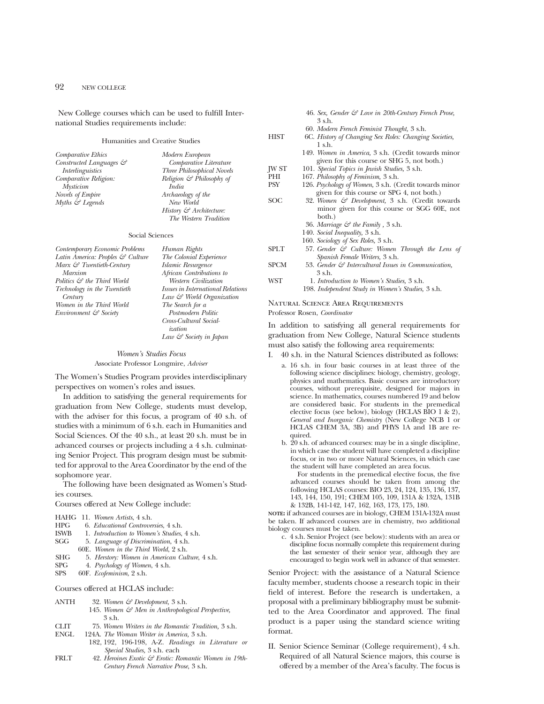New College courses which can be used to fulfill International Studies requirements include:

#### Humanities and Creative Studies

| Comparative Ethics                  | Modern European                      |
|-------------------------------------|--------------------------------------|
| Constructed Languages $\mathcal{C}$ | Comparative Literature               |
| <i>Interlinguistics</i>             | Three Philosophical Novels           |
| Comparative Religion:               | Religion $\mathcal{F}$ Philosophy of |
| <b>Mysticism</b>                    | India                                |
| <b>Novels of Empire</b>             | Archaeology of the                   |
| Myths & Legends                     | New World                            |
|                                     | History $\mathcal{C}$ Architecture:  |

#### Social Sciences

| Contemporary Economic Problems         | Human Rights                             | <b>SPLT</b> | 57. Gender $\mathcal{C}$ (   |
|----------------------------------------|------------------------------------------|-------------|------------------------------|
| Latin America: Peoples & Culture       | The Colonial Experience                  |             | Spanish Femo                 |
| Marx & Twentieth-Century               | Islamic Resurgence                       | <b>SPCM</b> | 53. Gender $\mathcal G$ In   |
| Marxism                                | African Contributions to                 |             | 3 s.h.                       |
| Politics $\mathcal{S}$ the Third World | Western Civilization                     | WST         | 1. Introduction              |
| Technology in the Twentieth            | Issues in International Relations        |             | 198. Independent             |
| Century                                | Law & World Organization                 |             |                              |
| Women in the Third World               | The Search for a                         |             | <b>NATURAL SCIENCE AREA</b>  |
| Environment & Society                  | Postmodern Politic                       |             | Professor Rosen, Coordinator |
|                                        | Cross-Cultural Social-<br><i>ization</i> |             | In addition to satisfying    |
|                                        | Law & Society in Japan                   |             | graduation from New Co       |

*The Western Tradition*

*Women's Studies Focus* Associate Professor Longmire, *Adviser*

The Women's Studies Program provides interdisciplinary perspectives on women's roles and issues.

In addition to satisfying the general requirements for graduation from New College, students must develop, with the adviser for this focus, a program of 40 s.h. of studies with a minimum of 6 s.h. each in Humanities and Social Sciences. Of the 40 s.h., at least 20 s.h. must be in advanced courses or projects including a 4 s.h. culminating Senior Project. This program design must be submitted for approval to the Area Coordinator by the end of the sophomore year.

The following have been designated as Women's Studies courses.

#### Courses offered at New College include:

|  | HAHG 11. Women Artists, 4 s.h. |
|--|--------------------------------|
|--|--------------------------------|

- HPG 6. *Educational Controversies*, 4 s.h.
- ISWB 1. *Introduction to Women's Studies*, 4 s.h.
- SGG 5. *Language of Discrimination*, 4 s.h.
- 60E. *Women in the Third World*, 2 s.h.
- SHG 5. *Herstory: Women in American Culture*, 4 s.h.<br>SPG 4. *Psychology of Women*, 4 s.h.
- SPG 4. *Psychology of Women*, 4 s.h.
- SPS 60F. *Ecofeminism*, 2 s.h.

#### Courses offered at HCLAS include:

- ANTH 32. *Women & Development,* 3 s.h. 145. *Women & Men in Anthropological Perspective,* 3 s.h.
- CLIT 75. *Women Writers in the Romantic Tradition,* 3 s.h.
- ENGL 124A. *The Woman Writer in America,* 3 s.h.
- 182, 192, 196-198, A-Z. *Readings in Literature or Special Studies,* 3 s.h. each
- FRLT 42. *Heroines Exotic & Erotic: Romantic Women in 19th-Century French Narrative Prose*, 3 s.h.

|       | 46. Sex, Gender & Love in 20th-Century French Prose,<br>3 s.h.                                           |
|-------|----------------------------------------------------------------------------------------------------------|
|       | 60. Modern French Feminist Thought, 3 s.h.                                                               |
| HIST  | 6C. History of Changing Sex Roles: Changing Societies,<br>$1$ s.h.                                       |
|       | 149. Women in America, 3 s.h. (Credit towards minor<br>given for this course or SHG 5, not both.)        |
| JW ST | 101. Special Topics in Jewish Studies, 3 s.h.                                                            |
| PHI   | 167. Philosophy of Feminism, 3 s.h.                                                                      |
| PSY   | 126. Psychology of Women, 3 s.h. (Credit towards minor<br>given for this course or SPG 4, not both.)     |
| SOC   | 32. Women & Development, 3 s.h. (Credit towards<br>minor given for this course or SGG 60E, not<br>both.) |
|       | 36. Marriage $\mathcal G$ the Family, 3 s.h.                                                             |
|       | 140. Social Inequality, 3 s.h.                                                                           |
|       | 160. Sociology of Sex Roles, 3 s.h.                                                                      |
| SPLT  | 57. Gender & Culture: Women Through the Lens of<br>Spanish Female Writers, 3 s.h.                        |
| SPCM  | 53. Gender $\mathcal G$ Intercultural Issues in Communication,                                           |
|       | 3 s.h.                                                                                                   |
| WST   | 1. Introduction to Women's Studies, 3 s.h.                                                               |
|       | 198. Independent Study in Women's Studies, 3 s.h.                                                        |

## Requirements

all general requirements for bllege, Natural Science students must also satisfy the following area requirements:

- I. 40 s.h. in the Natural Sciences distributed as follows:
	- a. 16 s.h. in four basic courses in at least three of the following science disciplines: biology, chemistry, geology, physics and mathematics. Basic courses are introductory courses, without prerequisite, designed for majors in science. In mathematics, courses numbered 19 and below are considered basic. For students in the premedical elective focus (see below), biology (HCLAS BIO 1 & 2), *General and Inorganic Chemistry* (New College NCB 1 or HCLAS CHEM 3A, 3B) and PHYS 1A and 1B are required.
	- b. 20 s.h. of advanced courses: may be in a single discipline, in which case the student will have completed a discipline focus, or in two or more Natural Sciences, in which case the student will have completed an area focus.

For students in the premedical elective focus, the five advanced courses should be taken from among the following HCLAS courses: BIO 23, 24, 124, 135, 136, 137, 143, 144, 150, 191; CHEM 105, 109, 131A & 132A, 131B & 132B, 141-142, 147, 162, 163, 173, 175, 180.

**NOTE:** if advanced courses are in biology, CHEM 131A-132A must be taken. If advanced courses are in chemistry, two additional biology courses must be taken.

c. 4 s.h. Senior Project (see below): students with an area or discipline focus normally complete this requirement during the last semester of their senior year, although they are encouraged to begin work well in advance of that semester.

Senior Project: with the assistance of a Natural Science faculty member, students choose a research topic in their field of interest. Before the research is undertaken, a proposal with a preliminary bibliography must be submitted to the Area Coordinator and approved. The final product is a paper using the standard science writing format.

II. Senior Science Seminar (College requirement), 4 s.h. Required of all Natural Science majors, this course is offered by a member of the Area's faculty. The focus is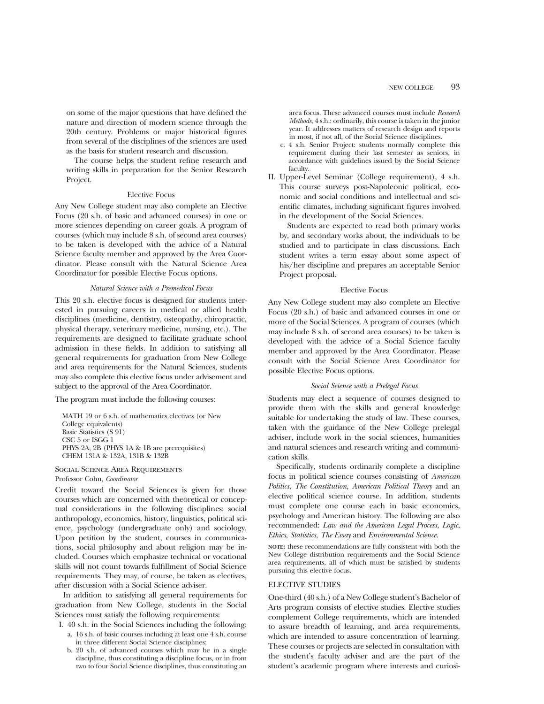on some of the major questions that have defined the nature and direction of modern science through the 20th century. Problems or major historical figures from several of the disciplines of the sciences are used as the basis for student research and discussion.

The course helps the student refine research and writing skills in preparation for the Senior Research Project.

#### Elective Focus

Any New College student may also complete an Elective Focus (20 s.h. of basic and advanced courses) in one or more sciences depending on career goals. A program of courses (which may include 8 s.h. of second area courses) to be taken is developed with the advice of a Natural Science faculty member and approved by the Area Coordinator. Please consult with the Natural Science Area Coordinator for possible Elective Focus options.

#### *Natural Science with a Premedical Focus*

This 20 s.h. elective focus is designed for students interested in pursuing careers in medical or allied health disciplines (medicine, dentistry, osteopathy, chiropractic, physical therapy, veterinary medicine, nursing, etc.). The requirements are designed to facilitate graduate school admission in these fields. In addition to satisfying all general requirements for graduation from New College and area requirements for the Natural Sciences, students may also complete this elective focus under advisement and subject to the approval of the Area Coordinator.

The program must include the following courses:

MATH 19 or 6 s.h. of mathematics electives (or New College equivalents) Basic Statistics (S 91) CSC 5 or ISGG 1 PHYS 2A, 2B (PHYS 1A & 1B are prerequisites) CHEM 131A & 132A, 131B & 132B

Social Science Area Requirements Professor Cohn, *Coordinator*

Credit toward the Social Sciences is given for those courses which are concerned with theoretical or conceptual considerations in the following disciplines: social anthropology, economics, history, linguistics, political science, psychology (undergraduate only) and sociology. Upon petition by the student, courses in communications, social philosophy and about religion may be included. Courses which emphasize technical or vocational skills will not count towards fulfillment of Social Science requirements. They may, of course, be taken as electives, after discussion with a Social Science adviser.

In addition to satisfying all general requirements for graduation from New College, students in the Social Sciences must satisfy the following requirements:

- I. 40 s.h. in the Social Sciences including the following:
	- a. 16 s.h. of basic courses including at least one 4 s.h. course in three different Social Science disciplines;
	- b. 20 s.h. of advanced courses which may be in a single discipline, thus constituting a discipline focus, or in from two to four Social Science disciplines, thus constituting an

area focus. These advanced courses must include *Research Methods*, 4 s.h.: ordinarily, this course is taken in the junior year. It addresses matters of research design and reports in most, if not all, of the Social Science disciplines.

- c. 4 s.h. Senior Project: students normally complete this requirement during their last semester as seniors, in accordance with guidelines issued by the Social Science faculty.
- II. Upper-Level Seminar (College requirement), 4 s.h. This course surveys post-Napoleonic political, economic and social conditions and intellectual and scientific climates, including significant figures involved in the development of the Social Sciences.

Students are expected to read both primary works by, and secondary works about, the individuals to be studied and to participate in class discussions. Each student writes a term essay about some aspect of his/her discipline and prepares an acceptable Senior Project proposal.

#### Elective Focus

Any New College student may also complete an Elective Focus (20 s.h.) of basic and advanced courses in one or more of the Social Sciences. A program of courses (which may include 8 s.h. of second area courses) to be taken is developed with the advice of a Social Science faculty member and approved by the Area Coordinator. Please consult with the Social Science Area Coordinator for possible Elective Focus options.

#### *Social Science with a Prelegal Focus*

Students may elect a sequence of courses designed to provide them with the skills and general knowledge suitable for undertaking the study of law. These courses, taken with the guidance of the New College prelegal adviser, include work in the social sciences, humanities and natural sciences and research writing and communication skills.

Specifically, students ordinarily complete a discipline focus in political science courses consisting of *American Politics*, *The Constitution*, *American Political Theory* and an elective political science course. In addition, students must complete one course each in basic economics, psychology and American history. The following are also recommended: *Law and the American Legal Process*, *Logic*, *Ethics*, *Statistics*, *The Essay* and *Environmental Science*.

**NOTE:** these recommendations are fully consistent with both the New College distribution requirements and the Social Science area requirements, all of which must be satisfied by students pursuing this elective focus.

#### ELECTIVE STUDIES

One-third (40 s.h.) of a New College student's Bachelor of Arts program consists of elective studies. Elective studies complement College requirements, which are intended to assure breadth of learning, and area requirements, which are intended to assure concentration of learning. These courses or projects are selected in consultation with the student's faculty adviser and are the part of the student's academic program where interests and curiosi-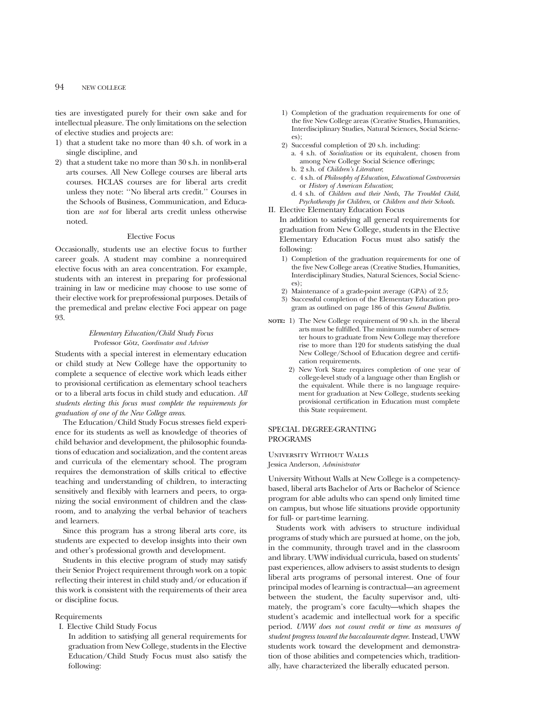#### 94 NEW COLLEGE

ties are investigated purely for their own sake and for intellectual pleasure. The only limitations on the selection of elective studies and projects are:

- 1) that a student take no more than 40 s.h. of work in a single discipline, and
- 2) that a student take no more than 30 s.h. in nonlib-eral arts courses. All New College courses are liberal arts courses. HCLAS courses are for liberal arts credit unless they note: ''No liberal arts credit.'' Courses in the Schools of Business, Communication, and Education are *not* for liberal arts credit unless otherwise noted.

#### Elective Focus

Occasionally, students use an elective focus to further career goals. A student may combine a nonrequired elective focus with an area concentration. For example, students with an interest in preparing for professional training in law or medicine may choose to use some of their elective work for preprofessional purposes. Details of the premedical and prelaw elective Foci appear on page 93.

#### *Elementary Education/Child Study Focus* Professor Götz, *Coordinator and Adviser*

Students with a special interest in elementary education or child study at New College have the opportunity to complete a sequence of elective work which leads either to provisional certification as elementary school teachers or to a liberal arts focus in child study and education. *All students electing this focus must complete the requirements for graduation of one of the New College areas*.

The Education/Child Study Focus stresses field experience for its students as well as knowledge of theories of child behavior and development, the philosophic foundations of education and socialization, and the content areas and curricula of the elementary school. The program requires the demonstration of skills critical to effective teaching and understanding of children, to interacting sensitively and flexibly with learners and peers, to organizing the social environment of children and the classroom, and to analyzing the verbal behavior of teachers and learners.

Since this program has a strong liberal arts core, its students are expected to develop insights into their own and other's professional growth and development.

Students in this elective program of study may satisfy their Senior Project requirement through work on a topic reflecting their interest in child study and/or education if this work is consistent with the requirements of their area or discipline focus.

#### Requirements

I. Elective Child Study Focus

In addition to satisfying all general requirements for graduation from New College, students in the Elective Education/Child Study Focus must also satisfy the following:

- 1) Completion of the graduation requirements for one of the five New College areas (Creative Studies, Humanities, Interdisciplinary Studies, Natural Sciences, Social Sciences);
- 2) Successful completion of 20 s.h. including:
	- a. 4 s.h. of *Socialization* or its equivalent, chosen from among New College Social Science offerings; b. 2 s.h. of *Children's Literature*;
	- c. 4 s.h. of *Philosophy of Education, Educational Controversies*
	- or *History of American Education*; d. 4 s.h. of *Children and their Needs*, *The Troubled Child*,

*Psychotherapy for Children*, or *Children and their Schools*.

II. Elective Elementary Education Focus

In addition to satisfying all general requirements for graduation from New College, students in the Elective Elementary Education Focus must also satisfy the following:

- 1) Completion of the graduation requirements for one of the five New College areas (Creative Studies, Humanities, Interdisciplinary Studies, Natural Sciences, Social Sciences);
- 2) Maintenance of a grade-point average (GPA) of 2.5;
- 3) Successful completion of the Elementary Education program as outlined on page 186 of this *General Bulletin*.
- **NOTE:** 1) The New College requirement of 90 s.h. in the liberal arts must be fulfilled. The minimum number of semester hours to graduate from New College may therefore rise to more than 120 for students satisfying the dual New College/School of Education degree and certification requirements.
	- 2) New York State requires completion of one year of college-level study of a language other than English or the equivalent. While there is no language requirement for graduation at New College, students seeking provisional certification in Education must complete this State requirement.

#### SPECIAL DEGREE-GRANTING PROGRAMS

University Without Walls Jessica Anderson, *Administrator*

University Without Walls at New College is a competencybased, liberal arts Bachelor of Arts or Bachelor of Science program for able adults who can spend only limited time on campus, but whose life situations provide opportunity for full- or part-time learning.

Students work with advisers to structure individual programs of study which are pursued at home, on the job, in the community, through travel and in the classroom and library. UWW individual curricula, based on students' past experiences, allow advisers to assist students to design liberal arts programs of personal interest. One of four principal modes of learning is contractual—an agreement between the student, the faculty supervisor and, ultimately, the program's core faculty—which shapes the student's academic and intellectual work for a specific period. *UWW does not count credit or time as measures of student progress toward the baccalaureate degree.* Instead, UWW students work toward the development and demonstration of those abilities and competencies which, traditionally, have characterized the liberally educated person.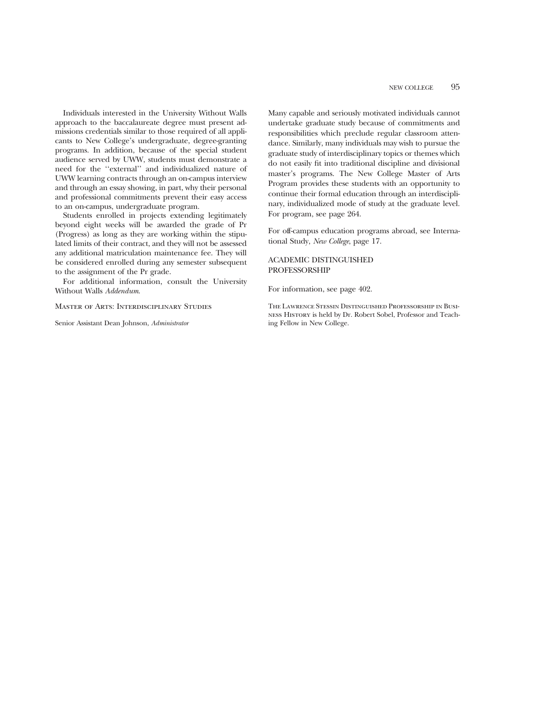Individuals interested in the University Without Walls approach to the baccalaureate degree must present admissions credentials similar to those required of all applicants to New College's undergraduate, degree-granting programs. In addition, because of the special student audience served by UWW, students must demonstrate a need for the ''external'' and individualized nature of UWW learning contracts through an on-campus interview and through an essay showing, in part, why their personal and professional commitments prevent their easy access to an on-campus, undergraduate program.

Students enrolled in projects extending legitimately beyond eight weeks will be awarded the grade of Pr (Progress) as long as they are working within the stipulated limits of their contract, and they will not be assessed any additional matriculation maintenance fee. They will be considered enrolled during any semester subsequent to the assignment of the Pr grade.

For additional information, consult the University Without Walls *Addendum*.

Master of Arts: Interdisciplinary Studies

Senior Assistant Dean Johnson, *Administrator*

Many capable and seriously motivated individuals cannot undertake graduate study because of commitments and responsibilities which preclude regular classroom attendance. Similarly, many individuals may wish to pursue the graduate study of interdisciplinary topics or themes which do not easily fit into traditional discipline and divisional master's programs. The New College Master of Arts Program provides these students with an opportunity to continue their formal education through an interdisciplinary, individualized mode of study at the graduate level. For program, see page 264.

For off-campus education programs abroad, see International Study, *New College*, page 17.

#### ACADEMIC DISTINGUISHED PROFESSORSHIP

For information, see page 402.

The Lawrence Stessin Distinguished Professorship in Business History is held by Dr. Robert Sobel, Professor and Teaching Fellow in New College.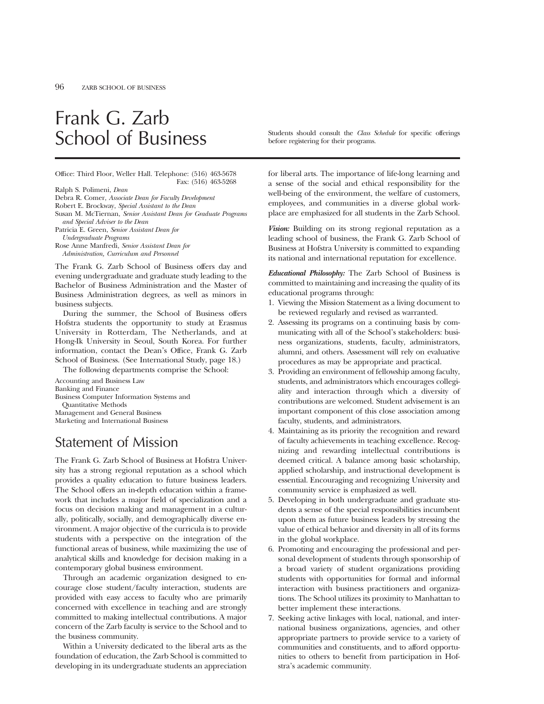## Frank G. Zarb

Office: Third Floor, Weller Hall. Telephone: (516) 463-5678 Fax: (516) 463-5268

Ralph S. Polimeni, *Dean*

Debra R. Comer, *Associate Dean for Faculty Development*

Robert E. Brockway, *Special Assistant to the Dean*

Susan M. McTiernan, *Senior Assistant Dean for Graduate Programs and Special Adviser to the Dean*

Patricia E. Green, *Senior Assistant Dean for Undergraduate Programs*

Rose Anne Manfredi, *Senior Assistant Dean for Administration, Curriculum and Personnel*

The Frank G. Zarb School of Business offers day and evening undergraduate and graduate study leading to the Bachelor of Business Administration and the Master of Business Administration degrees, as well as minors in business subjects.

During the summer, the School of Business offers Hofstra students the opportunity to study at Erasmus University in Rotterdam, The Netherlands, and at Hong-Ik University in Seoul, South Korea. For further information, contact the Dean's Office, Frank G. Zarb School of Business. (See International Study, page 18.)

The following departments comprise the School:

Accounting and Business Law Banking and Finance

Business Computer Information Systems and Quantitative Methods

Management and General Business

Marketing and International Business

## Statement of Mission

The Frank G. Zarb School of Business at Hofstra University has a strong regional reputation as a school which provides a quality education to future business leaders. The School offers an in-depth education within a framework that includes a major field of specialization and a focus on decision making and management in a culturally, politically, socially, and demographically diverse environment. A major objective of the curricula is to provide students with a perspective on the integration of the functional areas of business, while maximizing the use of analytical skills and knowledge for decision making in a contemporary global business environment.

Through an academic organization designed to encourage close student/faculty interaction, students are provided with easy access to faculty who are primarily concerned with excellence in teaching and are strongly committed to making intellectual contributions. A major concern of the Zarb faculty is service to the School and to the business community.

Within a University dedicated to the liberal arts as the foundation of education, the Zarb School is committed to developing in its undergraduate students an appreciation

School of Business Students should consult the *Class Schedule* for specific offerings before registering for their programs.

> for liberal arts. The importance of life-long learning and a sense of the social and ethical responsibility for the well-being of the environment, the welfare of customers, employees, and communities in a diverse global workplace are emphasized for all students in the Zarb School.

> *Vision:* Building on its strong regional reputation as a leading school of business, the Frank G. Zarb School of Business at Hofstra University is committed to expanding its national and international reputation for excellence.

> *Educational Philosophy:* The Zarb School of Business is committed to maintaining and increasing the quality of its educational programs through:

- 1. Viewing the Mission Statement as a living document to be reviewed regularly and revised as warranted.
- 2. Assessing its programs on a continuing basis by communicating with all of the School's stakeholders: business organizations, students, faculty, administrators, alumni, and others. Assessment will rely on evaluative procedures as may be appropriate and practical.
- 3. Providing an environment of fellowship among faculty, students, and administrators which encourages collegiality and interaction through which a diversity of contributions are welcomed. Student advisement is an important component of this close association among faculty, students, and administrators.
- 4. Maintaining as its priority the recognition and reward of faculty achievements in teaching excellence. Recognizing and rewarding intellectual contributions is deemed critical. A balance among basic scholarship, applied scholarship, and instructional development is essential. Encouraging and recognizing University and community service is emphasized as well.
- 5. Developing in both undergraduate and graduate students a sense of the special responsibilities incumbent upon them as future business leaders by stressing the value of ethical behavior and diversity in all of its forms in the global workplace.
- 6. Promoting and encouraging the professional and personal development of students through sponsorship of a broad variety of student organizations providing students with opportunities for formal and informal interaction with business practitioners and organizations. The School utilizes its proximity to Manhattan to better implement these interactions.
- 7. Seeking active linkages with local, national, and international business organizations, agencies, and other appropriate partners to provide service to a variety of communities and constituents, and to afford opportunities to others to benefit from participation in Hofstra's academic community.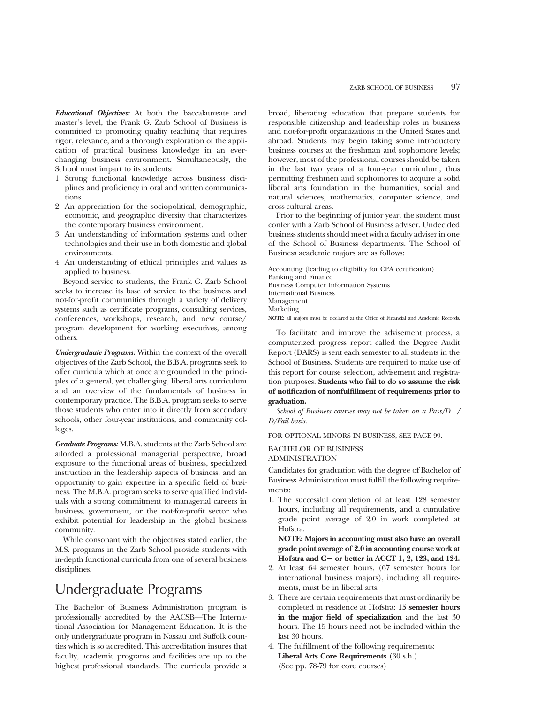*Educational Objectives:* At both the baccalaureate and master's level, the Frank G. Zarb School of Business is committed to promoting quality teaching that requires rigor, relevance, and a thorough exploration of the application of practical business knowledge in an everchanging business environment. Simultaneously, the School must impart to its students:

- 1. Strong functional knowledge across business disciplines and proficiency in oral and written communications.
- 2. An appreciation for the sociopolitical, demographic, economic, and geographic diversity that characterizes the contemporary business environment.
- 3. An understanding of information systems and other technologies and their use in both domestic and global environments.
- 4. An understanding of ethical principles and values as applied to business.

Beyond service to students, the Frank G. Zarb School seeks to increase its base of service to the business and not-for-profit communities through a variety of delivery systems such as certificate programs, consulting services, conferences, workshops, research, and new course/ program development for working executives, among others.

*Undergraduate Programs:* Within the context of the overall objectives of the Zarb School, the B.B.A. programs seek to offer curricula which at once are grounded in the principles of a general, yet challenging, liberal arts curriculum and an overview of the fundamentals of business in contemporary practice. The B.B.A. program seeks to serve those students who enter into it directly from secondary schools, other four-year institutions, and community colleges.

*Graduate Programs:* M.B.A. students at the Zarb School are afforded a professional managerial perspective, broad exposure to the functional areas of business, specialized instruction in the leadership aspects of business, and an opportunity to gain expertise in a specific field of business. The M.B.A. program seeks to serve qualified individuals with a strong commitment to managerial careers in business, government, or the not-for-profit sector who exhibit potential for leadership in the global business community.

While consonant with the objectives stated earlier, the M.S. programs in the Zarb School provide students with in-depth functional curricula from one of several business disciplines.

## Undergraduate Programs

The Bachelor of Business Administration program is professionally accredited by the AACSB—The International Association for Management Education. It is the only undergraduate program in Nassau and Suffolk counties which is so accredited. This accreditation insures that faculty, academic programs and facilities are up to the highest professional standards. The curricula provide a broad, liberating education that prepare students for responsible citizenship and leadership roles in business and not-for-profit organizations in the United States and abroad. Students may begin taking some introductory business courses at the freshman and sophomore levels; however, most of the professional courses should be taken in the last two years of a four-year curriculum, thus permitting freshmen and sophomores to acquire a solid liberal arts foundation in the humanities, social and natural sciences, mathematics, computer science, and cross-cultural areas.

Prior to the beginning of junior year, the student must confer with a Zarb School of Business adviser. Undecided business students should meet with a faculty adviser in one of the School of Business departments. The School of Business academic majors are as follows:

Accounting (leading to eligibility for CPA certification) Banking and Finance Business Computer Information Systems International Business Management Marketing **NOTE:** all majors must be declared at the Office of Financial and Academic Records.

To facilitate and improve the advisement process, a computerized progress report called the Degree Audit Report (DARS) is sent each semester to all students in the School of Business. Students are required to make use of this report for course selection, advisement and registration purposes. **Students who fail to do so assume the risk of notification of nonfulfillment of requirements prior to graduation.**

*School of Business courses may not be taken on a Pass/D+/ D/Fail basis.*

FOR OPTIONAL MINORS IN BUSINESS, SEE PAGE 99.

#### BACHELOR OF BUSINESS ADMINISTRATION

Candidates for graduation with the degree of Bachelor of Business Administration must fulfill the following requirements:

1. The successful completion of at least 128 semester hours, including all requirements, and a cumulative grade point average of 2.0 in work completed at Hofstra.

**NOTE: Majors in accounting must also have an overall grade point average of 2.0 in accounting course work at Hofstra and C**2 **or better in ACCT 1, 2, 123, and 124.**

- 2. At least 64 semester hours, (67 semester hours for international business majors), including all requirements, must be in liberal arts.
- 3. There are certain requirements that must ordinarily be completed in residence at Hofstra: **15 semester hours in the major field of specialization** and the last 30 hours. The 15 hours need not be included within the last 30 hours.
- 4. The fulfillment of the following requirements: **Liberal Arts Core Requirements** (30 s.h.) (See pp. 78-79 for core courses)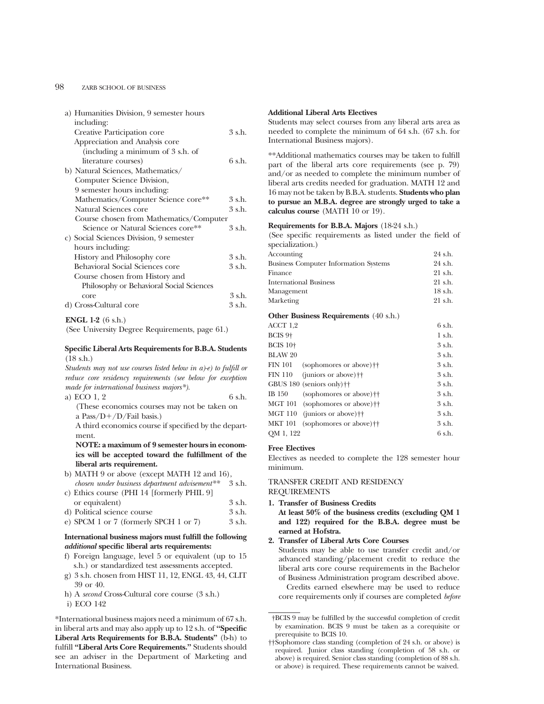#### 98 ZARB SCHOOL OF BUSINESS

| a) Humanities Division, 9 semester hours |        |
|------------------------------------------|--------|
| including:                               |        |
| Creative Participation core              | 3 s.h. |
| Appreciation and Analysis core           |        |
| (including a minimum of 3 s.h. of        |        |
| literature courses)                      | 6 s.h. |
| b) Natural Sciences, Mathematics/        |        |
| Computer Science Division,               |        |
| 9 semester hours including:              |        |
| Mathematics/Computer Science core**      | 3 s.h. |
| Natural Sciences core                    | 3 s.h. |
| Course chosen from Mathematics/Computer  |        |
| Science or Natural Sciences core**       | 3 s.h. |
| c) Social Sciences Division, 9 semester  |        |
| hours including:                         |        |
| History and Philosophy core              | 3 s.h. |
| Behavioral Social Sciences core          | 3 s.h. |
| Course chosen from History and           |        |
| Philosophy or Behavioral Social Sciences |        |
| core                                     | 3 s.h. |
| d) Cross-Cultural core                   | 3 s.h. |
|                                          |        |

#### **ENGL 1-2** (6 s.h.)

(See University Degree Requirements, page 61.)

#### **Specific Liberal Arts Requirements for B.B.A. Students** (18 s.h.)

*Students may not use courses listed below in a)-e) to fulfill or reduce core residency requirements (see below for exception made for international business majors\*).*

a) ECO  $1, 2$  6 s.h. (These economics courses may not be taken on

a Pass/ $D+/D$ /Fail basis.) A third economics course if specified by the department.

**NOTE: a maximum of 9 semester hours in economics will be accepted toward the fulfillment of the liberal arts requirement.**

b) MATH 9 or above (except MATH 12 and 16), *chosen under business department advisement\*\** 3 s.h.

| c) Ethics course (PHI 14 [formerly PHIL 9] |        |
|--------------------------------------------|--------|
| or equivalent)                             | 3 s.h. |
| d) Political science course                | 3 s.h. |
| e) SPCM 1 or 7 (formerly SPCH 1 or 7)      | 3 s.h. |

#### **International business majors must fulfill the following** *additional* **specific liberal arts requirements:**

- f) Foreign language, level 5 or equivalent (up to 15 s.h.) or standardized test assessments accepted.
- g) 3 s.h. chosen from HIST 11, 12, ENGL 43, 44, CLIT 39 or 40.
- h) A *second* Cross-Cultural core course (3 s.h.)
- i) ECO 142

\*International business majors need a minimum of 67 s.h. in liberal arts and may also apply up to 12 s.h. of **''Specific Liberal Arts Requirements for B.B.A. Students''** (b-h) to fulfill **''Liberal Arts Core Requirements.''** Students should see an adviser in the Department of Marketing and International Business.

#### **Additional Liberal Arts Electives**

Students may select courses from any liberal arts area as needed to complete the minimum of 64 s.h. (67 s.h. for International Business majors).

\*\*Additional mathematics courses may be taken to fulfill part of the liberal arts core requirements (see p. 79) and/or as needed to complete the minimum number of liberal arts credits needed for graduation. MATH 12 and 16 may not be taken by B.B.A. students. **Students who plan to pursue an M.B.A. degree are strongly urged to take a calculus course** (MATH 10 or 19).

#### **Requirements for B.B.A. Majors** (18-24 s.h.)

(See specific requirements as listed under the field of specialization.)

| Accounting                                                             | 24 s.h.   |
|------------------------------------------------------------------------|-----------|
| <b>Business Computer Information Systems</b>                           | 24 s.h.   |
| Finance                                                                | $21$ s.h. |
| <b>International Business</b>                                          | $21$ s.h. |
| Management                                                             | 18 s.h.   |
| Marketing                                                              | $21$ s.h. |
| $\Omega$ th an Derain agus Dearninean an tu $(40 \text{ s} \text{ h})$ |           |

#### **Other Business Requirements** (40 s.h.)

| ACCT 1.2            |                                                             | 6 s.h.   |
|---------------------|-------------------------------------------------------------|----------|
| BCIS <sub>9</sub> + |                                                             | 1 s.h.   |
| <b>BCIS 10+</b>     |                                                             | 3 s.h.   |
| <b>BLAW 20</b>      |                                                             | 3 s.h.   |
| FIN 101             | (sophomores or above) <sup>††</sup>                         | 3 s.h.   |
| FIN 110             | $(iuniors or above)$ <sup><math>\dagger\dagger</math></sup> | $3$ s.h. |
|                     | GBUS $180$ (seniors only) <sup><math>\dagger</math></sup>   | 3 s.h.   |
| IB 150              | (sophomores or above) <sup>††</sup>                         | 3 s.h.   |
|                     | MGT 101 (sophomores or above) <sup>††</sup>                 | 3 s.h.   |
| MGT 110             | (juniors or above) <sup>††</sup>                            | 3 s.h.   |
| MKT 101             | (sophomores or above) <sup>††</sup>                         | 3 s.h.   |
| OM 1, 122           |                                                             | 6 s.h.   |

#### **Free Electives**

Electives as needed to complete the 128 semester hour minimum.

TRANSFER CREDIT AND RESIDENCY REQUIREMENTS

**1. Transfer of Business Credits At least 50% of the business credits (excluding QM 1**

**and 122) required for the B.B.A. degree must be earned at Hofstra.**

**2. Transfer of Liberal Arts Core Courses**

Students may be able to use transfer credit and/or advanced standing/placement credit to reduce the liberal arts core course requirements in the Bachelor of Business Administration program described above.

Credits earned elsewhere may be used to reduce core requirements only if courses are completed *before*

<sup>†</sup>BCIS 9 may be fulfilled by the successful completion of credit by examination. BCIS 9 must be taken as a corequisite or prerequisite to BCIS 10.

<sup>††</sup>Sophomore class standing (completion of 24 s.h. or above) is required. Junior class standing (completion of 58 s.h. or above) is required. Senior class standing (completion of 88 s.h. or above) is required. These requirements cannot be waived.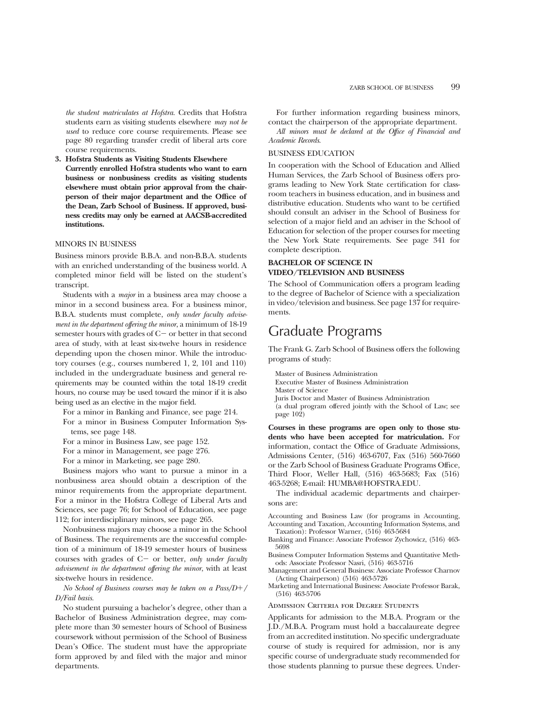*the student matriculates at Hofstra.* Credits that Hofstra students earn as visiting students elsewhere *may not be used* to reduce core course requirements. Please see page 80 regarding transfer credit of liberal arts core course requirements.

**3. Hofstra Students as Visiting Students Elsewhere Currently enrolled Hofstra students who want to earn business or nonbusiness credits as visiting students elsewhere must obtain prior approval from the chairperson of their major department and the Office of the Dean, Zarb School of Business. If approved, business credits may only be earned at AACSB-accredited institutions.**

#### MINORS IN BUSINESS

Business minors provide B.B.A. and non-B.B.A. students with an enriched understanding of the business world. A completed minor field will be listed on the student's transcript.

Students with a *major* in a business area may choose a minor in a second business area. For a business minor, B.B.A. students must complete, *only under faculty advisement in the department offering the minor*, a minimum of 18-19 semester hours with grades of  $C-$  or better in that second area of study, with at least six-twelve hours in residence depending upon the chosen minor. While the introductory courses (e.g., courses numbered 1, 2, 101 and 110) included in the undergraduate business and general requirements may be counted within the total 18-19 credit hours, no course may be used toward the minor if it is also being used as an elective in the major field.

For a minor in Banking and Finance, see page 214.

- For a minor in Business Computer Information Systems, see page 148.
- For a minor in Business Law, see page 152.
- For a minor in Management, see page 276.

For a minor in Marketing, see page 280.

Business majors who want to pursue a minor in a nonbusiness area should obtain a description of the minor requirements from the appropriate department. For a minor in the Hofstra College of Liberal Arts and Sciences, see page 76; for School of Education, see page 112; for interdisciplinary minors, see page 265.

Nonbusiness majors may choose a minor in the School of Business. The requirements are the successful completion of a minimum of 18-19 semester hours of business courses with grades of C- or better, *only under faculty advisement in the department offering the minor*, with at least six-twelve hours in residence.

#### *No School of Business courses may be taken on a Pass/D+/ D/Fail basis.*

No student pursuing a bachelor's degree, other than a Bachelor of Business Administration degree, may complete more than 30 semester hours of School of Business coursework without permission of the School of Business Dean's Office. The student must have the appropriate form approved by and filed with the major and minor departments.

For further information regarding business minors, contact the chairperson of the appropriate department.

*All minors must be declared at the Office of Financial and Academic Records.*

#### BUSINESS EDUCATION

In cooperation with the School of Education and Allied Human Services, the Zarb School of Business offers programs leading to New York State certification for classroom teachers in business education, and in business and distributive education. Students who want to be certified should consult an adviser in the School of Business for selection of a major field and an adviser in the School of Education for selection of the proper courses for meeting the New York State requirements. See page 341 for complete description.

#### **BACHELOR OF SCIENCE IN VIDEO/TELEVISION AND BUSINESS**

The School of Communication offers a program leading to the degree of Bachelor of Science with a specialization in video/television and business. See page 137 for requirements.

### Graduate Programs

The Frank G. Zarb School of Business offers the following programs of study:

Master of Business Administration

Executive Master of Business Administration

Master of Science

Juris Doctor and Master of Business Administration (a dual program offered jointly with the School of Law; see page 102)

**Courses in these programs are open only to those students who have been accepted for matriculation.** For information, contact the Office of Graduate Admissions, Admissions Center, (516) 463-6707, Fax (516) 560-7660 or the Zarb School of Business Graduate Programs Office, Third Floor, Weller Hall, (516) 463-5683; Fax (516) 463-5268; E-mail: HUMBA@HOFSTRA.EDU.

The individual academic departments and chairpersons are:

Accounting and Business Law (for programs in Accounting, Accounting and Taxation, Accounting Information Systems, and Taxation): Professor Warner, (516) 463-5684

Banking and Finance: Associate Professor Zychowicz, (516) 463- 5698

Business Computer Information Systems and Quantitative Methods: Associate Professor Nasri, (516) 463-5716

Management and General Business: Associate Professor Charnov (Acting Chairperson) (516) 463-5726

Marketing and International Business: Associate Professor Barak, (516) 463-5706

#### Admission Criteria for Degree Students

Applicants for admission to the M.B.A. Program or the J.D./M.B.A. Program must hold a baccalaureate degree from an accredited institution. No specific undergraduate course of study is required for admission, nor is any specific course of undergraduate study recommended for those students planning to pursue these degrees. Under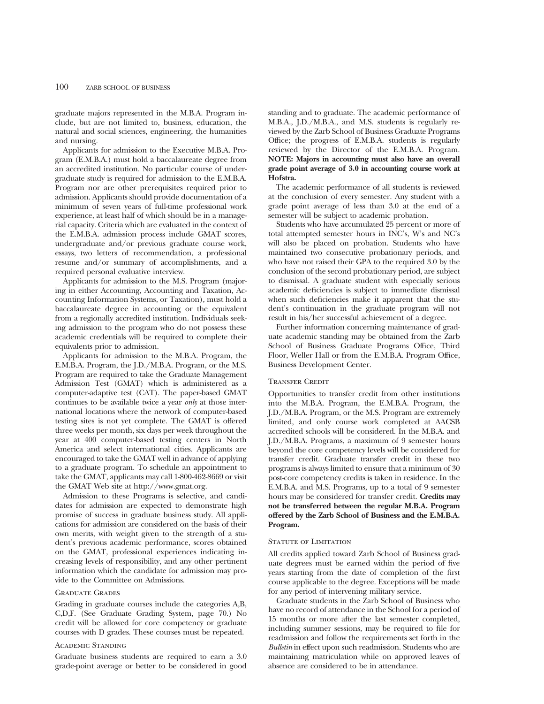graduate majors represented in the M.B.A. Program include, but are not limited to, business, education, the natural and social sciences, engineering, the humanities and nursing.

Applicants for admission to the Executive M.B.A. Program (E.M.B.A.) must hold a baccalaureate degree from an accredited institution. No particular course of undergraduate study is required for admission to the E.M.B.A. Program nor are other prerequisites required prior to admission. Applicants should provide documentation of a minimum of seven years of full-time professional work experience, at least half of which should be in a managerial capacity. Criteria which are evaluated in the context of the E.M.B.A. admission process include GMAT scores, undergraduate and/or previous graduate course work, essays, two letters of recommendation, a professional resume and/or summary of accomplishments, and a required personal evaluative interview.

Applicants for admission to the M.S. Program (majoring in either Accounting, Accounting and Taxation, Accounting Information Systems, or Taxation), must hold a baccalaureate degree in accounting or the equivalent from a regionally accredited institution. Individuals seeking admission to the program who do not possess these academic credentials will be required to complete their equivalents prior to admission.

Applicants for admission to the M.B.A. Program, the E.M.B.A. Program, the J.D./M.B.A. Program, or the M.S. Program are required to take the Graduate Management Admission Test (GMAT) which is administered as a computer-adaptive test (CAT). The paper-based GMAT continues to be available twice a year *only* at those international locations where the network of computer-based testing sites is not yet complete. The GMAT is offered three weeks per month, six days per week throughout the year at 400 computer-based testing centers in North America and select international cities. Applicants are encouraged to take the GMAT well in advance of applying to a graduate program. To schedule an appointment to take the GMAT, applicants may call 1-800-462-8669 or visit the GMAT Web site at http://www.gmat.org.

Admission to these Programs is selective, and candidates for admission are expected to demonstrate high promise of success in graduate business study. All applications for admission are considered on the basis of their own merits, with weight given to the strength of a student's previous academic performance, scores obtained on the GMAT, professional experiences indicating increasing levels of responsibility, and any other pertinent information which the candidate for admission may provide to the Committee on Admissions.

#### Graduate Grades

Grading in graduate courses include the categories A,B, C,D,F. (See Graduate Grading System, page 70.) No credit will be allowed for core competency or graduate courses with D grades. These courses must be repeated.

#### Academic Standing

Graduate business students are required to earn a 3.0 grade-point average or better to be considered in good standing and to graduate. The academic performance of M.B.A., J.D./M.B.A., and M.S. students is regularly reviewed by the Zarb School of Business Graduate Programs Office; the progress of E.M.B.A. students is regularly reviewed by the Director of the E.M.B.A. Program. **NOTE: Majors in accounting must also have an overall grade point average of 3.0 in accounting course work at Hofstra.**

The academic performance of all students is reviewed at the conclusion of every semester. Any student with a grade point average of less than 3.0 at the end of a semester will be subject to academic probation.

Students who have accumulated 25 percent or more of total attempted semester hours in INC's, W's and NC's will also be placed on probation. Students who have maintained two consecutive probationary periods, and who have not raised their GPA to the required 3.0 by the conclusion of the second probationary period, are subject to dismissal. A graduate student with especially serious academic deficiencies is subject to immediate dismissal when such deficiencies make it apparent that the student's continuation in the graduate program will not result in his/her successful achievement of a degree.

Further information concerning maintenance of graduate academic standing may be obtained from the Zarb School of Business Graduate Programs Office, Third Floor, Weller Hall or from the E.M.B.A. Program Office, Business Development Center.

#### Transfer Credit

Opportunities to transfer credit from other institutions into the M.B.A. Program, the E.M.B.A. Program, the J.D./M.B.A. Program, or the M.S. Program are extremely limited, and only course work completed at AACSB accredited schools will be considered. In the M.B.A. and J.D./M.B.A. Programs, a maximum of 9 semester hours beyond the core competency levels will be considered for transfer credit. Graduate transfer credit in these two programs is always limited to ensure that a minimum of 30 post-core competency credits is taken in residence. In the E.M.B.A. and M.S. Programs, up to a total of 9 semester hours may be considered for transfer credit. **Credits may not be transferred between the regular M.B.A. Program offered by the Zarb School of Business and the E.M.B.A. Program.**

#### STATUTE OF LIMITATION

All credits applied toward Zarb School of Business graduate degrees must be earned within the period of five years starting from the date of completion of the first course applicable to the degree. Exceptions will be made for any period of intervening military service.

Graduate students in the Zarb School of Business who have no record of attendance in the School for a period of 15 months or more after the last semester completed, including summer sessions, may be required to file for readmission and follow the requirements set forth in the *Bulletin* in effect upon such readmission. Students who are maintaining matriculation while on approved leaves of absence are considered to be in attendance.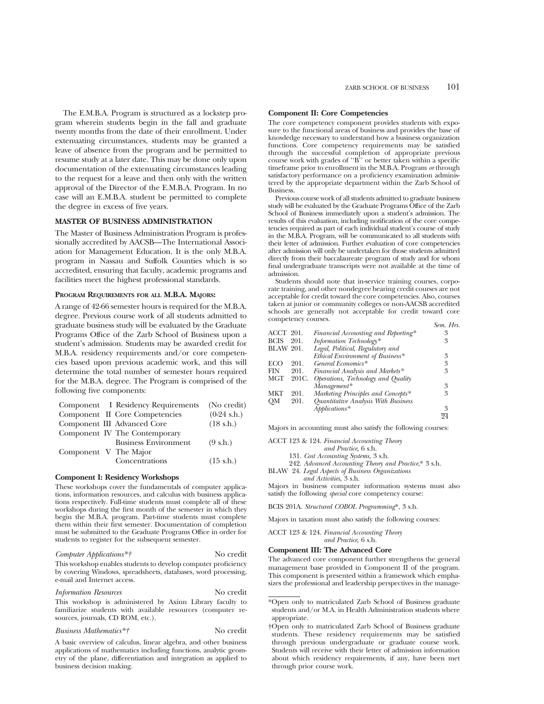The E.M.B.A. Program is structured as a lockstep program wherein students begin in the fall and graduate twenty months from the date of their enrollment. Under extenuating circumstances, students may be granted a leave of absence from the program and be permitted to resume study at a later date. This may be done only upon documentation of the extenuating circumstances leading to the request for a leave and then only with the written approval of the Director of the E.M.B.A. Program. In no case will an E.M.B.A. student be permitted to complete the degree in excess of five years.

#### **MASTER OF BUSINESS ADMINISTRATION**

The Master of Business Administration Program is professionally accredited by AACSB—The International Association for Management Education. It is the only M.B.A. program in Nassau and Suffolk Counties which is so accredited, ensuring that faculty, academic programs and facilities meet the highest professional standards.

#### **PROGRAM REQUIREMENTS FOR ALL M.B.A. MAJORS:**

A range of 42-66 semester hours is required for the M.B.A. degree. Previous course work of all students admitted to graduate business study will be evaluated by the Graduate Programs Office of the Zarb School of Business upon a student's admission. Students may be awarded credit for M.B.A. residency requirements and/or core competencies based upon previous academic work, and this will determine the total number of semester hours required for the M.B.A. degree. The Program is comprised of the following five components:

|                       | Component I Residency Requirements | (No credit)           |
|-----------------------|------------------------------------|-----------------------|
|                       | Component II Core Competencies     | $(0-24 \text{ s.h.})$ |
|                       | Component III Advanced Core        | $(18 \text{ s.h.})$   |
|                       | Component IV The Contemporary      |                       |
|                       | <b>Business Environment</b>        | $(9 \text{ s.h.})$    |
| Component V The Major |                                    |                       |
|                       | Concentrations                     | $(15 \text{ s.h.})$   |
|                       |                                    |                       |

#### **Component I: Residency Workshops**

These workshops cover the fundamentals of computer applications, information resources, and calculus with business applications respectively. Full-time students must complete all of these workshops during the first month of the semester in which they begin the M.B.A. program. Part-time students must complete them within their first semester. Documentation of completion must be submitted to the Graduate Programs Office in order for students to register for the subsequent semester.

#### *Computer Applications\*†* No credit

This workshop enables students to develop computer proficiency by covering Windows, spreadsheets, databases, word processing, e-mail and Internet access.

#### *Information Resources* No credit

This workshop is administered by Axinn Library faculty to familiarize students with available resources (computer resources, journals, CD ROM, etc.).

#### *Business Mathematics\*†* No credit

business decision making.

A basic overview of calculus, linear algebra, and other business applications of mathematics including functions, analytic geometry of the plane, differentiation and integration as applied to

#### **Component II: Core Competencies**

The core competency component provides students with exposure to the functional areas of business and provides the base of knowledge necessary to understand how a business organization functions. Core competency requirements may be satisfied through the successful completion of appropriate previous course work with grades of ''B'' or better taken within a specific timeframe prior to enrollment in the M.B.A. Program *or* through satisfactory performance on a proficiency examination administered by the appropriate department within the Zarb School of Business.

Previous course work of all students admitted to graduate business study will be evaluated by the Graduate Programs Office of the Zarb School of Business immediately upon a student's admission. The results of this evaluation, including notification of the core competencies required as part of each individual student's course of study in the M.B.A. Program, will be communicated to all students with their letter of admission. Further evaluation of core competencies after admission will only be undertaken for those students admitted directly from their baccalaureate program of study and for whom final undergraduate transcripts were not available at the time of admission.

Students should note that in-service training courses, corporate training, and other nondegree bearing credit courses are not acceptable for credit toward the core competencies. Also, courses taken at junior or community colleges or non-AACSB accredited schools are generally not acceptable for credit toward core competency courses. *Sem. Hrs.*

| ACCT 201.        |       | Financial Accounting and Reporting* | 3  |
|------------------|-------|-------------------------------------|----|
| <b>BCIS</b>      | 201.  | Information Technology*             | 3  |
| <b>BLAW 201.</b> |       | Legal, Political, Regulatory and    |    |
|                  |       | Ethical Environment of Business*    | 3  |
| ECO              | 201.  | General Economics*                  | 3  |
| FIN              | 201.  | Financial Analysis and Markets*     | 3  |
| MGT              | 201C. | Operations, Technology and Quality  |    |
|                  |       | Management*                         | 3  |
| MKT              | 201.  | Marketing Principles and Concepts*  | 3  |
| OМ               | 201.  | Quantitative Analysis With Business |    |
|                  |       | $Abblications*$                     | 3  |
|                  |       |                                     | 94 |

Majors in accounting must also satisfy the following courses:

ACCT 123 & 124. *Financial Accounting Theory*

- *and Practice,* 6 s.h.
- 131. *Cost Accounting Systems,* 3 s.h.
- 242. *Advanced Accounting Theory and Practice*,\* 3 s.h.
- BLAW 24. *Legal Aspects of Business Organizations and Activities,* 3 s.h.

Majors in business computer information systems must also satisfy the following *special* core competency course:

BCIS 201A. *Structured COBOL Programming*\*, 3 s.h.

Majors in taxation must also satisfy the following courses:

ACCT 123 & 124. *Financial Accounting Theory and Practice,* 6 s.h.

#### **Component III: The Advanced Core**

The advanced core component further strengthens the general management base provided in Component II of the program. This component is presented within a framework which emphasizes the professional and leadership perspectives in the manage-

\*Open only to matriculated Zarb School of Business graduate students and/or M.A. in Health Administration students where appropriate.

<sup>†</sup>Open only to matriculated Zarb School of Business graduate students. These residency requirements may be satisfied through previous undergraduate or graduate course work. Students will receive with their letter of admission information about which residency requirements, if any, have been met through prior course work.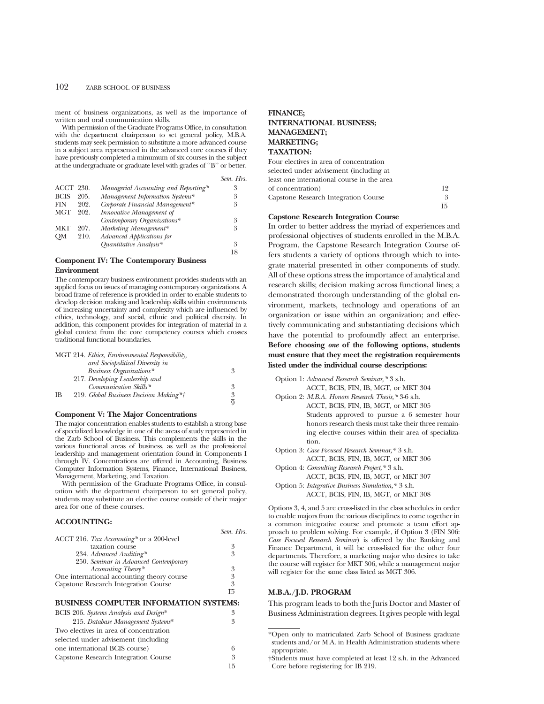#### 102 ZARB SCHOOL OF BUSINESS

ment of business organizations, as well as the importance of written and oral communication skills.

With permission of the Graduate Programs Office, in consultation with the department chairperson to set general policy, M.B.A. students may seek permission to substitute a more advanced course in a subject area represented in the advanced core courses if they have previously completed a minumum of six courses in the subject at the undergraduate or graduate level with grades of ''B'' or better.

| Sem. Hrs. |  |
|-----------|--|
|           |  |

| <b>ACCT 230.</b> |      | Managerial Accounting and Reporting* | 3 |
|------------------|------|--------------------------------------|---|
| <b>BCIS</b>      | 205. | Management Information Systems*      | 3 |
| FIN              | 202. | Corporate Financial Management*      | 3 |
| <b>MGT</b>       | 202. | Innovative Management of             |   |
|                  |      | Contemporary Organizations*          | 3 |
| MKT              | 207. | Marketing Management*                | 3 |
| OМ               | 210. | Advanced Applications for            |   |
|                  |      | Quantitative Analysis*               | 3 |
|                  |      |                                      |   |

**Component IV: The Contemporary Business Environment**

The contemporary business environment provides students with an applied focus on issues of managing contemporary organizations. A broad frame of reference is provided in order to enable students to develop decision making and leadership skills within environments of increasing uncertainty and complexity which are influenced by ethics, technology, and social, ethnic and political diversity. In addition, this component provides for integration of material in a global context from the core competency courses which crosses traditional functional boundaries.

|           | MGT 214. Ethics, Environmental Responsibility, |                |
|-----------|------------------------------------------------|----------------|
|           | and Sociopolitical Diversity in                |                |
|           | Business Organizations*                        | 3              |
|           | 217. Developing Leadership and                 |                |
|           | Communication Skills*                          | 3              |
| <b>IB</b> | 219. Global Business Decision Making*†         | 3              |
|           |                                                | $\overline{Q}$ |

#### **Component V: The Major Concentrations**

The major concentration enables students to establish a strong base of specialized knowledge in one of the areas of study represented in the Zarb School of Business. This complements the skills in the various functional areas of business, as well as the professional leadership and management orientation found in Components I through IV. Concentrations are offered in Accounting, Business Computer Information Systems, Finance, International Business, Management, Marketing, and Taxation.

With permission of the Graduate Programs Office, in consultation with the department chairperson to set general policy, students may substitute an elective course outside of their major area for one of these courses.

#### **ACCOUNTING:**

|                                            | Sem. Hrs. |
|--------------------------------------------|-----------|
| ACCT 216. Tax Accounting* or a 200-level   |           |
| taxation course                            | 3         |
| 234. Advanced Auditing*                    | 3         |
| 250. Seminar in Advanced Contemporary      |           |
| Accounting Theory*                         | 3         |
| One international accounting theory course | 3         |
| Capstone Research Integration Course       | 3         |
|                                            | 15        |

#### **BUSINESS COMPUTER INFORMATION SYSTEMS:**

| BCIS 206. Systems Analysis and Design* | 3               |
|----------------------------------------|-----------------|
| 215. Database Management Systems*      | 3               |
| Two electives in area of concentration |                 |
| selected under advisement (including   |                 |
| one international BCIS course)         | 6               |
| Capstone Research Integration Course   | 3               |
|                                        | $\overline{15}$ |

#### **FINANCE; INTERNATIONAL BUSINESS; MANAGEMENT; MARKETING; TAXATION:**

| Four electives in area of concentration    |    |
|--------------------------------------------|----|
| selected under advisement (including at    |    |
| least one international course in the area |    |
| of concentration)                          | 19 |
| Capstone Research Integration Course       | 3  |
|                                            |    |

#### **Capstone Research Integration Course**

In order to better address the myriad of experiences and professional objectives of students enrolled in the M.B.A. Program, the Capstone Research Integration Course offers students a variety of options through which to integrate material presented in other components of study. All of these options stress the importance of analytical and research skills; decision making across functional lines; a demonstrated thorough understanding of the global environment, markets, technology and operations of an organization or issue within an organization; and effectively communicating and substantiating decisions which have the potential to profoundly affect an enterprise. **Before choosing** *one* **of the following options, students must ensure that they meet the registration requirements listed under the individual course descriptions:**

15

Option 1: *Advanced Research Seminar,\** 3 s.h.

ACCT, BCIS, FIN, IB, MGT, or MKT 304 Option 2: *M.B.A. Honors Research Thesis,\** 3-6 s.h.

ACCT, BCIS, FIN, IB, MGT, or MKT 305 Students approved to pursue a 6 semester hour honors research thesis must take their three remaining elective courses within their area of specialization.

Option 3: *Case Focused Research Seminar,\** 3 s.h. ACCT, BCIS, FIN, IB, MGT, or MKT 306

Option 4: *Consulting Research Project,\** 3 s.h. ACCT, BCIS, FIN, IB, MGT, or MKT 307

Option 5: *Integrative Business Simulation,\** 3 s.h.

ACCT, BCIS, FIN, IB, MGT, or MKT 308

Options 3, 4, and 5 are cross-listed in the class schedules in order to enable majors from the various disciplines to come together in a common integrative course and promote a team effort approach to problem solving. For example, if Option 3 (FIN 306: *Case Focused Research Seminar*) is offered by the Banking and Finance Department, it will be cross-listed for the other four departments. Therefore, a marketing major who desires to take the course will register for MKT 306, while a management major will register for the same class listed as MGT 306.

#### **M.B.A./J.D. PROGRAM**

This program leads to both the Juris Doctor and Master of Business Administration degrees. It gives people with legal

<sup>\*</sup>Open only to matriculated Zarb School of Business graduate students and/or M.A. in Health Administration students where appropriate.

<sup>†</sup>Students must have completed at least 12 s.h. in the Advanced Core before registering for IB 219.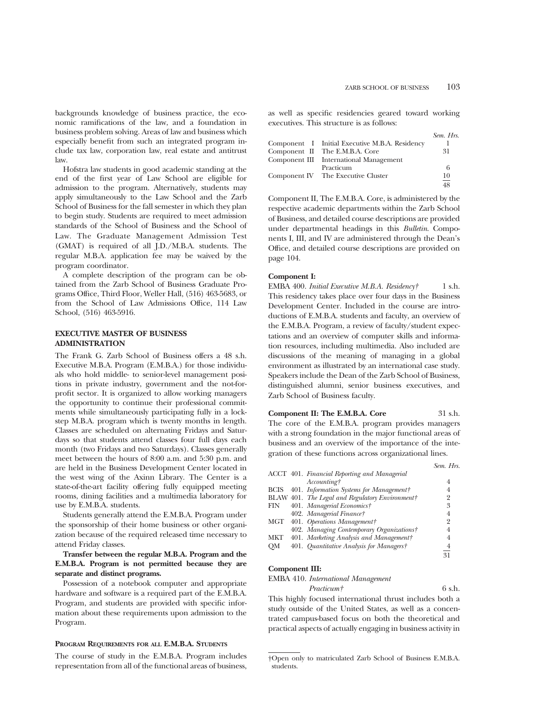backgrounds knowledge of business practice, the economic ramifications of the law, and a foundation in business problem solving. Areas of law and business which especially benefit from such an integrated program include tax law, corporation law, real estate and antitrust law.

Hofstra law students in good academic standing at the end of the first year of Law School are eligible for admission to the program. Alternatively, students may apply simultaneously to the Law School and the Zarb School of Business for the fall semester in which they plan to begin study. Students are required to meet admission standards of the School of Business and the School of Law. The Graduate Management Admission Test (GMAT) is required of all J.D./M.B.A. students. The regular M.B.A. application fee may be waived by the program coordinator.

A complete description of the program can be obtained from the Zarb School of Business Graduate Programs Office, Third Floor, Weller Hall, (516) 463-5683, or from the School of Law Admissions Office, 114 Law School, (516) 463-5916.

#### **EXECUTIVE MASTER OF BUSINESS ADMINISTRATION**

The Frank G. Zarb School of Business offers a 48 s.h. Executive M.B.A. Program (E.M.B.A.) for those individuals who hold middle- to senior-level management positions in private industry, government and the not-forprofit sector. It is organized to allow working managers the opportunity to continue their professional commitments while simultaneously participating fully in a lockstep M.B.A. program which is twenty months in length. Classes are scheduled on alternating Fridays and Saturdays so that students attend classes four full days each month (two Fridays and two Saturdays). Classes generally meet between the hours of 8:00 a.m. and 5:30 p.m. and are held in the Business Development Center located in the west wing of the Axinn Library. The Center is a state-of-the-art facility offering fully equipped meeting rooms, dining facilities and a multimedia laboratory for use by E.M.B.A. students.

Students generally attend the E.M.B.A. Program under the sponsorship of their home business or other organization because of the required released time necessary to attend Friday classes.

#### **Transfer between the regular M.B.A. Program and the E.M.B.A. Program is not permitted because they are separate and distinct programs.**

Possession of a notebook computer and appropriate hardware and software is a required part of the E.M.B.A. Program, and students are provided with specific information about these requirements upon admission to the Program.

#### **PROGRAM REQUIREMENTS FOR ALL E.M.B.A. STUDENTS**

The course of study in the E.M.B.A. Program includes representation from all of the functional areas of business, as well as specific residencies geared toward working executives. This structure is as follows:

|                                                | Sem. Hrs.                |
|------------------------------------------------|--------------------------|
| Component I Initial Executive M.B.A. Residency |                          |
| Component II The E.M.B.A. Core                 | 31                       |
| Component III International Management         |                          |
| Practicum                                      | 6                        |
| Component IV The Executive Cluster             | 10                       |
|                                                | $\overline{\phantom{m}}$ |

Component II, The E.M.B.A. Core, is administered by the respective academic departments within the Zarb School of Business, and detailed course descriptions are provided under departmental headings in this *Bulletin*. Components I, III, and IV are administered through the Dean's Office, and detailed course descriptions are provided on page 104.

#### **Component I:**

EMBA 400. *Initial Executive M.B.A. Residency†* 1 s.h. This residency takes place over four days in the Business Development Center. Included in the course are introductions of E.M.B.A. students and faculty, an overview of the E.M.B.A. Program, a review of faculty/student expectations and an overview of computer skills and information resources, including multimedia. Also included are discussions of the meaning of managing in a global environment as illustrated by an international case study. Speakers include the Dean of the Zarb School of Business, distinguished alumni, senior business executives, and Zarb School of Business faculty.

**Component II: The E.M.B.A. Core** 31 s.h. The core of the E.M.B.A. program provides managers with a strong foundation in the major functional areas of business and an overview of the importance of the integration of these functions across organizational lines.

|             |                                                 | Sem. Hrs.      |
|-------------|-------------------------------------------------|----------------|
|             | ACCT 401. Financial Reporting and Managerial    |                |
|             | <i>Accounting†</i>                              | 4              |
| <b>BCIS</b> | 401. Information Systems for Management†        |                |
|             | BLAW 401. The Legal and Regulatory Environment† | 2              |
| FIN         | 401. Managerial Economics†                      | 3              |
|             | 402. Managerial Finance†                        | 4              |
| MGT         | 401. Operations Management†                     | $^{9}$         |
|             | 402. Managing Contemporary Organizations†       | 4              |
| <b>MKT</b>  | 401. Marketing Analysis and Management†         |                |
| OМ          | 401. Quantitative Analysis for Managers†        | $\overline{4}$ |
|             |                                                 | 31             |

#### **Component III:**

EMBA 410. *International Management Practicum†* 6 s.h.

This highly focused international thrust includes both a study outside of the United States, as well as a concentrated campus-based focus on both the theoretical and practical aspects of actually engaging in business activity in

<sup>†</sup>Open only to matriculated Zarb School of Business E.M.B.A. students.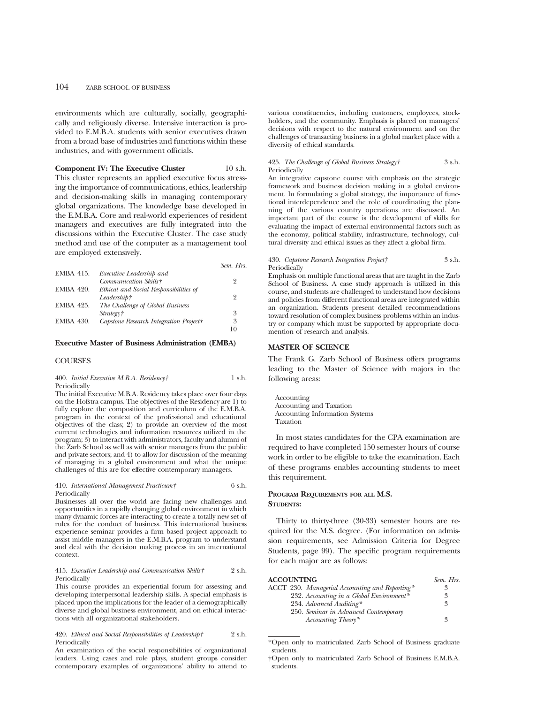environments which are culturally, socially, geographically and religiously diverse. Intensive interaction is provided to E.M.B.A. students with senior executives drawn from a broad base of industries and functions within these industries, and with government officials.

**Component IV: The Executive Cluster** 10 s.h. This cluster represents an applied executive focus stressing the importance of communications, ethics, leadership

and decision-making skills in managing contemporary global organizations. The knowledge base developed in the E.M.B.A. Core and real-world experiences of resident managers and executives are fully integrated into the discussions within the Executive Cluster. The case study method and use of the computer as a management tool are employed extensively.

|                  |                                        | Sem. Hrs. |
|------------------|----------------------------------------|-----------|
| <b>EMBA 415.</b> | Executive Leadership and               |           |
|                  | Communication Skills†                  | $^{9}$    |
| <b>EMBA 420.</b> | Ethical and Social Responsibilities of |           |
|                  | Leadership†                            | $^{9}$    |
| EMBA 425.        | The Challenge of Global Business       |           |
|                  | Strategy†                              | 3         |
| <b>EMBA 430.</b> | Capstone Research Integration Project† | 3         |
|                  |                                        |           |

#### **Executive Master of Business Administration (EMBA)**

#### **COURSES**

400. *Initial Executive M.B.A. Residency†* 1 s.h. Periodically

The initial Executive M.B.A. Residency takes place over four days on the Hofstra campus. The objectives of the Residency are 1) to fully explore the composition and curriculum of the E.M.B.A. program in the context of the professional and educational objectives of the class; 2) to provide an overview of the most current technologies and information resources utilized in the program; 3) to interact with administrators, faculty and alumni of the Zarb School as well as with senior managers from the public and private sectors; and 4) to allow for discussion of the meaning of managing in a global environment and what the unique challenges of this are for effective contemporary managers.

410. *International Management Practicum†* 6 s.h. Periodically

Businesses all over the world are facing new challenges and opportunities in a rapidly changing global environment in which many dynamic forces are interacting to create a totally new set of rules for the conduct of business. This international business experience seminar provides a firm based project approach to assist middle managers in the E.M.B.A. program to understand and deal with the decision making process in an international context.

#### 415. *Executive Leadership and Communication Skills†* 2 s.h. Periodically

This course provides an experiential forum for assessing and developing interpersonal leadership skills. A special emphasis is placed upon the implications for the leader of a demographically diverse and global business environment, and on ethical interactions with all organizational stakeholders.

420. *Ethical and Social Responsibilities of Leadership†* 2 s.h. Periodically

An examination of the social responsibilities of organizational leaders. Using cases and role plays, student groups consider contemporary examples of organizations' ability to attend to

various constituencies, including customers, employees, stockholders, and the community. Emphasis is placed on managers' decisions with respect to the natural environment and on the challenges of transacting business in a global market place with a diversity of ethical standards.

#### 425. *The Challenge of Global Business Strategy†* 3 s.h. Periodically

An integrative capstone course with emphasis on the strategic framework and business decision making in a global environment. In formulating a global strategy, the importance of functional interdependence and the role of coordinating the planning of the various country operations are discussed. An important part of the course is the development of skills for evaluating the impact of external environmental factors such as the economy, political stability, infrastructure, technology, cultural diversity and ethical issues as they affect a global firm.

#### 430. *Capstone Research Integration Project†* 3 s.h. **Periodically**

Emphasis on multiple functional areas that are taught in the Zarb School of Business. A case study approach is utilized in this course, and students are challenged to understand how decisions and policies from different functional areas are integrated within an organization. Students present detailed recommendations toward resolution of complex business problems within an industry or company which must be supported by appropriate documention of research and analysis.

#### **MASTER OF SCIENCE**

The Frank G. Zarb School of Business offers programs leading to the Master of Science with majors in the following areas:

Accounting Accounting and Taxation Accounting Information Systems Taxation

In most states candidates for the CPA examination are required to have completed 150 semester hours of course work in order to be eligible to take the examination. Each of these programs enables accounting students to meet this requirement.

#### **PROGRAM REQUIREMENTS FOR ALL M.S. STUDENTS:**

Thirty to thirty-three (30-33) semester hours are required for the M.S. degree. (For information on admission requirements, see Admission Criteria for Degree Students, page 99). The specific program requirements for each major are as follows:

| <b>ACCOUNTING</b>                              | Sem. Hrs. |
|------------------------------------------------|-----------|
| ACCT 230. Managerial Accounting and Reporting* | 3         |
| 232. Accounting in a Global Environment*       | 3         |
| 234. Advanced Auditing*                        | ዳ         |
| 250. Seminar in Advanced Contemporary          |           |
| Accounting Theory*                             | 3         |

\*Open only to matriculated Zarb School of Business graduate students.

<sup>†</sup>Open only to matriculated Zarb School of Business E.M.B.A. students.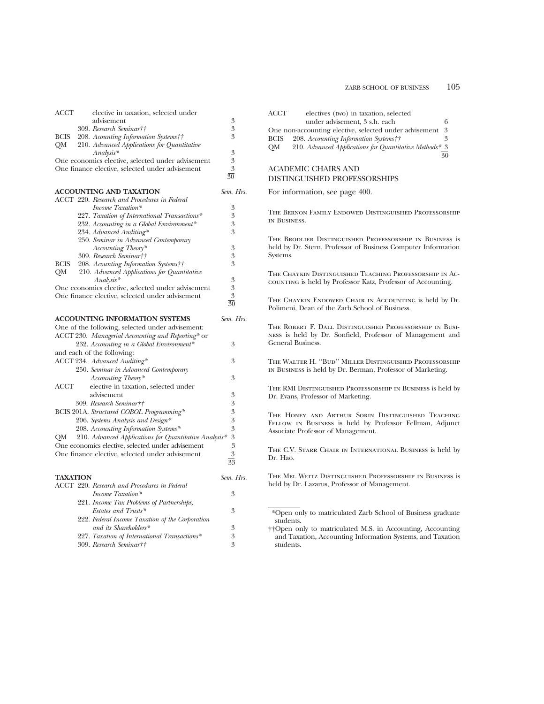|                 | elective in taxation, selected under                                                                       |                 |
|-----------------|------------------------------------------------------------------------------------------------------------|-----------------|
|                 | advisement                                                                                                 | 3               |
|                 | 309. Research Seminar††                                                                                    | 3               |
| <b>BCIS</b>     | 208. Acounting Information Systems††                                                                       | 3               |
| QМ              | 210. Advanced Applications for Quantitative                                                                |                 |
|                 | $Analysis*$                                                                                                | 3               |
|                 | One economics elective, selected under advisement                                                          | 3               |
|                 | One finance elective, selected under advisement                                                            | 3               |
|                 |                                                                                                            | $\overline{30}$ |
|                 | <b>ACCOUNTING AND TAXATION</b>                                                                             | Sem. Hrs.       |
|                 | ACCT 220. Research and Procedures in Federal                                                               |                 |
|                 | Income Taxation*                                                                                           | 3               |
|                 | 227. Taxation of International Transactions*                                                               | 3               |
|                 | 232. Accounting in a Global Environment*                                                                   | 3               |
|                 | 234. Advanced Auditing*                                                                                    | 3               |
|                 | 250. Seminar in Advanced Contemporary                                                                      |                 |
|                 | Accounting Theory*                                                                                         | 3               |
|                 | 309. Research Seminar††                                                                                    | 3               |
| BCIS            | 208. Acounting Information Systems††                                                                       | 3               |
| QМ              | 210. Advanced Applications for Quantitative                                                                |                 |
|                 | $Analysis*$                                                                                                | 3               |
|                 | One economics elective, selected under advisement                                                          | 3               |
|                 | One finance elective, selected under advisement                                                            | 3<br>30         |
|                 |                                                                                                            |                 |
|                 | <b>ACCOUNTING INFORMATION SYSTEMS</b>                                                                      | Sem. Hrs.       |
|                 | One of the following, selected under advisement:                                                           |                 |
|                 | ACCT 230. Managerial Accounting and Reporting* or                                                          |                 |
|                 | 232. Accounting in a Global Environment*                                                                   | 3               |
|                 | and each of the following:                                                                                 |                 |
|                 |                                                                                                            |                 |
|                 |                                                                                                            | 3               |
|                 | ACCT 234. Advanced Auditing*<br>250. Seminar in Advanced Contemporary                                      |                 |
|                 |                                                                                                            | 3               |
| ACCT            | Accounting Theory*<br>elective in taxation, selected under                                                 |                 |
|                 | advisement                                                                                                 | 3               |
|                 | 309. Research Seminar††                                                                                    | 3               |
|                 |                                                                                                            | 3               |
|                 | BCIS 201A. Structured COBOL Programming*<br>206. Systems Analysis and Design*                              | 3               |
|                 |                                                                                                            | 3               |
|                 | 208. Accounting Information Systems*                                                                       | 3               |
| QМ              | 210. Advanced Applications for Quantitative Analysis*<br>One economics elective, selected under advisement | 3               |
|                 | One finance elective, selected under advisement                                                            | 3               |
|                 |                                                                                                            | 33              |
|                 |                                                                                                            |                 |
| <b>TAXATION</b> |                                                                                                            | Sem. Hrs.       |
|                 | ACCT 220. Research and Procedures in Federal                                                               |                 |
|                 | Income Taxation*                                                                                           | 3               |
|                 | 221. Income Tax Problems of Partnerships,                                                                  |                 |
|                 | Estates and Trusts*                                                                                        | 3               |
|                 | 222. Federal Income Taxation of the Corporation                                                            |                 |
|                 | and its Shareholders*                                                                                      | 3               |
|                 | 227. Taxation of International Transactions*<br>309. Research Seminar††                                    | 3<br>3          |

| ACCT        | electives (two) in taxation, selected                  |    |
|-------------|--------------------------------------------------------|----|
|             | under advisement, 3 s.h. each                          | 6  |
|             | One non-accounting elective, selected under advisement | 3  |
| <b>BCIS</b> | 208. Accounting Information Systems††                  | 3  |
| OM          | 210. Advanced Applications for Quantitative Methods* 3 |    |
|             |                                                        | 30 |
|             | ACADEMIC CHAIRS AND                                    |    |

#### DISTINGUISHED PROFESSORSHIPS

For information, see page 400.

The Bernon Family Endowed Distinguished Professorship in Business.

The Brodlieb Distinguished Professorship in Business is held by Dr. Stern, Professor of Business Computer Information Systems.

The Chaykin Distinguished Teaching Professorship in Accounting is held by Professor Katz, Professor of Accounting.

The Chaykin Endowed Chair in Accounting is held by Dr. Polimeni, Dean of the Zarb School of Business.

The Robert F. Dall Distinguished Professorship in Business is held by Dr. Sonfield, Professor of Management and General Business.

The Walter H. ''Bud'' Miller Distinguished Professorship in Business is held by Dr. Berman, Professor of Marketing.

The RMI Distinguished Professorship in Business is held by Dr. Evans, Professor of Marketing.

The Honey and Arthur Sorin Distinguished Teaching Fellow in Business is held by Professor Fellman, Adjunct Associate Professor of Management.

The C.V. Starr Chair in International Business is held by Dr. Hao.

The Mel Weitz Distinguished Professorship in Business is held by Dr. Lazarus, Professor of Management.

<sup>\*</sup>Open only to matriculated Zarb School of Business graduate students.

<sup>††</sup>Open only to matriculated M.S. in Accounting, Accounting and Taxation, Accounting Information Systems, and Taxation students.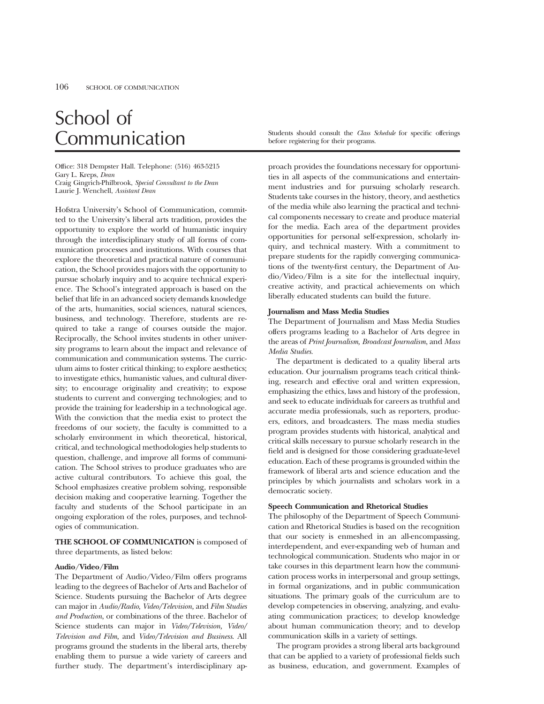# School of

Office: 318 Dempster Hall. Telephone: (516) 463-5215 Gary L. Kreps, *Dean* Craig Gingrich-Philbrook, *Special Consultant to the Dean* Laurie J. Wenchell, *Assistant Dean*

Hofstra University's School of Communication, committed to the University's liberal arts tradition, provides the opportunity to explore the world of humanistic inquiry through the interdisciplinary study of all forms of communication processes and institutions. With courses that explore the theoretical and practical nature of communication, the School provides majors with the opportunity to pursue scholarly inquiry and to acquire technical experience. The School's integrated approach is based on the belief that life in an advanced society demands knowledge of the arts, humanities, social sciences, natural sciences, business, and technology. Therefore, students are required to take a range of courses outside the major. Reciprocally, the School invites students in other university programs to learn about the impact and relevance of communication and communication systems. The curriculum aims to foster critical thinking; to explore aesthetics; to investigate ethics, humanistic values, and cultural diversity; to encourage originality and creativity; to expose students to current and converging technologies; and to provide the training for leadership in a technological age. With the conviction that the media exist to protect the freedoms of our society, the faculty is committed to a scholarly environment in which theoretical, historical, critical, and technological methodologies help students to question, challenge, and improve all forms of communication. The School strives to produce graduates who are active cultural contributors. To achieve this goal, the School emphasizes creative problem solving, responsible decision making and cooperative learning. Together the faculty and students of the School participate in an ongoing exploration of the roles, purposes, and technologies of communication.

**THE SCHOOL OF COMMUNICATION** is composed of three departments, as listed below:

#### **Audio/Video/Film**

The Department of Audio/Video/Film offers programs leading to the degrees of Bachelor of Arts and Bachelor of Science. Students pursuing the Bachelor of Arts degree can major in *Audio/Radio, Video/Television,* and *Film Studies and Production*, or combinations of the three. Bachelor of Science students can major in *Video/Television, Video/ Television and Film,* and *Video/Television and Business*. All programs ground the students in the liberal arts, thereby enabling them to pursue a wide variety of careers and further study. The department's interdisciplinary ap-

Communication Students should consult the *Class Schedule* for specific offerings before registering for their programs.

> proach provides the foundations necessary for opportunities in all aspects of the communications and entertainment industries and for pursuing scholarly research. Students take courses in the history, theory, and aesthetics of the media while also learning the practical and technical components necessary to create and produce material for the media. Each area of the department provides opportunities for personal self-expression, scholarly inquiry, and technical mastery. With a commitment to prepare students for the rapidly converging communications of the twenty-first century, the Department of Audio/Video/Film is a site for the intellectual inquiry, creative activity, and practical achievements on which liberally educated students can build the future.

#### **Journalism and Mass Media Studies**

The Department of Journalism and Mass Media Studies offers programs leading to a Bachelor of Arts degree in the areas of *Print Journalism, Broadcast Journalism*, and *Mass Media Studies.*

The department is dedicated to a quality liberal arts education. Our journalism programs teach critical thinking, research and effective oral and written expression, emphasizing the ethics, laws and history of the profession, and seek to educate individuals for careers as truthful and accurate media professionals, such as reporters, producers, editors, and broadcasters. The mass media studies program provides students with historical, analytical and critical skills necessary to pursue scholarly research in the field and is designed for those considering graduate-level education. Each of these programs is grounded within the framework of liberal arts and science education and the principles by which journalists and scholars work in a democratic society.

#### **Speech Communication and Rhetorical Studies**

The philosophy of the Department of Speech Communication and Rhetorical Studies is based on the recognition that our society is enmeshed in an all-encompassing, interdependent, and ever-expanding web of human and technological communication. Students who major in or take courses in this department learn how the communication process works in interpersonal and group settings, in formal organizations, and in public communication situations. The primary goals of the curriculum are to develop competencies in observing, analyzing, and evaluating communication practices; to develop knowledge about human communication theory; and to develop communication skills in a variety of settings.

The program provides a strong liberal arts background that can be applied to a variety of professional fields such as business, education, and government. Examples of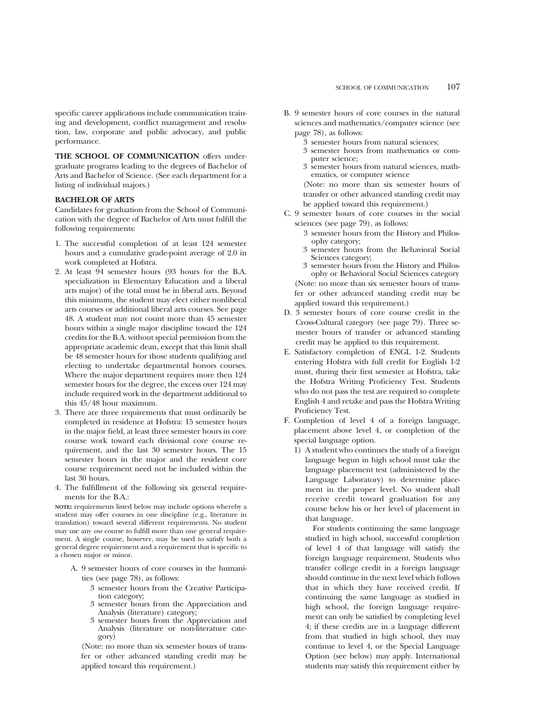specific career applications include communication training and development, conflict management and resolution, law, corporate and public advocacy, and public performance.

**THE SCHOOL OF COMMUNICATION** offers undergraduate programs leading to the degrees of Bachelor of Arts and Bachelor of Science. (See each department for a listing of individual majors.)

#### **BACHELOR OF ARTS**

Candidates for graduation from the School of Communication with the degree of Bachelor of Arts must fulfill the following requirements:

- 1. The successful completion of at least 124 semester hours and a cumulative grade-point average of 2.0 in work completed at Hofstra.
- 2. At least 94 semester hours (93 hours for the B.A. specialization in Elementary Education and a liberal arts major) of the total must be in liberal arts. Beyond this minimum, the student may elect either nonliberal arts courses or additional liberal arts courses. See page 48. A student may not count more than 45 semester hours within a single major discipline toward the 124 credits for the B.A. without special permission from the appropriate academic dean, except that this limit shall be 48 semester hours for those students qualifying and electing to undertake departmental honors courses. Where the major department requires more then 124 semester hours for the degree, the excess over 124 may include required work in the department additional to this 45/48 hour maximum.
- 3. There are three requirements that must ordinarily be completed in residence at Hofstra: 15 semester hours in the major field, at least three semester hours in core course work toward each divisional core course requirement, and the last 30 semester hours. The 15 semester hours in the major and the resident core course requirement need not be included within the last 30 hours.
- 4. The fulfillment of the following six general requirements for the B.A.:

**NOTE:** requirements listed below may include options whereby a student may offer courses in one discipline (e.g., literature in translation) toward several different requirements. No student may use any *one* course to fulfill more than one general requirement. A single course, however, may be used to satisfy both a general degree requirement and a requirement that is specific to a chosen major or minor.

- A. 9 semester hours of core courses in the humanities (see page 78), as follows:
	- 3 semester hours from the Creative Participation category;
	- 3 semester hours from the Appreciation and Analysis (literature) category;
	- 3 semester hours from the Appreciation and Analysis (literature or non-literature category)

(Note: no more than six semester hours of transfer or other advanced standing credit may be applied toward this requirement.)

- B. 9 semester hours of core courses in the natural sciences and mathematics/computer science (see page 78), as follows:
	- 3 semester hours from natural sciences;
	- 3 semester hours from mathematics or computer science;
	- 3 semester hours from natural sciences, mathematics, or computer science

(Note: no more than six semester hours of transfer or other advanced standing credit may be applied toward this requirement.)

- C. 9 semester hours of core courses in the social sciences (see page 79), as follows:
	- 3 semester hours from the History and Philosophy category;
	- 3 semester hours from the Behavioral Social Sciences category;
	- 3 semester hours from the History and Philosophy or Behavioral Social Sciences category (Note: no more than six semester hours of transfer or other advanced standing credit may be applied toward this requirement.)
- D. 3 semester hours of core course credit in the Cross-Cultural category (see page 79). Three semester hours of transfer or advanced standing credit may be applied to this requirement.
- E. Satisfactory completion of ENGL 1-2. Students entering Hofstra with full credit for English 1-2 must, during their first semester at Hofstra, take the Hofstra Writing Proficiency Test. Students who do not pass the test are required to complete English 4 and retake and pass the Hofstra Writing Proficiency Test.
- F. Completion of level 4 of a foreign language, placement above level 4, or completion of the special language option.
	- 1) A student who continues the study of a foreign language begun in high school must take the language placement test (administered by the Language Laboratory) to determine placement in the proper level. No student shall receive credit toward graduation for any course below his or her level of placement in that language.

For students continuing the same language studied in high school, successful completion of level 4 of that language will satisfy the foreign language requirement. Students who transfer college credit in a foreign language should continue in the next level which follows that in which they have received credit. If continuing the same language as studied in high school, the foreign language requirement can only be satisfied by completing level 4; if these credits are in a language different from that studied in high school, they may continue to level 4, or the Special Language Option (see below) may apply. International students may satisfy this requirement either by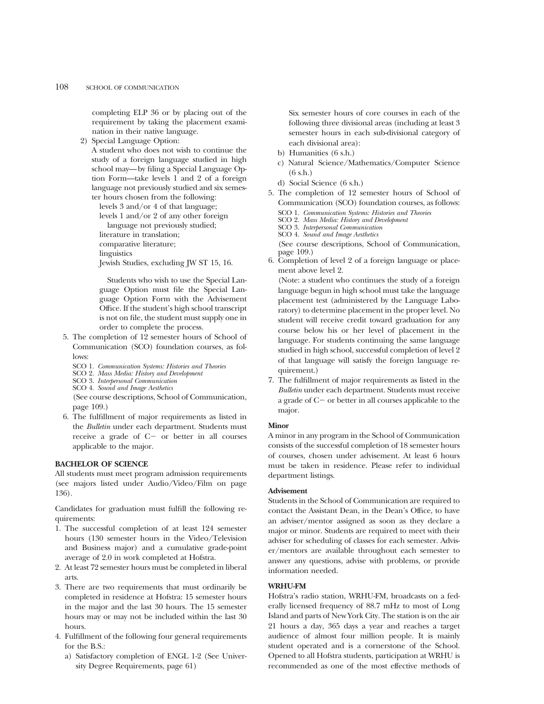completing ELP 36 or by placing out of the requirement by taking the placement examination in their native language.

2) Special Language Option:

A student who does not wish to continue the study of a foreign language studied in high school may—by filing a Special Language Option Form—take levels 1 and 2 of a foreign language not previously studied and six semester hours chosen from the following:

levels 3 and/or 4 of that language; levels 1 and/or 2 of any other foreign language not previously studied; literature in translation; comparative literature; linguistics Jewish Studies, excluding JW ST 15, 16.

Students who wish to use the Special Lan-

guage Option must file the Special Language Option Form with the Advisement Office. If the student's high school transcript is not on file, the student must supply one in order to complete the process.

- 5. The completion of 12 semester hours of School of Communication (SCO) foundation courses, as follows:
	- SCO 1. *Communication Systems: Histories and Theories*
	- SCO 2. *Mass Media: History and Development*
	- SCO 3. *Interpersonal Communication*
	- SCO 4. *Sound and Image Aesthetics*

(See course descriptions, School of Communication, page 109.)

6. The fulfillment of major requirements as listed in the *Bulletin* under each department. Students must receive a grade of  $C-$  or better in all courses applicable to the major.

#### **BACHELOR OF SCIENCE**

All students must meet program admission requirements (see majors listed under Audio/Video/Film on page 136).

Candidates for graduation must fulfill the following requirements:

- 1. The successful completion of at least 124 semester hours (130 semester hours in the Video/Television and Business major) and a cumulative grade-point average of 2.0 in work completed at Hofstra.
- 2. At least 72 semester hours must be completed in liberal arts.
- 3. There are two requirements that must ordinarily be completed in residence at Hofstra: 15 semester hours in the major and the last 30 hours. The 15 semester hours may or may not be included within the last 30 hours.
- 4. Fulfillment of the following four general requirements for the B.S.:
	- a) Satisfactory completion of ENGL 1-2 (See University Degree Requirements, page 61)

Six semester hours of core courses in each of the following three divisional areas (including at least 3 semester hours in each sub-divisional category of each divisional area):

- b) Humanities (6 s.h.)
- c) Natural Science/Mathematics/Computer Science (6 s.h.)
- d) Social Science (6 s.h.)
- 5. The completion of 12 semester hours of School of Communication (SCO) foundation courses, as follows:
	- SCO 1. *Communication Systems: Histories and Theories*
	- SCO 2. *Mass Media: History and Development*
	- SCO 3. *Interpersonal Communication*
	- SCO 4. *Sound and Image Aesthetics*

(See course descriptions, School of Communication, page 109.)

6. Completion of level 2 of a foreign language or placement above level 2.

(Note: a student who continues the study of a foreign language begun in high school must take the language placement test (administered by the Language Laboratory) to determine placement in the proper level. No student will receive credit toward graduation for any course below his or her level of placement in the language. For students continuing the same language studied in high school, successful completion of level 2 of that language will satisfy the foreign language requirement.)

7. The fulfillment of major requirements as listed in the *Bulletin* under each department. Students must receive a grade of  $C-$  or better in all courses applicable to the major.

#### **Minor**

A minor in any program in the School of Communication consists of the successful completion of 18 semester hours of courses, chosen under advisement. At least 6 hours must be taken in residence. Please refer to individual department listings.

#### **Advisement**

Students in the School of Communication are required to contact the Assistant Dean, in the Dean's Office, to have an adviser/mentor assigned as soon as they declare a major or minor. Students are required to meet with their adviser for scheduling of classes for each semester. Adviser/mentors are available throughout each semester to answer any questions, advise with problems, or provide information needed.

#### **WRHU-FM**

Hofstra's radio station, WRHU-FM, broadcasts on a federally licensed frequency of 88.7 mHz to most of Long Island and parts of New York City. The station is on the air 21 hours a day, 365 days a year and reaches a target audience of almost four million people. It is mainly student operated and is a cornerstone of the School. Opened to all Hofstra students, participation at WRHU is recommended as one of the most effective methods of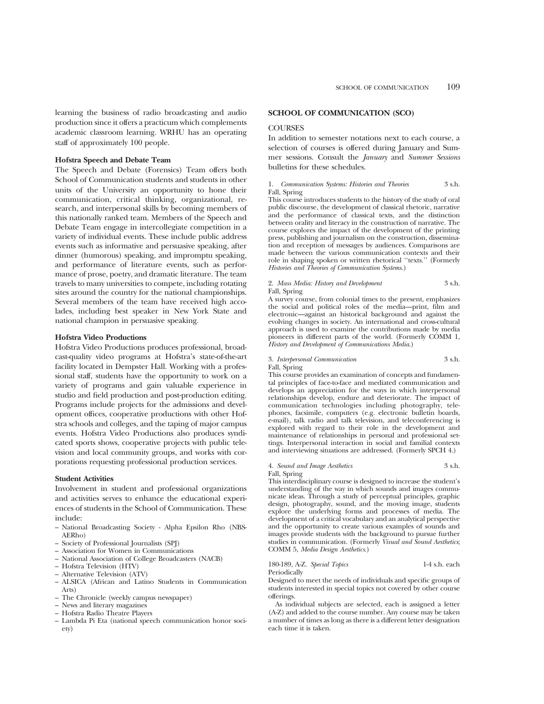learning the business of radio broadcasting and audio production since it offers a practicum which complements academic classroom learning. WRHU has an operating staff of approximately 100 people.

#### **Hofstra Speech and Debate Team**

The Speech and Debate (Forensics) Team offers both School of Communication students and students in other units of the University an opportunity to hone their communication, critical thinking, organizational, research, and interpersonal skills by becoming members of this nationally ranked team. Members of the Speech and Debate Team engage in intercollegiate competition in a variety of individual events. These include public address events such as informative and persuasive speaking, after dinner (humorous) speaking, and impromptu speaking, and performance of literature events, such as performance of prose, poetry, and dramatic literature. The team travels to many universities to compete, including rotating sites around the country for the national championships. Several members of the team have received high accolades, including best speaker in New York State and national champion in persuasive speaking.

#### **Hofstra Video Productions**

Hofstra Video Productions produces professional, broadcast-quality video programs at Hofstra's state-of-the-art facility located in Dempster Hall. Working with a professional staff, students have the opportunity to work on a variety of programs and gain valuable experience in studio and field production and post-production editing. Programs include projects for the admissions and development offices, cooperative productions with other Hofstra schools and colleges, and the taping of major campus events. Hofstra Video Productions also produces syndicated sports shows, cooperative projects with public television and local community groups, and works with corporations requesting professional production services.

#### **Student Activities**

Involvement in student and professional organizations and activities serves to enhance the educational experiences of students in the School of Communication. These include:

- National Broadcasting Society Alpha Epsilon Rho (NBS-AERho)
- Society of Professional Journalists (SPJ)
- Association for Women in Communications
- National Association of College Broadcasters (NACB)
- Hofstra Television (HTV)
- Alternative Television (ATV)
- ALSICA (African and Latino Students in Communication Arts)
- The Chronicle (weekly campus newspaper)
- News and literary magazines
- Hofstra Radio Theatre Players
- Lambda Pi Eta (national speech communication honor society)

#### **SCHOOL OF COMMUNICATION (SCO)**

#### **COURSES**

In addition to semester notations next to each course, a selection of courses is offered during January and Summer sessions. Consult the *January* and *Summer Sessions* bulletins for these schedules.

#### 1. *Communication Systems: Histories and Theories* 3 s.h. Fall, Spring

This course introduces students to the history of the study of oral public discourse, the development of classical rhetoric, narrative and the performance of classical texts, and the distinction between orality and literacy in the construction of narrative. The course explores the impact of the development of the printing press, publishing and journalism on the construction, dissemination and reception of messages by audiences. Comparisons are made between the various communication contexts and their role in shaping spoken or written rhetorical ''texts.'' (Formerly *Histories and Theories of Communication Systems*.)

#### 2. *Mass Media: History and Development* 3 s.h. Fall, Spring

A survey course, from colonial times to the present, emphasizes the social and political roles of the media—print, film and electronic—against an historical background and against the evolving changes in society. An international and cross-cultural approach is used to examine the contributions made by media pioneers in different parts of the world. (Formerly COMM 1, *History and Development of Communications Media*.)

3. *Interpersonal Communication* 3 s.h. Fall, Spring

This course provides an examination of concepts and fundamental principles of face-to-face and mediated communication and develops an appreciation for the ways in which interpersonal relationships develop, endure and deteriorate. The impact of communication technologies including photography, telephones, facsimile, computers (e.g. electronic bulletin boards, e-mail), talk radio and talk television, and teleconferencing is explored with regard to their role in the development and maintenance of relationships in personal and professional settings. Interpersonal interaction in social and familial contexts and interviewing situations are addressed. (Formerly SPCH 4.)

4. *Sound and Image Aesthetics* 3 s.h. Fall, Spring

This interdisciplinary course is designed to increase the student's understanding of the way in which sounds and images communicate ideas. Through a study of perceptual principles, graphic design, photography, sound, and the moving image, students explore the underlying forms and processes of media. The development of a critical vocabulary and an analytical perspective and the opportunity to create various examples of sounds and images provide students with the background to pursue further studies in communication. (Formerly *Visual and Sound Aesthetics*; COMM 5, *Media Design Aesthetics*.)

180-189, A-Z. *Special Topics* 1-4 s.h. each Periodically

Designed to meet the needs of individuals and specific groups of students interested in special topics not covered by other course offerings.

As individual subjects are selected, each is assigned a letter (A-Z) and added to the course number. Any course may be taken a number of times as long as there is a different letter designation each time it is taken.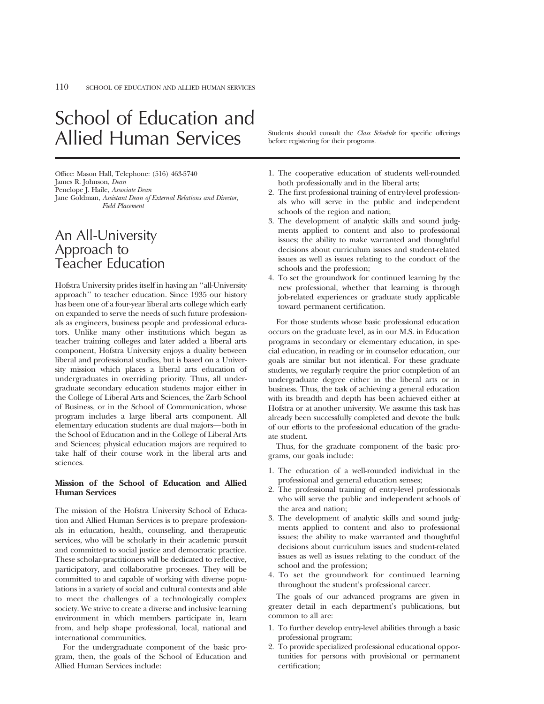## School of Education and Allied Human Services Students should consult the *Class Schedule* for specific offerings

Office: Mason Hall, Telephone: (516) 463-5740 James R. Johnson, *Dean* Penelope J. Haile, *Associate Dean* Jane Goldman, *Assistant Dean of External Relations and Director, Field Placement*

## An All-University Approach to Teacher Education

Hofstra University prides itself in having an ''all-University approach'' to teacher education. Since 1935 our history has been one of a four-year liberal arts college which early on expanded to serve the needs of such future professionals as engineers, business people and professional educators. Unlike many other institutions which began as teacher training colleges and later added a liberal arts component, Hofstra University enjoys a duality between liberal and professional studies, but is based on a University mission which places a liberal arts education of undergraduates in overriding priority. Thus, all undergraduate secondary education students major either in the College of Liberal Arts and Sciences, the Zarb School of Business, or in the School of Communication, whose program includes a large liberal arts component. All elementary education students are dual majors—both in the School of Education and in the College of Liberal Arts and Sciences; physical education majors are required to take half of their course work in the liberal arts and sciences.

#### **Mission of the School of Education and Allied Human Services**

The mission of the Hofstra University School of Education and Allied Human Services is to prepare professionals in education, health, counseling, and therapeutic services, who will be scholarly in their academic pursuit and committed to social justice and democratic practice. These scholar-practitioners will be dedicated to reflective, participatory, and collaborative processes. They will be committed to and capable of working with diverse populations in a variety of social and cultural contexts and able to meet the challenges of a technologically complex society. We strive to create a diverse and inclusive learning environment in which members participate in, learn from, and help shape professional, local, national and international communities.

For the undergraduate component of the basic program, then, the goals of the School of Education and Allied Human Services include:

before registering for their programs.

- 1. The cooperative education of students well-rounded both professionally and in the liberal arts;
- 2. The first professional training of entry-level professionals who will serve in the public and independent schools of the region and nation;
- 3. The development of analytic skills and sound judgments applied to content and also to professional issues; the ability to make warranted and thoughtful decisions about curriculum issues and student-related issues as well as issues relating to the conduct of the schools and the profession;
- 4. To set the groundwork for continued learning by the new professional, whether that learning is through job-related experiences or graduate study applicable toward permanent certification.

For those students whose basic professional education occurs on the graduate level, as in our M.S. in Education programs in secondary or elementary education, in special education, in reading or in counselor education, our goals are similar but not identical. For these graduate students, we regularly require the prior completion of an undergraduate degree either in the liberal arts or in business. Thus, the task of achieving a general education with its breadth and depth has been achieved either at Hofstra or at another university. We assume this task has already been successfully completed and devote the bulk of our efforts to the professional education of the graduate student.

Thus, for the graduate component of the basic programs, our goals include:

- 1. The education of a well-rounded individual in the professional and general education senses;
- 2. The professional training of entry-level professionals who will serve the public and independent schools of the area and nation;
- 3. The development of analytic skills and sound judgments applied to content and also to professional issues; the ability to make warranted and thoughtful decisions about curriculum issues and student-related issues as well as issues relating to the conduct of the school and the profession;
- 4. To set the groundwork for continued learning throughout the student's professional career.

The goals of our advanced programs are given in greater detail in each department's publications, but common to all are:

- 1. To further develop entry-level abilities through a basic professional program;
- 2. To provide specialized professional educational opportunities for persons with provisional or permanent certification;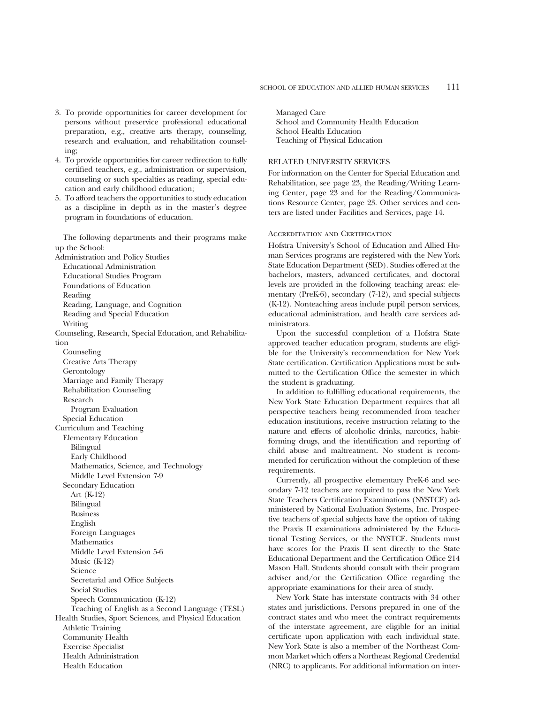- 3. To provide opportunities for career development for persons without preservice professional educational preparation, e.g., creative arts therapy, counseling, research and evaluation, and rehabilitation counseling;
- 4. To provide opportunities for career redirection to fully certified teachers, e.g., administration or supervision, counseling or such specialties as reading, special education and early childhood education;
- 5. To afford teachers the opportunities to study education as a discipline in depth as in the master's degree program in foundations of education.

The following departments and their programs make up the School:

Administration and Policy Studies Educational Administration Educational Studies Program Foundations of Education Reading Reading, Language, and Cognition Reading and Special Education Writing Counseling, Research, Special Education, and Rehabilitation Counseling Creative Arts Therapy Gerontology Marriage and Family Therapy Rehabilitation Counseling Research Program Evaluation Special Education Curriculum and Teaching Elementary Education Bilingual Early Childhood Mathematics, Science, and Technology Middle Level Extension 7-9 Secondary Education Art (K-12) Bilingual Business English Foreign Languages **Mathematics** Middle Level Extension 5-6 Music (K-12) Science Secretarial and Office Subjects Social Studies Speech Communication (K-12) Teaching of English as a Second Language (TESL) Health Studies, Sport Sciences, and Physical Education Athletic Training Community Health Exercise Specialist Health Administration Health Education

Managed Care School and Community Health Education School Health Education Teaching of Physical Education

#### RELATED UNIVERSITY SERVICES

For information on the Center for Special Education and Rehabilitation, see page 23, the Reading/Writing Learning Center, page 23 and for the Reading/Communications Resource Center, page 23. Other services and centers are listed under Facilities and Services, page 14.

#### Accreditation and Certification

Hofstra University's School of Education and Allied Human Services programs are registered with the New York State Education Department (SED). Studies offered at the bachelors, masters, advanced certificates, and doctoral levels are provided in the following teaching areas: elementary (PreK-6), secondary (7-12), and special subjects (K-12). Nonteaching areas include pupil person services, educational administration, and health care services administrators.

Upon the successful completion of a Hofstra State approved teacher education program, students are eligible for the University's recommendation for New York State certification. Certification Applications must be submitted to the Certification Office the semester in which the student is graduating.

In addition to fulfilling educational requirements, the New York State Education Department requires that all perspective teachers being recommended from teacher education institutions, receive instruction relating to the nature and effects of alcoholic drinks, narcotics, habitforming drugs, and the identification and reporting of child abuse and maltreatment. No student is recommended for certification without the completion of these requirements.

Currently, all prospective elementary PreK-6 and secondary 7-12 teachers are required to pass the New York State Teachers Certification Examinations (NYSTCE) administered by National Evaluation Systems, Inc. Prospective teachers of special subjects have the option of taking the Praxis II examinations administered by the Educational Testing Services, or the NYSTCE. Students must have scores for the Praxis II sent directly to the State Educational Department and the Certification Office 214 Mason Hall. Students should consult with their program adviser and/or the Certification Office regarding the appropriate examinations for their area of study.

New York State has interstate contracts with 34 other states and jurisdictions. Persons prepared in one of the contract states and who meet the contract requirements of the interstate agreement, are eligible for an initial certificate upon application with each individual state. New York State is also a member of the Northeast Common Market which offers a Northeast Regional Credential (NRC) to applicants. For additional information on inter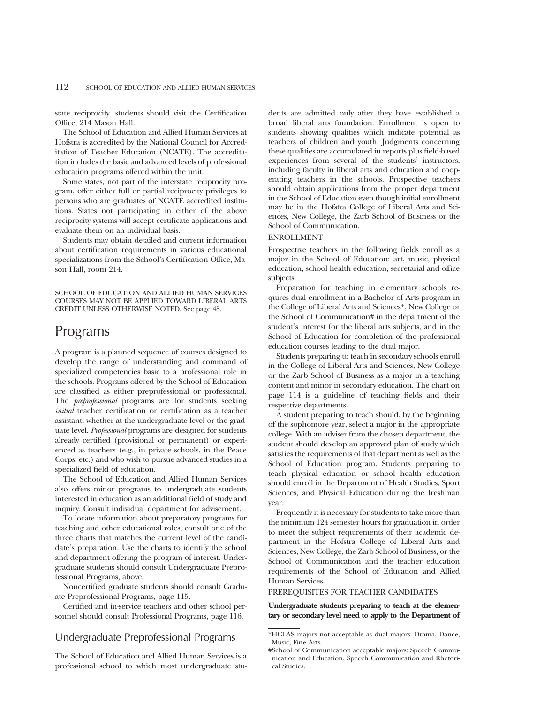state reciprocity, students should visit the Certification Office, 214 Mason Hall.

The School of Education and Allied Human Services at Hofstra is accredited by the National Council for Accreditation of Teacher Education (NCATE). The accreditation includes the basic and advanced levels of professional education programs offered within the unit.

Some states, not part of the interstate reciprocity program, offer either full or partial reciprocity privileges to persons who are graduates of NCATE accredited institutions. States not participating in either of the above reciprocity systems will accept certificate applications and evaluate them on an individual basis.

Students may obtain detailed and current information about certification requirements in various educational specializations from the School's Certification Office, Mason Hall, room 214.

SCHOOL OF EDUCATION AND ALLIED HUMAN SERVICES COURSES MAY NOT BE APPLIED TOWARD LIBERAL ARTS CREDIT UNLESS OTHERWISE NOTED. See page 48.

### Programs

A program is a planned sequence of courses designed to develop the range of understanding and command of specialized competencies basic to a professional role in the schools. Programs offered by the School of Education are classified as either preprofessional or professional. The *preprofessional* programs are for students seeking *initial* teacher certification or certification as a teacher assistant, whether at the undergraduate level or the graduate level. *Professional* programs are designed for students already certified (provisional or permanent) or experienced as teachers (e.g., in private schools, in the Peace Corps, etc.) and who wish to pursue advanced studies in a specialized field of education.

The School of Education and Allied Human Services also offers minor programs to undergraduate students interested in education as an additional field of study and inquiry. Consult individual department for advisement.

To locate information about preparatory programs for teaching and other educational roles, consult one of the three charts that matches the current level of the candidate's preparation. Use the charts to identify the school and department offering the program of interest. Undergraduate students should consult Undergraduate Preprofessional Programs, above.

Noncertified graduate students should consult Graduate Preprofessional Programs, page 115.

Certified and in-service teachers and other school personnel should consult Professional Programs, page 116.

#### Undergraduate Preprofessional Programs

The School of Education and Allied Human Services is a professional school to which most undergraduate students are admitted only after they have established a broad liberal arts foundation. Enrollment is open to students showing qualities which indicate potential as teachers of children and youth. Judgments concerning these qualities are accumulated in reports plus field-based experiences from several of the students' instructors, including faculty in liberal arts and education and cooperating teachers in the schools. Prospective teachers should obtain applications from the proper department in the School of Education even though initial enrollment may be in the Hofstra College of Liberal Arts and Sciences, New College, the Zarb School of Business or the School of Communication.

#### ENROLLMENT

Prospective teachers in the following fields enroll as a major in the School of Education: art, music, physical education, school health education, secretarial and office subjects.

Preparation for teaching in elementary schools requires dual enrollment in a Bachelor of Arts program in the College of Liberal Arts and Sciences\*, New College or the School of Communication# in the department of the student's interest for the liberal arts subjects, and in the School of Education for completion of the professional education courses leading to the dual major.

Students preparing to teach in secondary schools enroll in the College of Liberal Arts and Sciences, New College or the Zarb School of Business as a major in a teaching content and minor in secondary education. The chart on page 114 is a guideline of teaching fields and their respective departments.

A student preparing to teach should, by the beginning of the sophomore year, select a major in the appropriate college. With an adviser from the chosen department, the student should develop an approved plan of study which satisfies the requirements of that department as well as the School of Education program. Students preparing to teach physical education or school health education should enroll in the Department of Health Studies, Sport Sciences, and Physical Education during the freshman year.

Frequently it is necessary for students to take more than the minimum 124 semester hours for graduation in order to meet the subject requirements of their academic department in the Hofstra College of Liberal Arts and Sciences, New College, the Zarb School of Business, or the School of Communication and the teacher education requirements of the School of Education and Allied Human Services.

#### PREREQUISITES FOR TEACHER CANDIDATES

**Undergraduate students preparing to teach at the elementary or secondary level need to apply to the Department of**

<sup>\*</sup>HCLAS majors not acceptable as dual majors: Drama, Dance, Music, Fine Arts.

<sup>#</sup>School of Communication acceptable majors: Speech Communication and Education, Speech Communication and Rhetorical Studies.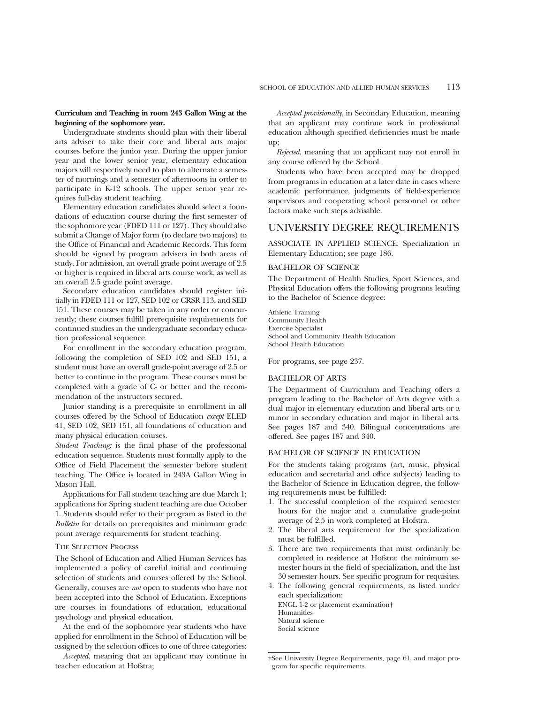#### **Curriculum and Teaching in room 243 Gallon Wing at the beginning of the sophomore year.**

Undergraduate students should plan with their liberal arts adviser to take their core and liberal arts major courses before the junior year. During the upper junior year and the lower senior year, elementary education majors will respectively need to plan to alternate a semester of mornings and a semester of afternoons in order to participate in K-12 schools. The upper senior year requires full-day student teaching.

Elementary education candidates should select a foundations of education course during the first semester of the sophomore year (FDED 111 or 127). They should also submit a Change of Major form (to declare two majors) to the Office of Financial and Academic Records. This form should be signed by program advisers in both areas of study. For admission, an overall grade point average of 2.5 or higher is required in liberal arts course work, as well as an overall 2.5 grade point average.

Secondary education candidates should register initially in FDED 111 or 127, SED 102 or CRSR 113, and SED 151. These courses may be taken in any order or concurrently; these courses fulfill prerequisite requirements for continued studies in the undergraduate secondary education professional sequence.

For enrollment in the secondary education program, following the completion of SED 102 and SED 151, a student must have an overall grade-point average of 2.5 or better to continue in the program. These courses must be completed with a grade of C- or better and the recommendation of the instructors secured.

Junior standing is a prerequisite to enrollment in all courses offered by the School of Education *except* ELED 41, SED 102, SED 151, all foundations of education and many physical education courses.

*Student Teaching:* is the final phase of the professional education sequence. Students must formally apply to the Office of Field Placement the semester before student teaching. The Office is located in 243A Gallon Wing in Mason Hall.

Applications for Fall student teaching are due March 1; applications for Spring student teaching are due October 1. Students should refer to their program as listed in the *Bulletin* for details on prerequisites and minimum grade point average requirements for student teaching.

#### The Selection Process

The School of Education and Allied Human Services has implemented a policy of careful initial and continuing selection of students and courses offered by the School. Generally, courses are *not* open to students who have not been accepted into the School of Education. Exceptions are courses in foundations of education, educational psychology and physical education.

At the end of the sophomore year students who have applied for enrollment in the School of Education will be assigned by the selection offices to one of three categories:

*Accepted*, meaning that an applicant may continue in teacher education at Hofstra;

*Accepted provisionally*, in Secondary Education, meaning that an applicant may continue work in professional education although specified deficiencies must be made up;

*Rejected*, meaning that an applicant may not enroll in any course offered by the School.

Students who have been accepted may be dropped from programs in education at a later date in cases where academic performance, judgments of field-experience supervisors and cooperating school personnel or other factors make such steps advisable.

#### UNIVERSITY DEGREE REQUIREMENTS

ASSOCIATE IN APPLIED SCIENCE: Specialization in Elementary Education; see page 186.

#### BACHELOR OF SCIENCE

The Department of Health Studies, Sport Sciences, and Physical Education offers the following programs leading to the Bachelor of Science degree:

Athletic Training Community Health Exercise Specialist School and Community Health Education School Health Education

For programs, see page 237.

#### BACHELOR OF ARTS

The Department of Curriculum and Teaching offers a program leading to the Bachelor of Arts degree with a dual major in elementary education and liberal arts or a minor in secondary education and major in liberal arts. See pages 187 and 340. Bilingual concentrations are offered. See pages 187 and 340.

#### BACHELOR OF SCIENCE IN EDUCATION

For the students taking programs (art, music, physical education and secretarial and office subjects) leading to the Bachelor of Science in Education degree, the following requirements must be fulfilled:

- 1. The successful completion of the required semester hours for the major and a cumulative grade-point average of 2.5 in work completed at Hofstra.
- 2. The liberal arts requirement for the specialization must be fulfilled.
- 3. There are two requirements that must ordinarily be completed in residence at Hofstra: the minimum semester hours in the field of specialization, and the last 30 semester hours. See specific program for requisites.
- 4. The following general requirements, as listed under each specialization: ENGL 1-2 or placement examination† Humanities

Natural science

Social science

<sup>†</sup>See University Degree Requirements, page 61, and major program for specific requirements.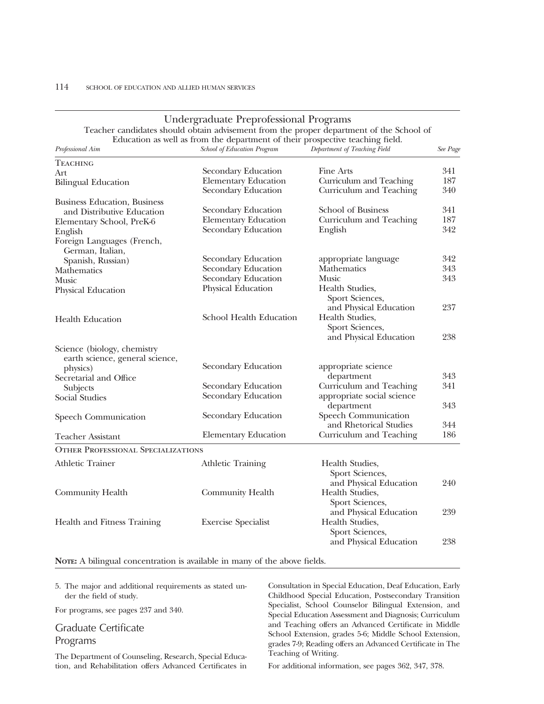| Undergraduate Preprofessional Programs                                                                                                                                   |                             |                                   |          |  |
|--------------------------------------------------------------------------------------------------------------------------------------------------------------------------|-----------------------------|-----------------------------------|----------|--|
| Teacher candidates should obtain advisement from the proper department of the School of<br>Education as well as from the department of their prospective teaching field. |                             |                                   |          |  |
| Professional Aim                                                                                                                                                         | School of Education Program | Department of Teaching Field      | See Page |  |
| <b>TEACHING</b>                                                                                                                                                          |                             |                                   |          |  |
| Art                                                                                                                                                                      | Secondary Education         | Fine Arts                         | 341      |  |
| <b>Bilingual Education</b>                                                                                                                                               | <b>Elementary Education</b> | Curriculum and Teaching           | 187      |  |
|                                                                                                                                                                          | Secondary Education         | Curriculum and Teaching           | 340      |  |
| <b>Business Education</b> , Business                                                                                                                                     |                             |                                   |          |  |
| and Distributive Education                                                                                                                                               | Secondary Education         | <b>School of Business</b>         | 341      |  |
| Elementary School, PreK-6                                                                                                                                                | <b>Elementary Education</b> | Curriculum and Teaching           | 187      |  |
| English                                                                                                                                                                  | Secondary Education         | English                           | 342      |  |
| Foreign Languages (French,                                                                                                                                               |                             |                                   |          |  |
| German, Italian,                                                                                                                                                         |                             |                                   |          |  |
| Spanish, Russian)                                                                                                                                                        | Secondary Education         | appropriate language              | 342      |  |
| Mathematics                                                                                                                                                              | Secondary Education         | Mathematics                       | 343      |  |
| <b>Music</b>                                                                                                                                                             | Secondary Education         | <b>Music</b>                      | 343      |  |
| Physical Education                                                                                                                                                       | Physical Education          | Health Studies,                   |          |  |
|                                                                                                                                                                          |                             | Sport Sciences,                   |          |  |
|                                                                                                                                                                          |                             | and Physical Education            | 237      |  |
| <b>Health Education</b>                                                                                                                                                  | School Health Education     | Health Studies,                   |          |  |
|                                                                                                                                                                          |                             | Sport Sciences,                   |          |  |
|                                                                                                                                                                          |                             | and Physical Education            | 238      |  |
| Science (biology, chemistry                                                                                                                                              |                             |                                   |          |  |
| earth science, general science,                                                                                                                                          |                             |                                   |          |  |
| physics)                                                                                                                                                                 | Secondary Education         | appropriate science<br>department | 343      |  |
| Secretarial and Office                                                                                                                                                   | Secondary Education         | Curriculum and Teaching           | 341      |  |
| Subjects                                                                                                                                                                 | Secondary Education         | appropriate social science        |          |  |
| Social Studies                                                                                                                                                           |                             | department                        | 343      |  |
|                                                                                                                                                                          | Secondary Education         | Speech Communication              |          |  |
| Speech Communication                                                                                                                                                     |                             | and Rhetorical Studies            | 344      |  |
| Teacher Assistant                                                                                                                                                        | <b>Elementary Education</b> | Curriculum and Teaching           | 186      |  |
| <b>OTHER PROFESSIONAL SPECIALIZATIONS</b>                                                                                                                                |                             |                                   |          |  |
|                                                                                                                                                                          |                             |                                   |          |  |
| <b>Athletic Trainer</b>                                                                                                                                                  | <b>Athletic Training</b>    | Health Studies,                   |          |  |
|                                                                                                                                                                          |                             | Sport Sciences,                   |          |  |
|                                                                                                                                                                          |                             | and Physical Education            | 240      |  |
| Community Health                                                                                                                                                         | Community Health            | Health Studies,                   |          |  |
|                                                                                                                                                                          |                             | Sport Sciences,                   |          |  |
|                                                                                                                                                                          |                             | and Physical Education            | 239      |  |
| Health and Fitness Training                                                                                                                                              | <b>Exercise Specialist</b>  | Health Studies,                   |          |  |
|                                                                                                                                                                          |                             | Sport Sciences,                   |          |  |
|                                                                                                                                                                          |                             | and Physical Education            | 238      |  |

#### **NOTE:** A bilingual concentration is available in many of the above fields.

5. The major and additional requirements as stated under the field of study.

For programs, see pages 237 and 340.

### Graduate Certificate Programs

The Department of Counseling, Research, Special Education, and Rehabilitation offers Advanced Certificates in

Consultation in Special Education, Deaf Education, Early Childhood Special Education, Postsecondary Transition Specialist, School Counselor Bilingual Extension, and Special Education Assessment and Diagnosis; Curriculum and Teaching offers an Advanced Certificate in Middle School Extension, grades 5-6; Middle School Extension, grades 7-9; Reading offers an Advanced Certificate in The Teaching of Writing.

For additional information, see pages 362, 347, 378.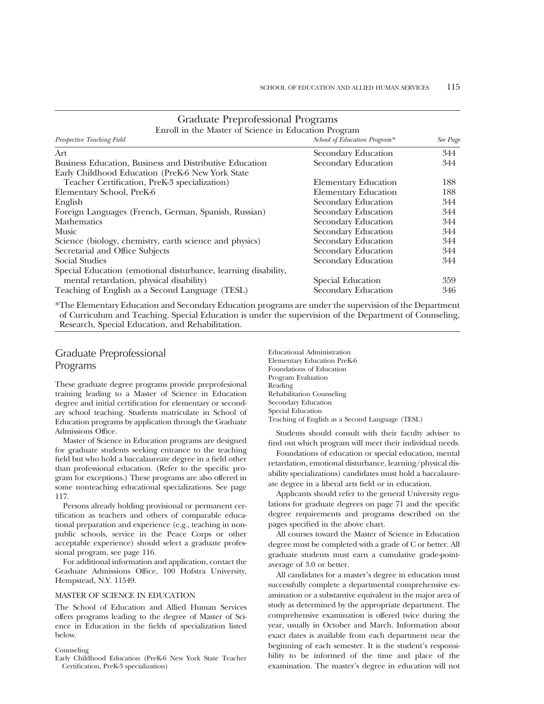| Graduate i reprofessional i rograms                            |                              |          |  |
|----------------------------------------------------------------|------------------------------|----------|--|
| Enroll in the Master of Science in Education Program           |                              |          |  |
| Prospective Teaching Field                                     | School of Education Program* | See Page |  |
| Art                                                            | Secondary Education          | 344      |  |
| Business Education, Business and Distributive Education        | Secondary Education          | 344      |  |
| Early Childhood Education (PreK-6 New York State               |                              |          |  |
| Teacher Certification, PreK-3 specialization)                  | <b>Elementary Education</b>  | 188      |  |
| Elementary School, PreK-6                                      | <b>Elementary Education</b>  | 188      |  |
| English                                                        | Secondary Education          | 344      |  |
| Foreign Languages (French, German, Spanish, Russian)           | Secondary Education          | 344      |  |
| <b>Mathematics</b>                                             | Secondary Education          | 344      |  |
| <b>Music</b>                                                   | Secondary Education          | 344      |  |
| Science (biology, chemistry, earth science and physics)        | Secondary Education          | 344      |  |
| Secretarial and Office Subjects                                | Secondary Education          | 344      |  |
| <b>Social Studies</b>                                          | Secondary Education          | 344      |  |
| Special Education (emotional disturbance, learning disability, |                              |          |  |
| mental retardation, physical disability)                       | Special Education            | 359      |  |
| Teaching of English as a Second Language (TESL)                | Secondary Education          | 346      |  |

Graduate Preprofessional Programs

\*The Elementary Education and Secondary Education programs are under the supervision of the Department of Curriculum and Teaching. Special Education is under the supervision of the Department of Counseling, Research, Special Education, and Rehabilitation.

#### Graduate Preprofessional Programs

These graduate degree programs provide preprofesional training leading to a Master of Science in Education degree and initial certification for elementary or secondary school teaching. Students matriculate in School of Education programs by application through the Graduate Admissions Office.

Master of Science in Education programs are designed for graduate students seeking entrance to the teaching field but who hold a baccalaureate degree in a field other than professional education. (Refer to the specific program for exceptions.) These programs are also offered in some nonteaching educational specializations. See page 117.

Persons already holding provisional or permanent certification as teachers and others of comparable educational preparation and experience (e.g., teaching in nonpublic schools, service in the Peace Corps or other acceptable experience) should select a graduate professional program, see page 116.

For additional information and application, contact the Graduate Admissions Office, 100 Hofstra University, Hempstead, N.Y. 11549.

#### MASTER OF SCIENCE IN EDUCATION

The School of Education and Allied Human Services offers programs leading to the degree of Master of Science in Education in the fields of specialization listed below.

#### Counseling

Early Childhood Education (PreK-6 New York State Teacher Certification, PreK-3 specialization)

Educational Administration Elementary Education PreK-6 Foundations of Education Program Evaluation Reading Rehabilitation Counseling Secondary Education Special Education Teaching of English as a Second Language (TESL)

Students should consult with their faculty adviser to find out which program will meet their individual needs.

Foundations of education or special education, mental retardation, emotional disturbance, learning/physical disability specializations) candidates must hold a baccalaureate degree in a liberal arts field or in education.

Applicants should refer to the general University regulations for graduate degrees on page 71 and the specific degree requirements and programs described on the pages specified in the above chart.

All courses toward the Master of Science in Education degree must be completed with a grade of C or better. All graduate students must earn a cumulative grade-pointaverage of 3.0 or better.

All candidates for a master's degree in education must successfully complete a departmental comprehensive examination or a substantive equivalent in the major area of study as determined by the appropriate department. The comprehensive examination is offered twice during the year, usually in October and March. Information about exact dates is available from each department near the beginning of each semester. It is the student's responsibility to be informed of the time and place of the examination. The master's degree in education will not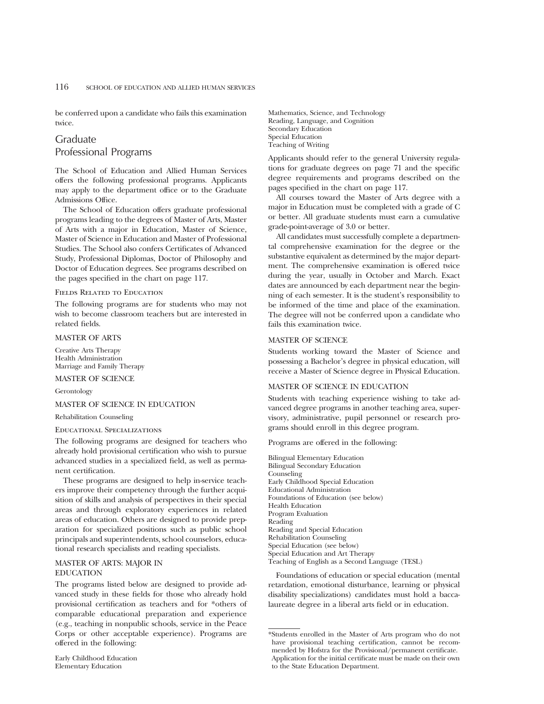be conferred upon a candidate who fails this examination twice.

# Graduate Professional Programs

The School of Education and Allied Human Services offers the following professional programs. Applicants may apply to the department office or to the Graduate Admissions Office.

The School of Education offers graduate professional programs leading to the degrees of Master of Arts, Master of Arts with a major in Education, Master of Science, Master of Science in Education and Master of Professional Studies. The School also confers Certificates of Advanced Study, Professional Diplomas, Doctor of Philosophy and Doctor of Education degrees. See programs described on the pages specified in the chart on page 117.

## Fields Related to Education

The following programs are for students who may not wish to become classroom teachers but are interested in related fields.

# MASTER OF ARTS

Creative Arts Therapy Health Administration Marriage and Family Therapy

MASTER OF SCIENCE

Gerontology

# MASTER OF SCIENCE IN EDUCATION

Rehabilitation Counseling

## Educational Specializations

The following programs are designed for teachers who already hold provisional certification who wish to pursue advanced studies in a specialized field, as well as permanent certification.

These programs are designed to help in-service teachers improve their competency through the further acquisition of skills and analysis of perspectives in their special areas and through exploratory experiences in related areas of education. Others are designed to provide preparation for specialized positions such as public school principals and superintendents, school counselors, educational research specialists and reading specialists.

# MASTER OF ARTS: MAJOR IN EDUCATION

The programs listed below are designed to provide advanced study in these fields for those who already hold provisional certification as teachers and for \*others of comparable educational preparation and experience (e.g., teaching in nonpublic schools, service in the Peace Corps or other acceptable experience). Programs are offered in the following:

Mathematics, Science, and Technology Reading, Language, and Cognition Secondary Education Special Education Teaching of Writing

Applicants should refer to the general University regulations for graduate degrees on page 71 and the specific degree requirements and programs described on the pages specified in the chart on page 117.

All courses toward the Master of Arts degree with a major in Education must be completed with a grade of C or better. All graduate students must earn a cumulative grade-point-average of 3.0 or better.

All candidates must successfully complete a departmental comprehensive examination for the degree or the substantive equivalent as determined by the major department. The comprehensive examination is offered twice during the year, usually in October and March. Exact dates are announced by each department near the beginning of each semester. It is the student's responsibility to be informed of the time and place of the examination. The degree will not be conferred upon a candidate who fails this examination twice.

# MASTER OF SCIENCE

Students working toward the Master of Science and possessing a Bachelor's degree in physical education, will receive a Master of Science degree in Physical Education.

### MASTER OF SCIENCE IN EDUCATION

Students with teaching experience wishing to take advanced degree programs in another teaching area, supervisory, administrative, pupil personnel or research programs should enroll in this degree program.

Programs are offered in the following:

Bilingual Elementary Education Bilingual Secondary Education Counseling Early Childhood Special Education Educational Administration Foundations of Education (see below) Health Education Program Evaluation Reading Reading and Special Education Rehabilitation Counseling Special Education (see below) Special Education and Art Therapy Teaching of English as a Second Language (TESL)

Foundations of education or special education (mental retardation, emotional disturbance, learning or physical disability specializations) candidates must hold a baccalaureate degree in a liberal arts field or in education.

<sup>\*</sup>Students enrolled in the Master of Arts program who do not have provisional teaching certification, cannot be recommended by Hofstra for the Provisional/permanent certificate. Application for the initial certificate must be made on their own to the State Education Department.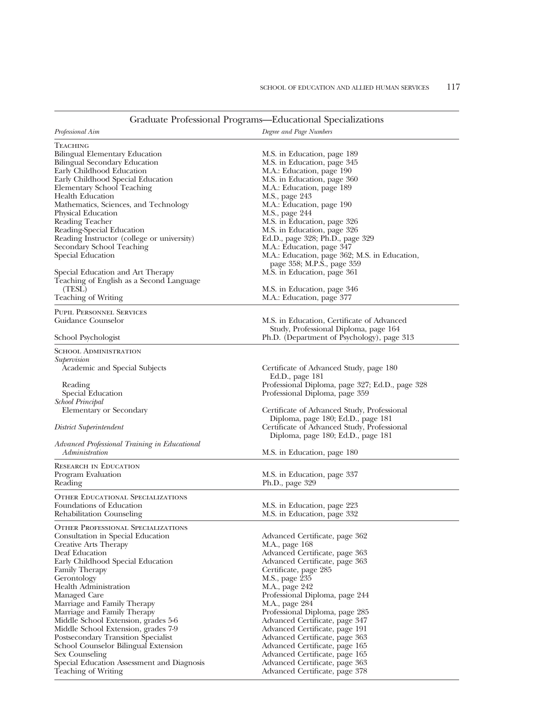| Graduate Professional Programs—Educational Specializations |                                                                             |
|------------------------------------------------------------|-----------------------------------------------------------------------------|
| Professional Aim                                           | Degree and Page Numbers                                                     |
| TEACHING                                                   |                                                                             |
| <b>Bilingual Elementary Education</b>                      | M.S. in Education, page 189                                                 |
| Bilingual Secondary Education                              | M.S. in Education, page 345                                                 |
| Early Childhood Education                                  | M.A.: Education, page 190                                                   |
| Early Childhood Special Education                          | M.S. in Education, page 360                                                 |
| Elementary School Teaching                                 | M.A.: Education, page 189                                                   |
| Health Education                                           | M.S., page 243                                                              |
| Mathematics, Sciences, and Technology                      | M.A.: Education, page 190                                                   |
| Physical Education                                         | M.S., page 244                                                              |
| <b>Reading Teacher</b>                                     | M.S. in Education, page 326                                                 |
| Reading-Special Education                                  | M.S. in Education, page 326                                                 |
| Reading Instructor (college or university)                 | Ed.D., page 328; Ph.D., page 329                                            |
| Secondary School Teaching                                  | M.A.: Education, page 347                                                   |
| Special Education                                          | M.A.: Education, page 362; M.S. in Education,<br>page 358; M.P.S., page 359 |
| Special Education and Art Therapy                          | M.S. in Education, page 361                                                 |
| Teaching of English as a Second Language                   |                                                                             |
| (TESL)                                                     | M.S. in Education, page 346                                                 |
| Teaching of Writing                                        | M.A.: Education, page 377                                                   |
| PUPIL PERSONNEL SERVICES                                   |                                                                             |
| Guidance Counselor                                         | M.S. in Education, Certificate of Advanced                                  |
|                                                            | Study, Professional Diploma, page 164                                       |
| School Psychologist                                        | Ph.D. (Department of Psychology), page 313                                  |
| SCHOOL ADMINISTRATION<br>Supervision                       |                                                                             |
| Academic and Special Subjects                              | Certificate of Advanced Study, page 180                                     |
|                                                            | Ed.D., page 181                                                             |
| Reading                                                    | Professional Diploma, page 327; Ed.D., page 328                             |
| Special Education                                          | Professional Diploma, page 359                                              |
| School Principal                                           |                                                                             |
| Elementary or Secondary                                    | Certificate of Advanced Study, Professional                                 |
|                                                            | Diploma, page 180; Ed.D., page 181                                          |
| District Superintendent                                    | Certificate of Advanced Study, Professional                                 |
|                                                            | Diploma, page 180; Ed.D., page 181                                          |
| Advanced Professional Training in Educational              |                                                                             |
| Administration                                             | M.S. in Education, page 180                                                 |
| <b>RESEARCH IN EDUCATION</b>                               |                                                                             |
| Program Evaluation                                         | M.S. in Education, page 337                                                 |
| Reading                                                    | Ph.D., page 329                                                             |
| OTHER EDUCATIONAL SPECIALIZATIONS                          |                                                                             |
| Foundations of Education                                   | M.S. in Education, page 223                                                 |
| Rehabilitation Counseling                                  | M.S. in Education, page 332                                                 |
| <b>OTHER PROFESSIONAL SPECIALIZATIONS</b>                  |                                                                             |
| Consultation in Special Education                          | Advanced Certificate, page 362                                              |
| Creative Arts Therapy                                      | M.A., page 168                                                              |
| Deaf Education                                             | Advanced Certificate, page 363                                              |
| Early Childhood Special Education                          | Advanced Certificate, page 363                                              |
| Family Therapy                                             | Certificate, page 285                                                       |
| Gerontology                                                | M.S., page 235                                                              |
| <b>Health Administration</b>                               | M.A., page 242                                                              |
| Managed Care                                               | Professional Diploma, page 244                                              |
| Marriage and Family Therapy                                | M.A., page 284                                                              |
| Marriage and Family Therapy                                | Professional Diploma, page 285                                              |
| Middle School Extension, grades 5-6                        | Advanced Certificate, page 347                                              |
| Middle School Extension, grades 7-9                        | Advanced Certificate, page 191                                              |

Advanced Certificate, page 363 Advanced Certificate, page 165 Advanced Certificate, page 165 Advanced Certificate, page 363 Advanced Certificate, page 378

Postsecondary Transition Specialist School Counselor Bilingual Extension

Special Education Assessment and Diagnosis

Sex Counseling

Teaching of Writing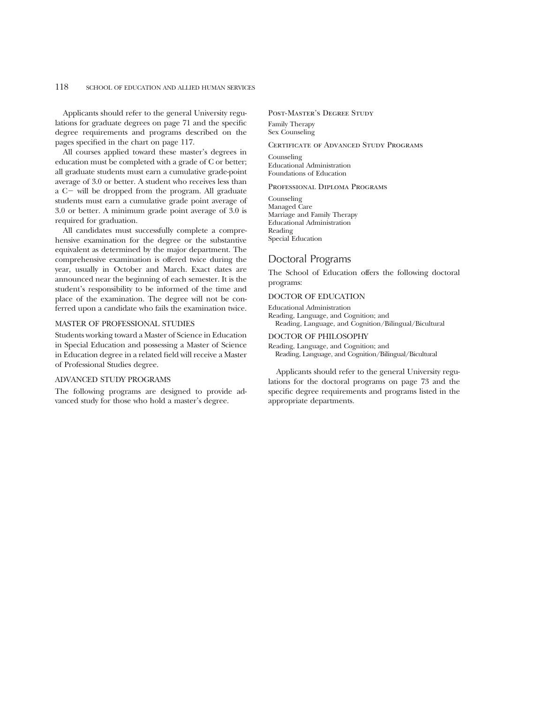Applicants should refer to the general University regulations for graduate degrees on page 71 and the specific degree requirements and programs described on the pages specified in the chart on page 117.

All courses applied toward these master's degrees in education must be completed with a grade of C or better; all graduate students must earn a cumulative grade-point average of 3.0 or better. A student who receives less than  $a$  C $-$  will be dropped from the program. All graduate students must earn a cumulative grade point average of 3.0 or better. A minimum grade point average of 3.0 is required for graduation.

All candidates must successfully complete a comprehensive examination for the degree or the substantive equivalent as determined by the major department. The comprehensive examination is offered twice during the year, usually in October and March. Exact dates are announced near the beginning of each semester. It is the student's responsibility to be informed of the time and place of the examination. The degree will not be conferred upon a candidate who fails the examination twice.

### MASTER OF PROFESSIONAL STUDIES

Students working toward a Master of Science in Education in Special Education and possessing a Master of Science in Education degree in a related field will receive a Master of Professional Studies degree.

#### ADVANCED STUDY PROGRAMS

The following programs are designed to provide advanced study for those who hold a master's degree.

Post-Master's Degree Study

Family Therapy Sex Counseling

# CERTIFICATE OF ADVANCED STUDY PROGRAMS

Counseling Educational Administration Foundations of Education

### Professional Diploma Programs

Counseling Managed Care Marriage and Family Therapy Educational Administration Reading Special Education

# Doctoral Programs

The School of Education offers the following doctoral programs:

### DOCTOR OF EDUCATION

Educational Administration Reading, Language, and Cognition; and Reading, Language, and Cognition/Bilingual/Bicultural

# DOCTOR OF PHILOSOPHY

Reading, Language, and Cognition; and Reading, Language, and Cognition/Bilingual/Bicultural

Applicants should refer to the general University regulations for the doctoral programs on page 73 and the specific degree requirements and programs listed in the appropriate departments.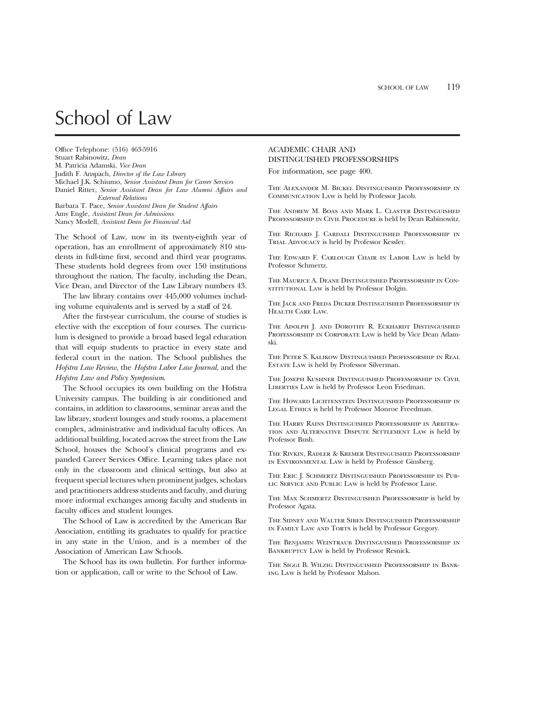# School of Law

Office Telephone: (516) 463-5916 Stuart Rabinowitz, *Dean* M. Patricia Adamski, *Vice Dean* Judith F. Anspach, *Director of the Law Library* Michael J.K. Schiumo, *Senior Assistant Dean for Career Services* Daniel Ritter, *Senior Assistant Dean for Law Alumni Affairs and External Relations* Barbara T. Pace, *Senior Assistant Dean for Student Affairs* Amy Engle, *Assistant Dean for Admissions* Nancy Modell, *Assistant Dean for Financial Aid*

The School of Law, now in its twenty-eighth year of operation, has an enrollment of approximately 810 students in full-time first, second and third year programs. These students hold degrees from over 150 institutions throughout the nation. The faculty, including the Dean, Vice Dean, and Director of the Law Library numbers 43.

The law library contains over 445,000 volumes including volume equivalents and is served by a staff of 24.

After the first-year curriculum, the course of studies is elective with the exception of four courses. The curriculum is designed to provide a broad based legal education that will equip students to practice in every state and federal court in the nation. The School publishes the *Hofstra Law Review*, the *Hofstra Labor Law Journal*, and the *Hofstra Law and Policy Symposium*.

The School occupies its own building on the Hofstra University campus. The building is air conditioned and contains, in addition to classrooms, seminar areas and the law library, student lounges and study rooms, a placement complex, administrative and individual faculty offices. An additional building, located across the street from the Law School, houses the School's clinical programs and expanded Career Services Office. Learning takes place not only in the classroom and clinical settings, but also at frequent special lectures when prominent judges, scholars and practitioners address students and faculty, and during more informal exchanges among faculty and students in faculty offices and student lounges.

The School of Law is accredited by the American Bar Association, entitling its graduates to qualify for practice in any state in the Union, and is a member of the Association of American Law Schools.

The School has its own bulletin. For further information or application, call or write to the School of Law.

# ACADEMIC CHAIR AND DISTINGUISHED PROFESSORSHIPS

For information, see page 400.

The Alexander M. Bickel Distinguished Professorship in Communication Law is held by Professor Jacob.

The Andrew M. Boas and Mark L. Claster Distinguished PROFESSORSHIP IN CIVIL PROCEDURE is held by Dean Rabinowitz.

The Richard J. Cardali Distinguished Professorship in Trial Advocacy is held by Professor Kessler.

The Edward F. Carlough Chair in Labor Law is held by Professor Schmertz.

The Maurice A. Deane Distinguished Professorship in Con-STITUTIONAL LAW is held by Professor Dolgin.

The Jack and Freda Dicker Distinguished Professorship in Health Care Law.

THE ADOLPH J. AND DOROTHY R. ECKHARDT DISTINGUISHED PROFESSORSHIP IN CORPORATE LAW is held by Vice Dean Adamski.

The Peter S. Kalikow Distinguished Professorship in Real Estate Law is held by Professor Silverman.

The Joseph Kushner Distinguished Professorship in Civil LIBERTIES LAW is held by Professor Leon Friedman.

The Howard Lichtenstein Distinguished Professorship in LEGAL ETHICS is held by Professor Monroe Freedman.

The Harry Rains Distinguished Professorship in Arbitration and Alternative Dispute Settlement Law is held by Professor Bush.

The Rivkin, Radler & Kremer Distinguished Professorship in Environmental Law is held by Professor Ginsberg.

The Eric J. Schmertz Distinguished Professorship in Pub-LIC SERVICE AND PUBLIC LAW is held by Professor Lane.

The Max Schmertz Distinguished Professorship is held by Professor Agata.

The Sidney and Walter Siben Distinguished Professorship IN FAMILY LAW AND TORTS is held by Professor Gregory.

The Benjamin Weintraub Distinguished Professorship in Bankruptcy Law is held by Professor Resnick.

The Siggi B. Wilzig Distinguished Professorship in Banking Law is held by Professor Mahon.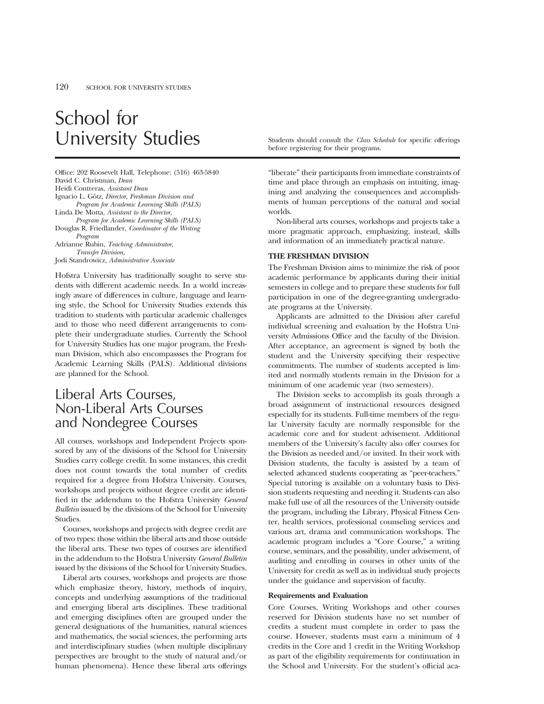# School for University Studies Studies Students should consult the *Class Schedule* for specific offerings

Office: 202 Roosevelt Hall, Telephone: (516) 463-5840 David C. Christman, *Dean* Heidi Contreras, *Assistant Dean* Ignacio L. Götz, *Director, Freshman Division and Program for Academic Learning Skills (PALS)* Linda De Motta, *Assistant to the Director, Program for Academic Learning Skills (PALS)* Douglas R. Friedlander, *Coordinator of the Writing Program* Adrianne Rubin, *Teaching Administrator, Transfer Division,*

Jodi Standrowicz, *Administrative Associate*

Hofstra University has traditionally sought to serve students with different academic needs. In a world increasingly aware of differences in culture, language and learning style, the School for University Studies extends this tradition to students with particular academic challenges and to those who need different arrangements to complete their undergraduate studies. Currently the School for University Studies has one major program, the Freshman Division, which also encompassses the Program for Academic Learning Skills (PALS). Additional divisions are planned for the School.

# Liberal Arts Courses, Non-Liberal Arts Courses and Nondegree Courses

All courses, workshops and Independent Projects sponsored by any of the divisions of the School for University Studies carry college credit. In some instances, this credit does not count towards the total number of credits required for a degree from Hofstra University. Courses, workshops and projects without degree credit are identified in the addendum to the Hofstra University *General Bulletin* issued by the divisions of the School for University Studies.

Courses, workshops and projects with degree credit are of two types: those within the liberal arts and those outside the liberal arts. These two types of courses are identified in the addendum to the Hofstra University *General Bulletin* issued by the divisions of the School for University Studies.

Liberal arts courses, workshops and projects are those which emphasize theory, history, methods of inquiry, concepts and underlying assumptions of the traditional and emerging liberal arts disciplines. These traditional and emerging disciplines often are grouped under the general designations of the humanities, natural sciences and mathematics, the social sciences, the performing arts and interdisciplinary studies (when multiple disciplinary perspectives are brought to the study of natural and/or human phenomena). Hence these liberal arts offerings before registering for their programs.

"liberate" their participants from immediate constraints of time and place through an emphasis on intuiting, imagining and analyzing the consequences and accomplishments of human perceptions of the natural and social worlds.

Non-liberal arts courses, workshops and projects take a more pragmatic approach, emphasizing, instead, skills and information of an immediately practical nature.

# **THE FRESHMAN DIVISION**

The Freshman Division aims to minimize the risk of poor academic performance by applicants during their initial semesters in college and to prepare these students for full participation in one of the degree-granting undergraduate programs at the University.

Applicants are admitted to the Division after careful individual screening and evaluation by the Hofstra University Admissions Office and the faculty of the Division. After acceptance, an agreement is signed by both the student and the University specifying their respective commitments. The number of students accepted is limited and normally students remain in the Division for a minimum of one academic year (two semesters).

The Division seeks to accomplish its goals through a broad assignment of instructional resources designed especially for its students. Full-time members of the regular University faculty are normally responsible for the academic core and for student advisement. Additional members of the University's faculty also offer courses for the Division as needed and/or invited. In their work with Division students, the faculty is assisted by a team of selected advanced students cooperating as "peer-teachers." Special tutoring is available on a voluntary basis to Division students requesting and needing it. Students can also make full use of all the resources of the University outside the program, including the Library, Physical Fitness Center, health services, professional counseling services and various art, drama and communication workshops. The academic program includes a "Core Course," a writing course, seminars, and the possibility, under advisement, of auditing and enrolling in courses in other units of the University for credit as well as in individual study projects under the guidance and supervision of faculty.

## **Requirements and Evaluation**

Core Courses, Writing Workshops and other courses reserved for Division students have no set number of credits a student must complete in order to pass the course. However, students must earn a minimum of 4 credits in the Core and 1 credit in the Writing Workshop as part of the eligibility requirements for continuation in the School and University. For the student's official aca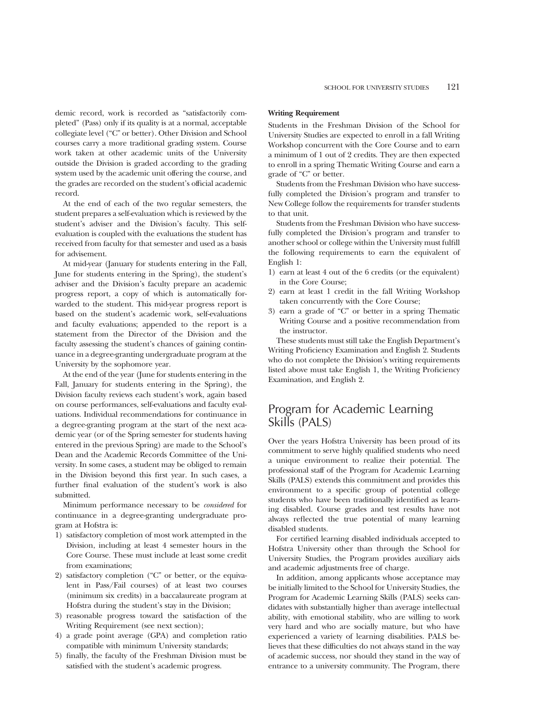demic record, work is recorded as "satisfactorily completed" (Pass) only if its quality is at a normal, acceptable collegiate level ("C" or better). Other Division and School courses carry a more traditional grading system. Course work taken at other academic units of the University outside the Division is graded according to the grading system used by the academic unit offering the course, and the grades are recorded on the student's official academic record.

At the end of each of the two regular semesters, the student prepares a self-evaluation which is reviewed by the student's adviser and the Division's faculty. This selfevaluation is coupled with the evaluations the student has received from faculty for that semester and used as a basis for advisement.

At mid-year (January for students entering in the Fall, June for students entering in the Spring), the student's adviser and the Division's faculty prepare an academic progress report, a copy of which is automatically forwarded to the student. This mid-year progress report is based on the student's academic work, self-evaluations and faculty evaluations; appended to the report is a statement from the Director of the Division and the faculty assessing the student's chances of gaining continuance in a degree-granting undergraduate program at the University by the sophomore year.

At the end of the year (June for students entering in the Fall, January for students entering in the Spring), the Division faculty reviews each student's work, again based on course performances, self-evaluations and faculty evaluations. Individual recommendations for continuance in a degree-granting program at the start of the next academic year (or of the Spring semester for students having entered in the previous Spring) are made to the School's Dean and the Academic Records Committee of the University. In some cases, a student may be obliged to remain in the Division beyond this first year. In such cases, a further final evaluation of the student's work is also submitted.

Minimum performance necessary to be *considered* for continuance in a degree-granting undergraduate program at Hofstra is:

- 1) satisfactory completion of most work attempted in the Division, including at least 4 semester hours in the Core Course. These must include at least some credit from examinations;
- 2) satisfactory completion ("C" or better, or the equivalent in Pass/Fail courses) of at least two courses (minimum six credits) in a baccalaureate program at Hofstra during the student's stay in the Division;
- 3) reasonable progress toward the satisfaction of the Writing Requirement (see next section);
- 4) a grade point average (GPA) and completion ratio compatible with minimum University standards;
- 5) finally, the faculty of the Freshman Division must be satisfied with the student's academic progress.

# **Writing Requirement**

Students in the Freshman Division of the School for University Studies are expected to enroll in a fall Writing Workshop concurrent with the Core Course and to earn a minimum of 1 out of 2 credits. They are then expected to enroll in a spring Thematic Writing Course and earn a grade of "C" or better.

Students from the Freshman Division who have successfully completed the Division's program and transfer to New College follow the requirements for transfer students to that unit.

Students from the Freshman Division who have successfully completed the Division's program and transfer to another school or college within the University must fulfill the following requirements to earn the equivalent of English 1:

- 1) earn at least 4 out of the 6 credits (or the equivalent) in the Core Course;
- 2) earn at least 1 credit in the fall Writing Workshop taken concurrently with the Core Course;
- 3) earn a grade of "C" or better in a spring Thematic Writing Course and a positive recommendation from the instructor.

These students must still take the English Department's Writing Proficiency Examination and English 2. Students who do not complete the Division's writing requirements listed above must take English 1, the Writing Proficiency Examination, and English 2.

# Program for Academic Learning Skills (PALS)

Over the years Hofstra University has been proud of its commitment to serve highly qualified students who need a unique environment to realize their potential. The professional staff of the Program for Academic Learning Skills (PALS) extends this commitment and provides this environment to a specific group of potential college students who have been traditionally identified as learning disabled. Course grades and test results have not always reflected the true potential of many learning disabled students.

For certified learning disabled individuals accepted to Hofstra University other than through the School for University Studies, the Program provides auxiliary aids and academic adjustments free of charge.

In addition, among applicants whose acceptance may be initially limited to the School for University Studies, the Program for Academic Learning Skills (PALS) seeks candidates with substantially higher than average intellectual ability, with emotional stability, who are willing to work very hard and who are socially mature, but who have experienced a variety of learning disabilities. PALS believes that these difficulties do not always stand in the way of academic success, nor should they stand in the way of entrance to a university community. The Program, there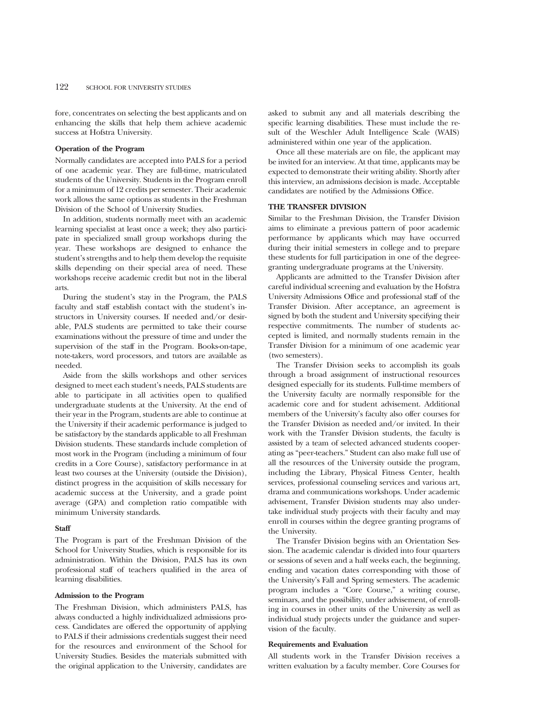fore, concentrates on selecting the best applicants and on enhancing the skills that help them achieve academic success at Hofstra University.

# **Operation of the Program**

Normally candidates are accepted into PALS for a period of one academic year. They are full-time, matriculated students of the University. Students in the Program enroll for a minimum of 12 credits per semester. Their academic work allows the same options as students in the Freshman Division of the School of University Studies.

In addition, students normally meet with an academic learning specialist at least once a week; they also participate in specialized small group workshops during the year. These workshops are designed to enhance the student's strengths and to help them develop the requisite skills depending on their special area of need. These workshops receive academic credit but not in the liberal arts.

During the student's stay in the Program, the PALS faculty and staff establish contact with the student's instructors in University courses. If needed and/or desirable, PALS students are permitted to take their course examinations without the pressure of time and under the supervision of the staff in the Program. Books-on-tape, note-takers, word processors, and tutors are available as needed.

Aside from the skills workshops and other services designed to meet each student's needs, PALS students are able to participate in all activities open to qualified undergraduate students at the University. At the end of their year in the Program, students are able to continue at the University if their academic performance is judged to be satisfactory by the standards applicable to all Freshman Division students. These standards include completion of most work in the Program (including a minimum of four credits in a Core Course), satisfactory performance in at least two courses at the University (outside the Division), distinct progress in the acquisition of skills necessary for academic success at the University, and a grade point average (GPA) and completion ratio compatible with minimum University standards.

### **Staff**

The Program is part of the Freshman Division of the School for University Studies, which is responsible for its administration. Within the Division, PALS has its own professional staff of teachers qualified in the area of learning disabilities.

## **Admission to the Program**

The Freshman Division, which administers PALS, has always conducted a highly individualized admissions process. Candidates are offered the opportunity of applying to PALS if their admissions credentials suggest their need for the resources and environment of the School for University Studies. Besides the materials submitted with the original application to the University, candidates are asked to submit any and all materials describing the specific learning disabilities. These must include the result of the Weschler Adult Intelligence Scale (WAIS) administered within one year of the application.

Once all these materials are on file, the applicant may be invited for an interview. At that time, applicants may be expected to demonstrate their writing ability. Shortly after this interview, an admissions decision is made. Acceptable candidates are notified by the Admissions Office.

# **THE TRANSFER DIVISION**

Similar to the Freshman Division, the Transfer Division aims to eliminate a previous pattern of poor academic performance by applicants which may have occurred during their initial semesters in college and to prepare these students for full participation in one of the degreegranting undergraduate programs at the University.

Applicants are admitted to the Transfer Division after careful individual screening and evaluation by the Hofstra University Admissions Office and professional staff of the Transfer Division. After acceptance, an agreement is signed by both the student and University specifying their respective commitments. The number of students accepted is limited, and normally students remain in the Transfer Division for a minimum of one academic year (two semesters).

The Transfer Division seeks to accomplish its goals through a broad assignment of instructional resources designed especially for its students. Full-time members of the University faculty are normally responsible for the academic core and for student advisement. Additional members of the University's faculty also offer courses for the Transfer Division as needed and/or invited. In their work with the Transfer Division students, the faculty is assisted by a team of selected advanced students cooperating as "peer-teachers." Student can also make full use of all the resources of the University outside the program, including the Library, Physical Fitness Center, health services, professional counseling services and various art, drama and communications workshops. Under academic advisement, Transfer Division students may also undertake individual study projects with their faculty and may enroll in courses within the degree granting programs of the University.

The Transfer Division begins with an Orientation Session. The academic calendar is divided into four quarters or sessions of seven and a half weeks each, the beginning, ending and vacation dates corresponding with those of the University's Fall and Spring semesters. The academic program includes a "Core Course," a writing course, seminars, and the possibility, under advisement, of enrolling in courses in other units of the University as well as individual study projects under the guidance and supervision of the faculty.

### **Requirements and Evaluation**

All students work in the Transfer Division receives a written evaluation by a faculty member. Core Courses for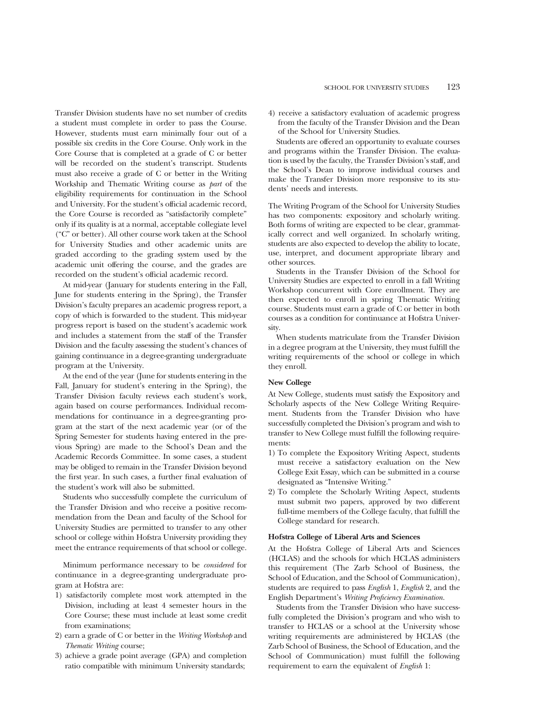Transfer Division students have no set number of credits a student must complete in order to pass the Course. However, students must earn minimally four out of a possible six credits in the Core Course. Only work in the Core Course that is completed at a grade of C or better will be recorded on the student's transcript. Students must also receive a grade of C or better in the Writing Workship and Thematic Writing course as *part* of the eligibility requirements for continuation in the School and University. For the student's official academic record, the Core Course is recorded as "satisfactorily complete" only if its quality is at a normal, acceptable collegiate level ("C" or better). All other course work taken at the School for University Studies and other academic units are graded according to the grading system used by the academic unit offering the course, and the grades are recorded on the student's official academic record.

At mid-year (January for students entering in the Fall, June for students entering in the Spring), the Transfer Division's faculty prepares an academic progress report, a copy of which is forwarded to the student. This mid-year progress report is based on the student's academic work and includes a statement from the staff of the Transfer Division and the faculty assessing the student's chances of gaining continuance in a degree-granting undergraduate program at the University.

At the end of the year (June for students entering in the Fall, January for student's entering in the Spring), the Transfer Division faculty reviews each student's work, again based on course performances. Individual recommendations for continuance in a degree-granting program at the start of the next academic year (or of the Spring Semester for students having entered in the previous Spring) are made to the School's Dean and the Academic Records Committee. In some cases, a student may be obliged to remain in the Transfer Division beyond the first year. In such cases, a further final evaluation of the student's work will also be submitted.

Students who successfully complete the curriculum of the Transfer Division and who receive a positive recommendation from the Dean and faculty of the School for University Studies are permitted to transfer to any other school or college within Hofstra University providing they meet the entrance requirements of that school or college.

Minimum performance necessary to be *considered* for continuance in a degree-granting undergraduate program at Hofstra are:

- 1) satisfactorily complete most work attempted in the Division, including at least 4 semester hours in the Core Course; these must include at least some credit from examinations;
- 2) earn a grade of C or better in the *Writing Workshop* and *Thematic Writing* course;
- 3) achieve a grade point average (GPA) and completion ratio compatible with minimum University standards;

4) receive a satisfactory evaluation of academic progress from the faculty of the Transfer Division and the Dean of the School for University Studies.

Students are offered an opportunity to evaluate courses and programs within the Transfer Division. The evaluation is used by the faculty, the Transfer Division's staff, and the School's Dean to improve individual courses and make the Transfer Division more responsive to its students' needs and interests.

The Writing Program of the School for University Studies has two components: expository and scholarly writing. Both forms of writing are expected to be clear, grammatically correct and well organized. In scholarly writing, students are also expected to develop the ability to locate, use, interpret, and document appropriate library and other sources.

Students in the Transfer Division of the School for University Studies are expected to enroll in a fall Writing Workshop concurrent with Core enrollment. They are then expected to enroll in spring Thematic Writing course. Students must earn a grade of C or better in both courses as a condition for continuance at Hofstra University.

When students matriculate from the Transfer Division in a degree program at the University, they must fulfill the writing requirements of the school or college in which they enroll.

# **New College**

At New College, students must satisfy the Expository and Scholarly aspects of the New College Writing Requirement. Students from the Transfer Division who have successfully completed the Division's program and wish to transfer to New College must fulfill the following requirements:

- 1) To complete the Expository Writing Aspect, students must receive a satisfactory evaluation on the New College Exit Essay, which can be submitted in a course designated as "Intensive Writing."
- 2) To complete the Scholarly Writing Aspect, students must submit two papers, approved by two different full-time members of the College faculty, that fulfill the College standard for research.

### **Hofstra College of Liberal Arts and Sciences**

At the Hofstra College of Liberal Arts and Sciences (HCLAS) and the schools for which HCLAS administers this requirement (The Zarb School of Business, the School of Education, and the School of Communication), students are required to pass *English* 1, *English* 2, and the English Department's *Writing Proficiency Examination.*

Students from the Transfer Division who have successfully completed the Division's program and who wish to transfer to HCLAS or a school at the University whose writing requirements are administered by HCLAS (the Zarb School of Business, the School of Education, and the School of Communication) must fulfill the following requirement to earn the equivalent of *English* 1: